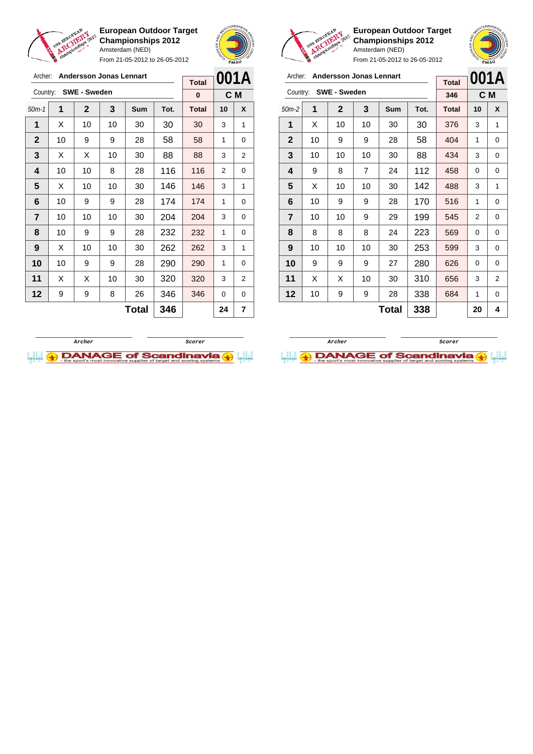

Archer: **Andersson Jonas Lennart**

**European Outdoor Target Championships 2012** Amsterdam (NED)

From 21-05-2012 to 26-05-2012



**European Outdoor Target Championships 2012** Amsterdam (NED) From 21-05-2012 to 26-05-2012

| Archer:        |    | <b>Andersson Jonas Lennart</b> | <b>Total</b> |     | 001A |              |    |                |
|----------------|----|--------------------------------|--------------|-----|------|--------------|----|----------------|
| Country:       |    | <b>SWE - Sweden</b>            |              |     |      | 346          |    | C M            |
| $50m-2$        | 1  | $\mathbf 2$                    | 3            | Sum | Tot. | <b>Total</b> | 10 | X              |
| 1              | X  | 10                             | 10           | 30  | 30   | 376          | 3  | 1              |
| $\mathbf{2}$   | 10 | 9                              | 9            | 28  | 58   | 404          | 1  | 0              |
| 3              | 10 | 10                             | 10           | 30  | 88   | 434          | 3  | 0              |
| 4              | 9  | 8                              | 7            | 24  | 112  | 458          | 0  | 0              |
| 5              | X  | 10                             | 10           | 30  | 142  | 488          | 3  | 1              |
| 6              | 10 | 9                              | 9            | 28  | 170  | 516          | 1  | 0              |
| $\overline{7}$ | 10 | 10                             | 9            | 29  | 199  | 545          | 2  | 0              |
| 8              | 8  | 8                              | 8            | 24  | 223  | 569          | 0  | 0              |
| 9              | 10 | 10                             | 10           | 30  | 253  | 599          | 3  | 0              |
| 10             | 9  | 9                              | 9            | 27  | 280  | 626          | 0  | 0              |
| 11             | X  | X                              | 10           | 30  | 310  | 656          | 3  | $\overline{2}$ |
| 12             | 10 | 9                              | 9            | 28  | 338  | 684          | 1  | 0              |
|                |    |                                |              | 20  | 4    |              |    |                |

| Archer:      |    | <b>Andersson Jonas Lennart</b> |    | <b>Total</b> |      | 001A         |          |                |
|--------------|----|--------------------------------|----|--------------|------|--------------|----------|----------------|
| Country:     |    | <b>SWE - Sweden</b>            |    |              |      | 0            |          | C M            |
| $50m-1$      | 1  | $\mathbf 2$                    | 3  | <b>Sum</b>   | Tot. | <b>Total</b> | 10       | X              |
| 1            | Х  | 10                             | 10 | 30           | 30   | 30           | 3        | 1              |
| $\mathbf{2}$ | 10 | 9                              | 9  | 28           | 58   | 58           | 1        | 0              |
| 3            | X  | X                              | 10 | 30           | 88   | 88           | 3        | 2              |
| 4            | 10 | 10                             | 8  | 28           | 116  | 116          | 2        | 0              |
| 5            | X  | 10                             | 10 | 30           | 146  | 146          | 3        | 1              |
| 6            | 10 | 9                              | 9  | 28           | 174  | 174          | 1        | 0              |
| 7            | 10 | 10                             | 10 | 30           | 204  | 204          | 3        | 0              |
| 8            | 10 | 9                              | 9  | 28           | 232  | 232          | 1        | 0              |
| 9            | X  | 10                             | 10 | 30           | 262  | 262          | 3        | 1              |
| 10           | 10 | 9                              | 9  | 28           | 290  | 290          | 1        | 0              |
| 11           | X  | X                              | 10 | 30           | 320  | 320          | 3        | $\overline{2}$ |
| 12           | 9  | 9                              | 8  | 26           | 346  | 346          | $\Omega$ | 0              |
|              |    |                                |    | <b>Total</b> | 346  |              | 24       | 7              |



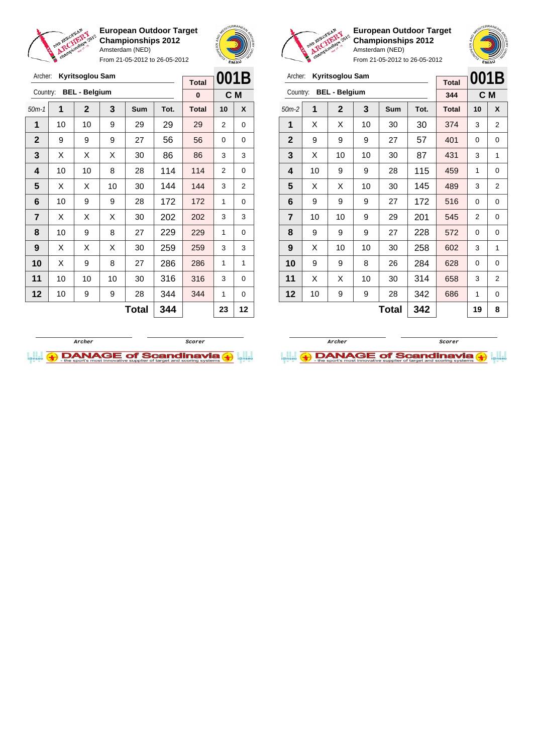

From 21-05-2012 to 26-05-2012





**European Outdoor Target Championships 2012** Amsterdam (NED)

| Archer:        |    | Kyritsoglou Sam      |     |     | 001B |              |    |                |
|----------------|----|----------------------|-----|-----|------|--------------|----|----------------|
|                |    |                      |     |     |      | <b>Total</b> |    |                |
| Country:       |    | <b>BEL - Belgium</b> |     |     |      | 344          |    | C <sub>M</sub> |
| $50m-2$        | 1  | $\mathbf{2}$         | 3   | Sum | Tot. | <b>Total</b> | 10 | X              |
| 1              | X  | X                    | 10  | 30  | 30   | 374          | 3  | $\overline{2}$ |
| $\mathbf{2}$   | 9  | 9                    | 9   | 27  | 57   | 401          | 0  | 0              |
| 3              | X  | 10                   | 10  | 30  | 87   | 431          | 3  | 1              |
| 4              | 10 | 9                    | 9   | 28  | 115  | 459          | 1  | 0              |
| 5              | X  | Х                    | 10  | 30  | 145  | 489          | 3  | $\overline{2}$ |
| 6              | 9  | 9                    | 9   | 27  | 172  | 516          | 0  | 0              |
| $\overline{7}$ | 10 | 10                   | 9   | 29  | 201  | 545          | 2  | 0              |
| 8              | 9  | 9                    | 9   | 27  | 228  | 572          | 0  | 0              |
| 9              | X  | 10                   | 10  | 30  | 258  | 602          | 3  | 1              |
| 10             | 9  | 9                    | 8   | 26  | 284  | 628          | 0  | 0              |
| 11             | X  | X                    | 10  | 30  | 314  | 658          | 3  | $\overline{2}$ |
| 12             | 10 | 9                    | 686 | 1   | 0    |              |    |                |
|                |    |                      |     | 19  | 8    |              |    |                |





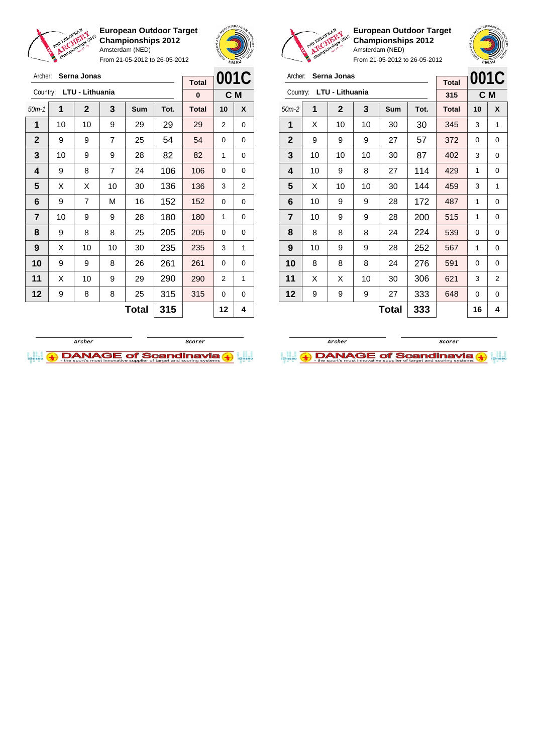

Archer: **Serna Jonas**

**European Outdoor Target Championships 2012** Amsterdam (NED)

From 21-05-2012 to 26-05-2012





**European Outdoor Target Championships 2012** Amsterdam (NED)

**001C**

|            | Archer: Serna Jonas                           |  |
|------------|-----------------------------------------------|--|
| <b>A 1</b> | distribution of the following the contract of |  |

| Archer:     | Serna Jonas |                 |    |       |      |              |          | 001C |
|-------------|-------------|-----------------|----|-------|------|--------------|----------|------|
| Country:    |             | LTU - Lithuania |    |       |      | 315          | C M      |      |
| $50m-2$     | 1           | $\mathbf 2$     | 3  | Sum   | Tot. | <b>Total</b> | 10       | X    |
| 1           | X           | 10              | 10 | 30    | 30   | 345          | 3        | 1    |
| $\mathbf 2$ | 9           | 9               | 9  | 27    | 57   | 372          | 0        | 0    |
| 3           | 10          | 10              | 10 | 30    | 87   | 402          | 3        | 0    |
| 4           | 10          | 9               | 8  | 27    | 114  | 429          | 1        | 0    |
| 5           | X           | 10              | 10 | 30    | 144  | 459          | 3        | 1    |
| 6           | 10          | 9               | 9  | 28    | 172  | 487          | 1        | 0    |
| 7           | 10          | 9               | 9  | 28    | 200  | 515          | 1        | 0    |
| 8           | 8           | 8               | 8  | 24    | 224  | 539          | 0        | 0    |
| 9           | 10          | 9               | 9  | 28    | 252  | 567          | 1        | 0    |
| 10          | 8           | 8               | 8  | 24    | 276  | 591          | $\Omega$ | 0    |
| 11          | X           | X               | 10 | 30    | 306  | 621          | 3        | 2    |
| 12          | 9           | 9               | 9  | 27    | 333  | 648          | 0        | 0    |
|             |             |                 |    | Total | 333  |              | 16       | 4    |

| Archer:      |    | Serna Jonas     |                | <b>Total</b> |      | 001C         |          |     |
|--------------|----|-----------------|----------------|--------------|------|--------------|----------|-----|
| Country:     |    | LTU - Lithuania |                |              |      | 0            |          | C M |
| $50m-1$      | 1  | $\mathbf{2}$    | 3              | Sum          | Tot. | <b>Total</b> | 10       | X   |
| 1            | 10 | 10              | 9              | 29           | 29   | 29           | 2        | 0   |
| $\mathbf{2}$ | 9  | 9               | $\overline{7}$ | 25           | 54   | 54           | $\Omega$ | 0   |
| 3            | 10 | 9               | 9              | 28           | 82   | 82           | 1        | 0   |
| 4            | 9  | 8               | 7              | 24           | 106  | 106          | 0        | 0   |
| 5            | Х  | Х               | 10             | 30           | 136  | 136          | 3        | 2   |
| 6            | 9  | 7               | М              | 16           | 152  | 152          | 0        | 0   |
| 7            | 10 | 9               | 9              | 28           | 180  | 180          | 1        | 0   |
| 8            | 9  | 8               | 8              | 25           | 205  | 205          | 0        | 0   |
| 9            | X  | 10              | 10             | 30           | 235  | 235          | 3        | 1   |
| 10           | 9  | 9               | 8              | 26           | 261  | 261          | 0        | 0   |
| 11           | X  | 10              | 9              | 29           | 290  | 290          | 2        | 1   |
| 12           | 9  | 8               | 8              | 25           | 315  | 315          | 0        | 0   |
|              |    |                 |                | Total        | 315  |              | 12       | 4   |
|              |    |                 |                |              |      |              |          |     |



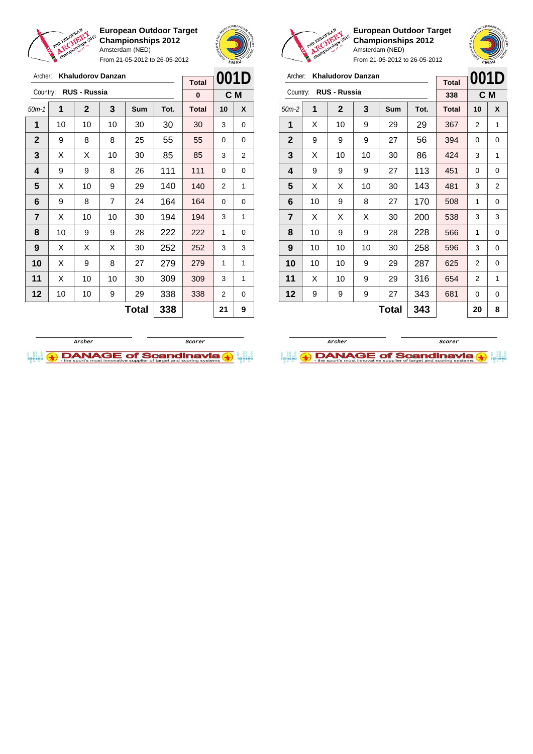

From 21-05-2012 to 26-05-2012





**European Outdoor Target Championships 2012** Amsterdam (NED)

|                     | etnampion and |                     | Amsterdam (NED)          |     | From 21-05-2012 to 26-05-2012 |                     | <b>EMAY</b> | Noinn |
|---------------------|---------------|---------------------|--------------------------|-----|-------------------------------|---------------------|-------------|-------|
| Archer:<br>Country: |               | <b>RUS - Russia</b> | <b>Khaludorov Danzan</b> |     |                               | <b>Total</b><br>338 | 001D        | C M   |
| $50m-2$             | 1             | $\mathbf{2}$        | 3                        | Sum | Tot.                          | Total               | 10          | X     |
| 1                   | X             | 10                  | 9                        | 29  | 29                            | 367                 | 2           | 1     |
| $\mathbf{2}$        | 9             | 9                   | 9                        | 27  | 56                            | 394                 | 0           | 0     |
| 3                   | X             | 10                  | 10                       | 30  | 86                            | 424                 | 3           | 1     |
| 4                   | 9             | 9                   | 9                        | 27  | 113                           | 451                 | 0           | 0     |
| 5                   | X             | X                   | 10                       | 30  | 143                           | 481                 | 3           | 2     |
| 6                   | 10            | 9                   | 8                        | 27  | 170                           | 508                 | 1           | 0     |
| $\overline{7}$      | Χ             | X                   | X                        | 30  | 200                           | 538                 | 3           | 3     |

 $Total | 343 | 20 | 8$ 

| Archer:        |    | <b>Khaludorov Danzan</b> |                | <b>Total</b> | 001D |              |    |     |
|----------------|----|--------------------------|----------------|--------------|------|--------------|----|-----|
| Country:       |    | <b>RUS - Russia</b>      |                |              |      | $\bf{0}$     |    | C M |
| $50m-1$        | 1  | $\mathbf{2}$             | 3              | Sum          | Tot. | <b>Total</b> | 10 | X   |
| 1              | 10 | 10                       | 10             | 30           | 30   | 30           | 3  | 0   |
| $\mathbf{2}$   | 9  | 8                        | 8              | 25           | 55   | 55           | 0  | 0   |
| 3              | X  | X                        | 10             | 30           | 85   | 85           | 3  | 2   |
| 4              | 9  | 9                        | 8              | 26           | 111  | 111          | 0  | 0   |
| 5              | X  | 10                       | 9              | 29           | 140  | 140          | 2  | 1   |
| 6              | 9  | 8                        | $\overline{7}$ | 24           | 164  | 164          | 0  | 0   |
| $\overline{7}$ | X  | 10                       | 10             | 30           | 194  | 194          | 3  | 1   |
| 8              | 10 | 9                        | 9              | 28           | 222  | 222          | 1  | 0   |
| 9              | X  | X                        | X              | 30           | 252  | 252          | 3  | 3   |
| 10             | X  | 9                        | 8              | 27           | 279  | 279          | 1  | 1   |
| 11             | X  | 10                       | 10             | 30           | 309  | 309          | 3  | 1   |
| 12             | 10 | 10                       | 9              | 29           | 338  | 338          | 2  | 0   |
|                |    |                          | 338            |              | 21   | 9            |    |     |





 | 10 | 9 | 9 | 28 | 228 | 566 | 1 | 0 | 10 | 10 | 10 | 30 | 258 | 596 | 3 | 0 | 10 | 10 | 9 | 29 | 287 | 625 | 2 | 0 | X | 10 | 9 | 29 | 316 | 654 | 2 | 1 | 9 | 9 | 9 | 27 | 343 | 681 | 0 | 0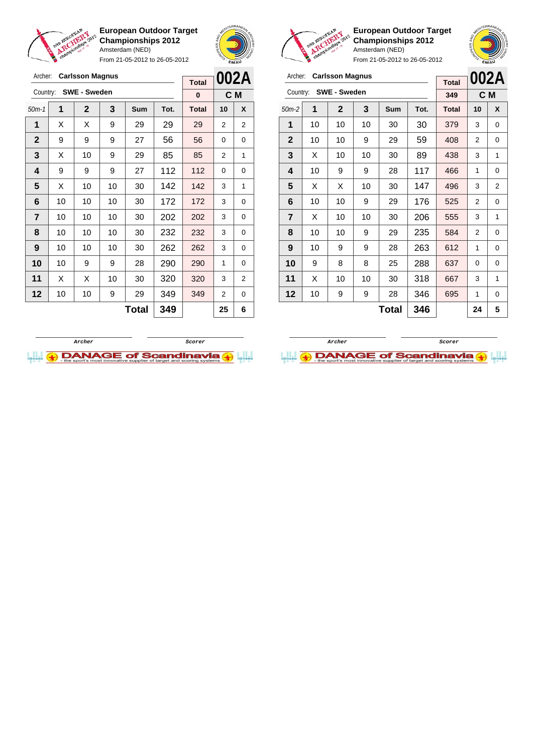

From 21-05-2012 to 26-05-2012





**European Outdoor Target Championships 2012** Amsterdam (NED)

**002A C M**

|                | <b>Carlsson Magnus</b><br>Archer: |                     |    |            |      |              |                |                | Archer:      |    | <b>Carlsson Magnus</b> |    |              |      |              |                |                |
|----------------|-----------------------------------|---------------------|----|------------|------|--------------|----------------|----------------|--------------|----|------------------------|----|--------------|------|--------------|----------------|----------------|
|                |                                   |                     |    |            |      | <b>Total</b> |                | 002A           |              |    |                        |    |              |      | <b>Total</b> | 002/           |                |
| Country:       |                                   | <b>SWE - Sweden</b> |    |            |      | $\bf{0}$     |                | C M            | Country:     |    | <b>SWE - Sweden</b>    |    |              |      | 349          |                | C M            |
| $50m-1$        | 1                                 | $\overline{2}$      | 3  | <b>Sum</b> | Tot. | <b>Total</b> | 10             | X              | $50m-2$      | 1  | $\mathbf{2}$           | 3  | <b>Sum</b>   | Tot. | <b>Total</b> | 10             | X              |
| 1              | X                                 | X                   | 9  | 29         | 29   | 29           | $\overline{2}$ | $\overline{2}$ | 1            | 10 | 10                     | 10 | 30           | 30   | 379          | 3              | 0              |
| $\mathbf{2}$   | 9                                 | 9                   | 9  | 27         | 56   | 56           | $\Omega$       | $\mathbf 0$    | $\mathbf{2}$ | 10 | 10                     | 9  | 29           | 59   | 408          | $\overline{2}$ | 0              |
| 3              | X                                 | 10                  | 9  | 29         | 85   | 85           | 2              | 1              | 3            | X  | 10                     | 10 | 30           | 89   | 438          | 3              | 1              |
| 4              | 9                                 | 9                   | 9  | 27         | 112  | 112          | $\Omega$       | $\Omega$       | 4            | 10 | 9                      | 9  | 28           | 117  | 466          | 1              | 0              |
| 5              | X                                 | 10                  | 10 | 30         | 142  | 142          | 3              | 1              | 5            | X  | X                      | 10 | 30           | 147  | 496          | 3              | $\overline{a}$ |
| 6              | 10 <sup>1</sup>                   | 10                  | 10 | 30         | 172  | 172          | 3              | 0              | 6            | 10 | 10                     | 9  | 29           | 176  | 525          | $\overline{2}$ | 0              |
| $\overline{7}$ | 10                                | 10                  | 10 | 30         | 202  | 202          | 3              | 0              | 7            | X  | 10                     | 10 | 30           | 206  | 555          | 3              |                |
| 8              | 10                                | 10                  | 10 | 30         | 232  | 232          | 3              | 0              | 8            | 10 | 10                     | 9  | 29           | 235  | 584          | 2              | 0              |
| 9              | 10                                | 10                  | 10 | 30         | 262  | 262          | 3              | $\mathbf 0$    | 9            | 10 | 9                      | 9  | 28           | 263  | 612          | 1              | 0              |
| 10             | 10 <sup>1</sup>                   | 9                   | 9  | 28         | 290  | 290          | 1              | 0              | 10           | 9  | 8                      | 8  | 25           | 288  | 637          | 0              | 0              |
| 11             | X                                 | X                   | 10 | 30         | 320  | 320          | 3              | 2              | 11           | X  | 10                     | 10 | 30           | 318  | 667          | 3              | 1              |
| 12             | 10                                | 10                  | 9  | 29         | 349  | 349          | 2              | 0              | 12           | 10 | 9                      | 9  | 28           | 346  | 695          | 1              | 0              |
|                |                                   |                     |    | Total      | 349  |              | 25             | 6              |              |    |                        |    | <b>Total</b> | 346  |              | 24             | 5              |



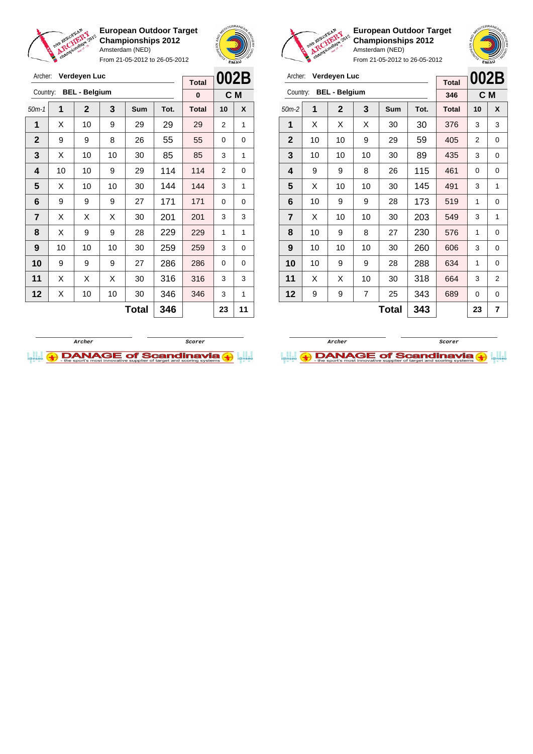

From 21-05-2012 to 26-05-2012



**European Outdoor Target Championships 2012** Amsterdam (NED)

**002B C M**

From 21-05-2012 to 26-05-2012

| Archer:        |    | Verdeyen Luc         |    |              |      | 002B<br>Verdeyen Luc<br>Archer:<br><b>Total</b><br><b>BEL - Belgium</b> |                |             |                  |    |                |    |              |      | <b>Total</b> | 002E     |     |
|----------------|----|----------------------|----|--------------|------|-------------------------------------------------------------------------|----------------|-------------|------------------|----|----------------|----|--------------|------|--------------|----------|-----|
| Country:       |    | <b>BEL - Belgium</b> |    |              |      | $\bf{0}$                                                                |                | C M         | Country:         |    |                |    |              |      | 346          |          | C M |
| $50m-1$        | 1  | $\overline{2}$       | 3  | Sum          | Tot. | <b>Total</b>                                                            | 10             | X           | $50m-2$          | 1  | $\overline{2}$ | 3  | Sum          | Tot. | <b>Total</b> | 10       | X   |
| 1              | X  | 10                   | 9  | 29           | 29   | 29                                                                      | $\overline{2}$ | 1           | 1                | X  | X              | X  | 30           | 30   | 376          | 3        | 3   |
| $\mathbf{2}$   | 9  | 9                    | 8  | 26           | 55   | 55                                                                      | $\Omega$       | 0           | $\mathbf{2}$     | 10 | 10             | 9  | 29           | 59   | 405          | 2        | 0   |
| 3              | X  | 10                   | 10 | 30           | 85   | 85                                                                      | 3              | 1           | 3                | 10 | 10             | 10 | 30           | 89   | 435          | 3        | 0   |
| 4              | 10 | 10                   | 9  | 29           | 114  | 114                                                                     | $\overline{2}$ | $\mathbf 0$ | $\boldsymbol{4}$ | 9  | 9              | 8  | 26           | 115  | 461          | 0        | 0   |
| 5              | X  | 10                   | 10 | 30           | 144  | 144                                                                     | 3              | 1           | 5                | X  | 10             | 10 | 30           | 145  | 491          | 3        | 1   |
| 6              | 9  | 9                    | 9  | 27           | 171  | 171                                                                     | 0              | 0           | 6                | 10 | 9              | 9  | 28           | 173  | 519          | 1        | 0   |
| $\overline{7}$ | X  | X                    | X  | 30           | 201  | 201                                                                     | 3              | 3           | $\overline{7}$   | X  | 10             | 10 | 30           | 203  | 549          | 3        | 1   |
| 8              | X  | 9                    | 9  | 28           | 229  | 229                                                                     | 1              | 1           | 8                | 10 | 9              | 8  | 27           | 230  | 576          | 1        | 0   |
| 9              | 10 | 10                   | 10 | 30           | 259  | 259                                                                     | 3              | 0           | 9                | 10 | 10             | 10 | 30           | 260  | 606          | 3        | 0   |
| 10             | 9  | 9                    | 9  | 27           | 286  | 286                                                                     | $\Omega$       | 0           | 10               | 10 | 9              | 9  | 28           | 288  | 634          | 1        | 0   |
| 11             | X  | X                    | X  | 30           | 316  | 316                                                                     | 3              | 3           | 11               | X  | X              | 10 | 30           | 318  | 664          | 3        | 2   |
| 12             | X  | 10                   | 10 | 30           | 346  | 346                                                                     | 3              | 1           | 12               | 9  | 9              | 7  | 25           | 343  | 689          | $\Omega$ | 0   |
|                |    |                      |    | <b>Total</b> | 346  |                                                                         | 23             | 11          |                  |    |                |    | <b>Total</b> | 343  |              | 23       | 7   |



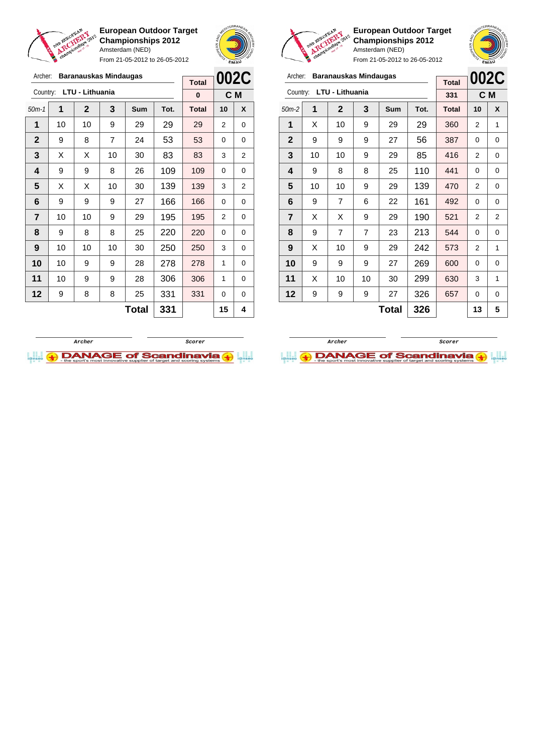

From 21-05-2012 to 26-05-2012



**European Outdoor Target Championships 2012** Amsterdam (NED)



From 21-05-2012 to 26-05-2012

## Archer: **Baranauskas Mindaugas**

| Archer:        |    | <b>Baranauskas Mindaugas</b> |     |            |      | 002C         |    |     |
|----------------|----|------------------------------|-----|------------|------|--------------|----|-----|
| Country:       |    | LTU - Lithuania              |     |            |      | <b>Total</b> |    |     |
|                |    |                              |     |            |      | 331          |    | C M |
| $50m-2$        | 1  | $\mathbf{2}$                 | 3   | <b>Sum</b> | Tot. | <b>Total</b> | 10 | X   |
| 1              | X  | 10                           | 9   | 29         | 29   | 360          | 2  | 1   |
| $\mathbf{2}$   | 9  | 9                            | 9   | 27         | 56   | 387          | 0  | 0   |
| 3              | 10 | 10                           | 9   | 29         | 85   | 416          | 2  | 0   |
| 4              | 9  | 8                            | 8   | 25         | 110  | 441          | 0  | 0   |
| 5              | 10 | 10                           | 9   | 29         | 139  | 470          | 2  | 0   |
| 6              | 9  | $\overline{7}$               | 6   | 22         | 161  | 492          | 0  | 0   |
| $\overline{7}$ | X  | X                            | 9   | 29         | 190  | 521          | 2  | 2   |
| 8              | 9  | 7                            | 7   | 23         | 213  | 544          | 0  | 0   |
| 9              | X  | 10                           | 9   | 29         | 242  | 573          | 2  | 1   |
| 10             | 9  | 9                            | 9   | 27         | 269  | 600          | 0  | 0   |
| 11             | X  | 10                           | 10  | 30         | 299  | 630          | 3  | 1   |
| 12             | 9  | 9                            | 9   | 27         | 326  | 657          | 0  | 0   |
|                |    |                              | 326 |            | 13   | 5            |    |     |

| Archer:        |    | <b>Baranauskas Mindaugas</b> |                |            |      | 002C         |          |                |
|----------------|----|------------------------------|----------------|------------|------|--------------|----------|----------------|
| Country:       |    | LTU - Lithuania              |                |            |      | <b>Total</b> |          |                |
|                |    |                              |                |            |      | 0            |          | C M            |
| $50m-1$        | 1  | $\mathbf{2}$                 | 3              | <b>Sum</b> | Tot. | <b>Total</b> | 10       | X              |
| 1              | 10 | 10                           | 9              | 29         | 29   | 29           | 2        | 0              |
| $\mathbf{2}$   | 9  | 8                            | $\overline{7}$ | 24         | 53   | 53           | $\Omega$ | 0              |
| 3              | X  | X                            | 10             | 30         | 83   | 83           | 3        | 2              |
| 4              | 9  | 9                            | 8              | 26         | 109  | 109          | 0        | 0              |
| 5              | X  | X                            | 10             | 30         | 139  | 139          | 3        | $\overline{2}$ |
| 6              | 9  | 9                            | 9              | 27         | 166  | 166          | 0        | 0              |
| $\overline{7}$ | 10 | 10                           | 9              | 29         | 195  | 195          | 2        | 0              |
| 8              | 9  | 8                            | 8              | 25         | 220  | 220          | 0        | 0              |
| 9              | 10 | 10                           | 10             | 30         | 250  | 250          | 3        | 0              |
| 10             | 10 | 9                            | 9              | 28         | 278  | 278          | 1        | 0              |
| 11             | 10 | 9                            | 9              | 28         | 306  | 306          | 1        | 0              |
| 12             | 9  | 8                            | 8              | 25         | 331  | 331          | 0        | 0              |
|                |    |                              | 331            |            | 15   | 4            |          |                |



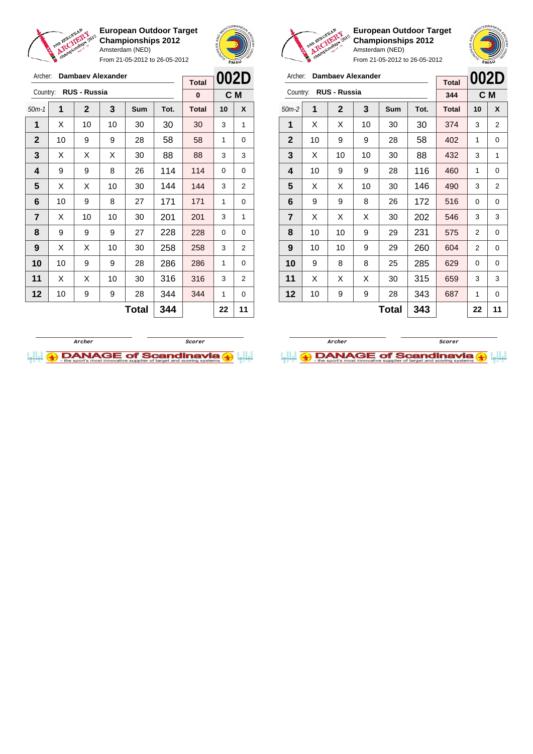

Archer: **Dambaev Alexander**

Country: **RUS - Russia**

**European Outdoor Target Championships 2012** Amsterdam (NED)

From 21-05-2012 to 26-05-2012

50m-1 **1 2 3 Sum Tot. Total 10 X** | X | 10 | 10 | 30 | 30 | 30 | 3 | 1 | 10 | 9 | 9 | 28 | 58 | 58 | 1 | 0  $\mid$  X  $\mid$  X  $\mid$  X  $\mid$  30  $\mid$  88  $\mid$  88  $\mid$  3  $\mid$  3 | 9 | 9 | 8 | 26 | 114 | 114 | 0 | 0  $\mid$  X  $\mid$  X  $\mid$  10  $\mid$  30  $\mid$  144  $\mid$  144  $\mid$  3  $\mid$  2 | 10 | 9 | 8 | 27 | 171 | 171 | 1 | 0  $\vert$  X  $\vert$  10  $\vert$  10  $\vert$  30  $\vert$  201  $\vert$  201  $\vert$  3  $\vert$  1 | 9 | 9 | 9 | 27 | 228 | 228 | 0 | 0 | X | X | 10 | 30 | **258 | 258 |** 3 | 2 | 10 | 9 | 9 | 28 | 286 | 286 | 1 | 0 | X | X | 10 | 30 | 316 | 316 | 3 | 2 | 10 | 9 | 9 | 28 | 344 | 344 | 1 | 0



**C M**

**Total 0**



**European Outdoor Target Championships 2012** Amsterdam (NED)

| <b>Cr.</b><br>From 21-05-2012 to 26-05-2012 |    |                     |                   |     |      |              |      | EMAU           |
|---------------------------------------------|----|---------------------|-------------------|-----|------|--------------|------|----------------|
| Archer:                                     |    |                     | Dambaev Alexander |     |      | <b>Total</b> | 002D |                |
| Country:                                    |    | <b>RUS - Russia</b> |                   |     |      | 344          |      | C M            |
| $50m-2$                                     | 1  | $\mathbf{2}$        | 3                 | Sum | Tot. | <b>Total</b> | 10   | X              |
| 1                                           | X  | X                   | 10                | 30  | 30   | 374          | 3    | 2              |
| $\mathbf{2}$                                | 10 | 9                   | 9                 | 28  | 58   | 402          | 1    | 0              |
| 3                                           | X  | 10                  | 10                | 30  | 88   | 432          | 3    | 1              |
| 4                                           | 10 | 9                   | 9                 | 28  | 116  | 460          | 1    | 0              |
| 5                                           | X  | X                   | 10                | 30  | 146  | 490          | 3    | $\overline{2}$ |
| 6                                           | 9  | 9                   | 8                 | 26  | 172  | 516          | 0    | 0              |
| 7                                           | X  | X                   | х                 | 30  | 202  | 546          | 3    | 3              |
| 8                                           | 10 | 10                  | 9                 | 29  | 231  | 575          | 2    | 0              |
| 9                                           | 10 | 10                  | 9                 | 29  | 260  | 604          | 2    | 0              |
| 10                                          | 9  | 8                   | 8                 | 25  | 285  | 629          | 0    | 0              |
| 11                                          | X  | X                   | X                 | 30  | 315  | 659          | 3    | 3              |
| 12                                          | 10 | 9                   | 9                 | 28  | 343  | 687          | 1    | 0              |

 $\text{Total}$  343  $\vert$  22 11

**Archer Scorer**



 $\text{Total}$  344 22 11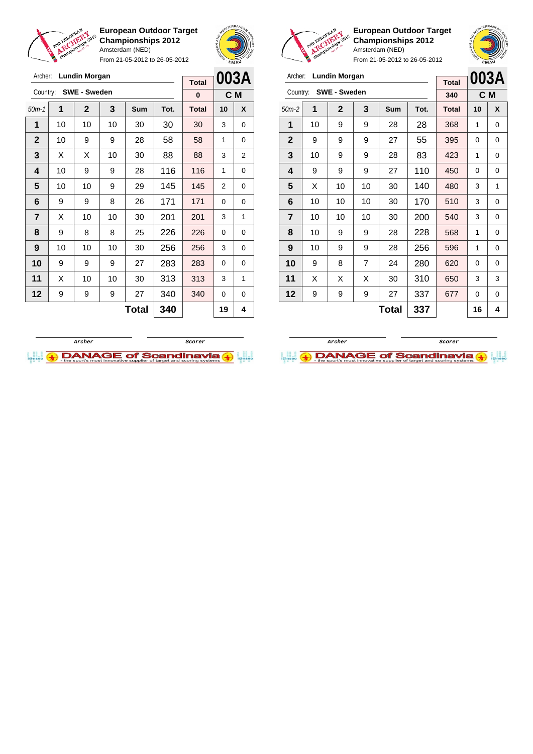

Archer: **Lundin Morgan** Country: **SWE - Sweden**

**European Outdoor Target Championships 2012** Amsterdam (NED)

From 21-05-2012 to 26-05-2012

50m-1 **1 2 3 Sum Tot. Total 10 X**



**C M**

**Total 0**

**European Outdoor Target Championships 2012** Amsterdam (NED)



| Archer:        |                     | <b>Lundin Morgan</b> |    | <b>Total</b> |      | 003A         |    |                |
|----------------|---------------------|----------------------|----|--------------|------|--------------|----|----------------|
| Country:       |                     | <b>SWE - Sweden</b>  |    |              |      | 340          |    | C <sub>M</sub> |
| $50m-2$        | 1                   | $\mathbf{2}$         | 3  | Sum          | Tot. | <b>Total</b> | 10 | X              |
| 1              | 10                  | 9                    | 9  | 28           | 28   | 368          | 1  | 0              |
| $\overline{2}$ | 9                   | 9                    | 9  | 27           | 55   | 395          | 0  | 0              |
| 3              | 10                  | 9                    | 9  | 28           | 83   | 423          | 1  | 0              |
| 4              | 9                   | 9                    | 9  | 27           | 110  | 450          | 0  | 0              |
| 5              | X                   | 10                   | 10 | 30           | 140  | 480          | 3  | 1              |
| 6              | 10                  | 10                   | 10 | 30           | 170  | 510          | 3  | 0              |
| $\overline{7}$ | 10                  | 10                   | 10 | 30           | 200  | 540          | 3  | 0              |
| 8              | 10                  | 9                    | 9  | 28           | 228  | 568          | 1  | 0              |
| 9              | 10                  | 9                    | 9  | 28           | 256  | 596          | 1  | 0              |
| 10             | 9                   | 8                    | 7  | 24           | 280  | 620          | 0  | 0              |
| 11             | X                   | X                    | X  | 30           | 310  | 650          | 3  | 3              |
| 12             | 9                   | 9                    | 9  | 27           | 337  | 677          | 0  | 0              |
|                | <b>Total</b><br>337 |                      |    |              |      |              | 16 | 4              |





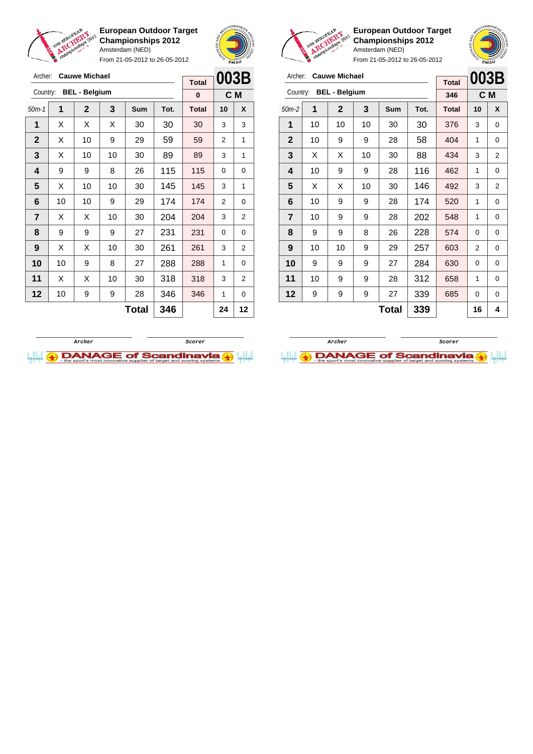

From 21-05-2012 to 26-05-2012





**European Outdoor Target Championships 2012** Amsterdam (NED)

|                | <b>EMAU</b>    |                |              | <b>A</b> Space |                      | From 21-05-2012 to 26-05-2012 |              |      | EMAU         |                |                |
|----------------|----------------|----------------|--------------|----------------|----------------------|-------------------------------|--------------|------|--------------|----------------|----------------|
| 003B           |                |                | Archer:      |                | <b>Cauwe Michael</b> |                               |              |      | <b>Total</b> | 003B           |                |
| C M            |                |                | Country:     |                | <b>BEL - Belgium</b> |                               |              |      | 346          | C M            |                |
| 10             | X              | $50m-2$        |              | 1              | $\mathbf{2}$         | 3                             | <b>Sum</b>   | Tot. | <b>Total</b> | 10             | X              |
| 3              | 3              | 1              |              | 10             | 10                   | 10                            | 30           | 30   | 376          | 3              | 0              |
| $\overline{2}$ | 1              |                | $\mathbf{2}$ | 10             | 9                    | 9                             | 28           | 58   | 404          | 1              | 0              |
| 3              | 1              | 3              |              | X              | X                    | 10                            | 30           | 88   | 434          | 3              | $\overline{2}$ |
| 0              | 0              | 4              |              | 10             | 9                    | 9                             | 28           | 116  | 462          | 1              | $\mathbf 0$    |
| 3              | 1              | 5              |              | X              | X                    | 10                            | 30           | 146  | 492          | 3              | $\overline{2}$ |
| $\overline{2}$ | 0              | 6              |              | 10             | 9                    | 9                             | 28           | 174  | 520          | 1              | $\Omega$       |
| 3              | $\overline{2}$ | $\overline{7}$ |              | 10             | 9                    | 9                             | 28           | 202  | 548          | 1              | $\Omega$       |
| $\Omega$       | $\Omega$       | 8              |              | 9              | 9                    | 8                             | 26           | 228  | 574          | $\Omega$       | $\Omega$       |
| 3              | $\overline{2}$ | 9              |              | 10             | 10                   | 9                             | 29           | 257  | 603          | $\overline{2}$ | $\mathbf 0$    |
| 1              | 0              |                | 10           | 9              | 9                    | 9                             | 27           | 284  | 630          | 0              | 0              |
| 3              | $\overline{2}$ | 11             |              | 10             | 9                    | 9                             | 28           | 312  | 658          | 1              | $\mathbf 0$    |
| 1              | $\Omega$       |                | 12           | 9              | 9                    | 9                             | 27           | 339  | 685          | 0              | $\mathbf 0$    |
| 24             | $12 \,$        |                |              |                |                      |                               | <b>Total</b> | 339  |              | 16             | 4              |

| Archer:      |    | <b>Cauwe Michael</b> |    | <b>Total</b> | 003B |              |                |                |
|--------------|----|----------------------|----|--------------|------|--------------|----------------|----------------|
| Country:     |    | <b>BEL - Belgium</b> |    |              |      | $\bf{0}$     |                | C M            |
| $50m-1$      | 1  | $\mathbf 2$          | 3  | <b>Sum</b>   | Tot. | <b>Total</b> | 10             | X              |
| 1            | Х  | X                    | X  | 30           | 30   | 30           | 3              | 3              |
| $\mathbf{2}$ | X  | 10                   | 9  | 29           | 59   | 59           | 2              | 1              |
| 3            | X  | 10                   | 10 | 30           | 89   | 89           | 3              | 1              |
| 4            | 9  | 9                    | 8  | 26           | 115  | 115          | 0              | 0              |
| 5            | X  | 10                   | 10 | 30           | 145  | 145          | 3              | 1              |
| 6            | 10 | 10                   | 9  | 29           | 174  | 174          | $\overline{2}$ | 0              |
| 7            | X  | X                    | 10 | 30           | 204  | 204          | 3              | $\overline{2}$ |
| 8            | 9  | 9                    | 9  | 27           | 231  | 231          | 0              | 0              |
| 9            | X  | X                    | 10 | 30           | 261  | 261          | 3              | 2              |
| 10           | 10 | 9                    | 8  | 27           | 288  | 288          | 1              | 0              |
| 11           | X  | X                    | 10 | 30           | 318  | 318          | 3              | $\overline{2}$ |
| 12           | 10 | 9                    | 9  | 28           | 346  | 346          | 1              | 0              |
|              |    |                      |    | Total        | 346  |              | 24             | 12             |



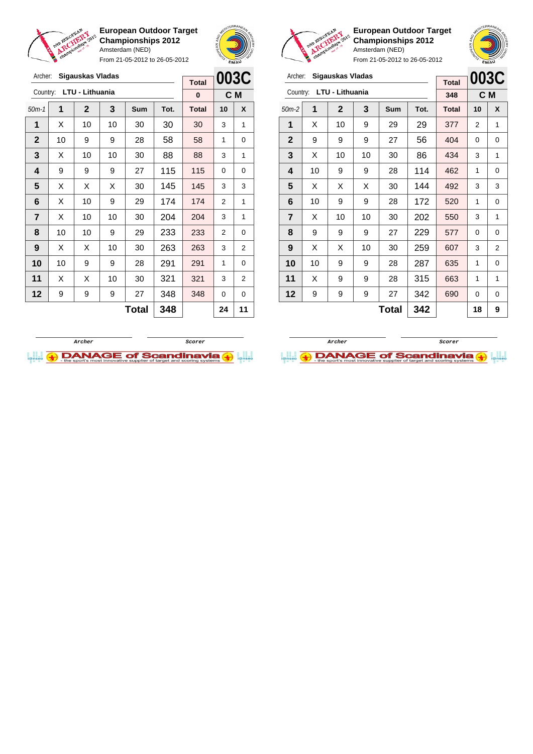

Archer: **Sigauskas Vladas** Country: **LTU - Lithuania**

**European Outdoor Target Championships 2012** Amsterdam (NED)

From 21-05-2012 to 26-05-2012

50m-1 **1 2 3 Sum Tot. Total 10 X** | X | 10 | 10 | 30 | 30 | 30 | 3 | 1 | 10 | 9 | 9 | 28 | 58 | 58 | 1 | 0  $\mid$  X  $\mid$  10  $\mid$  10  $\mid$  30  $\mid$  88  $\mid$  88  $\mid$  3  $\mid$  1 | 9 | 9 | 9 | 27 | 115 | 115 | 0 | 0  $\mid$  X  $\mid$  X  $\mid$  X  $\mid$  30  $\mid$  **145**  $\mid$  **145**  $\mid$  **3**  $\mid$  3 | X | 10 | 9 | 29 | 174 | 174 | 2 | 1  $\mid$  X  $\mid$  10  $\mid$  10  $\mid$  30  $\mid$  204  $\mid$  204  $\mid$  3  $\mid$  1 | 10 | 10 | 9 | 29 | 233 | 233 | 2 | 0 | X | X | 10 | 30 | **263 | 263 |** 3 | 2 | 10 | 9 | 9 | 28 | 291 | 291 | 1 | 0



**C M**

**Total 0**



**European Outdoor Target Championships 2012** Amsterdam (NED)

| Archer:        |    | Sigauskas Vladas |    | <b>Total</b> |      | 003C         |    |                |
|----------------|----|------------------|----|--------------|------|--------------|----|----------------|
| Country:       |    | LTU - Lithuania  |    |              |      | 348          |    | C <sub>M</sub> |
| $50m-2$        | 1  | $\mathbf 2$      | 3  | Sum          | Tot. | <b>Total</b> | 10 | X              |
| 1              | X  | 10               | 9  | 29           | 29   | 377          | 2  | 1              |
| $\mathbf{2}$   | 9  | 9                | 9  | 27           | 56   | 404          | 0  | 0              |
| 3              | X  | 10               | 10 | 30           | 86   | 434          | 3  | 1              |
| 4              | 10 | 9                | 9  | 28           | 114  | 462          | 1  | 0              |
| 5              | X  | Х                | X  | 30           | 144  | 492          | 3  | 3              |
| 6              | 10 | 9                | 9  | 28           | 172  | 520          | 1  | 0              |
| $\overline{7}$ | X  | 10               | 10 | 30           | 202  | 550          | 3  | 1              |
| 8              | 9  | 9                | 9  | 27           | 229  | 577          | 0  | 0              |
| 9              | X  | х                | 10 | 30           | 259  | 607          | 3  | $\overline{2}$ |
| 10             | 10 | 9                | 9  | 28           | 287  | 635          | 1  | 0              |
| 11             | X  | 9                | 9  | 28           | 315  | 663          | 1  | 1              |
| 12             | 9  | 9                | 9  | 27           | 342  | 690          | 0  | 0              |
| 342<br>Total   |    |                  |    |              |      |              | 18 | 9              |





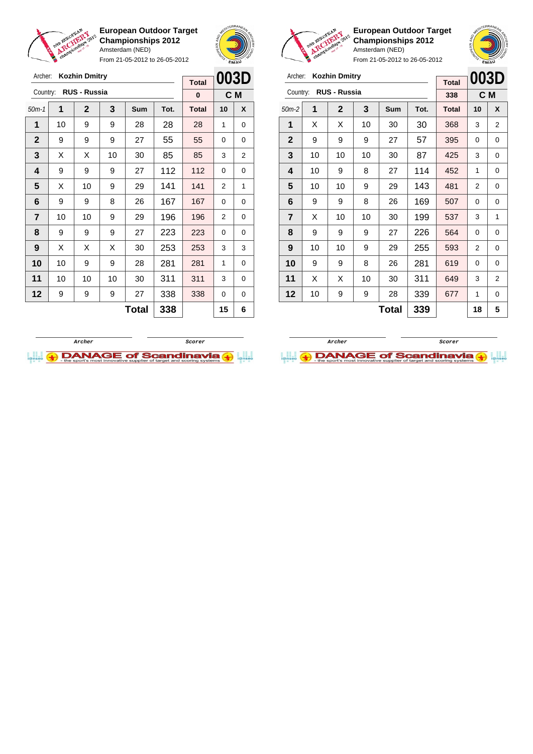

Archer: **Kozhin Dmitry**

**European Outdoor Target Championships 2012** Amsterdam (NED)

From 21-05-2012 to 26-05-2012



**Total**



**European Outdoor Target Championships 2012** Amsterdam (NED)



| Archer:        |    | <b>Kozhin Dmitry</b> |    | <b>Total</b> | 003D |              |    |                |
|----------------|----|----------------------|----|--------------|------|--------------|----|----------------|
| Country:       |    | <b>RUS - Russia</b>  |    |              |      | 338          |    | C M            |
| $50m-2$        | 1  | $\mathbf{2}$         | 3  | Sum          | Tot. | <b>Total</b> | 10 | X              |
| 1              | X  | X                    | 10 | 30           | 30   | 368          | 3  | $\overline{2}$ |
| $\mathbf{2}$   | 9  | 9                    | 9  | 27           | 57   | 395          | 0  | 0              |
| 3              | 10 | 10                   | 10 | 30           | 87   | 425          | 3  | 0              |
| 4              | 10 | 9                    | 8  | 27           | 114  | 452          | 1  | 0              |
| 5              | 10 | 10                   | 9  | 29           | 143  | 481          | 2  | 0              |
| 6              | 9  | 9                    | 8  | 26           | 169  | 507          | 0  | 0              |
| $\overline{7}$ | X  | 10                   | 10 | 30           | 199  | 537          | 3  | 1              |
| 8              | 9  | 9                    | 9  | 27           | 226  | 564          | 0  | 0              |
| 9              | 10 | 10                   | 9  | 29           | 255  | 593          | 2  | 0              |
| 10             | 9  | 9                    | 8  | 26           | 281  | 619          | 0  | 0              |
| 11             | X  | х                    | 10 | 30           | 311  | 649          | 3  | $\overline{2}$ |
| 12             | 10 | 9                    | 9  | 28           | 339  | 677          | 1  | 0              |
|                |    |                      |    | <b>Total</b> | 339  |              | 18 | 5              |





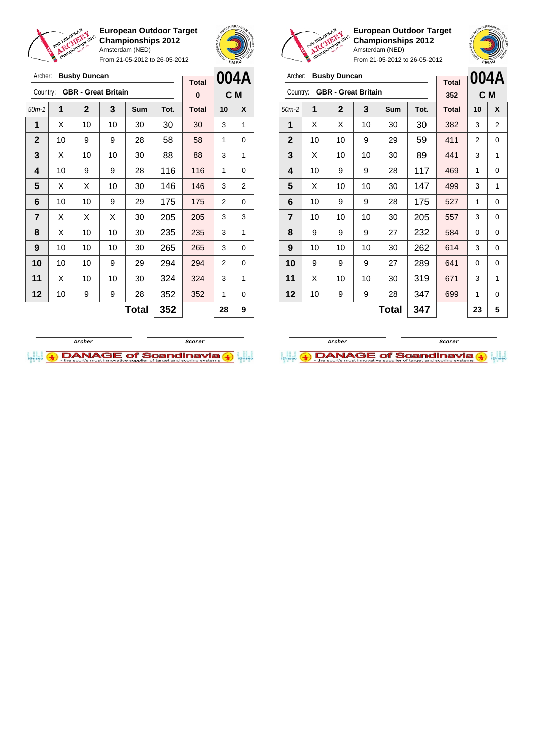

Archer: **Busby Duncan**

**European Outdoor Target Championships 2012** Amsterdam (NED) From 21-05-2012 to 26-05-2012



**Total**

**European Outdoor Target Championships 2012** Amsterdam (NED)

| Archer:                 |    | <b>Busby Duncan</b>        |    | <b>Total</b> | 004A |              |    |     |
|-------------------------|----|----------------------------|----|--------------|------|--------------|----|-----|
| Country:                |    | <b>GBR - Great Britain</b> |    |              |      | 352          |    | C M |
| $50m-2$                 | 1  | $\mathbf 2$                | 3  | Sum          | Tot. | <b>Total</b> | 10 | X   |
| 1                       | X  | X                          | 10 | 30           | 30   | 382          | 3  | 2   |
| $\mathbf{2}$            | 10 | 10                         | 9  | 29           | 59   | 411          | 2  | 0   |
| 3                       | X  | 10                         | 10 | 30           | 89   | 441          | 3  | 1   |
| 4                       | 10 | 9                          | 9  | 28           | 117  | 469          | 1  | 0   |
| 5                       | X  | 10                         | 10 | 30           | 147  | 499          | 3  | 1   |
| 6                       | 10 | 9                          | 9  | 28           | 175  | 527          | 1  | 0   |
| $\overline{\mathbf{r}}$ | 10 | 10                         | 10 | 30           | 205  | 557          | 3  | 0   |
| 8                       | 9  | 9                          | 9  | 27           | 232  | 584          | 0  | 0   |
| 9                       | 10 | 10                         | 10 | 30           | 262  | 614          | 3  | 0   |
| 10                      | 9  | 9                          | 9  | 27           | 289  | 641          | 0  | 0   |
| 11                      | X  | 10                         | 10 | 30           | 319  | 671          | 3  | 1   |
| 12                      | 10 | 9                          | 9  | 28           | 347  | 699          | 1  | 0   |
|                         |    |                            | 23 | 5            |      |              |    |     |

| Country:                |    | <b>GBR - Great Britain</b> |    | 0   |      | C M          |    |   |
|-------------------------|----|----------------------------|----|-----|------|--------------|----|---|
| $50m-1$                 | 1  | $\mathbf{2}$               | 3  | Sum | Tot. | <b>Total</b> | 10 | X |
| 1                       | X  | 10                         | 10 | 30  | 30   | 30           | 3  | 1 |
| $\mathbf{2}$            | 10 | 9                          | 9  | 28  | 58   | 58           | 1  | 0 |
| 3                       | X  | 10                         | 10 | 30  | 88   | 88           | 3  | 1 |
| $\overline{\mathbf{4}}$ | 10 | 9                          | 9  | 28  | 116  | 116          | 1  | 0 |
| 5                       | X  | X                          | 10 | 30  | 146  | 146          | 3  | 2 |
| 6                       | 10 | 10                         | 9  | 29  | 175  | 175          | 2  | 0 |
| 7                       | X  | х                          | X  | 30  | 205  | 205          | 3  | 3 |
| 8                       | X  | 10                         | 10 | 30  | 235  | 235          | 3  | 1 |
| 9                       | 10 | 10                         | 10 | 30  | 265  | 265          | 3  | 0 |
| 10                      | 10 | 10                         | 9  | 29  | 294  | 294          | 2  | 0 |
| 11                      | X  | 10                         | 10 | 30  | 324  | 324          | 3  | 1 |
| 12                      | 10 | 9                          | 9  | 28  | 352  | 352          | 1  | 0 |
| 352<br><b>Total</b>     |    |                            |    |     |      |              | 28 | 9 |



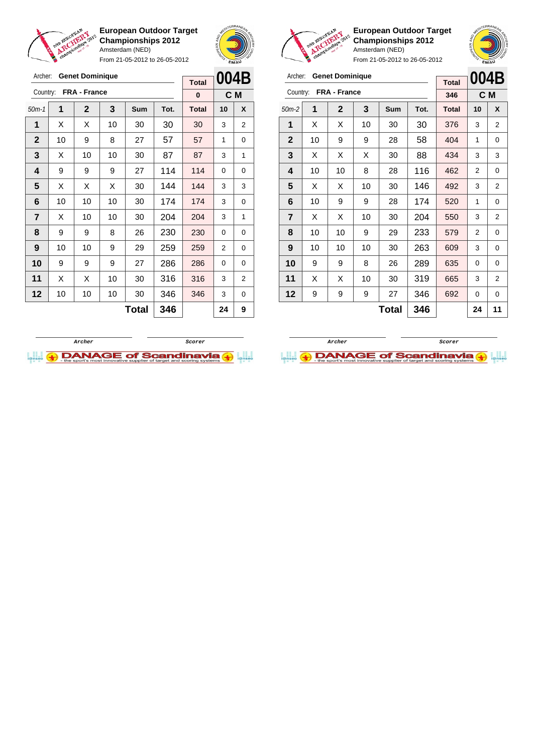

Archer: **Genet Dominique**

**European Outdoor Target Championships 2012** Amsterdam (NED)

From 21-05-2012 to 26-05-2012





**European Outdoor Target Championships 2012** Amsterdam (NED)

| Archer:        |    | <b>Genet Dominique</b> |    | <b>Total</b> | 004B |              |                |                |
|----------------|----|------------------------|----|--------------|------|--------------|----------------|----------------|
| Country:       |    | FRA - France           |    |              |      | 346          |                | C M            |
| $50m-2$        | 1  | $\mathbf{2}$           | 3  | Sum          | Tot. | <b>Total</b> | 10             | X              |
| 1              | X  | X                      | 10 | 30           | 30   | 376          | 3              | 2              |
| $\mathbf{2}$   | 10 | 9                      | 9  | 28           | 58   | 404          | 1              | 0              |
| 3              | X  | X                      | X  | 30           | 88   | 434          | 3              | 3              |
| 4              | 10 | 10                     | 8  | 28           | 116  | 462          | 2              | 0              |
| 5              | X  | X                      | 10 | 30           | 146  | 492          | 3              | $\overline{2}$ |
| 6              | 10 | 9                      | 9  | 28           | 174  | 520          | 1              | 0              |
| $\overline{7}$ | X  | X                      | 10 | 30           | 204  | 550          | 3              | $\overline{2}$ |
| 8              | 10 | 10                     | 9  | 29           | 233  | 579          | $\overline{2}$ | 0              |
| 9              | 10 | 10                     | 10 | 30           | 263  | 609          | 3              | 0              |
| 10             | 9  | 9                      | 8  | 26           | 289  | 635          | 0              | 0              |
| 11             | X  | X                      | 10 | 30           | 319  | 665          | 3              | $\overline{2}$ |
| 12             | 9  | 9                      | 9  | 27           | 346  | 692          | 0              | 0              |
|                |    |                        | 24 | 11           |      |              |                |                |





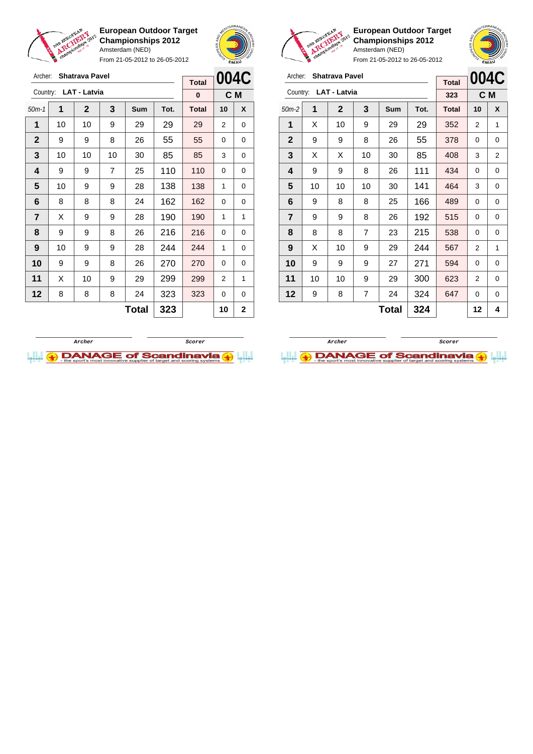

**European Outdoor Target Championships 2012** Amsterdam (NED)

From 21-05-2012 to 26-05-2012





Archer: **Shatrava Pavel** Country: **LAT - Latvia**

**European Outdoor Target Championships 2012** Amsterdam (NED)

50m-2 **1 2 3 Sum Tot. Total 10 X** | X | 10 | 9 | 29 | 29 | 352 | 2 | 1 | 9 | 9 | 8 | 26 | 55 | 378 | 0 | 0 | X | X | 10 | 30 | 85 | 408 | 3 | 2 | 9 | 9 | 8 | 26 | 111 | 434 | 0 | 0 | 10 | 10 | 10 | 30 | 141 | 464 | 3 | 0 | 9 | 8 | 8 | 25 | 166 | 489 | 0 | 0 | 9 | 9 | 8 | 26 | 192 | 515 | 0 | 0 | 8 | 8 | 7 | 23 | 215 | 538 | 0 | 0 | X | 10 | 9 | 29 | 244 | 567 | 2 | 1 9 9 9 27 271 594 0 0 | 10 | 10 | 9 | 29 | 300 | 623 | 2 | 0 | 9 | 8 | 7 | 24 | 324 | 647 | 0 | 0

**004C C M**

**Total 323**

**Total**  $324$   $12$   $4$ 

| Archer:        |    | <b>Shatrava Pavel</b> |                |              |      | <b>Total</b> | 004C           |              |
|----------------|----|-----------------------|----------------|--------------|------|--------------|----------------|--------------|
|                |    | Country: LAT - Latvia |                |              |      | 0            |                | C M          |
| $50m-1$        | 1  | $\mathbf{2}$          | 3              | Sum          | Tot. | <b>Total</b> | 10             | X            |
| 1              | 10 | 10                    | 9              | 29           | 29   | 29           | $\overline{2}$ | 0            |
| $\mathbf{2}$   | 9  | 9                     | 8              | 26           | 55   | 55           | 0              | 0            |
| 3              | 10 | 10                    | 10             | 30           | 85   | 85           | 3              | $\Omega$     |
| 4              | 9  | 9                     | $\overline{7}$ | 25           | 110  | 110          | $\Omega$       | $\Omega$     |
| 5              | 10 | 9                     | 9              | 28           | 138  | 138          | 1              | 0            |
| 6              | 8  | 8                     | 8              | 24           | 162  | 162          | $\Omega$       | $\Omega$     |
| $\overline{7}$ | X  | 9                     | 9              | 28           | 190  | 190          | 1              | 1            |
| 8              | 9  | 9                     | 8              | 26           | 216  | 216          | 0              | 0            |
| 9              | 10 | 9                     | 9              | 28           | 244  | 244          | 1              | $\Omega$     |
| 10             | 9  | 9                     | 8              | 26           | 270  | 270          | 0              | $\Omega$     |
| 11             | X  | 10                    | 9              | 29           | 299  | 299          | 2              | 1            |
| 12             | 8  | 8                     | 8              | 24           | 323  | 323          | 0              | 0            |
|                |    |                       |                | <b>Total</b> | 323  |              | 10             | $\mathbf{2}$ |



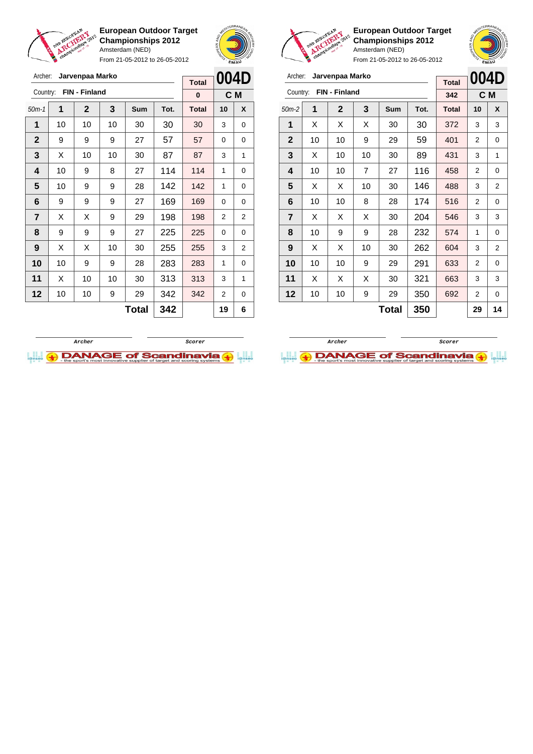

Archer: **Jarvenpaa Marko** Country: **FIN - Finland**

**European Outdoor Target Championships 2012** Amsterdam (NED)

From 21-05-2012 to 26-05-2012

50m-1 **1 2 3 Sum Tot. Total 10 X** | 10 | 10 | 10 | 30 | 30 | 30 | 3 | 0 | 9 | 9 | 9 | 27 | 57 | 57 | 0 | 0  $\mid$  X  $\mid$  10  $\mid$  10  $\mid$  30  $\mid$  87  $\mid$  87  $\mid$  3  $\mid$  1 | 10 | 9 | 8 | 27 | 114 | 114 | 1 | 0 | 10 | 9 | 9 | 28 | 142 | 142 | 1 | 0 | 9 | 9 | 9 | 27 | 169 | 169 | 0 | 0  $\mid$  X  $\mid$  X  $\mid$  9  $\mid$  29  $\mid$  198  $\mid$  198  $\mid$  2  $\mid$  2 | 9 | 9 | 9 | 27 | 225 | 225 | 0 | 0 | X | X | 10 | 30 | **255 | 255 |** 3 | 2 | 10 | 9 | 9 | 28 | 283 | 283 | 1 | 0 | X | 10 | 10 | 30 | 313 | 313 | 3 | 1 | 10 | 10 | 9 | 29 | 342 | 342 | 2 | 0



**C M**

**Total 0**



**European Outdoor Target Championships 2012** Amsterdam (NED)

|              | A A Rempionalist |                 |   | Amsterdam (NED) | From 21-05-2012 to 26-05-2012 |              | <b>EMAU</b> |      |
|--------------|------------------|-----------------|---|-----------------|-------------------------------|--------------|-------------|------|
| Archer:      |                  | Jarvenpaa Marko |   |                 |                               | <b>Total</b> |             | 004D |
| Country:     |                  | FIN - Finland   |   |                 |                               | 342          | C M         |      |
| $50m-2$      | 1                | $\mathbf{2}$    | 3 | <b>Sum</b>      | Tot.                          | <b>Total</b> | 10          | X    |
| 1            | x                | X               | х | 30              | 30                            | 372          | 3           | 3    |
| $\mathbf{2}$ | 10               | 10              | 9 | 29              | 59                            | 401          | 2           |      |

| 1              | X  | X  | Х  | 30 | 30  | 372 | 3 | 3 |
|----------------|----|----|----|----|-----|-----|---|---|
| $\mathbf{2}$   | 10 | 10 | 9  | 29 | 59  | 401 | 2 | 0 |
| $\mathbf 3$    | X  | 10 | 10 | 30 | 89  | 431 | 3 | 1 |
| 4              | 10 | 10 | 7  | 27 | 116 | 458 | 2 | 0 |
| $\sqrt{5}$     | X  | X  | 10 | 30 | 146 | 488 | 3 | 2 |
| 6              | 10 | 10 | 8  | 28 | 174 | 516 | 2 | 0 |
| $\overline{7}$ | Χ  | X  | Χ  | 30 | 204 | 546 | 3 | 3 |
| 8              | 10 | 9  | 9  | 28 | 232 | 574 | 1 | 0 |
| 9              | X  | X  | 10 | 30 | 262 | 604 | 3 | 2 |
| 10             | 10 | 10 | 9  | 29 | 291 | 633 | 2 | 0 |
| 11             | X  | X  | X  | 30 | 321 | 663 | 3 | 3 |
| 12             | 10 | 10 | 9  | 29 | 350 | 692 | 2 | 0 |
|                |    |    |    |    |     |     |   |   |

**Total 350 29 14**

**Archer Scorer**

**DANAGE of Scandinavia (+)** 



**Total 342 19 6**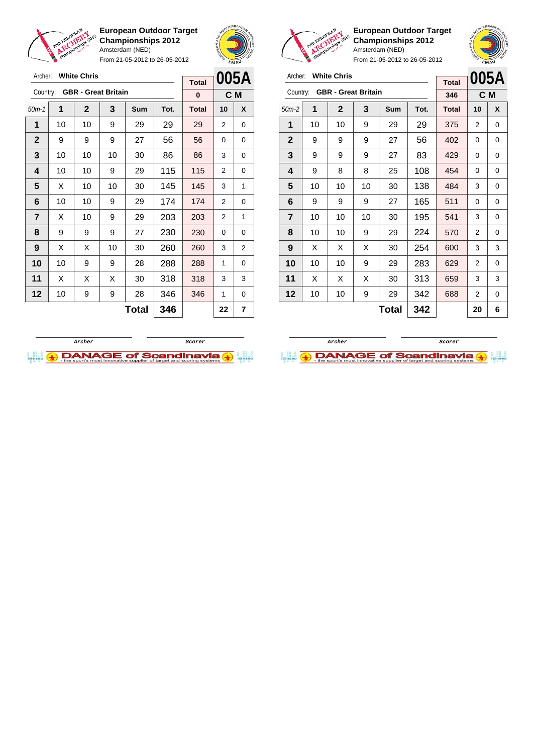

**European Outdoor Target Championships 2012** Amsterdam (NED) From 21-05-2012 to 26-05-2012



**European Outdoor Target Championships 2012** Amsterdam (NED)



| Archer:        |    | <b>White Chris</b>         |    | <b>Total</b> | 005A |              |     |   |
|----------------|----|----------------------------|----|--------------|------|--------------|-----|---|
| Country:       |    | <b>GBR - Great Britain</b> |    |              |      | 346          | C M |   |
| $50m-2$        | 1  | $\mathbf{2}$               | 3  | <b>Sum</b>   | Tot. | <b>Total</b> | 10  | X |
| 1              | 10 | 10                         | 9  | 29           | 29   | 375          | 2   | 0 |
| $\mathbf{2}$   | 9  | 9                          | 9  | 27           | 56   | 402          | 0   | 0 |
| 3              | 9  | 9                          | 9  | 27           | 83   | 429          | 0   | 0 |
| 4              | 9  | 8                          | 8  | 25           | 108  | 454          | 0   | 0 |
| 5              | 10 | 10                         | 10 | 30           | 138  | 484          | 3   | 0 |
| 6              | 9  | 9                          | 9  | 27           | 165  | 511          | 0   | 0 |
| $\overline{7}$ | 10 | 10                         | 10 | 30           | 195  | 541          | 3   | 0 |
| 8              | 10 | 10                         | 9  | 29           | 224  | 570          | 2   | 0 |
| 9              | X  | Х                          | X  | 30           | 254  | 600          | 3   | 3 |
| 10             | 10 | 10                         | 9  | 29           | 283  | 629          | 2   | 0 |
| 11             | X  | Х                          | X  | 30           | 313  | 659          | 3   | 3 |
| 12             | 10 | 10                         | 9  | 29           | 342  | 688          | 2   | 0 |
|                |    |                            | 20 | 6            |      |              |     |   |

| 005A<br>C M<br>X<br>0 |
|-----------------------|
|                       |
|                       |
|                       |
|                       |
| 0                     |
| 0                     |
| 0                     |
| 1                     |
| 0                     |
| 1                     |
| 0                     |
| 2                     |
| 0                     |
| 3                     |
| 0                     |
| 7                     |
|                       |



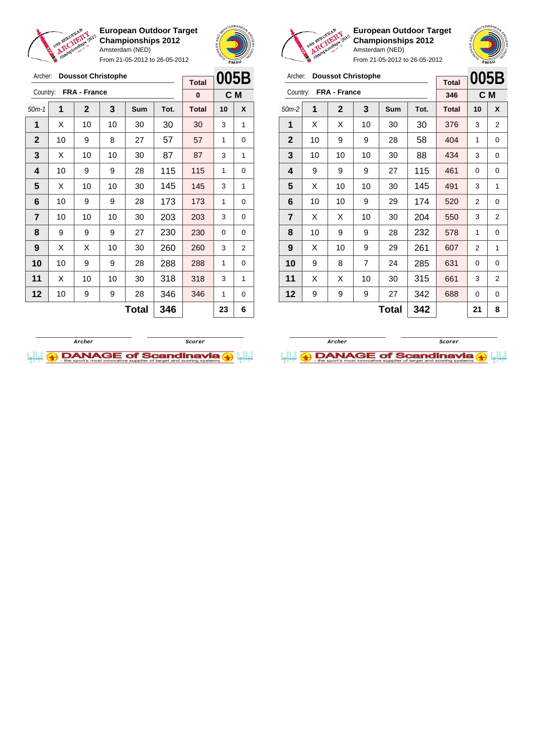

From 21-05-2012 to 26-05-2012





**European Outdoor Target Championships 2012** Amsterdam (NED)

| Archer:        |    | <b>Doussot Christophe</b> | <b>Total</b>   | 005B |      |              |                |                |
|----------------|----|---------------------------|----------------|------|------|--------------|----------------|----------------|
| Country:       |    | <b>FRA - France</b>       |                |      |      | 346          |                | C M            |
| $50m-2$        | 1  | $\mathbf{2}$              | 3              | Sum  | Tot. | <b>Total</b> | 10             | X              |
| 1              | X  | X                         | 10             | 30   | 30   | 376          | 3              | 2              |
| $\mathbf{2}$   | 10 | 9                         | 9              | 28   | 58   | 404          | 1              | 0              |
| 3              | 10 | 10                        | 10             | 30   | 88   | 434          | 3              | 0              |
| 4              | 9  | 9                         | 9              | 27   | 115  | 461          | 0              | 0              |
| 5              | X  | 10                        | 10             | 30   | 145  | 491          | 3              | 1              |
| 6              | 10 | 10                        | 9              | 29   | 174  | 520          | $\overline{2}$ | 0              |
| $\overline{7}$ | X  | X                         | 10             | 30   | 204  | 550          | 3              | $\overline{2}$ |
| 8              | 10 | 9                         | 9              | 28   | 232  | 578          | 1              | 0              |
| 9              | X  | 10                        | 9              | 29   | 261  | 607          | 2              | 1              |
| 10             | 9  | 8                         | $\overline{7}$ | 24   | 285  | 631          | 0              | 0              |
| 11             | X  | X                         | 10             | 30   | 315  | 661          | 3              | 2              |
| 12             | 9  | 9                         | 9              | 27   | 342  | 688          | 0              | 0              |
|                |    |                           | 21             | 8    |      |              |                |                |





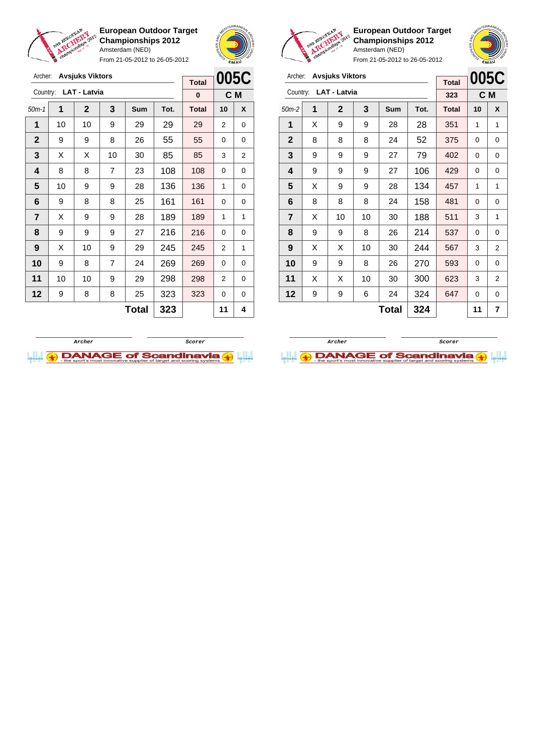

**European Outdoor Target Championships 2012** Amsterdam (NED)

From 21-05-2012 to 26-05-2012





**European Outdoor Target Championships 2012** Amsterdam (NED)

**005C**

|                     | <b>Avsjuks Viktors</b><br>Archer: |                       |                |     |      |              |                |                                                         |  |                |   | Archer: Avsjuks Viktors |              |              |     |              |                |             |
|---------------------|-----------------------------------|-----------------------|----------------|-----|------|--------------|----------------|---------------------------------------------------------|--|----------------|---|-------------------------|--------------|--------------|-----|--------------|----------------|-------------|
|                     |                                   |                       |                |     |      | <b>Total</b> |                | 005C                                                    |  |                |   |                         |              |              |     | <b>Total</b> | 005C           |             |
|                     |                                   | Country: LAT - Latvia |                |     |      | $\mathbf{0}$ |                | C M                                                     |  |                |   | Country: LAT - Latvia   |              |              |     | 323          |                | C M         |
| $50m-1$             | 1                                 | $\overline{2}$        | 3              | Sum | Tot. | <b>Total</b> | 10             | 3<br>X<br>$\overline{2}$<br>Sum<br>$50m-2$<br>1<br>Tot. |  |                |   |                         |              | <b>Total</b> | 10  | X            |                |             |
| 1                   | 10                                | 10                    | 9              | 29  | 29   | 29           | $\overline{2}$ | 0                                                       |  | 1              | X | 9                       | 9            | 28           | 28  | 351          | 1              | 1           |
| $\mathbf{2}$        | 9                                 | 9                     | 8              | 26  | 55   | 55           | $\Omega$       | 0                                                       |  | $\overline{2}$ | 8 | 8                       | 8            | 24           | 52  | 375          | $\Omega$       | 0           |
| 3                   | X                                 | X                     | 10             | 30  | 85   | 85           | 3              | 2                                                       |  | 3              | 9 | 9                       | 9            | 27           | 79  | 402          | 0              | 0           |
| 4                   | 8                                 | 8                     | $\overline{7}$ | 23  | 108  | 108          | $\Omega$       | 0                                                       |  | 4              | 9 | 9                       | 9            | 27           | 106 | 429          | $\Omega$       | 0           |
| 5                   | 10                                | 9                     | 9              | 28  | 136  | 136          | 1              | 0                                                       |  | 5              | X | 9                       | 9            | 28           | 134 | 457          | 1              | 1           |
| 6                   | 9                                 | 8                     | 8              | 25  | 161  | 161          | $\Omega$       | 0                                                       |  | 6              | 8 | 8                       | 8            | 24           | 158 | 481          | $\Omega$       | 0           |
| $\overline{7}$      | X                                 | 9                     | 9              | 28  | 189  | 189          | 1              | 1                                                       |  | $\overline{7}$ | X | 10 <sup>°</sup>         | 10           | 30           | 188 | 511          | 3              | 1           |
| 8                   | 9                                 | 9                     | 9              | 27  | 216  | 216          | $\Omega$       | 0                                                       |  | 8              | 9 | 9                       | 8            | 26           | 214 | 537          | $\Omega$       | 0           |
| 9                   | X                                 | 10                    | 9              | 29  | 245  | 245          | 2              | 1                                                       |  | 9              | X | X                       | 10           | 30           | 244 | 567          | 3              | 2           |
| 10                  | 9                                 | 8                     | $\overline{7}$ | 24  | 269  | 269          | $\Omega$       | 0                                                       |  | 10             | 9 | 9                       | 8            | 26           | 270 | 593          | $\Omega$       | 0           |
| 11                  | 10                                | 10                    | 9              | 29  | 298  | 298          | 2              | 0                                                       |  | 11             | X | X                       | 10           | 30           | 300 | 623          | 3              | 2           |
| 12                  | 9                                 | 8                     | 8              | 25  | 323  | 323          | $\mathbf 0$    | 0                                                       |  | 12             | 9 | 9                       | 6            | 24           | 324 | 647          | 0              | $\mathbf 0$ |
| 323<br><b>Total</b> |                                   |                       |                |     |      | 11           | 4              |                                                         |  |                |   |                         | <b>Total</b> | 324          |     | 11           | $\overline{7}$ |             |



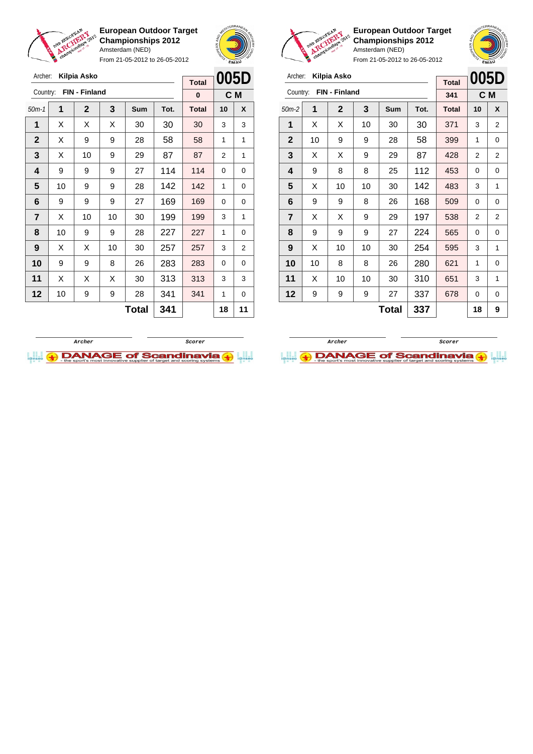

From 21-05-2012 to 26-05-2012



**European Outdoor Target Championships 2012** Amsterdam (NED)



| Archer:        |    | Kilpia Asko   |    | <b>Total</b> | 005D |              |          |                |
|----------------|----|---------------|----|--------------|------|--------------|----------|----------------|
| Country:       |    | FIN - Finland |    |              |      | 341          |          | C <sub>M</sub> |
| $50m-2$        | 1  | $\mathbf{2}$  | 3  | <b>Sum</b>   | Tot. | <b>Total</b> | 10       | X              |
| 1              | X  | X             | 10 | 30           | 30   | 371          | 3        | $\overline{2}$ |
| $\mathbf{2}$   | 10 | 9             | 9  | 28           | 58   | 399          | 1        | 0              |
| 3              | X  | X             | 9  | 29           | 87   | 428          | 2        | 2              |
| 4              | 9  | 8             | 8  | 25           | 112  | 453          | $\Omega$ | 0              |
| 5              | X  | 10            | 10 | 30           | 142  | 483          | 3        | 1              |
| 6              | 9  | 9             | 8  | 26           | 168  | 509          | $\Omega$ | 0              |
| $\overline{7}$ | X  | X             | 9  | 29           | 197  | 538          | 2        | 2              |
| 8              | 9  | 9             | 9  | 27           | 224  | 565          | 0        | 0              |
| 9              | X  | 10            | 10 | 30           | 254  | 595          | 3        | 1              |
| 10             | 10 | 8             | 8  | 26           | 280  | 621          | 1        | 0              |
| 11             | X  | 10            | 10 | 30           | 310  | 651          | 3        | 1              |
| 12             | 9  | 9             | 9  | 27           | 337  | 678          | 0        | 0              |
|                |    |               | 18 | 9            |      |              |          |                |





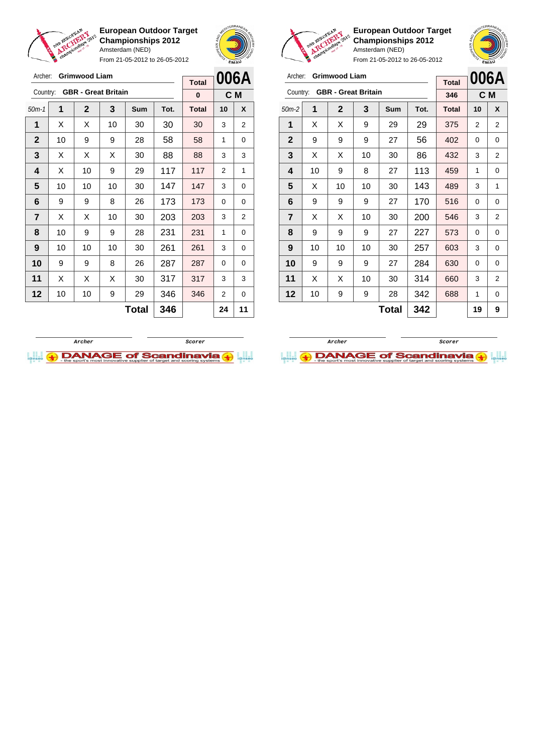

Archer: **Grimwood Liam**

**European Outdoor Target Championships 2012** Amsterdam (NED)

From 21-05-2012 to 26-05-2012



**Total**

**European Outdoor Target Championships 2012** Amsterdam (NED)

| Archer:        |    | <b>Grimwood Liam</b>       |    | <b>Total</b> |      | 006A         |     |                |
|----------------|----|----------------------------|----|--------------|------|--------------|-----|----------------|
| Country:       |    | <b>GBR</b> - Great Britain |    |              |      | 346          | C M |                |
| $50m-2$        | 1  | $\mathbf 2$                | 3  | Sum          | Tot. | <b>Total</b> | 10  | X              |
| 1              | X  | X                          | 9  | 29           | 29   | 375          | 2   | 2              |
| $\mathbf{2}$   | 9  | 9                          | 9  | 27           | 56   | 402          | 0   | 0              |
| 3              | X  | X                          | 10 | 30           | 86   | 432          | 3   | 2              |
| 4              | 10 | 9                          | 8  | 27           | 113  | 459          | 1   | 0              |
| 5              | X  | 10                         | 10 | 30           | 143  | 489          | 3   | 1              |
| 6              | 9  | 9                          | 9  | 27           | 170  | 516          | 0   | 0              |
| $\overline{7}$ | X  | X                          | 10 | 30           | 200  | 546          | 3   | 2              |
| 8              | 9  | 9                          | 9  | 27           | 227  | 573          | 0   | 0              |
| 9              | 10 | 10                         | 10 | 30           | 257  | 603          | 3   | 0              |
| 10             | 9  | 9                          | 9  | 27           | 284  | 630          | 0   | 0              |
| 11             | X  | X                          | 10 | 30           | 314  | 660          | 3   | $\overline{2}$ |
| 12             | 10 | 9                          | 9  | 28           | 342  | 688          | 1   | 0              |
|                |    |                            | 19 | 9            |      |              |     |                |





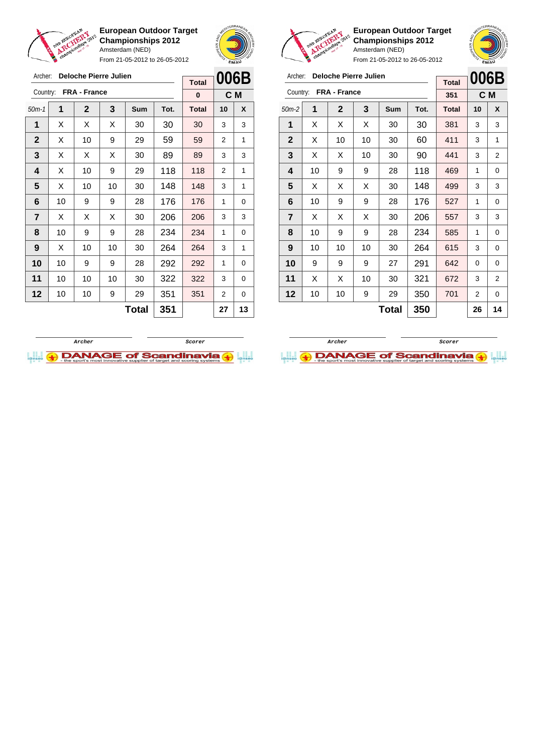

Archer: **Deloche Pierre Julien**

Country: **FRA - France**

**European Outdoor Target Championships 2012** Amsterdam (NED)

From 21-05-2012 to 26-05-2012

50m-1 **1 2 3 Sum Tot. Total 10 X**  $\vert$  X  $\vert$  X  $\vert$  X  $\vert$  30  $\vert$  30  $\vert$  30  $\vert$  3  $\vert$  3 | X | 10 | 9 | 29 | 59 | 59 | 2 | 1  $\mid$  X  $\mid$  X  $\mid$  X  $\mid$  30  $\mid$  89  $\mid$  89  $\mid$  3  $\mid$  3 | X | 10 | 9 | 29 | 118 | 118 | 2 | 1  $\mid$  X  $\mid$  10  $\mid$  10  $\mid$  30  $\mid$  148  $\mid$  148  $\mid$  3  $\mid$  1 | 10 | 9 | 9 | 28 | 176 | 176 | 1 | 0  $\mid$  X  $\mid$  X  $\mid$  X  $\mid$  30  $\mid$  206  $\mid$  206  $\mid$  3  $\mid$  3 | 10 | 9 | 9 | 28 | 234 | 234 | 1 | 0 | X | 10 | 10 | 30 | **264 | 264 |** 3 | 1 | 10 | 9 | 9 | 28 | 292 | 292 | 1 | 0 | 10 | 10 | 10 | 30 | 322 | 322 | 3 | 0 | 10 | 10 | 9 | 29 | 351 | 351 | 2 | 0



**C M**

**Total 0**



**European Outdoor Target Championships 2012** Amsterdam (NED)

|                |    |                     | From 21-05-2012 to 26-05-2012 |     | <b>EMAU</b> |              |                |   |  |
|----------------|----|---------------------|-------------------------------|-----|-------------|--------------|----------------|---|--|
| Archer:        |    |                     | Deloche Pierre Julien         |     |             | <b>Total</b> | 006B           |   |  |
| Country:       |    | <b>FRA - France</b> |                               |     |             | 351          | C <sub>M</sub> |   |  |
| $50m-2$        | 1  | $\mathbf{2}$        | 3                             | Sum | Tot.        | <b>Total</b> | 10             | X |  |
| 1              | X  | X                   | X                             | 30  | 30          | 381          | 3              | 3 |  |
| $\mathbf{2}$   | X  | 10                  | 10                            | 30  | 60          | 411          | 3              | 1 |  |
| 3              | X  | X                   | 10                            | 30  | 90          | 441          | 3              | 2 |  |
| 4              | 10 | 9                   | 9                             | 28  | 118         | 469          | 1              | 0 |  |
| 5              | X  | X                   | X                             | 30  | 148         | 499          | 3              | 3 |  |
| 6              | 10 | 9                   | 9                             | 28  | 176         | 527          | 1              | 0 |  |
| $\overline{7}$ | X  | X                   | X                             | 30  | 206         | 557          | 3              | 3 |  |
| 8              | 10 | 9                   | 9                             | 28  | 234         | 585          | 1              | 0 |  |
| 9              | 10 | 10                  | 10                            | 30  | 264         | 615          | 3              | 0 |  |
| 10             | 9  | 9                   | 9                             | 27  | 291         | 642          | 0              | 0 |  |
| 11             | X  | X                   | 10                            | 30  | 321         | 672          | 3              | 2 |  |
| 12             | 10 | 10                  | 701                           | 2   | 0           |              |                |   |  |

**Total 350 26 14**



**Total 351 27 13**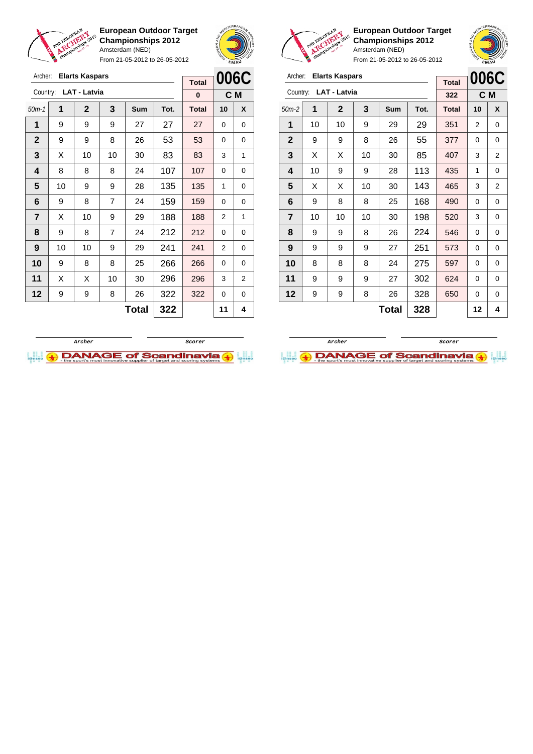

Archer: **Elarts Kaspars** Country: **LAT - Latvia**

**European Outdoor Target Championships 2012** Amsterdam (NED)

From 21-05-2012 to 26-05-2012

50m-1 **1 2 3 Sum Tot. Total 10 X** | 9 | 9 | 9 | 27 | 27 | 27 | 0 | 0 9 9 8 26 53 53 0 0  $\mid$  X  $\mid$  10  $\mid$  10  $\mid$  30  $\mid$  83  $\mid$  83  $\mid$  3  $\mid$  1 | 8 | 8 | 8 | 24 | 107 | 107 | 0 | 0 | 10 | 9 | 9 | 28 | 135 | 135 | 1 | 0 | 9 | 8 | 7 | 24 | 159 | 159 | 0 | 0  $\begin{array}{|c|c|c|c|c|c|}\n\hline\n\textbf{7} & \textbf{X} & \textbf{10} & \textbf{9} & \textbf{29} & \textbf{188} & \textbf{188} & \textbf{2} & \textbf{1}\n\end{array}$  | 9 | 8 | 7 | 24 | 212 | 212 | 0 | 0 | 10 | 10 | 9 | 29 | 241 | 241 | 2 | 0



**C M**

**Total 0**



**European Outdoor Target Championships 2012** Amsterdam (NED)

From 21-05-2012 to 26-05-2012

| Archer:        |                          | <b>Elarts Kaspars</b> |    | <b>Total</b> |      | 006C         |    |                |
|----------------|--------------------------|-----------------------|----|--------------|------|--------------|----|----------------|
| Country:       |                          | <b>LAT - Latvia</b>   |    |              |      | 322          |    | C M            |
| $50m-2$        | 1                        | $\overline{2}$        | 3  | Sum          | Tot. | <b>Total</b> | 10 | X              |
| 1              | 10                       | 10                    | 9  | 29           | 29   | 351          | 2  | 0              |
| $\mathbf{2}$   | 9                        | 9                     | 8  | 26           | 55   | 377          | 0  | 0              |
| 3              | X                        | X                     | 10 | 30           | 85   | 407          | 3  | $\overline{2}$ |
| 4              | 10                       | 9                     | 9  | 28           | 113  | 435          | 1  | 0              |
| 5              | X                        | X                     | 10 | 30           | 143  | 465          | 3  | 2              |
| 6              | 9                        | 8                     | 8  | 25           | 168  | 490          | 0  | 0              |
| $\overline{7}$ | 10                       | 10                    | 10 | 30           | 198  | 520          | 3  | $\Omega$       |
| 8              | 9                        | 9                     | 8  | 26           | 224  | 546          | 0  | 0              |
| 9              | 9                        | 9                     | 9  | 27           | 251  | 573          | 0  | 0              |
| 10             | 8                        | 8                     | 8  | 24           | 275  | 597          | 0  | $\Omega$       |
| 11             | 9                        | 9                     | 9  | 27           | 302  | 624          | 0  | 0              |
| 12             | 328<br>9<br>9<br>8<br>26 |                       |    |              |      |              | 0  | 0              |
|                |                          |                       | 12 | 4            |      |              |    |                |



**DANAGE of Scandinavia** 

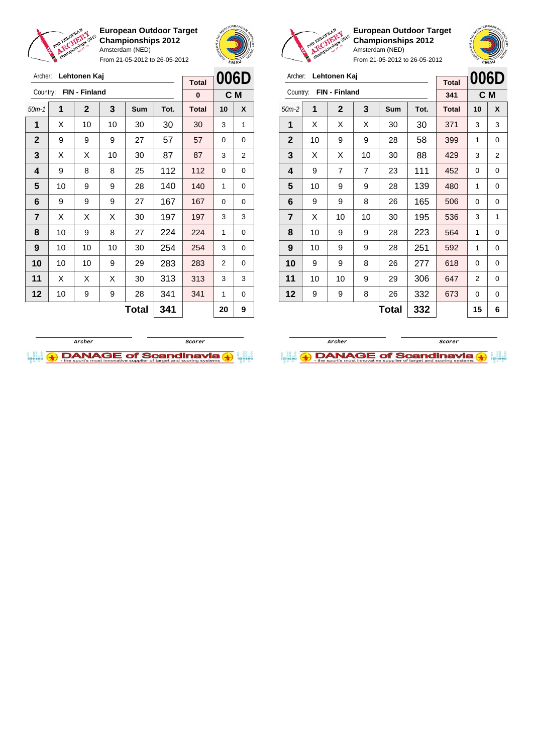

Archer: **Lehtonen Kaj**

**European Outdoor Target Championships 2012** Amsterdam (NED)

From 21-05-2012 to 26-05-2012





**European Outdoor Target Championships 2012** Amsterdam (NED)



| Archer:        |    | Lehtonen Kaj  |                | <b>Total</b> | 006D |              |    |     |
|----------------|----|---------------|----------------|--------------|------|--------------|----|-----|
| Country:       |    | FIN - Finland |                |              |      | 341          |    | C M |
| $50m-2$        | 1  | $\mathbf 2$   | 3              | Sum          | Tot. | <b>Total</b> | 10 | X   |
| 1              | X  | Х             | X              | 30           | 30   | 371          | 3  | 3   |
| $\overline{2}$ | 10 | 9             | 9              | 28           | 58   | 399          | 1  | 0   |
| 3              | X  | X             | 10             | 30           | 88   | 429          | 3  | 2   |
| 4              | 9  | 7             | $\overline{7}$ | 23           | 111  | 452          | 0  | 0   |
| 5              | 10 | 9             | 9              | 28           | 139  | 480          | 1  | 0   |
| 6              | 9  | 9             | 8              | 26           | 165  | 506          | 0  | 0   |
| $\overline{7}$ | X  | 10            | 10             | 30           | 195  | 536          | 3  | 1   |
| 8              | 10 | 9             | 9              | 28           | 223  | 564          | 1  | 0   |
| 9              | 10 | 9             | 9              | 28           | 251  | 592          | 1  | 0   |
| 10             | 9  | 9             | 8              | 26           | 277  | 618          | 0  | 0   |
| 11             | 10 | 10            | 9              | 29           | 306  | 647          | 2  | 0   |
| 12             | 9  | 9             | 8              | 26           | 332  | 673          | 0  | 0   |
|                |    |               | 15             | 6            |      |              |    |     |





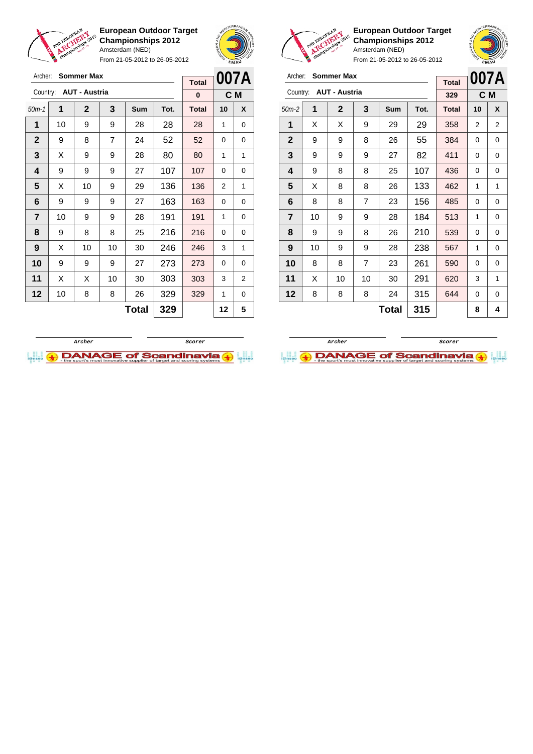

Archer: **Sommer Max** Country: **AUT - Austria**

**European Outdoor Target Championships 2012** Amsterdam (NED)

From 21-05-2012 to 26-05-2012

50m-1 **1 2 3 Sum Tot. Total 10 X** | 10 | 9 | 9 | 28 | 28 | 28 | 1 | 0 | 9 | 8 | 7 | 24 | 52 | 52 | 0 | 0  $\mid$  X  $\mid$  9  $\mid$  9  $\mid$  28  $\mid$  80  $\mid$  80  $\mid$  1  $\mid$  1 | 9 | 9 | 9 | 27 | 107 | 107 | 0 | 0  $\mid$  X  $\mid$  10  $\mid$  9  $\mid$  29  $\mid$  136  $\mid$  136  $\mid$  2  $\mid$  1 | 9 | 9 | 9 | 27 | 163 | 163 | 0 | 0 | 10 | 9 | 9 | 28 | 191 | 191 | 1 | 0 | 9 | 8 | 8 | 25 | 216 | 216 | 0 | 0 | X | 10 | 10 | 30 | **246 | 246 |** 3 | 1 9 9 9 27 273 273 0 0 | X | X | 10 | 30 | 303 | 303 | 3 | 2 | 10 | 8 | 8 | 26 | 329 | 329 | 1 | 0



**C M**

**Total 0**



**European Outdoor Target Championships 2012** Amsterdam (NED)

| Archer:                 |    | <b>Sommer Max</b>    |                | <b>Total</b> |      | 007A         |     |   |
|-------------------------|----|----------------------|----------------|--------------|------|--------------|-----|---|
| Country:                |    | <b>AUT - Austria</b> |                |              |      | 329          | C M |   |
| $50m-2$                 | 1  | 2                    | 3              | Sum          | Tot. | <b>Total</b> | 10  | X |
| 1                       | X  | X                    | 9              | 29           | 29   | 358          | 2   | 2 |
| $\mathbf{2}$            | 9  | 9                    | 8              | 26           | 55   | 384          | 0   | 0 |
| 3                       | 9  | 9                    | 9              | 27           | 82   | 411          | 0   | 0 |
| 4                       | 9  | 8                    | 8              | 25           | 107  | 436          | 0   | 0 |
| 5                       | X  | 8                    | 8              | 26           | 133  | 462          | 1   | 1 |
| 6                       | 8  | 8                    | 7              | 23           | 156  | 485          | 0   | 0 |
| $\overline{\mathbf{r}}$ | 10 | 9                    | 9              | 28           | 184  | 513          | 1   | 0 |
| 8                       | 9  | 9                    | 8              | 26           | 210  | 539          | 0   | 0 |
| 9                       | 10 | 9                    | 9              | 28           | 238  | 567          | 1   | 0 |
| 10                      | 8  | 8                    | $\overline{7}$ | 23           | 261  | 590          | 0   | 0 |
| 11                      | X  | 10                   | 10             | 30           | 291  | 620          | 3   | 1 |
| 12                      | 8  | 8                    | 8              | 24           | 315  | 644          | 0   | 0 |
|                         |    |                      | 8              | 4            |      |              |     |   |



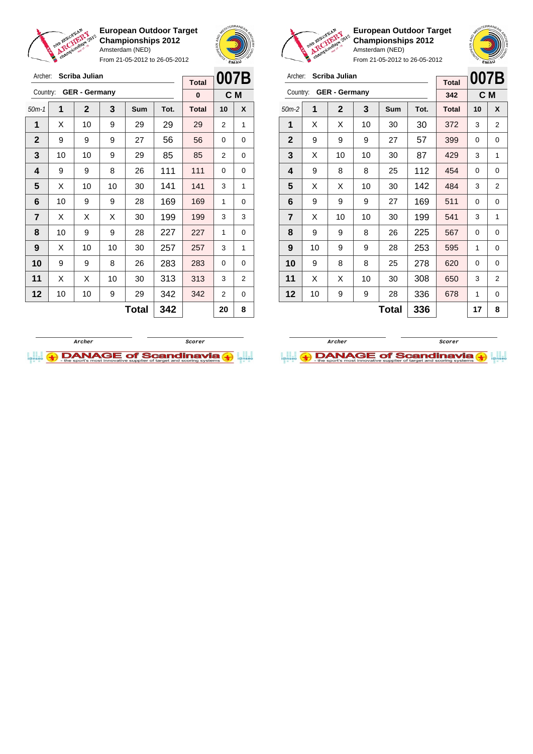

Archer: **Scriba Julian** Country: **GER - Germany**

**European Outdoor Target Championships 2012** Amsterdam (NED)

From 21-05-2012 to 26-05-2012

50m-1 **1 2 3 Sum Tot. Total 10 X** | X | 10 | 9 | 29 | 29 | 29 | 2 | 1 | 9 | 9 | 9 | 27 | 56 | 56 | 0 | 0 | 10 | 10 | 9 | 29 | 85 | 85 | 2 | 0 | 9 | 9 | 8 | 26 | 111 | 111 | 0 | 0  $\mid$  X  $\mid$  10  $\mid$  10  $\mid$  30  $\mid$  141  $\mid$  141  $\mid$  3  $\mid$  1 | 10 | 9 | 9 | 28 | 169 | 169 | 1 | 0  $\vert$  X  $\vert$  X  $\vert$  X  $\vert$  30  $\vert$  199  $\vert$  199  $\vert$  3  $\vert$  3 | 10 | 9 | 9 | 28 | 227 | 227 | 1 | 0 | X | 10 | 10 | 30 | **257 | 257 |** 3 | 1 9 9 8 26 283 283 0 0 | X | X | 10 | 30 | 313 | 313 | 3 | 2 | 10 | 10 | 9 | 29 | 342 | 342 | 2 | 0



**C M**

**Total 0**



**European Outdoor Target Championships 2012** Amsterdam (NED)

From 21-05-2012 to 26-05-2012

| Archer:        |    | <b>Scriba Julian</b> |    | <b>Total</b> | 007B |              |          |                |
|----------------|----|----------------------|----|--------------|------|--------------|----------|----------------|
| Country:       |    | <b>GER - Germany</b> |    |              |      | 342          |          | C M            |
| $50m-2$        | 1  | $\mathbf{2}$         | 3  | <b>Sum</b>   | Tot. | <b>Total</b> | 10       | X              |
| 1              | X  | X                    | 10 | 30           | 30   | 372          | 3        | $\overline{2}$ |
| $\mathbf{2}$   | 9  | 9                    | 9  | 27           | 57   | 399          | $\Omega$ | 0              |
| 3              | X  | 10                   | 10 | 30           | 87   | 429          | 3        | 1              |
| 4              | 9  | 8                    | 8  | 25           | 112  | 454          | 0        | 0              |
| 5              | X  | X                    | 10 | 30           | 142  | 484          | 3        | 2              |
| 6              | 9  | 9                    | 9  | 27           | 169  | 511          | $\Omega$ | 0              |
| $\overline{7}$ | X  | 10                   | 10 | 30           | 199  | 541          | 3        | 1              |
| 8              | 9  | 9                    | 8  | 26           | 225  | 567          | 0        | $\mathbf 0$    |
| 9              | 10 | 9                    | 9  | 28           | 253  | 595          | 1        | 0              |
| 10             | 9  | 8                    | 8  | 25           | 278  | 620          | 0        | 0              |
| 11             | X  | X                    | 10 | 30           | 308  | 650          | 3        | 2              |
| 12             | 10 | 9                    | 9  | 28           | 336  | 678          | 1        | 0              |
|                |    |                      |    | <b>Total</b> | 336  |              | 17       | 8              |

**Archer Scorer**

**Archer Scorer DANAGE of Scandinavia** 



 $Total | 342 | 20 | 8$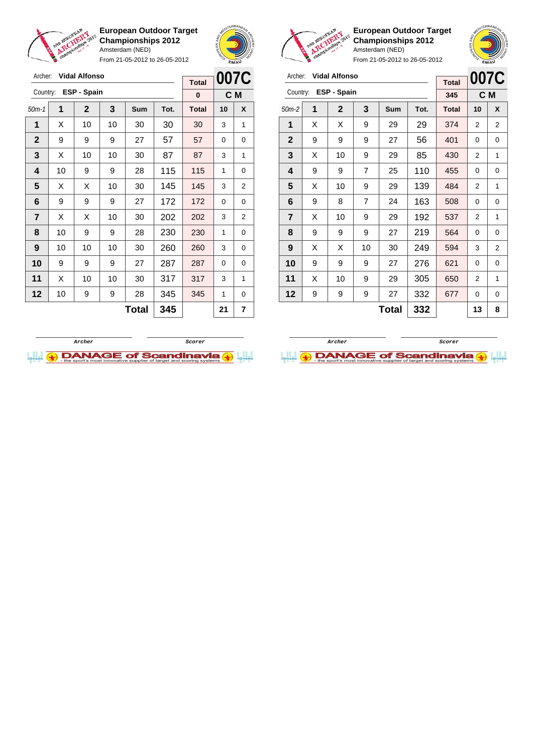

Archer: **Vidal Alfonso** Country: **ESP - Spain**

**European Outdoor Target Championships 2012** Amsterdam (NED)

From 21-05-2012 to 26-05-2012

50m-1 **1 2 3 Sum Tot. Total 10 X** | X | 10 | 10 | 30 | 30 | 30 | 3 | 1 | 9 | 9 | 9 | 27 | 57 | 57 | 0 | 0  $\mid$  X  $\mid$  10  $\mid$  10  $\mid$  30  $\mid$  87  $\mid$  87  $\mid$  3  $\mid$  1 | 10 | 9 | 9 | 28 | 115 | 115 | 1 | 0  $\mid$  X  $\mid$  X  $\mid$  10  $\mid$  30  $\mid$  145  $\mid$  145  $\mid$  3  $\mid$  2 | 9 | 9 | 9 | 27 | 172 | 172 | 0 | 0  $\mid$  X  $\mid$  X  $\mid$  10  $\mid$  30  $\mid$  202  $\mid$  202  $\mid$  3  $\mid$  2 | 10 | 9 | 9 | 28 | 230 | 230 | 1 | 0 | 10 | 10 | 10 | 30 | **260 | 260 |** 3 | 0 9 9 9 27 287 287 0 0 | X | 10 | 10 | 30 | 317 | 317 | 3 | 1



**C M**

**Total 0**



**European Outdoor Target Championships 2012** Amsterdam (NED)



| Archer:        |   | <b>Vidal Alfonso</b> | <b>Total</b>   | 007C |      |              |                |     |
|----------------|---|----------------------|----------------|------|------|--------------|----------------|-----|
| Country:       |   | ESP - Spain          |                |      |      | 345          |                | C M |
| $50m-2$        | 1 | $\mathbf{2}$         | 3              | Sum  | Tot. | <b>Total</b> | 10             | X   |
| 1              | X | X                    | 9              | 29   | 29   | 374          | 2              | 2   |
| $\mathbf{2}$   | 9 | 9                    | 9              | 27   | 56   | 401          | 0              | 0   |
| 3              | X | 10                   | 9              | 29   | 85   | 430          | 2              | 1   |
| 4              | 9 | 9                    | $\overline{7}$ | 25   | 110  | 455          | 0              | 0   |
| 5              | X | 10                   | 9              | 29   | 139  | 484          | $\overline{2}$ | 1   |
| 6              | 9 | 8                    | 7              | 24   | 163  | 508          | 0              | 0   |
| $\overline{7}$ | X | 10                   | 9              | 29   | 192  | 537          | 2              | 1   |
| 8              | 9 | 9                    | 9              | 27   | 219  | 564          | 0              | 0   |
| 9              | X | X                    | 10             | 30   | 249  | 594          | 3              | 2   |
| 10             | 9 | 9                    | 9              | 27   | 276  | 621          | 0              | 0   |
| 11             | X | 10                   | 9              | 29   | 305  | 650          | 2              | 1   |
| 12             | 9 | 9                    | 9              | 27   | 332  | 677          | 0              | 0   |
|                |   |                      |                | 13   | 8    |              |                |     |



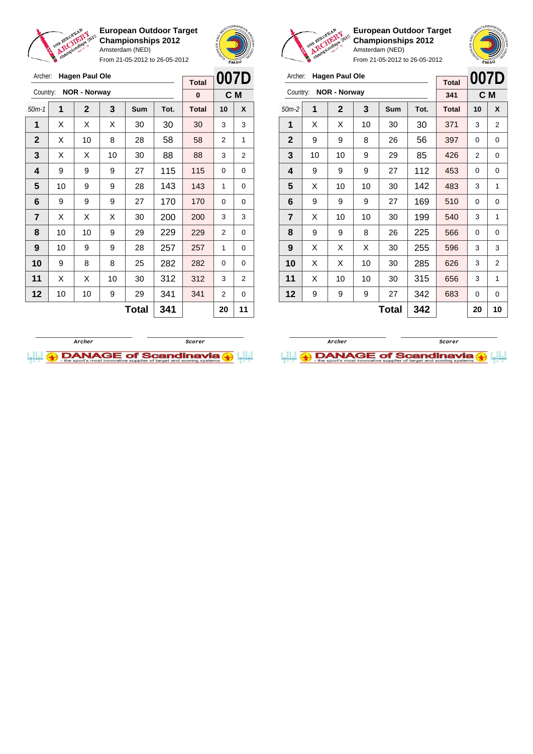

From 21-05-2012 to 26-05-2012





**European Outdoor Target Championships 2012** Amsterdam (NED)

| Archer:      | <b>Hagen Paul Ole</b> | <b>Total</b>        | 007D |     |      |              |    |                |
|--------------|-----------------------|---------------------|------|-----|------|--------------|----|----------------|
| Country:     |                       | <b>NOR - Norway</b> |      |     |      | 341          |    | C M            |
| $50m-2$      | 1                     | $\mathbf{2}$        | 3    | Sum | Tot. | <b>Total</b> | 10 | X              |
| 1            | X                     | X                   | 10   | 30  | 30   | 371          | 3  | 2              |
| $\mathbf{2}$ | 9                     | 9                   | 8    | 26  | 56   | 397          | 0  | 0              |
| 3            | 10                    | 10                  | 9    | 29  | 85   | 426          | 2  | 0              |
| 4            | 9                     | 9                   | 9    | 27  | 112  | 453          | 0  | 0              |
| 5            | X                     | 10                  | 10   | 30  | 142  | 483          | 3  | 1              |
| 6            | 9                     | 9                   | 9    | 27  | 169  | 510          | 0  | 0              |
| 7            | X                     | 10                  | 10   | 30  | 199  | 540          | 3  | 1              |
| 8            | 9                     | 9                   | 8    | 26  | 225  | 566          | 0  | 0              |
| 9            | X                     | X                   | X    | 30  | 255  | 596          | 3  | 3              |
| 10           | X                     | X                   | 10   | 30  | 285  | 626          | 3  | $\overline{2}$ |
| 11           | X                     | 10                  | 10   | 30  | 315  | 656          | 3  | 1              |
| 12           | 9                     | 9                   | 9    | 27  | 342  | 683          | 0  | 0              |
|              |                       |                     | 20   | 10  |      |              |    |                |

| Archer:      |    | <b>Hagen Paul Ole</b> |    |              |      | <b>Total</b> | 007D           |     |
|--------------|----|-----------------------|----|--------------|------|--------------|----------------|-----|
| Country:     |    | <b>NOR - Norway</b>   |    |              |      | $\bf{0}$     |                | C M |
| $50m-1$      | 1  | $\mathbf{2}$          | 3  | Sum          | Tot. | <b>Total</b> | 10             | X   |
| 1            | X  | X                     | X  | 30           | 30   | 30           | 3              | 3   |
| $\mathbf{2}$ | X  | 10                    | 8  | 28           | 58   | 58           | $\overline{2}$ | 1   |
| 3            | X  | X                     | 10 | 30           | 88   | 88           | 3              | 2   |
| 4            | 9  | 9                     | 9  | 27           | 115  | 115          | 0              | 0   |
| 5            | 10 | 9                     | 9  | 28           | 143  | 143          | 1              | 0   |
| 6            | 9  | 9                     | 9  | 27           | 170  | 170          | $\Omega$       | 0   |
| 7            | X  | X                     | X  | 30           | 200  | 200          | 3              | 3   |
| 8            | 10 | 10                    | 9  | 29           | 229  | 229          | 2              | 0   |
| 9            | 10 | 9                     | 9  | 28           | 257  | 257          | 1              | 0   |
| 10           | 9  | 8                     | 8  | 25           | 282  | 282          | $\Omega$       | 0   |
| 11           | Х  | X                     | 10 | 30           | 312  | 312          | 3              | 2   |
| 12           | 10 | 10                    | 9  | 29           | 341  | 341          | 2              | 0   |
|              |    |                       |    | <b>Total</b> | 341  |              | 20             | 11  |
|              |    |                       |    |              |      |              |                |     |



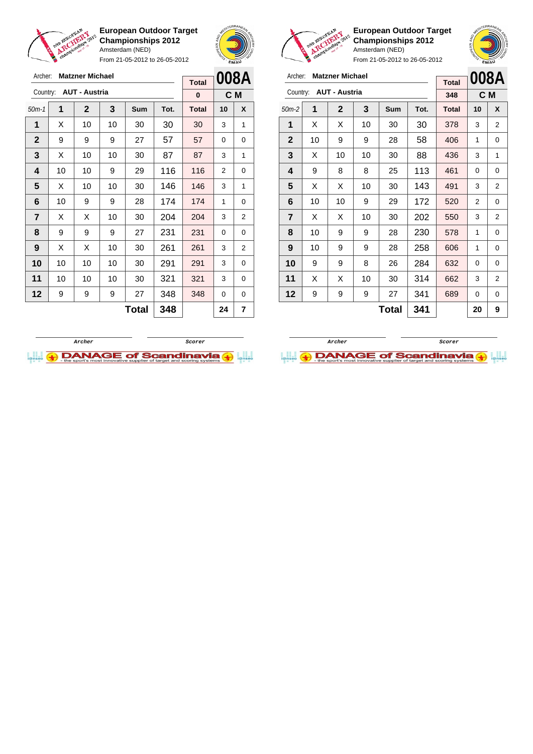

**European Outdoor Target Championships 2012** Amsterdam (NED) From 21-05-2012 to 26-05-2012





**European Outdoor Target Championships 2012** Amsterdam (NED)



| Archer:                 |    | <b>Matzner Michael</b> | <b>Total</b> |     | 008A |              |                |                |
|-------------------------|----|------------------------|--------------|-----|------|--------------|----------------|----------------|
| Country:                |    | <b>AUT - Austria</b>   |              |     |      | 348          |                | C M            |
| $50m-2$                 | 1  | 2                      | 3            | Sum | Tot. | <b>Total</b> | 10             | X              |
| 1                       | X  | X                      | 10           | 30  | 30   | 378          | 3              | 2              |
| $\mathbf{2}$            | 10 | 9                      | 9            | 28  | 58   | 406          | 1              | 0              |
| 3                       | X  | 10                     | 10           | 30  | 88   | 436          | 3              | 1              |
| 4                       | 9  | 8                      | 8            | 25  | 113  | 461          | 0              | 0              |
| 5                       | X  | X                      | 10           | 30  | 143  | 491          | 3              | $\overline{2}$ |
| 6                       | 10 | 10                     | 9            | 29  | 172  | 520          | $\overline{2}$ | 0              |
| $\overline{\mathbf{r}}$ | X  | X                      | 10           | 30  | 202  | 550          | 3              | 2              |
| 8                       | 10 | 9                      | 9            | 28  | 230  | 578          | 1              | 0              |
| 9                       | 10 | 9                      | 9            | 28  | 258  | 606          | 1              | 0              |
| 10                      | 9  | 9                      | 8            | 26  | 284  | 632          | 0              | 0              |
| 11                      | X  | X                      | 10           | 30  | 314  | 662          | 3              | $\overline{2}$ |
| 12                      | 9  | 9                      | 9            | 27  | 341  | 689          | 0              | 0              |
|                         |    |                        | 20           | 9   |      |              |                |                |

| Archer:      | <b>Matzner Michael</b> | <b>Total</b> |    | 008A       |      |              |    |     |
|--------------|------------------------|--------------|----|------------|------|--------------|----|-----|
| Country:     | <b>AUT - Austria</b>   |              |    |            |      |              |    |     |
|              |                        |              |    |            |      | 0            |    | C M |
| $50m-1$      | 1                      | $\mathbf{2}$ | 3  | <b>Sum</b> | Tot. | <b>Total</b> | 10 | X   |
| 1            | X                      | 10           | 10 | 30         | 30   | 30           | 3  | 1   |
| $\mathbf{2}$ | 9                      | 9            | 9  | 27         | 57   | 57           | 0  | 0   |
| 3            | Х                      | 10           | 10 | 30         | 87   | 87           | 3  | 1   |
| 4            | 10                     | 10           | 9  | 29         | 116  | 116          | 2  | 0   |
| 5            | X                      | 10           | 10 | 30         | 146  | 146          | 3  | 1   |
| 6            | 10                     | 9            | 9  | 28         | 174  | 174          | 1  | 0   |
| 7            | X                      | X            | 10 | 30         | 204  | 204          | 3  | 2   |
| 8            | 9                      | 9            | 9  | 27         | 231  | 231          | 0  | 0   |
| 9            | Х                      | Х            | 10 | 30         | 261  | 261          | 3  | 2   |
| 10           | 10                     | 10           | 10 | 30         | 291  | 291          | 3  | 0   |
| 11           | 10                     | 10           | 10 | 30         | 321  | 321          | 3  | 0   |
| 12           | 9                      | 9            | 9  | 27         | 348  | 348          | 0  | 0   |
|              |                        |              |    | Total      | 348  |              | 24 | 7   |



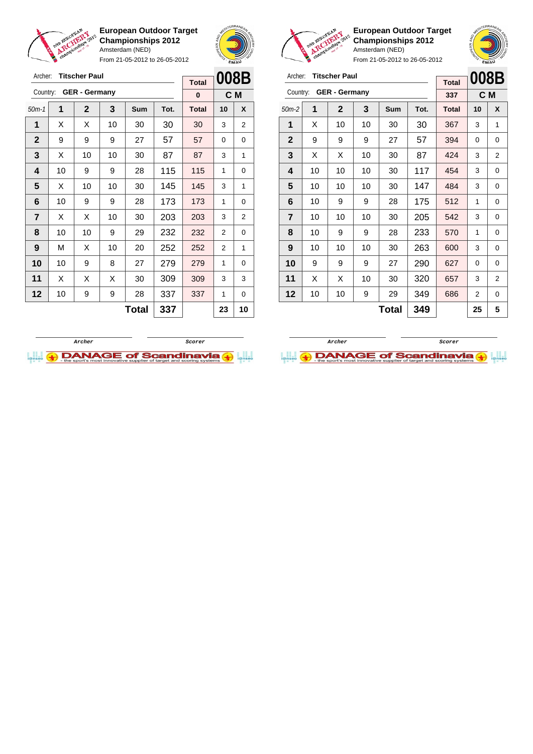

From 21-05-2012 to 26-05-2012





**European Outdoor Target Championships 2012** Amsterdam (NED)

| Archer:        |    | <b>Titscher Paul</b> |    |              |      | <b>Total</b> |                | 008B           |
|----------------|----|----------------------|----|--------------|------|--------------|----------------|----------------|
| Country:       |    | <b>GER - Germany</b> |    |              |      | 337          |                | C <sub>M</sub> |
| $50m-2$        | 1  | $\mathbf{2}$         | 3  | <b>Sum</b>   | Tot. | <b>Total</b> | 10             | X              |
| 1              | X  | 10                   | 10 | 30           | 30   | 367          | 3              | 1              |
| $\mathbf{2}$   | 9  | 9                    | 9  | 27           | 57   | 394          | 0              | 0              |
| 3              | X  | X                    | 10 | 30           | 87   | 424          | 3              | $\overline{2}$ |
| 4              | 10 | 10                   | 10 | 30           | 117  | 454          | 3              | 0              |
| 5              | 10 | 10                   | 10 | 30           | 147  | 484          | 3              | 0              |
| 6              | 10 | 9                    | 9  | 28           | 175  | 512          | 1              | 0              |
| $\overline{7}$ | 10 | 10                   | 10 | 30           | 205  | 542          | 3              | 0              |
| 8              | 10 | 9                    | 9  | 28           | 233  | 570          | 1              | 0              |
| 9              | 10 | 10                   | 10 | 30           | 263  | 600          | 3              | 0              |
| 10             | 9  | 9                    | 9  | 27           | 290  | 627          | 0              | 0              |
| 11             | X  | X                    | 10 | 30           | 320  | 657          | 3              | 2              |
| 12             | 10 | 10                   | 9  | 29           | 349  | 686          | $\overline{2}$ | 0              |
|                |    |                      |    | <b>Total</b> | 349  |              | 25             | 5              |





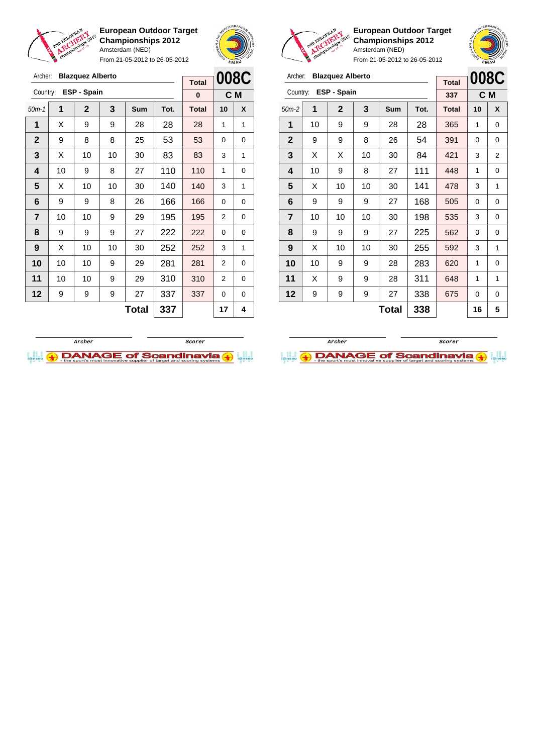

From 21-05-2012 to 26-05-2012





**European Outdoor Target Championships 2012** Amsterdam (NED) From 21-05-2012 to 26-05-2012

 $\frac{1}{\sqrt{2}}$ 

|                         |    |                         |    |            | $F[0][1]$ $Z$ $F[03-Z0]$ $Z$ $[0, 20-Z0]$ $Z$ |              | EMAU           |   |
|-------------------------|----|-------------------------|----|------------|-----------------------------------------------|--------------|----------------|---|
| Archer:                 |    | <b>Blazquez Alberto</b> |    |            |                                               | <b>Total</b> | <b>008C</b>    |   |
| Country:                |    | ESP - Spain             |    |            |                                               | 337          | C <sub>M</sub> |   |
| $50m-2$                 | 1  | $\mathbf{2}$            | 3  | <b>Sum</b> | Tot.                                          | <b>Total</b> | 10             | X |
| 1                       | 10 | 9                       | 9  | 28         | 28                                            | 365          | 1              | 0 |
| $\overline{2}$          | 9  | 9                       | 8  | 26         | 54                                            | 391          | 0              | 0 |
| $\mathbf{3}$            | X  | X                       | 10 | 30         | 84                                            | 421          | 3              | 2 |
| $\overline{\mathbf{4}}$ | 10 | 9                       | 8  | 27         | 111                                           | 448          | 1              | 0 |
| 5                       | X  | 10                      | 10 | 30         | 141                                           | 478          | 3              | 1 |
|                         |    |                         |    |            |                                               |              |                |   |

**Total 338 16 5**

| Archer:        |    | <b>Blazquez Alberto</b> |              | 008C |      |              |    |     |
|----------------|----|-------------------------|--------------|------|------|--------------|----|-----|
|                |    | ESP - Spain             | <b>Total</b> |      |      |              |    |     |
| Country:       |    |                         |              |      |      | $\bf{0}$     |    | C M |
| $50m-1$        | 1  | $\mathbf{2}$            | 3            | Sum  | Tot. | <b>Total</b> | 10 | X   |
| 1              | X  | 9                       | 9            | 28   | 28   | 28           | 1  | 1   |
| $\mathbf{2}$   | 9  | 8                       | 8            | 25   | 53   | 53           | 0  | 0   |
| 3              | X  | 10                      | 10           | 30   | 83   | 83           | 3  | 1   |
| 4              | 10 | 9                       | 8            | 27   | 110  | 110          | 1  | 0   |
| 5              | X  | 10                      | 10           | 30   | 140  | 140          | 3  | 1   |
| 6              | 9  | 9                       | 8            | 26   | 166  | 166          | 0  | 0   |
| $\overline{7}$ | 10 | 10                      | 9            | 29   | 195  | 195          | 2  | 0   |
| 8              | 9  | 9                       | 9            | 27   | 222  | 222          | 0  | 0   |
| 9              | X  | 10                      | 10           | 30   | 252  | 252          | 3  | 1   |
| 10             | 10 | 10                      | 9            | 29   | 281  | 281          | 2  | 0   |
| 11             | 10 | 10                      | 9            | 29   | 310  | 310          | 2  | 0   |
| 12             | 9  | 9                       | 9            | 27   | 337  | 337          | 0  | 0   |
|                |    |                         |              | 17   | 4    |              |    |     |



 | 9 | 9 | 9 | 27 | 168 | 505 | 0 | 0 | 10 | 10 | 10 | 30 | 198 | 535 | 3 | 0 | 9 | 9 | 9 | 27 | 225 | 562 | 0 | 0 | X | 10 | 10 | 30 | **255 | 592 |** 3 | 1 | 10 | 9 | 9 | 28 | 283 | 620 | 1 | 0 | X | 9 | 9 | 28 | 311 | 648 | 1 | 1 | 9 | 9 | 9 | 27 | 338 | 675 | 0 | 0

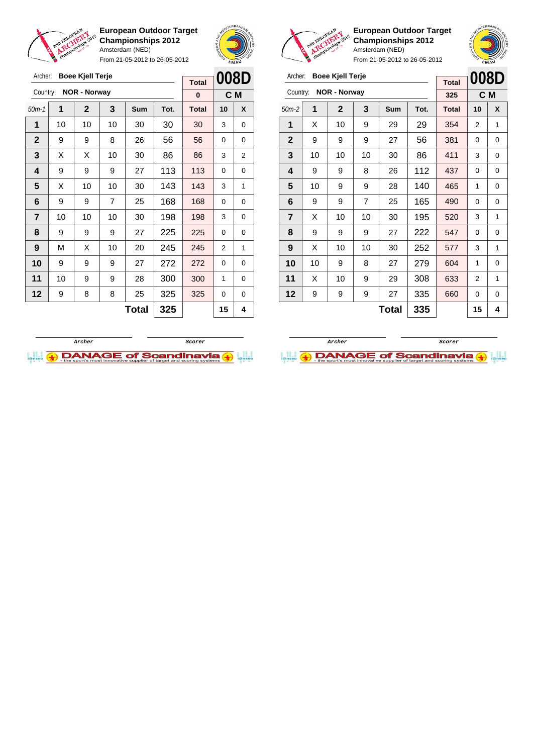

From 21-05-2012 to 26-05-2012





**European Outdoor Target Championships 2012** Amsterdam (NED)

| Archer:        |    | <b>Boee Kjell Terje</b> |    |              |      | <b>Total</b> | 008D           |                |
|----------------|----|-------------------------|----|--------------|------|--------------|----------------|----------------|
| Country:       |    | <b>NOR - Norway</b>     |    |              |      | 325          |                | C <sub>M</sub> |
| $50m-2$        | 1  | $\mathbf{2}$            | 3  | <b>Sum</b>   | Tot. | <b>Total</b> | 10             | X              |
| 1              | X  | 10                      | 9  | 29           | 29   | 354          | $\overline{2}$ | 1              |
| $\mathbf{2}$   | 9  | 9                       | 9  | 27           | 56   | 381          | 0              | 0              |
| 3              | 10 | 10                      | 10 | 30           | 86   | 411          | 3              | 0              |
| 4              | 9  | 9                       | 8  | 26           | 112  | 437          | 0              | 0              |
| 5              | 10 | 9                       | 9  | 28           | 140  | 465          | 1              | 0              |
| 6              | 9  | 9                       | 7  | 25           | 165  | 490          | 0              | 0              |
| $\overline{7}$ | X  | 10                      | 10 | 30           | 195  | 520          | 3              | 1              |
| 8              | 9  | 9                       | 9  | 27           | 222  | 547          | 0              | 0              |
| 9              | X  | 10                      | 10 | 30           | 252  | 577          | 3              | 1              |
| 10             | 10 | 9                       | 8  | 27           | 279  | 604          | 1              | 0              |
| 11             | X  | 10                      | 9  | 29           | 308  | 633          | 2              | 1              |
| 12             | 9  | 9                       | 9  | 27           | 335  | 660          | 0              | 0              |
|                |    |                         |    | <b>Total</b> | 335  |              | 15             | 4              |

| Archer:      |    | <b>Boee Kjell Terje</b> | <b>Total</b> | 008D         |      |              |          |                |
|--------------|----|-------------------------|--------------|--------------|------|--------------|----------|----------------|
| Country:     |    | <b>NOR - Norway</b>     |              |              |      | $\bf{0}$     |          | C M            |
| $50m-1$      | 1  | $\overline{2}$          | 3            | <b>Sum</b>   | Tot. | <b>Total</b> | 10       | X              |
| 1            | 10 | 10                      | 10           | 30           | 30   | 30           | 3        | 0              |
| $\mathbf{2}$ | 9  | 9                       | 8            | 26           | 56   | 56           | $\Omega$ | 0              |
| 3            | X  | Х                       | 10           | 30           | 86   | 86           | 3        | $\overline{2}$ |
| 4            | 9  | 9                       | 9            | 27           | 113  | 113          | 0        | 0              |
| 5            | X  | 10                      | 10           | 30           | 143  | 143          | 3        | 1              |
| 6            | 9  | 9                       | 7            | 25           | 168  | 168          | 0        | 0              |
| 7            | 10 | 10                      | 10           | 30           | 198  | 198          | 3        | 0              |
| 8            | 9  | 9                       | 9            | 27           | 225  | 225          | 0        | 0              |
| 9            | M  | X                       | 10           | 20           | 245  | 245          | 2        | 1              |
| 10           | 9  | 9                       | 9            | 27           | 272  | 272          | 0        | 0              |
| 11           | 10 | 9                       | 9            | 28           | 300  | 300          | 1        | 0              |
| 12           | 9  | 8                       | 8            | 25           | 325  | 325          | 0        | 0              |
|              |    |                         |              | <b>Total</b> | 325  |              | 15       | 4              |



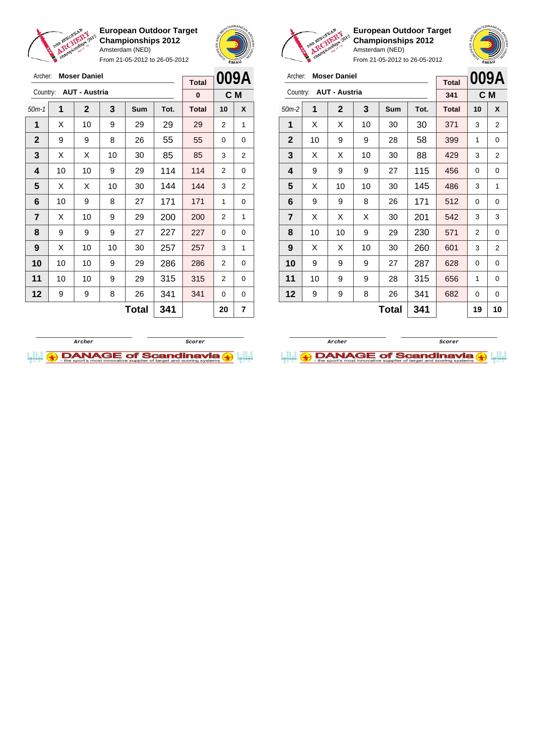

**European Outdoor Target Championships 2012** Amsterdam (NED) From 21-05-2012 to 26-05-2012





**European Outdoor Target Championships 2012** Amsterdam (NED)

| Archer:        | <b>Moser Daniel</b> | <b>Total</b>         |    | 009A  |      |              |                |    |
|----------------|---------------------|----------------------|----|-------|------|--------------|----------------|----|
| Country:       |                     | <b>AUT - Austria</b> |    |       |      | 341          | C M            |    |
| $50m-2$        | 1                   | $\mathbf 2$          | 3  | Sum   | Tot. | <b>Total</b> | 10             | X  |
| 1              | X                   | Х                    | 10 | 30    | 30   | 371          | 3              | 2  |
| $\mathbf{2}$   | 10                  | 9                    | 9  | 28    | 58   | 399          | 1              | 0  |
| 3              | X                   | X                    | 10 | 30    | 88   | 429          | 3              | 2  |
| 4              | 9                   | 9                    | 9  | 27    | 115  | 456          | 0              | 0  |
| 5              | X                   | 10                   | 10 | 30    | 145  | 486          | 3              | 1  |
| 6              | 9                   | 9                    | 8  | 26    | 171  | 512          | 0              | 0  |
| $\overline{7}$ | X                   | X                    | X  | 30    | 201  | 542          | 3              | 3  |
| 8              | 10                  | 10                   | 9  | 29    | 230  | 571          | $\overline{2}$ | 0  |
| 9              | X                   | X                    | 10 | 30    | 260  | 601          | 3              | 2  |
| 10             | 9                   | 9                    | 9  | 27    | 287  | 628          | 0              | 0  |
| 11             | 10                  | 9                    | 9  | 28    | 315  | 656          | 1              | 0  |
| 12             | 9                   | 9                    | 8  | 26    | 341  | 682          | 0              | 0  |
|                |                     |                      |    | Total | 341  |              | 19             | 10 |





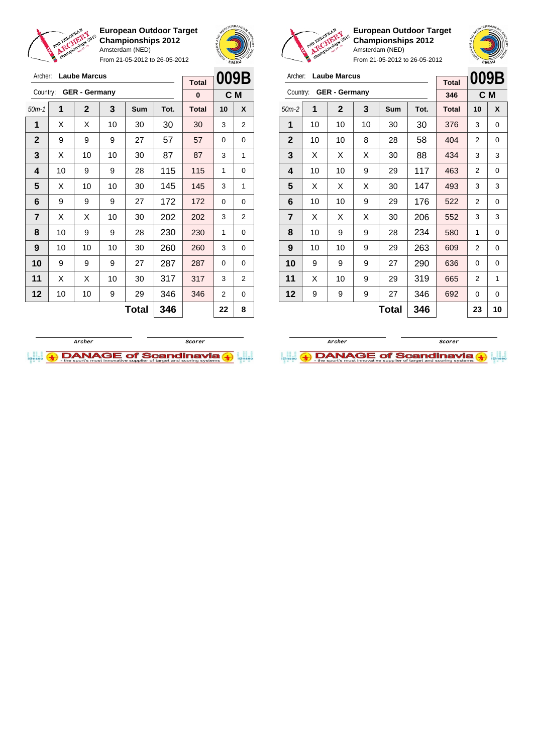

Archer: **Laube Marcus**

**European Outdoor Target Championships 2012** Amsterdam (NED)

From 21-05-2012 to 26-05-2012





**European Outdoor Target Championships 2012** Amsterdam (NED)

 $\mathbf{r}$ 

**009B**

| Archer: Laube Marcus |
|----------------------|
|                      |

|              |    |                      |    |              |      | <b>Total</b> | UUJD |     |
|--------------|----|----------------------|----|--------------|------|--------------|------|-----|
| Country:     |    | <b>GER - Germany</b> |    |              |      | 346          |      | C M |
| $50m-2$      | 1  | $\mathbf{2}$         | 3  | <b>Sum</b>   | Tot. | <b>Total</b> | 10   | X   |
| 1            | 10 | 10                   | 10 | 30           | 30   | 376          | 3    | 0   |
| $\mathbf{2}$ | 10 | 10                   | 8  | 28           | 58   | 404          | 2    | 0   |
| 3            | X  | X                    | X  | 30           | 88   | 434          | 3    | 3   |
| 4            | 10 | 10                   | 9  | 29           | 117  | 463          | 2    | 0   |
| 5            | X  | X                    | X  | 30           | 147  | 493          | 3    | 3   |
| 6            | 10 | 10                   | 9  | 29           | 176  | 522          | 2    | 0   |
| 7            | X  | х                    | Χ  | 30           | 206  | 552          | 3    | 3   |
| 8            | 10 | 9                    | 9  | 28           | 234  | 580          | 1    | 0   |
| 9            | 10 | 10                   | 9  | 29           | 263  | 609          | 2    | 0   |
| 10           | 9  | 9                    | 9  | 27           | 290  | 636          | 0    | 0   |
| 11           | X  | 10                   | 9  | 29           | 319  | 665          | 2    | 1   |
| 12           | 9  | 9                    | 9  | 27           | 346  | 692          | 0    | 0   |
|              |    |                      |    | <b>Total</b> | 346  |              | 23   | 10  |

| Archer:                          |    | <b>Laube Marcus</b> |    |            |      | <b>Total</b> | 009B           |                |
|----------------------------------|----|---------------------|----|------------|------|--------------|----------------|----------------|
| <b>GER - Germany</b><br>Country: |    |                     |    |            |      | $\bf{0}$     | C <sub>M</sub> |                |
| $50m-1$                          | 1  | $\mathbf{2}$        | 3  | <b>Sum</b> | Tot. | <b>Total</b> | 10             | X              |
| 1                                | Х  | Х                   | 10 | 30         | 30   | 30           | 3              | $\overline{2}$ |
| $\mathbf{2}$                     | 9  | 9                   | 9  | 27         | 57   | 57           | $\Omega$       | 0              |
| 3                                | X  | 10                  | 10 | 30         | 87   | 87           | 3              | 1              |
| 4                                | 10 | 9                   | 9  | 28         | 115  | 115          | 1              | 0              |
| 5                                | X  | 10                  | 10 | 30         | 145  | 145          | 3              | 1              |
| 6                                | 9  | 9                   | 9  | 27         | 172  | 172          | 0              | 0              |
| 7                                | X  | X                   | 10 | 30         | 202  | 202          | 3              | 2              |
| 8                                | 10 | 9                   | 9  | 28         | 230  | 230          | 1              | 0              |
| 9                                | 10 | 10                  | 10 | 30         | 260  | 260          | 3              | 0              |
| 10                               | 9  | 9                   | 9  | 27         | 287  | 287          | 0              | 0              |
| 11                               | X  | X                   | 10 | 30         | 317  | 317          | 3              | $\overline{2}$ |
| 12                               | 10 | 10                  | 9  | 29         | 346  | 346          | 2              | 0              |
|                                  |    |                     |    | Total      | 346  |              | 22             | 8              |



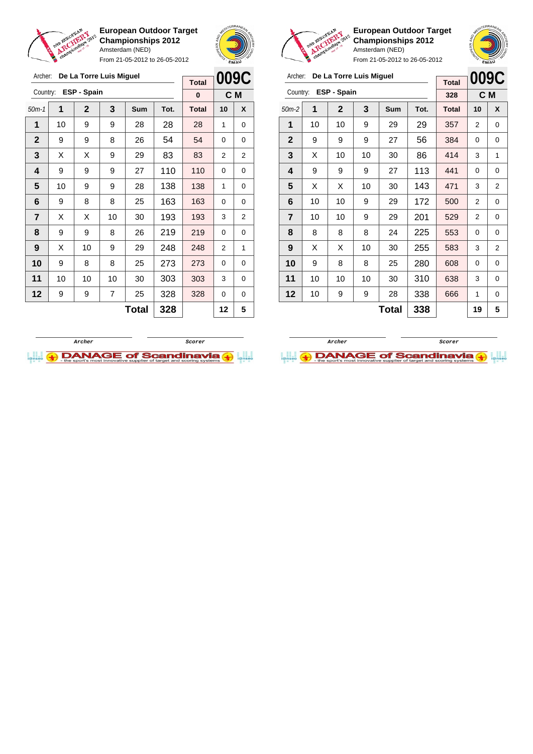



From 21-05-2012 to 26-05-2012

| Archer:        | 009C         |              |    |              |      |              |          |   |
|----------------|--------------|--------------|----|--------------|------|--------------|----------|---|
|                | <b>Total</b> |              |    |              |      |              |          |   |
| Country:       | $\bf{0}$     | C M          |    |              |      |              |          |   |
| $50m-1$        | 1            | $\mathbf{2}$ | 3  | <b>Sum</b>   | Tot. | <b>Total</b> | 10       | X |
| 1              | 10           | 9            | 9  | 28           | 28   | 28           | 1        | 0 |
| $\mathbf{2}$   | 9            | 9            | 8  | 26           | 54   | 54           | $\Omega$ | 0 |
| 3              | X            | X            | 9  | 29           | 83   | 83           | 2        | 2 |
| 4              | 9            | 9            | 9  | 27           | 110  | 110          | $\Omega$ | 0 |
| 5              | 10           | 9            | 9  | 28           | 138  | 138          | 1        | 0 |
| 6              | 9            | 8            | 8  | 25           | 163  | 163          | 0        | 0 |
| $\overline{7}$ | X            | X            | 10 | 30           | 193  | 193          | 3        | 2 |
| 8              | 9            | 9            | 8  | 26           | 219  | 219          | $\Omega$ | 0 |
| 9              | X            | 10           | 9  | 29           | 248  | 248          | 2        | 1 |
| 10             | 9            | 8            | 8  | 25           | 273  | 273          | $\Omega$ | 0 |
| 11             | 10           | 10           | 10 | 30           | 303  | 303          | 3        | 0 |
| 12             | 9            | 9            | 7  | 25           | 328  | 328          | 0        | 0 |
|                |              |              |    | <b>Total</b> | 328  |              | 12       | 5 |



**European Outdoor Target Championships 2012** Amsterdam (NED) From 21-05-2012 to 26-05-2012

Archer: **De La Torre Luis Miguel**

| Archer:<br>De La Torre Luis Miguel |             |             |     |       |      | <b>Total</b> |          | 009C           |  |
|------------------------------------|-------------|-------------|-----|-------|------|--------------|----------|----------------|--|
| Country:                           | ESP - Spain | 328         | C M |       |      |              |          |                |  |
| $50m-2$                            | 1           | $\mathbf 2$ | 3   | Sum   | Tot. | <b>Total</b> | 10       | X              |  |
| 1                                  | 10          | 10          | 9   | 29    | 29   | 357          | 2        | 0              |  |
| $\mathbf{2}$                       | 9           | 9           | 9   | 27    | 56   | 384          | 0        | 0              |  |
| 3                                  | X           | 10          | 10  | 30    | 86   | 414          | 3        | 1              |  |
| 4                                  | 9           | 9           | 9   | 27    | 113  | 441          | 0        | 0              |  |
| 5                                  | X           | X           | 10  | 30    | 143  | 471          | 3        | 2              |  |
| 6                                  | 10          | 10          | 9   | 29    | 172  | 500          | 2        | 0              |  |
| 7                                  | 10          | 10          | 9   | 29    | 201  | 529          | 2        | 0              |  |
| 8                                  | 8           | 8           | 8   | 24    | 225  | 553          | $\Omega$ | 0              |  |
| 9                                  | X           | X           | 10  | 30    | 255  | 583          | 3        | $\overline{2}$ |  |
| 10                                 | 9           | 8           | 8   | 25    | 280  | 608          | $\Omega$ | 0              |  |
| 11                                 | 10          | 10          | 10  | 30    | 310  | 638          | 3        | 0              |  |
| 12                                 | 10          | 9           | 9   | 28    | 338  | 666          | 1        | 0              |  |
|                                    |             |             |     | Total | 338  |              | 19       | 5              |  |



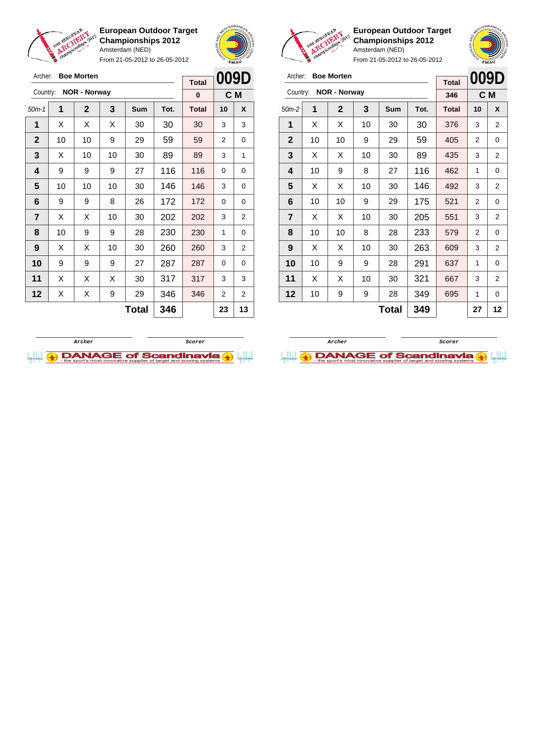

Archer: **Boe Morten** Country: **NOR - Norway**

**European Outdoor Target Championships 2012** Amsterdam (NED)

From 21-05-2012 to 26-05-2012

50m-1 **1 2 3 Sum Tot. Total 10 X**  $\vert$  X  $\vert$  X  $\vert$  X  $\vert$  30  $\vert$  30  $\vert$  30  $\vert$  3  $\vert$  3 | 10 | 10 | 9 | 29 | 59 | 59 | 2 | 0  $\mid$  X  $\mid$  10  $\mid$  10  $\mid$  30  $\mid$  89  $\mid$  89  $\mid$  3  $\mid$  1 | 9 | 9 | 9 | 27 | 116 | 116 | 0 | 0 | 10 | 10 | 10 | 30 | 146 | 146 | 3 | 0 | 9 | 9 | 8 | 26 | 172 | 172 | 0 | 0  $\mid$  X  $\mid$  X  $\mid$  10  $\mid$  30  $\mid$  202  $\mid$  202  $\mid$  3  $\mid$  2 | 10 | 9 | 9 | 28 | 230 | 230 | 1 | 0 | X | X | 10 | 30 | **260 | 260 |** 3 | 2 9 9 9 27 287 287 0 0 | X | X | X | 30 | 317 | 317 | 3 | 3 | X | X | 9 | 29 | 346 | 346 | 2 | 2



**C M**

**Total 0**

 $\mathbf{A}^{\mathbf{q}}$ 

**European Outdoor Target Championships 2012** Amsterdam (NED)

From 21-05-2012 to 26-05-2012

|                |                     |                   |                |     |      |              |                | EMAU           |
|----------------|---------------------|-------------------|----------------|-----|------|--------------|----------------|----------------|
| Archer:        |                     | <b>Boe Morten</b> |                |     |      | <b>Total</b> |                | 009D           |
| Country:       | <b>NOR - Norway</b> | 346               | C <sub>M</sub> |     |      |              |                |                |
| $50m-2$        | 1                   | $\mathbf{2}$      | 3              | Sum | Tot. | <b>Total</b> | 10             | X              |
| 1              | X                   | х                 | 10             | 30  | 30   | 376          | 3              | 2              |
| $\mathbf{2}$   | 10                  | 10                | 9              | 29  | 59   | 405          | $\overline{2}$ | 0              |
| 3              | X                   | X                 | 10             | 30  | 89   | 435          | 3              | 2              |
| 4              | 10                  | 9                 | 8              | 27  | 116  | 462          | 1              | 0              |
| 5              | X                   | X                 | 10             | 30  | 146  | 492          | 3              | 2              |
| 6              | 10                  | 10                | 9              | 29  | 175  | 521          | 2              | 0              |
| $\overline{7}$ | X                   | X                 | 10             | 30  | 205  | 551          | 3              | $\overline{2}$ |
| 8              | 10                  | 10                | 8              | 28  | 233  | 579          | $\overline{2}$ | 0              |
| 9              | X                   | X                 | 10             | 30  | 263  | 609          | 3              | 2              |
| 10             | 10                  | 9                 | 9              | 28  | 291  | 637          | 1              | 0              |
| 11             | Χ                   | X                 | 10             | 30  | 321  | 667          | 3              | 2              |
| 12             | 10                  | 9                 | 9              | 28  | 349  | 695          | 1              | 0              |
|                |                     |                   |                |     |      |              |                |                |

 $Total | 349 | 27 | 12$ 

**Archer Scorer**

**I.I. ADANAGE of Scandinavia (+)** 



**Total 346 23 13**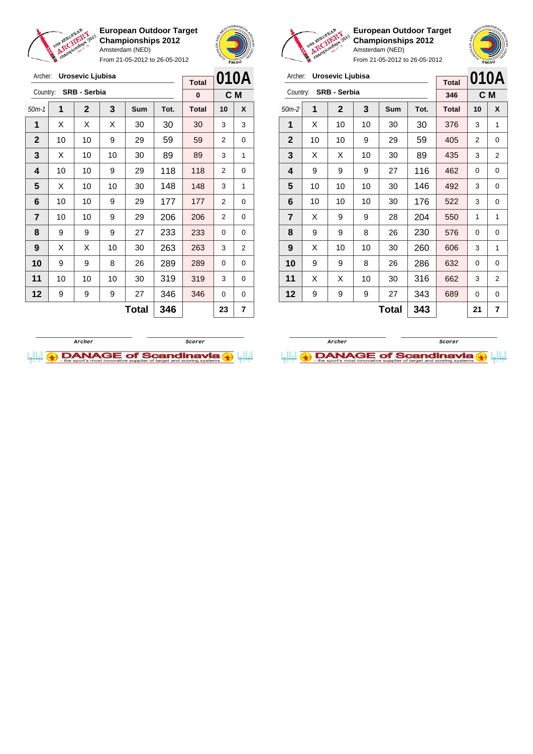

Archer: **Urosevic Ljubisa**

**European Outdoor Target Championships 2012** Amsterdam (NED) From 21-05-2012 to 26-05-2012





**European Outdoor Target Championships 2012** Amsterdam (NED)

| Archer:                 |    | Urosevic Ljubisa    |    |       |      | <b>Total</b> |          | 010A           |
|-------------------------|----|---------------------|----|-------|------|--------------|----------|----------------|
| Country:                |    | <b>SRB - Serbia</b> |    |       |      | 346          |          | C M            |
| $50m-2$                 | 1  | $\mathbf{2}$        | 3  | Sum   | Tot. | <b>Total</b> | 10       | X              |
| 1                       | X  | 10                  | 10 | 30    | 30   | 376          | 3        | 1              |
| $\mathbf{2}$            | 10 | 10                  | 9  | 29    | 59   | 405          | 2        | 0              |
| 3                       | X  | X                   | 10 | 30    | 89   | 435          | 3        | $\overline{2}$ |
| 4                       | 9  | 9                   | 9  | 27    | 116  | 462          | 0        | 0              |
| 5                       | 10 | 10                  | 10 | 30    | 146  | 492          | 3        | 0              |
| 6                       | 10 | 10                  | 10 | 30    | 176  | 522          | 3        | 0              |
| $\overline{\mathbf{r}}$ | X  | 9                   | 9  | 28    | 204  | 550          | 1        | 1              |
| 8                       | 9  | 9                   | 8  | 26    | 230  | 576          | 0        | 0              |
| 9                       | X  | 10                  | 10 | 30    | 260  | 606          | 3        | 1              |
| 10                      | 9  | 9                   | 8  | 26    | 286  | 632          | $\Omega$ | 0              |
| 11                      | X  | X                   | 10 | 30    | 316  | 662          | 3        | $\overline{2}$ |
| 12                      | 9  | 9                   | 9  | 27    | 343  | 689          | 0        | 0              |
|                         |    |                     |    | Total | 343  |              | 21       | 7              |

| Archer:      |    | Urosevic Ljubisa |    |       |      | <b>Total</b> |                | 010A |
|--------------|----|------------------|----|-------|------|--------------|----------------|------|
| Country:     |    | SRB - Serbia     |    |       |      | $\bf{0}$     | C M            |      |
| $50m-1$      | 1  | $\mathbf 2$      | 3  | Sum   | Tot. | <b>Total</b> | 10             | X    |
| 1            | X  | X                | X  | 30    | 30   | 30           | 3              | 3    |
| $\mathbf{2}$ | 10 | 10               | 9  | 29    | 59   | 59           | 2              | 0    |
| 3            | X  | 10               | 10 | 30    | 89   | 89           | 3              | 1    |
| 4            | 10 | 10               | 9  | 29    | 118  | 118          | 2              | 0    |
| 5            | X  | 10               | 10 | 30    | 148  | 148          | 3              | 1    |
| 6            | 10 | 10               | 9  | 29    | 177  | 177          | 2              | 0    |
| 7            | 10 | 10               | 9  | 29    | 206  | 206          | $\overline{2}$ | 0    |
| 8            | 9  | 9                | 9  | 27    | 233  | 233          | 0              | 0    |
| 9            | X  | X                | 10 | 30    | 263  | 263          | 3              | 2    |
| 10           | 9  | 9                | 8  | 26    | 289  | 289          | 0              | 0    |
| 11           | 10 | 10               | 10 | 30    | 319  | 319          | 3              | 0    |
| 12           | 9  | 9                | 9  | 27    | 346  | 346          | 0              | 0    |
|              |    |                  |    | Total | 346  |              | 23             | 7    |



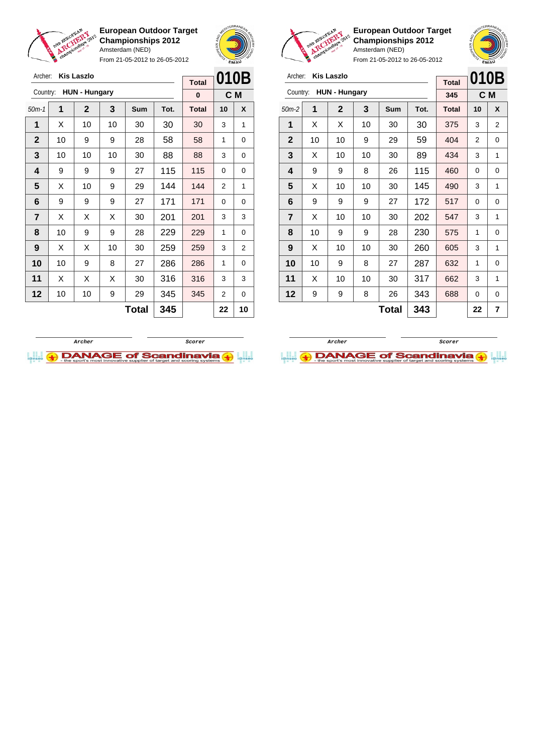

Archer: **Kis Laszlo**

Country: **HUN - Hungary**

**European Outdoor Target Championships 2012** Amsterdam (NED)

From 21-05-2012 to 26-05-2012

50m-1 **1 2 3 Sum Tot. Total 10 X** | X | 10 | 10 | 30 | 30 | 30 | 3 | 1 | 10 | 9 | 9 | 28 | 58 | 58 | 1 | 0 | 10 | 10 | 10 | 30 | 88 | 88 | 3 | 0 | 9 | 9 | 9 | 27 | 115 | 115 | 0 | 0  $\mid$  X  $\mid$  10  $\mid$  9  $\mid$  29  $\mid$  144  $\mid$  144  $\mid$  2  $\mid$  1 | 9 | 9 | 9 | 27 | 171 | 171 | 0 | 0  $\vert$  X  $\vert$  X  $\vert$  X  $\vert$  30  $\vert$  **201**  $\vert$  201  $\vert$  3  $\vert$  3 | 10 | 9 | 9 | 28 | 229 | 229 | 1 | 0 | X | X | 10 | 30 | **259 | 259 |** 3 | 2 | 10 | 9 | 8 | 27 | 286 | 286 | 1 | 0 | X | X | X | 30 | 316 | 316 | 3 | 3 | 10 | 10 | 9 | 29 | 345 | 345 | 2 | 0



**C M**

**Total 0**



**European Outdoor Target Championships 2012** Amsterdam (NED)

**010B**

**Total**

|       |  | Archer: Kis Laszlo     |  |
|-------|--|------------------------|--|
|       |  | Country: HUN - Hungary |  |
| 50m-2 |  | $\overline{2}$         |  |
|       |  |                        |  |

|              | <b>HUN - Hungary</b><br>Country: |              |    |       |      | 345          |                | C M |
|--------------|----------------------------------|--------------|----|-------|------|--------------|----------------|-----|
| $50m-2$      | 1                                | $\mathbf{2}$ | 3  | Sum   | Tot. | <b>Total</b> | 10             | X   |
| 1            | X                                | X            | 10 | 30    | 30   | 375          | 3              | 2   |
| $\mathbf{2}$ | 10                               | 10           | 9  | 29    | 59   | 404          | $\overline{2}$ | 0   |
| 3            | X                                | 10           | 10 | 30    | 89   | 434          | 3              | 1   |
| 4            | 9                                | 9            | 8  | 26    | 115  | 460          | 0              | 0   |
| 5            | X                                | 10           | 10 | 30    | 145  | 490          | 3              | 1   |
| 6            | 9                                | 9            | 9  | 27    | 172  | 517          | 0              | 0   |
| 7            | X                                | 10           | 10 | 30    | 202  | 547          | 3              | 1   |
| 8            | 10                               | 9            | 9  | 28    | 230  | 575          | 1              | 0   |
| 9            | X                                | 10           | 10 | 30    | 260  | 605          | 3              | 1   |
| 10           | 10                               | 9            | 8  | 27    | 287  | 632          | 1              | 0   |
| 11           | X                                | 10           | 10 | 30    | 317  | 662          | 3              | 1   |
| 12           | 9                                | 9            | 8  | 26    | 343  | 688          | 0              | 0   |
|              |                                  |              |    | Total | 343  |              | 22             | 7   |



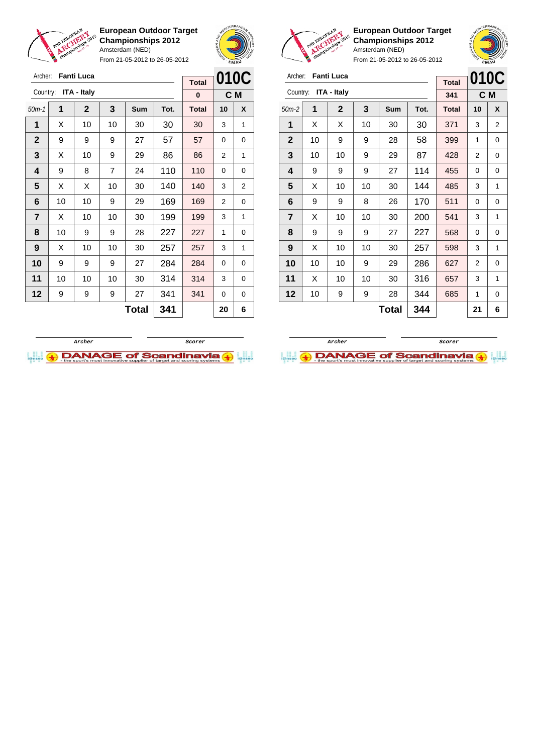

From 21-05-2012 to 26-05-2012





**European Outdoor Target Championships 2012** Amsterdam (NED)



| Archer:                 |    | <b>Fanti Luca</b>  |     |     |      | <b>Total</b> | 010C |     |
|-------------------------|----|--------------------|-----|-----|------|--------------|------|-----|
| Country:                |    | <b>ITA - Italy</b> |     |     |      | 341          |      | C M |
| $50m-2$                 | 1  | $\mathbf 2$        | 3   | Sum | Tot. | <b>Total</b> | 10   | X   |
| 1                       | X  | Х                  | 10  | 30  | 30   | 371          | 3    | 2   |
| $\mathbf{2}$            | 10 | 9                  | 9   | 28  | 58   | 399          | 1    | 0   |
| 3                       | 10 | 10                 | 9   | 29  | 87   | 428          | 2    | 0   |
| 4                       | 9  | 9                  | 9   | 27  | 114  | 455          | 0    | 0   |
| 5                       | X  | 10                 | 10  | 30  | 144  | 485          | 3    | 1   |
| 6                       | 9  | 9                  | 8   | 26  | 170  | 511          | 0    | 0   |
| $\overline{\mathbf{r}}$ | X  | 10                 | 10  | 30  | 200  | 541          | 3    | 1   |
| 8                       | 9  | 9                  | 9   | 27  | 227  | 568          | 0    | 0   |
| 9                       | X  | 10                 | 10  | 30  | 257  | 598          | 3    | 1   |
| 10                      | 10 | 10                 | 9   | 29  | 286  | 627          | 2    | 0   |
| 11                      | X  | 10                 | 10  | 30  | 316  | 657          | 3    | 1   |
| 12                      | 10 | 9                  | 9   | 28  | 344  | 685          | 1    | 0   |
|                         |    |                    | 344 |     | 21   | 6            |      |     |

| Archer:      |              | <b>Fanti Luca</b> |                |     |      | <b>Total</b> |    | 010C           |
|--------------|--------------|-------------------|----------------|-----|------|--------------|----|----------------|
| Country:     |              | ITA - Italy       |                |     |      | $\bf{0}$     |    | C M            |
| $50m-1$      | 1            | $\mathbf 2$       | 3              | Sum | Tot. | <b>Total</b> | 10 | X              |
| 1            | X            | 10                | 10             | 30  | 30   | 30           | 3  | 1              |
| $\mathbf{2}$ | 9            | 9                 | 9              | 27  | 57   | 57           | 0  | 0              |
| 3            | X            | 10                | 9              | 29  | 86   | 86           | 2  | 1              |
| 4            | 9            | 8                 | $\overline{7}$ | 24  | 110  | 110          | 0  | 0              |
| 5            | X            | X                 | 10             | 30  | 140  | 140          | 3  | $\overline{2}$ |
| 6            | 10           | 10                | 9              | 29  | 169  | 169          | 2  | 0              |
| 7            | X            | 10                | 10             | 30  | 199  | 199          | 3  | 1              |
| 8            | 10           | 9                 | 9              | 28  | 227  | 227          | 1  | 0              |
| 9            | X            | 10                | 10             | 30  | 257  | 257          | 3  | 1              |
| 10           | 9            | 9                 | 9              | 27  | 284  | 284          | 0  | 0              |
| 11           | 10           | 10                | 10             | 30  | 314  | 314          | 3  | 0              |
| 12           | 9            | 9                 | 9              | 27  | 341  | 341          | 0  | 0              |
|              | 341<br>Total |                   |                |     |      |              | 20 | 6              |



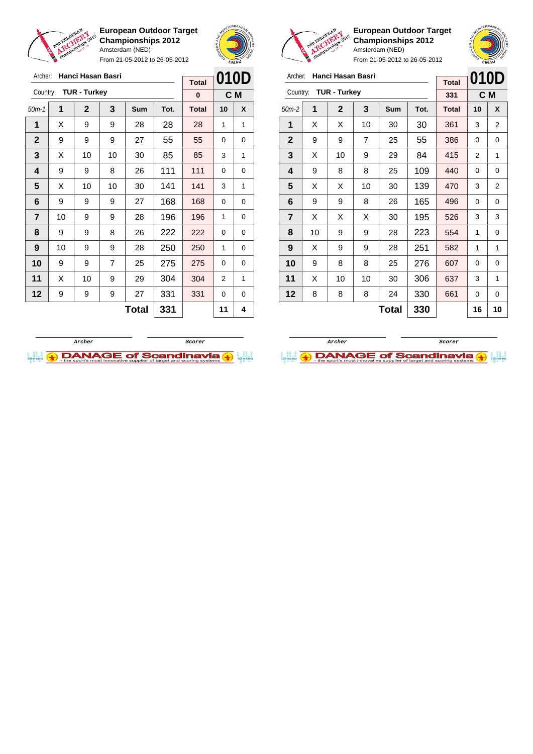

From 21-05-2012 to 26-05-2012





**European Outdoor Target Championships 2012** Amsterdam (NED)

|                | champ. |                     |    | Allisiciualii (IVLD) | From 21-05-2012 to 26-05-2012 |              | <b>EMAU</b> | NOVE |
|----------------|--------|---------------------|----|----------------------|-------------------------------|--------------|-------------|------|
| Archer:        |        | Hanci Hasan Basri   |    |                      |                               | <b>Total</b> | 010D        |      |
| Country:       |        | <b>TUR - Turkey</b> |    |                      |                               | 331          | C M         |      |
| $50m-2$        | 1      | $\mathbf{2}$        | 3  | Sum                  | Tot.                          | <b>Total</b> | 10          | X    |
| 1              | X      | X                   | 10 | 30                   | 30                            | 361          | 3           | 2    |
| $\mathbf{2}$   | 9      | 9                   | 7  | 25                   | 55                            | 386          | 0           | 0    |
| $\mathbf{3}$   | X      | 10                  | 9  | 29                   | 84                            | 415          | 2           | 1    |
| 4              | 9      | 8                   | 8  | 25                   | 109                           | 440          | 0           | 0    |
| 5              | X      | X                   | 10 | 30                   | 139                           | 470          | 3           | 2    |
| 6              | 9      | 9                   | 8  | 26                   | 165                           | 496          | 0           | 0    |
| $\overline{7}$ | Χ      | X                   | X  | 30                   | 195                           | 526          | 3           | 3    |

**Total 330 16 10**

| Archer:        |    | Hanci Hasan Basri   |    |       |      | <b>Total</b> | 010D |     |
|----------------|----|---------------------|----|-------|------|--------------|------|-----|
| Country:       |    | <b>TUR - Turkey</b> |    |       |      | $\bf{0}$     |      | C M |
| $50m-1$        | 1  | $\mathbf{2}$        | 3  | Sum   | Tot. | <b>Total</b> | 10   | X   |
| 1              | X  | 9                   | 9  | 28    | 28   | 28           | 1    | 1   |
| $\mathbf{2}$   | 9  | 9                   | 9  | 27    | 55   | 55           | 0    | 0   |
| 3              | X  | 10                  | 10 | 30    | 85   | 85           | 3    | 1   |
| 4              | 9  | 9                   | 8  | 26    | 111  | 111          | 0    | 0   |
| 5              | X  | 10                  | 10 | 30    | 141  | 141          | 3    | 1   |
| 6              | 9  | 9                   | 9  | 27    | 168  | 168          | 0    | 0   |
| $\overline{7}$ | 10 | 9                   | 9  | 28    | 196  | 196          | 1    | 0   |
| 8              | 9  | 9                   | 8  | 26    | 222  | 222          | 0    | 0   |
| 9              | 10 | 9                   | 9  | 28    | 250  | 250          | 1    | 0   |
| 10             | 9  | 9                   | 7  | 25    | 275  | 275          | 0    | 0   |
| 11             | X  | 10                  | 9  | 29    | 304  | 304          | 2    | 1   |
| 12             | 9  | 9                   | 9  | 27    | 331  | 331          | 0    | 0   |
|                |    |                     |    | Total | 331  |              | 11   | 4   |



 | 10 | 9 | 9 | 28 | 223 | 554 | 1 | 0 | X | 9 | 9 | 28 | 251 | 582 | 1 | 1 | 9 | 8 | 8 | 25 | 276 | 607 | 0 | 0 | X | 10 | 10 | 30 | 306 | 637 | 3 | 1 | 8 | 8 | 8 | 24 | 330 | 661 | 0 | 0

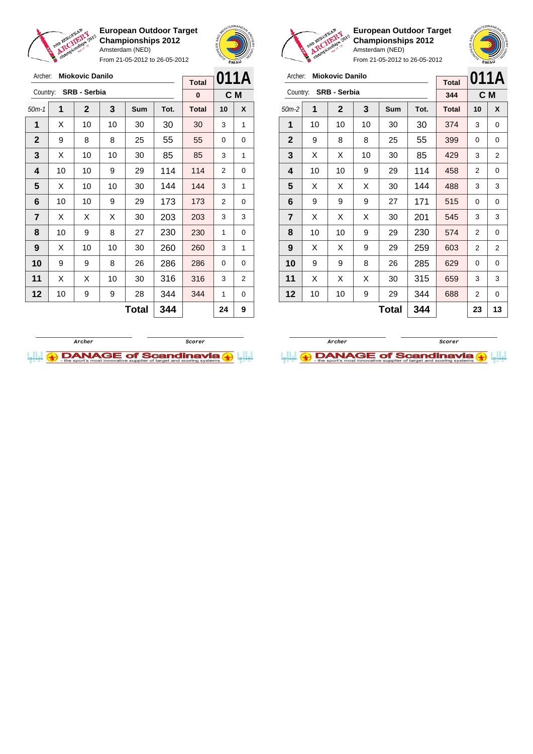

Archer: **Miokovic Danilo** Country: **SRB - Serbia**

**European Outdoor Target Championships 2012** Amsterdam (NED)

From 21-05-2012 to 26-05-2012

50m-1 **1 2 3 Sum Tot. Total 10 X 1** | X | 10 | 10 | 30 | 30 | 30 | 3 | 1



**C M**

**Total 0**



**European Outdoor Target Championships 2012** Amsterdam (NED)



| Archer:        |    | <b>Miokovic Danilo</b> |    |     |      | <b>Total</b> | 011A           |     |
|----------------|----|------------------------|----|-----|------|--------------|----------------|-----|
| Country:       |    | <b>SRB - Serbia</b>    |    |     |      | 344          |                | C M |
| $50m-2$        | 1  | $\mathbf 2$            | 3  | Sum | Tot. | <b>Total</b> | 10             | X   |
| 1              | 10 | 10                     | 10 | 30  | 30   | 374          | 3              | 0   |
| $\overline{2}$ | 9  | 8                      | 8  | 25  | 55   | 399          | 0              | 0   |
| 3              | X  | X                      | 10 | 30  | 85   | 429          | 3              | 2   |
| 4              | 10 | 10                     | 9  | 29  | 114  | 458          | 2              | 0   |
| 5              | X  | X                      | X  | 30  | 144  | 488          | 3              | 3   |
| 6              | 9  | 9                      | 9  | 27  | 171  | 515          | 0              | 0   |
| 7              | X  | X                      | X  | 30  | 201  | 545          | 3              | 3   |
| 8              | 10 | 10                     | 9  | 29  | 230  | 574          | $\overline{2}$ | 0   |
| 9              | X  | X                      | 9  | 29  | 259  | 603          | 2              | 2   |
| 10             | 9  | 9                      | 8  | 26  | 285  | 629          | 0              | 0   |
| 11             | X  | X                      | X  | 30  | 315  | 659          | 3              | 3   |
| 12             | 10 | 10                     | 9  | 29  | 344  | 688          | 2              | 0   |
|                |    |                        |    | 23  | 13   |              |                |     |





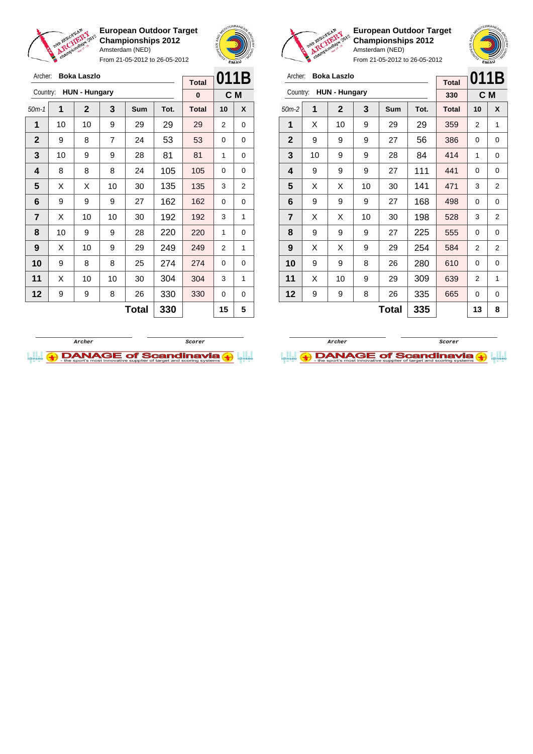

From 21-05-2012 to 26-05-2012



**European Outdoor Target Championships 2012** Amsterdam (NED)

From 21-05-2012 to 26-05-2012

| Archer:        |    | <b>Boka Laszlo</b>   |    |            |      | <b>Total</b> | 011B |                |
|----------------|----|----------------------|----|------------|------|--------------|------|----------------|
| Country:       |    | <b>HUN - Hungary</b> |    |            |      | 330          |      | C M            |
| $50m-2$        | 1  | $\mathbf{2}$         | 3  | <b>Sum</b> | Tot. | <b>Total</b> | 10   | X              |
| 1              | X  | 10                   | 9  | 29         | 29   | 359          | 2    | 1              |
| $\overline{2}$ | 9  | 9                    | 9  | 27         | 56   | 386          | 0    | 0              |
| 3              | 10 | 9                    | 9  | 28         | 84   | 414          | 1    | 0              |
| 4              | 9  | 9                    | 9  | 27         | 111  | 441          | 0    | 0              |
| 5              | X  | X                    | 10 | 30         | 141  | 471          | 3    | 2              |
| 6              | 9  | 9                    | 9  | 27         | 168  | 498          | 0    | 0              |
| $\overline{7}$ | X  | X                    | 10 | 30         | 198  | 528          | 3    | $\overline{2}$ |
| 8              | 9  | 9                    | 9  | 27         | 225  | 555          | 0    | 0              |
| 9              | X  | X                    | 9  | 29         | 254  | 584          | 2    | 2              |
| 10             | 9  | 9                    | 8  | 26         | 280  | 610          | 0    | 0              |
|                |    |                      |    |            |      |              |      |                |

 $\textbf{Total}$  335 13 8

**11** | X | 10 | 9 | 29 | 309 | 639 | 2 | 1 **12** | 9 | 9 | 8 | 26 | 335 | 665 | 0 | 0



| Archer:        |    | Boka Laszlo          |    |              |      | <b>Total</b> | 011B     |     |
|----------------|----|----------------------|----|--------------|------|--------------|----------|-----|
| Country:       |    | <b>HUN - Hungary</b> |    |              |      | $\bf{0}$     |          | C M |
| $50m-1$        | 1  | $\mathbf{2}$         | 3  | Sum          | Tot. | <b>Total</b> | 10       | X   |
| 1              | 10 | 10                   | 9  | 29           | 29   | 29           | 2        | 0   |
| $\overline{2}$ | 9  | 8                    | 7  | 24           | 53   | 53           | 0        | 0   |
| 3              | 10 | 9                    | 9  | 28           | 81   | 81           | 1        | 0   |
| 4              | 8  | 8                    | 8  | 24           | 105  | 105          | 0        | 0   |
| 5              | X  | X                    | 10 | 30           | 135  | 135          | 3        | 2   |
| 6              | 9  | 9                    | 9  | 27           | 162  | 162          | 0        | 0   |
| $\overline{7}$ | X  | 10                   | 10 | 30           | 192  | 192          | 3        | 1   |
| 8              | 10 | 9                    | 9  | 28           | 220  | 220          | 1        | 0   |
| 9              | X  | 10                   | 9  | 29           | 249  | 249          | 2        | 1   |
| 10             | 9  | 8                    | 8  | 25           | 274  | 274          | $\Omega$ | 0   |
| 11             | Х  | 10                   | 10 | 30           | 304  | 304          | 3        | 1   |
| 12             | 9  | 9                    | 8  | 26           | 330  | 330          | 0        | 0   |
|                |    |                      |    | <b>Total</b> | 330  |              | 15       | 5   |

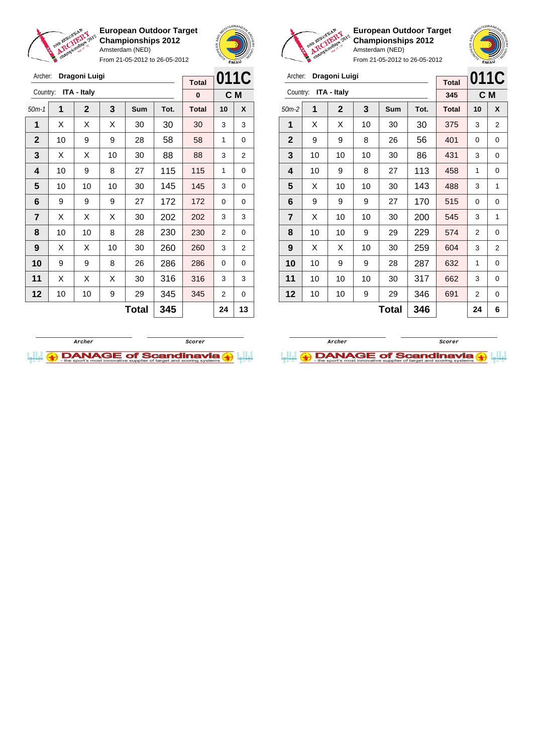

Archer: **Dragoni Luigi** Country: **ITA - Italy**

**European Outdoor Target Championships 2012** Amsterdam (NED)

From 21-05-2012 to 26-05-2012

50m-1 **1 2 3 Sum Tot. Total 10 X**  $\vert$  X  $\vert$  X  $\vert$  X  $\vert$  30  $\vert$  30  $\vert$  30  $\vert$  3  $\vert$  3 | 10 | 9 | 9 | 28 | 58 | 58 | 1 | 0  $\mid$  X  $\mid$  X  $\mid$  10  $\mid$  30  $\mid$  88  $\mid$  88  $\mid$  3  $\mid$  2 | 10 | 9 | 8 | 27 | 115 | 115 | 1 | 0 | 10 | 10 | 10 | 30 | 145 | 145 | 3 | 0



**C M**

**Total 0**



**European Outdoor Target Championships 2012** Amsterdam (NED)



| Archer:        |    | Dragoni Luigi |    |              |      | <b>Total</b> | 011C           |                |
|----------------|----|---------------|----|--------------|------|--------------|----------------|----------------|
| Country:       |    | ITA - Italy   |    |              |      | 345          |                | C M            |
| $50m-2$        | 1  | $\mathbf 2$   | 3  | <b>Sum</b>   | Tot. | <b>Total</b> | 10             | X              |
| 1              | X  | X             | 10 | 30           | 30   | 375          | 3              | 2              |
| $\mathbf{2}$   | 9  | 9             | 8  | 26           | 56   | 401          | 0              | 0              |
| 3              | 10 | 10            | 10 | 30           | 86   | 431          | 3              | 0              |
| 4              | 10 | 9             | 8  | 27           | 113  | 458          | 1              | 0              |
| 5              | X  | 10            | 10 | 30           | 143  | 488          | 3              | 1              |
| 6              | 9  | 9             | 9  | 27           | 170  | 515          | 0              | 0              |
| $\overline{7}$ | X  | 10            | 10 | 30           | 200  | 545          | 3              | 1              |
| 8              | 10 | 10            | 9  | 29           | 229  | 574          | $\overline{2}$ | 0              |
| 9              | X  | X             | 10 | 30           | 259  | 604          | 3              | $\overline{2}$ |
| 10             | 10 | 9             | 9  | 28           | 287  | 632          | 1              | $\Omega$       |
| 11             | 10 | 10            | 10 | 30           | 317  | 662          | 3              | 0              |
| 12             | 10 | 10            | 9  | 29           | 346  | 691          | 2              | 0              |
|                |    |               |    | <b>Total</b> | 346  |              | 24             | 6              |





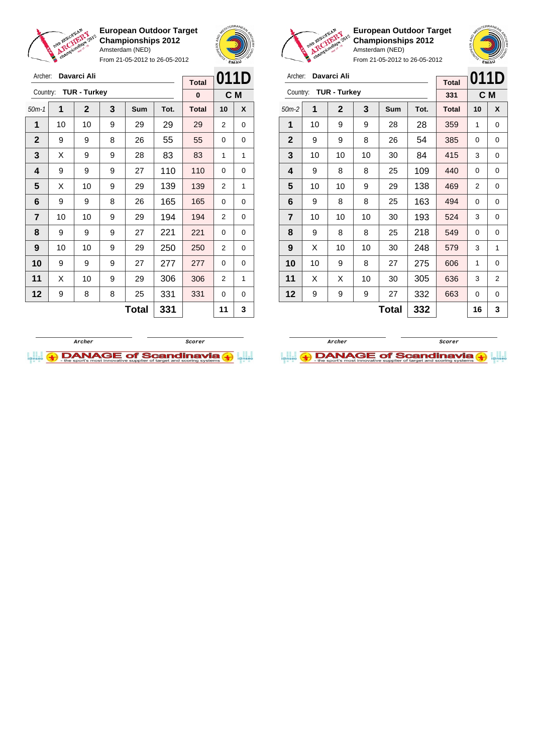



From 21-05-2012 to 26-05-2012

| Archer:        |    | Davarci Ali         |   |                               |      | <b>Total</b> | 011D           |   |
|----------------|----|---------------------|---|-------------------------------|------|--------------|----------------|---|
| Country:       |    | <b>TUR - Turkey</b> |   |                               |      | $\bf{0}$     | C M            |   |
|                |    |                     |   |                               |      |              |                |   |
| $50m-1$        | 1  | $\mathbf{2}$        | 3 | <b>Sum</b>                    | Tot. | <b>Total</b> | 10             | X |
| 1              | 10 | 10                  | 9 | 29                            | 29   | 29           | 2              | 0 |
| $\mathbf{2}$   | 9  | 9                   | 8 | 26                            | 55   | 55           | 0              | 0 |
| 3              | X  | 9                   | 9 | 28                            | 83   | 83           | 1              | 1 |
| 4              | 9  | 9                   | 9 | 27                            | 110  | 110          | 0              | 0 |
| 5              | X  | 10                  | 9 | 29                            | 139  | 139          | 2              | 1 |
| 6              | 9  | 9                   | 8 | 26                            | 165  | 165          | 0              | 0 |
| $\overline{7}$ | 10 | 10                  | 9 | 29                            | 194  | 194          | 2              | 0 |
| 8              | 9  | 9                   | 9 | 27                            | 221  | 221          | 0              | 0 |
| 9              | 10 | 10                  | 9 | 29                            | 250  | 250          | $\overline{2}$ | 0 |
| 10             | 9  | 9                   | 9 | 27                            | 277  | 277          | 0              | 0 |
| 11             | X  | 10                  | 9 | 29                            | 306  | 306          | 2              | 1 |
| 12             | 9  | 8                   | 8 | 25                            | 331  | 331          | 0              | 0 |
|                |    |                     |   | and the state of the state of |      |              |                |   |





**European Outdoor Target Championships 2012** Amsterdam (NED)

| Archer:<br>Davarci Ali<br><b>Total</b> |    |                     |    |       |      |              | 011D |     |
|----------------------------------------|----|---------------------|----|-------|------|--------------|------|-----|
| Country:                               |    | <b>TUR - Turkey</b> |    |       |      | 331          |      | C M |
| $50m-2$                                | 1  | $\mathbf{2}$        | 3  | Sum   | Tot. | <b>Total</b> | 10   | X   |
| 1                                      | 10 | 9                   | 9  | 28    | 28   | 359          | 1    | 0   |
| $\mathbf{2}$                           | 9  | 9                   | 8  | 26    | 54   | 385          | 0    | 0   |
| 3                                      | 10 | 10                  | 10 | 30    | 84   | 415          | 3    | 0   |
| 4                                      | 9  | 8                   | 8  | 25    | 109  | 440          | 0    | 0   |
| 5                                      | 10 | 10                  | 9  | 29    | 138  | 469          | 2    | 0   |
| 6                                      | 9  | 8                   | 8  | 25    | 163  | 494          | 0    | 0   |
| $\overline{7}$                         | 10 | 10                  | 10 | 30    | 193  | 524          | 3    | 0   |
| 8                                      | 9  | 8                   | 8  | 25    | 218  | 549          | 0    | 0   |
| 9                                      | X  | 10                  | 10 | 30    | 248  | 579          | 3    | 1   |
| 10                                     | 10 | 9                   | 8  | 27    | 275  | 606          | 1    | 0   |
| 11                                     | X  | Х                   | 10 | 30    | 305  | 636          | 3    | 2   |
| 12                                     | 9  | 9                   | 9  | 27    | 332  | 663          | 0    | 0   |
|                                        |    |                     |    | Total | 332  |              | 16   | 3   |



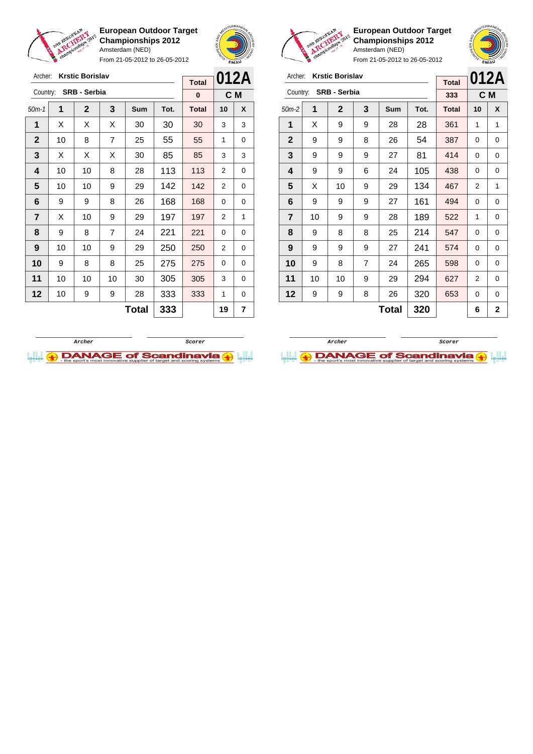

Archer: **Krstic Borislav** Country: **SRB - Serbia**

**European Outdoor Target Championships 2012** Amsterdam (NED)

From 21-05-2012 to 26-05-2012

50m-1 **1 2 3 Sum Tot. Total 10 X**  $\vert$  X  $\vert$  X  $\vert$  X  $\vert$  30  $\vert$  30  $\vert$  30  $\vert$  3  $\vert$  3 | 10 | 8 | 7 | 25 | 55 | 55 | 1 | 0  $\mid$  X  $\mid$  X  $\mid$  X  $\mid$  30  $\mid$  85  $\mid$  85  $\mid$  3  $\mid$  3 | 10 | 10 | 8 | 28 | 113 | 113 | 2 | 0 | 10 | 10 | 9 | 29 | 142 | 142 | 2 | 0 | 9 | 9 | 8 | 26 | 168 | 168 | 0 | 0  $\begin{array}{|c|c|c|c|c|c|}\n\hline\n\textbf{7} & \textbf{X} & \textbf{10} & \textbf{9} & \textbf{29} & \textbf{197} & \textbf{197} & \textbf{2} & \textbf{1} \end{array}$  | 9 | 8 | 7 | 24 | 221 | 221 | 0 | 0 | 10 | 10 | 9 | 29 | 250 | 250 | 2 | 0 9 8 8 25 275 275 0 0 | 10 | 10 | 10 | 30 | 305 | 30<mark>5</mark> | 3 | 0 | 10 | 9 | 9 | 28 | 333 | 333 | 1 | 0



**C M**

**Total 0**



**European Outdoor Target Championships 2012** Amsterdam (NED)



From 21-05-2012 to 26-05-2012

| Archer:        | <b>Krstic Borislav</b> |                     | <b>Total</b>   |     | 012A |              |    |              |
|----------------|------------------------|---------------------|----------------|-----|------|--------------|----|--------------|
| Country:       |                        | <b>SRB - Serbia</b> |                |     |      | 333          |    | C M          |
| $50m-2$        | 1                      | $\mathbf{2}$        | 3              | Sum | Tot. | <b>Total</b> | 10 | X            |
| 1              | X                      | 9                   | 9              | 28  | 28   | 361          | 1  | 1            |
| $\mathbf{2}$   | 9                      | 9                   | 8              | 26  | 54   | 387          | 0  | 0            |
| 3              | 9                      | 9                   | 9              | 27  | 81   | 414          | 0  | 0            |
| 4              | 9                      | 9                   | 6              | 24  | 105  | 438          | 0  | 0            |
| 5              | X                      | 10                  | 9              | 29  | 134  | 467          | 2  | 1            |
| 6              | 9                      | 9                   | 9              | 27  | 161  | 494          | 0  | 0            |
| $\overline{7}$ | 10                     | 9                   | 9              | 28  | 189  | 522          | 1  | 0            |
| 8              | 9                      | 8                   | 8              | 25  | 214  | 547          | 0  | 0            |
| 9              | 9                      | 9                   | 9              | 27  | 241  | 574          | 0  | 0            |
| 10             | 9                      | 8                   | $\overline{7}$ | 24  | 265  | 598          | 0  | 0            |
| 11             | 10                     | 10                  | 9              | 29  | 294  | 627          | 2  | 0            |
| 12             | 9                      | 9                   | 8              | 26  | 320  | 653          | 0  | 0            |
|                | 320<br>Total           |                     |                |     |      |              | 6  | $\mathbf{2}$ |



**Total 333 19 7**

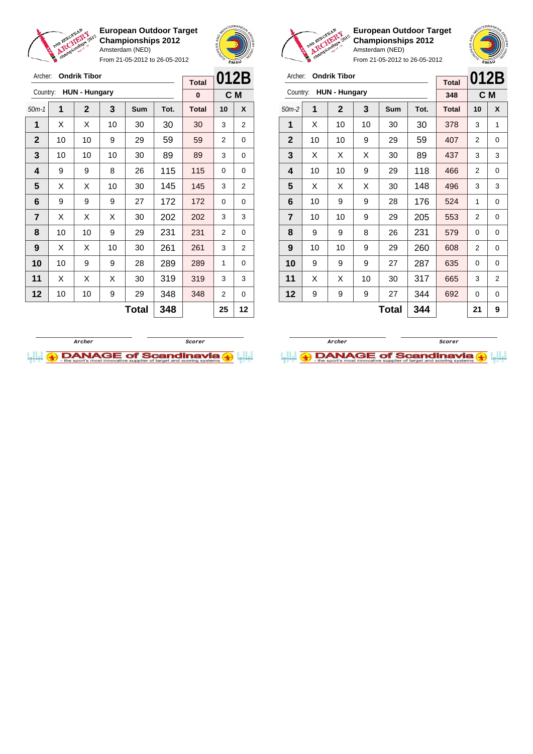

From 21-05-2012 to 26-05-2012



**European Outdoor Target Championships 2012** Amsterdam (NED)

|                |    |                      |    |              |      | <b>Total</b> | 012B           |                |
|----------------|----|----------------------|----|--------------|------|--------------|----------------|----------------|
| Country:       |    | <b>HUN - Hungary</b> |    |              |      | 348          |                | C M            |
| $50m-2$        | 1  | $\mathbf{2}$         | 3  | Sum          | Tot. | <b>Total</b> | 10             | X              |
| 1              | X  | 10                   | 10 | 30           | 30   | 378          | 3              | 1              |
| $\mathbf{2}$   | 10 | 10                   | 9  | 29           | 59   | 407          | $\overline{2}$ | 0              |
| 3              | X  | X                    | X  | 30           | 89   | 437          | 3              | 3              |
| 4              | 10 | 10                   | 9  | 29           | 118  | 466          | 2              | 0              |
| 5              | X  | X                    | X  | 30           | 148  | 496          | 3              | 3              |
| 6              | 10 | 9                    | 9  | 28           | 176  | 524          | 1              | 0              |
| $\overline{7}$ | 10 | 10                   | 9  | 29           | 205  | 553          | 2              | 0              |
| 8              | 9  | 9                    | 8  | 26           | 231  | 579          | 0              | 0              |
| 9              | 10 | 10                   | 9  | 29           | 260  | 608          | $\overline{2}$ | 0              |
| 10             | 9  | 9                    | 9  | 27           | 287  | 635          | $\Omega$       | 0              |
| 11             | X  | X                    | 10 | 30           | 317  | 665          | 3              | $\overline{2}$ |
| 12             | 9  | 9                    | 9  | 27           | 344  | 692          | 0              | 0              |
|                |    |                      |    | <b>Total</b> | 344  |              | 21             | 9              |





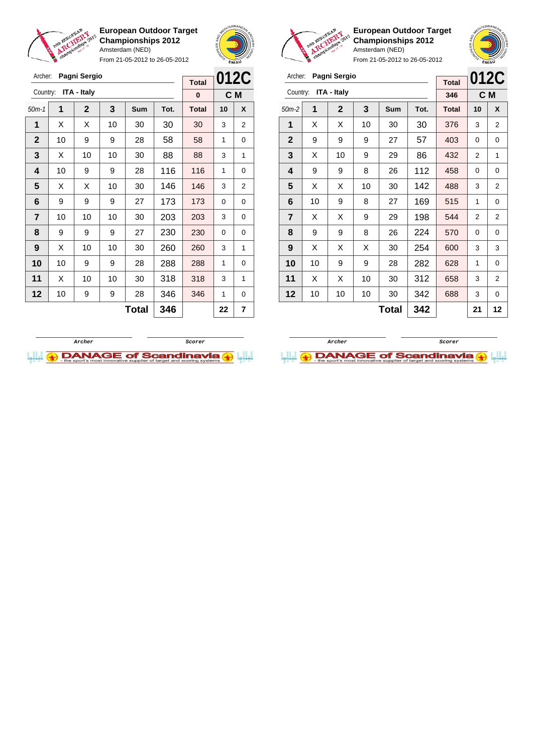

Archer: **Pagni Sergio**

**European Outdoor Target Championships 2012** Amsterdam (NED)

From 21-05-2012 to 26-05-2012



**012C**

**Total 0**



**European Outdoor Target Championships 2012** Amsterdam (NED)



|                | Pagni Sergio<br>Archer:<br><b>Total</b> |                    |    |     |      |              | 012C |                |
|----------------|-----------------------------------------|--------------------|----|-----|------|--------------|------|----------------|
| Country:       |                                         | <b>ITA - Italy</b> |    |     |      | 346          |      | C M            |
| $50m-2$        | 1                                       | 2                  | 3  | Sum | Tot. | <b>Total</b> | 10   | X              |
| 1              | X                                       | Х                  | 10 | 30  | 30   | 376          | 3    | 2              |
| $\mathbf{2}$   | 9                                       | 9                  | 9  | 27  | 57   | 403          | 0    | 0              |
| 3              | X                                       | 10                 | 9  | 29  | 86   | 432          | 2    | 1              |
| 4              | 9                                       | 9                  | 8  | 26  | 112  | 458          | 0    | 0              |
| 5              | X                                       | X                  | 10 | 30  | 142  | 488          | 3    | $\overline{2}$ |
| 6              | 10                                      | 9                  | 8  | 27  | 169  | 515          | 1    | 0              |
| $\overline{7}$ | X                                       | X                  | 9  | 29  | 198  | 544          | 2    | $\overline{2}$ |
| 8              | 9                                       | 9                  | 8  | 26  | 224  | 570          | 0    | 0              |
| 9              | X                                       | X                  | X  | 30  | 254  | 600          | 3    | 3              |
| 10             | 10                                      | 9                  | 9  | 28  | 282  | 628          | 1    | 0              |
| 11             | X                                       | X                  | 10 | 30  | 312  | 658          | 3    | $\overline{2}$ |
| 12             | 10                                      | 10                 | 10 | 30  | 342  | 688          | 3    | 0              |
|                | 342<br><b>Total</b>                     |                    |    |     |      |              | 21   | 12             |

| Country:     |    | <b>ITA - Italy</b> |    |       |      | $\bf{0}$     | C M |   |
|--------------|----|--------------------|----|-------|------|--------------|-----|---|
| $50m-1$      | 1  | $\mathbf 2$        | 3  | Sum   | Tot. | <b>Total</b> | 10  | X |
| 1            | X  | X                  | 10 | 30    | 30   | 30           | 3   | 2 |
| $\mathbf{2}$ | 10 | 9                  | 9  | 28    | 58   | 58           | 1   | 0 |
| 3            | X  | 10                 | 10 | 30    | 88   | 88           | 3   | 1 |
| 4            | 10 | 9                  | 9  | 28    | 116  | 116          | 1   | 0 |
| 5            | X  | X                  | 10 | 30    | 146  | 146          | 3   | 2 |
| 6            | 9  | 9                  | 9  | 27    | 173  | 173          | 0   | 0 |
| 7            | 10 | 10                 | 10 | 30    | 203  | 203          | 3   | 0 |
| 8            | 9  | 9                  | 9  | 27    | 230  | 230          | 0   | 0 |
| 9            | X  | 10                 | 10 | 30    | 260  | 260          | 3   | 1 |
| 10           | 10 | 9                  | 9  | 28    | 288  | 288          | 1   | 0 |
| 11           | X  | 10                 | 10 | 30    | 318  | 318          | 3   | 1 |
| 12           | 10 | 9                  | 9  | 28    | 346  | 346          | 1   | 0 |
|              |    |                    |    | Total | 346  |              | 22  | 7 |



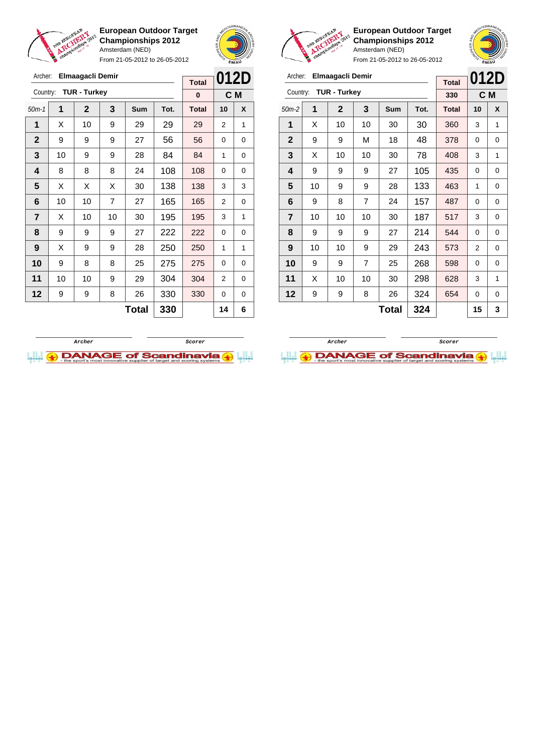

From 21-05-2012 to 26-05-2012





**European Outdoor Target Championships 2012** Amsterdam (NED)

|                | chami |                     | From 21-05-2012 to 26-05-2012 |     |      |              | EMAN |          |
|----------------|-------|---------------------|-------------------------------|-----|------|--------------|------|----------|
| Archer:        |       | Elmaagacli Demir    |                               |     |      | <b>Total</b> | 012D |          |
| Country:       |       | <b>TUR - Turkey</b> |                               |     |      | 330          |      | C M      |
| $50m-2$        | 1     | $\mathbf{2}$        | 3                             | Sum | Tot. | <b>Total</b> | 10   | X        |
| 1              | X     | 10                  | 10                            | 30  | 30   | 360          | 3    | 1        |
| $\mathbf{2}$   | 9     | 9                   | М                             | 18  | 48   | 378          | 0    | 0        |
| 3              | X     | 10                  | 10                            | 30  | 78   | 408          | 3    | 1        |
| 4              | 9     | 9                   | 9                             | 27  | 105  | 435          | 0    | 0        |
| 5              | 10    | 9                   | 9                             | 28  | 133  | 463          | 1    | 0        |
| 6              | 9     | 8                   | 7                             | 24  | 157  | 487          | 0    | $\Omega$ |
| $\overline{7}$ | 10    | 10                  | 10                            | 30  | 187  | 517          | 3    | $\Omega$ |
| 8              | 9     | 9                   | 9                             | 27  | 214  | 544          | 0    | 0        |

**Total 324 15 3**

| Archer:        |    | Elmaagacli Demir    |                |              |      |              | 012D           |     |
|----------------|----|---------------------|----------------|--------------|------|--------------|----------------|-----|
|                |    |                     |                |              |      | <b>Total</b> |                |     |
| Country:       |    | <b>TUR - Turkey</b> |                |              |      | 0            |                | C M |
| $50m-1$        | 1  | $\mathbf{2}$        | 3              | <b>Sum</b>   | Tot. | <b>Total</b> | 10             | X   |
| 1              | X  | 10                  | 9              | 29           | 29   | 29           | 2              | 1   |
| $\overline{2}$ | 9  | 9                   | 9              | 27           | 56   | 56           | 0              | 0   |
| 3              | 10 | 9                   | 9              | 28           | 84   | 84           | 1              | 0   |
| 4              | 8  | 8                   | 8              | 24           | 108  | 108          | 0              | 0   |
| 5              | X  | X                   | X              | 30           | 138  | 138          | 3              | 3   |
| 6              | 10 | 10                  | $\overline{7}$ | 27           | 165  | 165          | $\overline{2}$ | 0   |
| $\overline{7}$ | X  | 10                  | 10             | 30           | 195  | 195          | 3              | 1   |
| 8              | 9  | 9                   | 9              | 27           | 222  | 222          | 0              | 0   |
| 9              | X  | 9                   | 9              | 28           | 250  | 250          | 1              | 1   |
| 10             | 9  | 8                   | 8              | 25           | 275  | 275          | 0              | 0   |
| 11             | 10 | 10                  | 9              | 29           | 304  | 304          | 2              | 0   |
| 12             | 9  | 9                   | 8              | 26           | 330  | 330          | 0              | 0   |
|                |    |                     |                | <b>Total</b> | 330  |              | 14             | 6   |





 | 10 | 10 | 9 | 29 | 243 | 573 | 2 | 0 | 9 | 9 | 7 | 25 | 268 | 598 | 0 | 0 | X | 10 | 10 | 30 | 298 | 628 | 3 | 1 | 9 | 9 | 8 | 26 | 324 | 654 | 0 | 0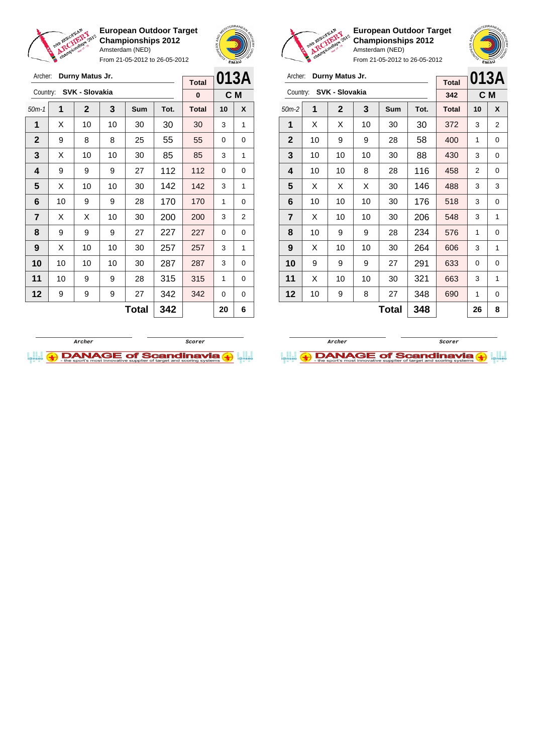

**European Outdoor Target Championships 2012** Amsterdam (NED) From 21-05-2012 to 26-05-2012





**European Outdoor Target Championships 2012** Amsterdam (NED)



| Archer:        |    | Durny Matus Jr. |    |              |      |              | 013A           |                |
|----------------|----|-----------------|----|--------------|------|--------------|----------------|----------------|
|                |    | SVK - Slovakia  |    |              |      | <b>Total</b> |                |                |
| Country:       |    |                 |    |              |      | 342          | C <sub>M</sub> |                |
| $50m-2$        | 1  | $\mathbf{2}$    | 3  | <b>Sum</b>   | Tot. | <b>Total</b> | 10             | X              |
| 1              | X  | X               | 10 | 30           | 30   | 372          | 3              | $\overline{2}$ |
| $\mathbf{2}$   | 10 | 9               | 9  | 28           | 58   | 400          | 1              | 0              |
| 3              | 10 | 10              | 10 | 30           | 88   | 430          | 3              | 0              |
| 4              | 10 | 10              | 8  | 28           | 116  | 458          | 2              | 0              |
| 5              | X  | X               | X  | 30           | 146  | 488          | 3              | 3              |
| 6              | 10 | 10              | 10 | 30           | 176  | 518          | 3              | 0              |
| $\overline{7}$ | X  | 10              | 10 | 30           | 206  | 548          | 3              | 1              |
| 8              | 10 | 9               | 9  | 28           | 234  | 576          | 1              | 0              |
| 9              | X  | 10              | 10 | 30           | 264  | 606          | 3              | 1              |
| 10             | 9  | 9               | 9  | 27           | 291  | 633          | 0              | 0              |
| 11             | X  | 10              | 10 | 30           | 321  | 663          | 3              | 1              |
| 12             | 10 | 9               | 8  | 27           | 348  | 690          | 1              | 0              |
|                |    |                 |    | <b>Total</b> | 348  |              | 26             | 8              |

| Archer:        |    | Durny Matus Jr. |    | <b>Total</b><br>0 |      |              | 013A |     |
|----------------|----|-----------------|----|-------------------|------|--------------|------|-----|
| Country:       |    | SVK - Slovakia  |    |                   |      |              |      | C M |
| $50m-1$        | 1  | $\mathbf 2$     | 3  | <b>Sum</b>        | Tot. | <b>Total</b> | 10   | X   |
| 1              | х  | 10              | 10 | 30                | 30   | 30           | 3    | 1   |
| $\mathbf{2}$   | 9  | 8               | 8  | 25                | 55   | 55           | 0    | 0   |
| 3              | X  | 10              | 10 | 30                | 85   | 85           | 3    | 1   |
| 4              | 9  | 9               | 9  | 27                | 112  | 112          | 0    | 0   |
| 5              | X  | 10              | 10 | 30                | 142  | 142          | 3    | 1   |
| 6              | 10 | 9               | 9  | 28                | 170  | 170          | 1    | 0   |
| $\overline{7}$ | X  | X               | 10 | 30                | 200  | 200          | 3    | 2   |
| 8              | 9  | 9               | 9  | 27                | 227  | 227          | 0    | 0   |
| 9              | X  | 10              | 10 | 30                | 257  | 257          | 3    | 1   |
| 10             | 10 | 10              | 10 | 30                | 287  | 287          | 3    | 0   |
| 11             | 10 | 9               | 9  | 28                | 315  | 315          | 1    | 0   |
| 12             | 9  | 9               | 9  | 27                | 342  | 342          | 0    | 0   |
|                |    |                 |    | Total             | 342  |              | 20   | 6   |
|                |    |                 |    |                   |      |              |      |     |



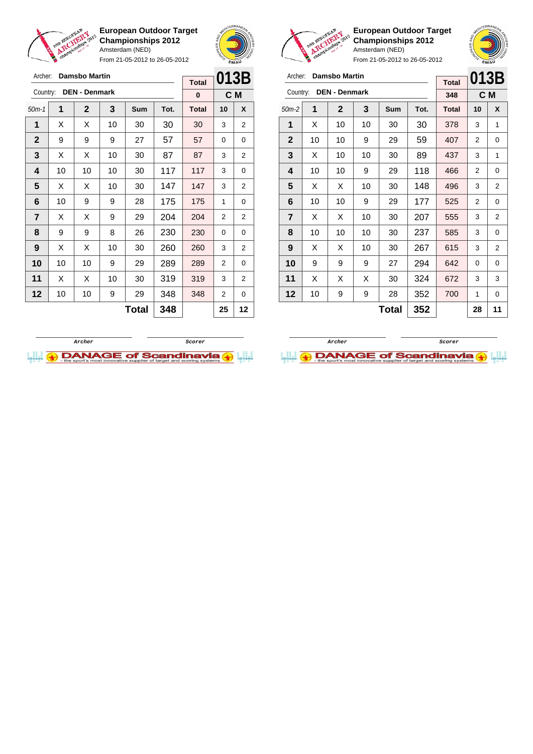

From 21-05-2012 to 26-05-2012





**European Outdoor Target Championships 2012** Amsterdam (NED)

| Archer:        |    | <b>Damsbo Martin</b> |    |              |      | <b>Total</b> | 013B |                |
|----------------|----|----------------------|----|--------------|------|--------------|------|----------------|
| Country:       |    | <b>DEN - Denmark</b> |    |              |      | 348          |      | C M            |
| $50m-2$        | 1  | $\mathbf{2}$         | 3  | Sum          | Tot. | <b>Total</b> | 10   | X              |
| 1              | X  | 10                   | 10 | 30           | 30   | 378          | 3    | 1              |
| $\mathbf{2}$   | 10 | 10                   | 9  | 29           | 59   | 407          | 2    | 0              |
| 3              | X  | 10                   | 10 | 30           | 89   | 437          | 3    | 1              |
| 4              | 10 | 10                   | 9  | 29           | 118  | 466          | 2    | 0              |
| 5              | X  | X                    | 10 | 30           | 148  | 496          | 3    | 2              |
| 6              | 10 | 10                   | 9  | 29           | 177  | 525          | 2    | 0              |
| $\overline{7}$ | X  | X                    | 10 | 30           | 207  | 555          | 3    | $\overline{2}$ |
| 8              | 10 | 10                   | 10 | 30           | 237  | 585          | 3    | 0              |
| 9              | X  | X                    | 10 | 30           | 267  | 615          | 3    | 2              |
| 10             | 9  | 9                    | 9  | 27           | 294  | 642          | 0    | 0              |
| 11             | X  | X                    | X  | 30           | 324  | 672          | 3    | 3              |
| 12             | 10 | 9                    | 9  | 28           | 352  | 700          | 1    | 0              |
|                |    |                      |    | <b>Total</b> | 352  |              | 28   | 11             |





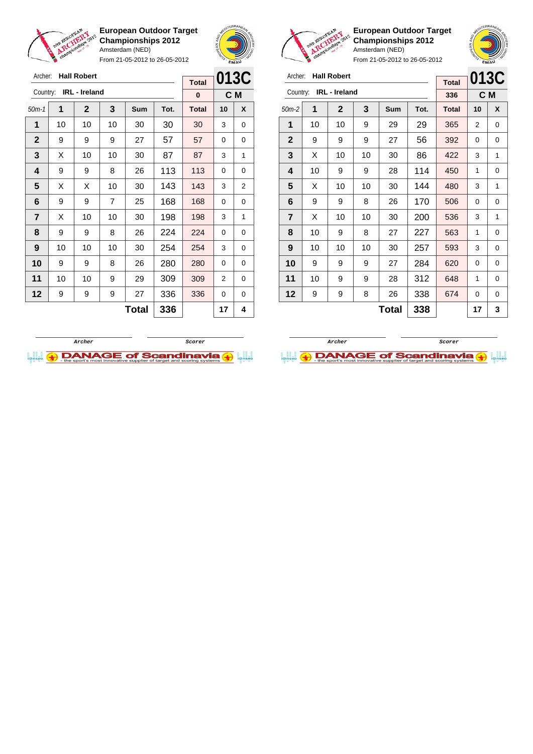

Archer: **Hall Robert** Country: **IRL - Ireland**

**European Outdoor Target Championships 2012** Amsterdam (NED)

From 21-05-2012 to 26-05-2012

50m-1 **1 2 3 Sum Tot. Total 10 X** | 10 | 10 | 10 | 30 | 30 | 30 | 3 | 0 | 9 | 9 | 9 | 27 | 57 | 57 | 0 | 0  $\mid$  X  $\mid$  10  $\mid$  10  $\mid$  30  $\mid$  87  $\mid$  87  $\mid$  3  $\mid$  1 | 9 | 9 | 8 | 26 | 113 | 113 | 0 | 0  $\mid$  X  $\mid$  X  $\mid$  10  $\mid$  30  $\mid$  143  $\mid$  143  $\mid$  3  $\mid$  2 | 9 | 9 | 7 | 25 | 168 | 168 | 0 | 0  $\mid$  X  $\mid$  10  $\mid$  10  $\mid$  30  $\mid$  198  $\mid$  198  $\mid$  3  $\mid$  1 | 9 | 9 | 8 | 26 | 224 | 224 | 0 | 0 | 10 | 10 | 10 | 30 | 254 | 254 | 3 | 0 9 9 8 26 280 280 0 0 | 10 | 10 | 9 | 29 | 309 | 309 | 2 | 0 | 9 | 9 | 9 | 27 | 336 | 336 | 0 | 0



**C M**

**Total 0**



**European Outdoor Target Championships 2012** Amsterdam (NED)

From 21-05-2012 to 26-05-2012

| $\sim$ $\sim$ $\sim$    |    |                    |    |            |                      |              |      |     |
|-------------------------|----|--------------------|----|------------|----------------------|--------------|------|-----|
| Archer:                 |    | <b>Hall Robert</b> |    |            |                      | <b>Total</b> | 013C |     |
| Country:                |    | IRL - Ireland      |    |            |                      | 336          |      | C M |
| $50m-2$                 | 1  | $\mathbf{2}$       | 3  | <b>Sum</b> | Tot.                 | <b>Total</b> | 10   | X   |
| 1                       | 10 | 10                 | 9  | 29         | 29                   | 365          | 2    | 0   |
| $\mathbf{2}$            | 9  | 9                  | 9  | 27         | 56                   | 392          | 0    | 0   |
| 3                       | X  | 10                 | 10 | 30         | 86                   | 422          | 3    | 1   |
| 4                       | 10 | 9                  | 9  | 28         | 114                  | 450          | 1    | 0   |
| 5                       | X  | 10                 | 10 | 30         | 144                  | 480          | 3    | 1   |
| 6                       | 9  | 9                  | 8  | 26         | 170                  | 506          | 0    | 0   |
| $\overline{\mathbf{r}}$ | X  | 10                 | 10 | 30         | 200                  | 536          | 3    | 1   |
| 8                       | 10 | 9                  | 8  | 27         | 227                  | 563          | 1    | 0   |
| 9                       | 10 | 10                 | 10 | 30         | 257                  | 593          | 3    | 0   |
| 10                      | 9  | 9                  | 9  | 27         | 284                  | 620          | 0    | 0   |
| 11                      | 10 | 9                  | 9  | 28         | 312                  | 648          | 1    | 0   |
| 12                      | 9  | 9                  | 8  | 26         | 338                  | 674          | 0    | 0   |
|                         |    |                    |    | - -        | $\sim$ $\sim$ $\sim$ |              |      |     |

**Total 338 17 3**



**Total 336 17 4**

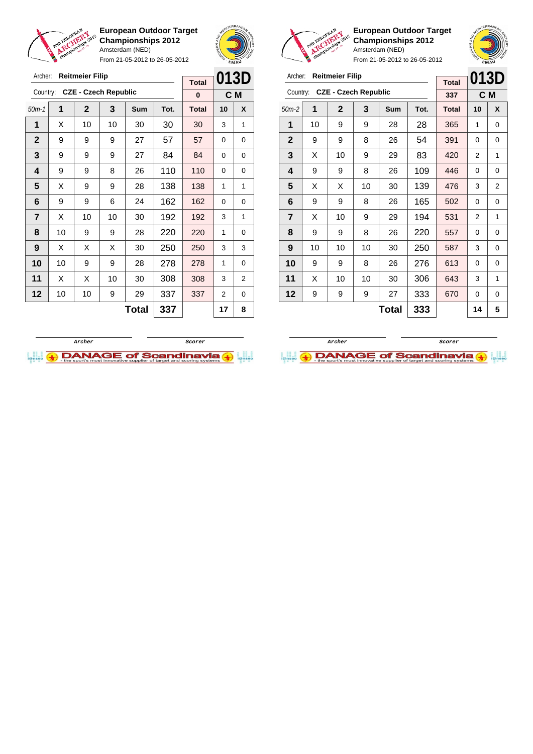

From 21-05-2012 to 26-05-2012



**European Outdoor Target Championships 2012** Amsterdam (NED)

| Archer:        |                     | <b>Reitmeier Filip</b>      |    |     |      | <b>Total</b> | 013D |     |
|----------------|---------------------|-----------------------------|----|-----|------|--------------|------|-----|
| Country:       |                     | <b>CZE - Czech Republic</b> |    |     |      | 337          |      | C M |
| $50m-2$        | 1                   | $\mathbf{2}$                | 3  | Sum | Tot. | <b>Total</b> | 10   | X   |
| 1              | 10                  | 9                           | 9  | 28  | 28   | 365          | 1    | 0   |
| $\mathbf{2}$   | 9                   | 9                           | 8  | 26  | 54   | 391          | 0    | 0   |
| 3              | X                   | 10                          | 9  | 29  | 83   | 420          | 2    | 1   |
| 4              | 9                   | 9                           | 8  | 26  | 109  | 446          | 0    | 0   |
| 5              | X                   | Х                           | 10 | 30  | 139  | 476          | 3    | 2   |
| 6              | 9                   | 9                           | 8  | 26  | 165  | 502          | 0    | 0   |
| $\overline{7}$ | X                   | 10                          | 9  | 29  | 194  | 531          | 2    | 1   |
| 8              | 9                   | 9                           | 8  | 26  | 220  | 557          | 0    | 0   |
| 9              | 10                  | 10                          | 10 | 30  | 250  | 587          | 3    | 0   |
| 10             | 9                   | 9                           | 8  | 26  | 276  | 613          | 0    | 0   |
| 11             | X                   | 10                          | 10 | 30  | 306  | 643          | 3    | 1   |
| 12             | 9                   | 9                           | 9  | 27  | 333  | 670          | 0    | 0   |
|                | 333<br><b>Total</b> |                             |    |     |      |              | 14   | 5   |





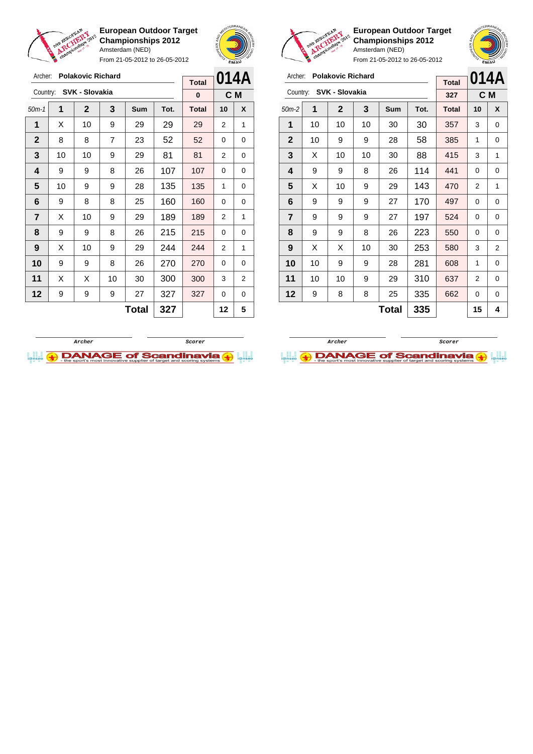

**European Outdoor Target Championships 2012** Amsterdam (NED) From 21-05-2012 to 26-05-2012





**European Outdoor Target Championships 2012** Amsterdam (NED)

| Archer:        |    | <b>Polakovic Richard</b> |    |     |      | <b>Total</b> | 014A |     |
|----------------|----|--------------------------|----|-----|------|--------------|------|-----|
| Country:       |    | SVK - Slovakia           |    |     |      | 327          |      | C M |
| $50m-2$        | 1  | $\mathbf 2$              | 3  | Sum | Tot. | <b>Total</b> | 10   | X   |
| 1              | 10 | 10                       | 10 | 30  | 30   | 357          | 3    | 0   |
| $\mathbf{2}$   | 10 | 9                        | 9  | 28  | 58   | 385          | 1    | 0   |
| 3              | X  | 10                       | 10 | 30  | 88   | 415          | 3    | 1   |
| 4              | 9  | 9                        | 8  | 26  | 114  | 441          | 0    | 0   |
| 5              | X  | 10                       | 9  | 29  | 143  | 470          | 2    | 1   |
| 6              | 9  | 9                        | 9  | 27  | 170  | 497          | 0    | 0   |
| $\overline{7}$ | 9  | 9                        | 9  | 27  | 197  | 524          | 0    | 0   |
| 8              | 9  | 9                        | 8  | 26  | 223  | 550          | 0    | 0   |
| 9              | X  | X                        | 10 | 30  | 253  | 580          | 3    | 2   |
| 10             | 10 | 9                        | 9  | 28  | 281  | 608          | 1    | 0   |
| 11             | 10 | 10                       | 9  | 29  | 310  | 637          | 2    | 0   |
| 12             | 9  | 8                        | 8  | 25  | 335  | 662          | 0    | 0   |
|                |    |                          |    | 15  | 4    |              |      |     |

| Archer:      |    | <b>Polakovic Richard</b> |    |     |      |              | 014A |     |
|--------------|----|--------------------------|----|-----|------|--------------|------|-----|
| Country:     |    | SVK - Slovakia           |    |     |      | <b>Total</b> |      |     |
|              |    |                          |    |     |      | 0            |      | C M |
| $50m-1$      | 1  | $\mathbf{2}$             | 3  | Sum | Tot. | <b>Total</b> | 10   | X   |
| 1            | X  | 10                       | 9  | 29  | 29   | 29           | 2    | 1   |
| $\mathbf{2}$ | 8  | 8                        | 7  | 23  | 52   | 52           | 0    | 0   |
| 3            | 10 | 10                       | 9  | 29  | 81   | 81           | 2    | 0   |
| 4            | 9  | 9                        | 8  | 26  | 107  | 107          | 0    | 0   |
| 5            | 10 | 9                        | 9  | 28  | 135  | 135          | 1    | 0   |
| 6            | 9  | 8                        | 8  | 25  | 160  | 160          | 0    | 0   |
| 7            | X  | 10                       | 9  | 29  | 189  | 189          | 2    | 1   |
| 8            | 9  | 9                        | 8  | 26  | 215  | 215          | 0    | 0   |
| 9            | X  | 10                       | 9  | 29  | 244  | 244          | 2    | 1   |
| 10           | 9  | 9                        | 8  | 26  | 270  | 270          | 0    | 0   |
| 11           | X  | X                        | 10 | 30  | 300  | 300          | 3    | 2   |
| 12           | 9  | 9                        | 9  | 27  | 327  | 327          | 0    | 0   |
|              |    |                          |    | 12  | 5    |              |      |     |



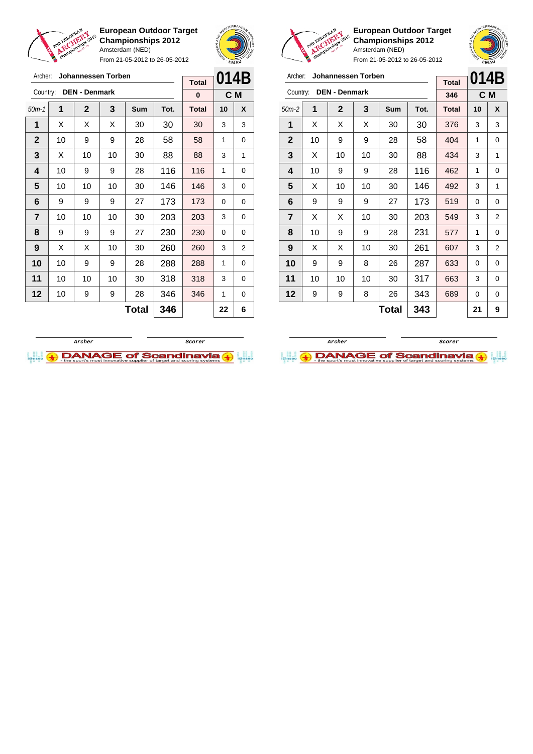

From 21-05-2012 to 26-05-2012





ſ

**European Outdoor Target Championships 2012** Amsterdam (NED)

| 014B<br>Archer:<br>Johannessen Torben<br><b>Total</b><br><b>DEN - Denmark</b><br>Country:<br>C M<br>346<br>1<br>$\mathbf{2}$<br>3<br>Tot.<br>Sum<br><b>Total</b><br>X<br>$50m-2$<br>10<br>1<br>X<br>30<br>X<br>X<br>30<br>376<br>3<br>3<br>$\mathbf{2}$<br>58<br>10<br>9<br>28<br>9<br>404<br>1<br>0<br>3<br>Х<br>88<br>434<br>10<br>10<br>30<br>3<br>1<br>4<br>116<br>10<br>9<br>9<br>28<br>462<br>1<br>0<br>5<br>X<br>10<br>10<br>30<br>146<br>492<br>3<br>1 |    |    |    |       |     |     |    |   |
|----------------------------------------------------------------------------------------------------------------------------------------------------------------------------------------------------------------------------------------------------------------------------------------------------------------------------------------------------------------------------------------------------------------------------------------------------------------|----|----|----|-------|-----|-----|----|---|
|                                                                                                                                                                                                                                                                                                                                                                                                                                                                |    |    |    |       |     |     |    |   |
|                                                                                                                                                                                                                                                                                                                                                                                                                                                                |    |    |    |       |     |     |    |   |
|                                                                                                                                                                                                                                                                                                                                                                                                                                                                |    |    |    |       |     |     |    |   |
|                                                                                                                                                                                                                                                                                                                                                                                                                                                                |    |    |    |       |     |     |    |   |
|                                                                                                                                                                                                                                                                                                                                                                                                                                                                |    |    |    |       |     |     |    |   |
|                                                                                                                                                                                                                                                                                                                                                                                                                                                                |    |    |    |       |     |     |    |   |
|                                                                                                                                                                                                                                                                                                                                                                                                                                                                |    |    |    |       |     |     |    |   |
| 6                                                                                                                                                                                                                                                                                                                                                                                                                                                              | 9  | 9  | 9  | 27    | 173 | 519 | 0  | 0 |
| $\overline{7}$                                                                                                                                                                                                                                                                                                                                                                                                                                                 | X  | X  | 10 | 30    | 203 | 549 | 3  | 2 |
| 8                                                                                                                                                                                                                                                                                                                                                                                                                                                              | 10 | 9  | 9  | 28    | 231 | 577 | 1  | 0 |
| 9                                                                                                                                                                                                                                                                                                                                                                                                                                                              | X  | X  | 10 | 30    | 261 | 607 | 3  | 2 |
| 10                                                                                                                                                                                                                                                                                                                                                                                                                                                             | 9  | 9  | 8  | 26    | 287 | 633 | 0  | 0 |
| 11                                                                                                                                                                                                                                                                                                                                                                                                                                                             | 10 | 10 | 10 | 30    | 317 | 663 | 3  | 0 |
| 12                                                                                                                                                                                                                                                                                                                                                                                                                                                             | 9  | 9  | 8  | 26    | 343 | 689 | 0  | 0 |
|                                                                                                                                                                                                                                                                                                                                                                                                                                                                |    |    |    | Total | 343 |     | 21 | 9 |





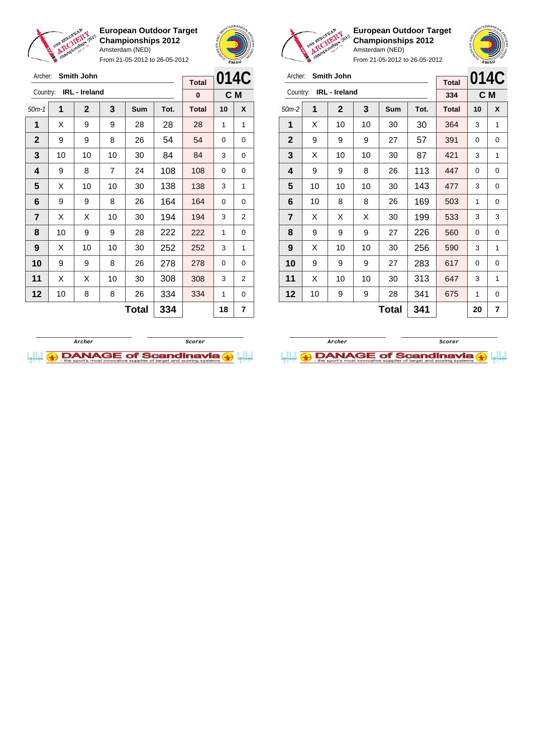





**European Outdoor Target Championships 2012** Amsterdam (NED)



| Archer:        |    | <b>Smith John</b> |    |              |      | <b>Total</b> | 014C     |     |
|----------------|----|-------------------|----|--------------|------|--------------|----------|-----|
| Country:       |    | IRL - Ireland     |    |              |      | 334          |          | C M |
| $50m-2$        | 1  | $\mathbf{2}$      | 3  | Sum          | Tot. | <b>Total</b> | 10       | X   |
| 1              | X  | 10                | 10 | 30           | 30   | 364          | 3        | 1   |
| $\mathbf{2}$   | 9  | 9                 | 9  | 27           | 57   | 391          | 0        | 0   |
| 3              | X  | 10                | 10 | 30           | 87   | 421          | 3        | 1   |
| 4              | 9  | 9                 | 8  | 26           | 113  | 447          | $\Omega$ | 0   |
| 5              | 10 | 10                | 10 | 30           | 143  | 477          | 3        | 0   |
| 6              | 10 | 8                 | 8  | 26           | 169  | 503          | 1        | 0   |
| $\overline{7}$ | X  | X                 | X  | 30           | 199  | 533          | 3        | 3   |
| 8              | 9  | 9                 | 9  | 27           | 226  | 560          | 0        | 0   |
| 9              | X  | 10                | 10 | 30           | 256  | 590          | 3        | 1   |
| 10             | 9  | 9                 | 9  | 27           | 283  | 617          | 0        | 0   |
| 11             | X  | 10                | 10 | 30           | 313  | 647          | 3        | 1   |
| 12             | 10 | 9                 | 9  | 28           | 341  | 675          | 1        | 0   |
|                |    |                   |    | <b>Total</b> | 341  |              | 20       | 7   |

| Archer:      |    | <b>Smith John</b>    |    |            |      |              |    | 014C |
|--------------|----|----------------------|----|------------|------|--------------|----|------|
|              |    |                      |    |            |      | <b>Total</b> |    |      |
| Country:     |    | <b>IRL</b> - Ireland |    |            |      | 0            |    | C M  |
| $50m-1$      | 1  | $\mathbf{2}$         | 3  | <b>Sum</b> | Tot. | <b>Total</b> | 10 | X    |
| 1            | X  | 9                    | 9  | 28         | 28   | 28           | 1  | 1    |
| $\mathbf{2}$ | 9  | 9                    | 8  | 26         | 54   | 54           | 0  | 0    |
| 3            | 10 | 10                   | 10 | 30         | 84   | 84           | 3  | 0    |
| 4            | 9  | 8                    | 7  | 24         | 108  | 108          | 0  | 0    |
| 5            | X  | 10                   | 10 | 30         | 138  | 138          | 3  | 1    |
| 6            | 9  | 9                    | 8  | 26         | 164  | 164          | 0  | 0    |
| 7            | х  | X                    | 10 | 30         | 194  | 194          | 3  | 2    |
| 8            | 10 | 9                    | 9  | 28         | 222  | 222          | 1  | 0    |
| 9            | X  | 10                   | 10 | 30         | 252  | 252          | 3  | 1    |
| 10           | 9  | 9                    | 8  | 26         | 278  | 278          | 0  | 0    |
| 11           | X  | X                    | 10 | 30         | 308  | 308          | 3  | 2    |
| 12           | 10 | 8                    | 8  | 26         | 334  | 334          | 1  | 0    |
|              |    |                      |    | 18         | 7    |              |    |      |



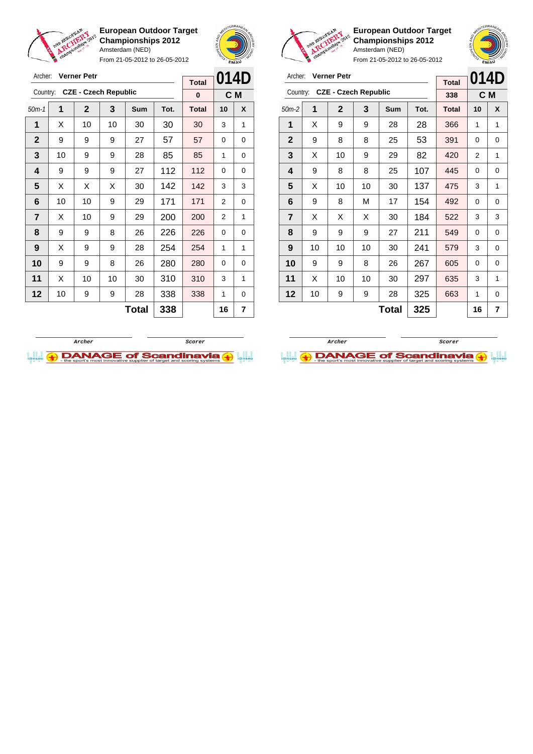

From 21-05-2012 to 26-05-2012



**European Outdoor Target Championships 2012** Amsterdam (NED)

|                         | Archer:<br><b>Verner Petr</b> |                             |    |     |      |                     | 014D |     |
|-------------------------|-------------------------------|-----------------------------|----|-----|------|---------------------|------|-----|
| Country:                |                               | <b>CZE - Czech Republic</b> |    |     |      | <b>Total</b><br>338 |      | C M |
| $50m-2$                 | 1                             | $\overline{2}$              | 3  | Sum | Tot. | <b>Total</b>        | 10   | X   |
| 1                       | X                             | 9                           | 9  | 28  | 28   | 366                 | 1    | 1   |
| $\mathbf{2}$            | 9                             | 8                           | 8  | 25  | 53   | 391                 | 0    | 0   |
| 3                       | X                             | 10                          | 9  | 29  | 82   | 420                 | 2    | 1   |
| 4                       | 9                             | 8                           | 8  | 25  | 107  | 445                 | 0    | 0   |
| 5                       | X                             | 10                          | 10 | 30  | 137  | 475                 | 3    | 1   |
| 6                       | 9                             | 8                           | М  | 17  | 154  | 492                 | 0    | 0   |
| $\overline{\mathbf{r}}$ | X                             | X                           | X  | 30  | 184  | 522                 | 3    | 3   |
| 8                       | 9                             | 9                           | 9  | 27  | 211  | 549                 | 0    | 0   |
| 9                       | 10                            | 10                          | 10 | 30  | 241  | 579                 | 3    | 0   |
| 10                      | 9                             | 9                           | 8  | 26  | 267  | 605                 | 0    | 0   |
| 11                      | X                             | 10                          | 10 | 30  | 297  | 635                 | 3    | 1   |
| 12                      | 10                            | 9                           | 9  | 28  | 325  | 663                 | 1    | 0   |
|                         | 325<br>Total                  |                             |    |     |      |                     | 16   | 7   |



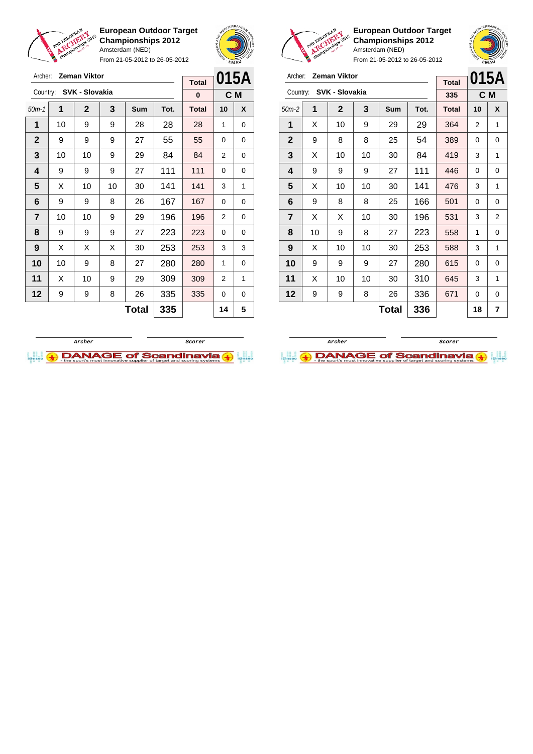

Archer: **Zeman Viktor** Country: **SVK - Slovakia**

**European Outdoor Target Championships 2012** Amsterdam (NED)

From 21-05-2012 to 26-05-2012

50m-1 **1 2 3 Sum Tot. Total 10 X** | 10 | 9 | 9 | 28 | 28 | 28 | 1 | 0 9 9 9 27 55 55 0 0 | 10 | 10 | 9 | 29 | 84 | 84 | 2 | 0 | 9 | 9 | 9 | 27 | 111 | 111 | 0 | 0  $\mid$  X  $\mid$  10  $\mid$  10  $\mid$  30  $\mid$  141  $\mid$  141  $\mid$  3  $\mid$  1



**C M**

**Total 0**

**European Outdoor Target Championships 2012** Amsterdam (NED)

| Archer:                 |              | <b>Zeman Viktor</b> |    |     |      | <b>Total</b> |    | 015A |
|-------------------------|--------------|---------------------|----|-----|------|--------------|----|------|
| Country:                |              | SVK - Slovakia      |    |     |      | 335          |    | C M  |
| $50m-2$                 | 1            | $\mathbf{2}$        | 3  | Sum | Tot. | <b>Total</b> | 10 | X    |
| 1                       | X            | 10                  | 9  | 29  | 29   | 364          | 2  | 1    |
| $\mathbf{2}$            | 9            | 8                   | 8  | 25  | 54   | 389          | 0  | 0    |
| 3                       | X            | 10                  | 10 | 30  | 84   | 419          | 3  | 1    |
| 4                       | 9            | 9                   | 9  | 27  | 111  | 446          | 0  | 0    |
| 5                       | X            | 10                  | 10 | 30  | 141  | 476          | 3  | 1    |
| 6                       | 9            | 8                   | 8  | 25  | 166  | 501          | 0  | 0    |
| $\overline{\mathbf{r}}$ | X            | X                   | 10 | 30  | 196  | 531          | 3  | 2    |
| 8                       | 10           | 9                   | 8  | 27  | 223  | 558          | 1  | 0    |
| 9                       | X            | 10                  | 10 | 30  | 253  | 588          | 3  | 1    |
| 10                      | 9            | 9                   | 9  | 27  | 280  | 615          | 0  | 0    |
| 11                      | X            | 10                  | 10 | 30  | 310  | 645          | 3  | 1    |
| 12                      | 9            | 9                   | 8  | 26  | 336  | 671          | 0  | 0    |
|                         | 336<br>Total |                     |    |     |      |              | 18 | 7    |





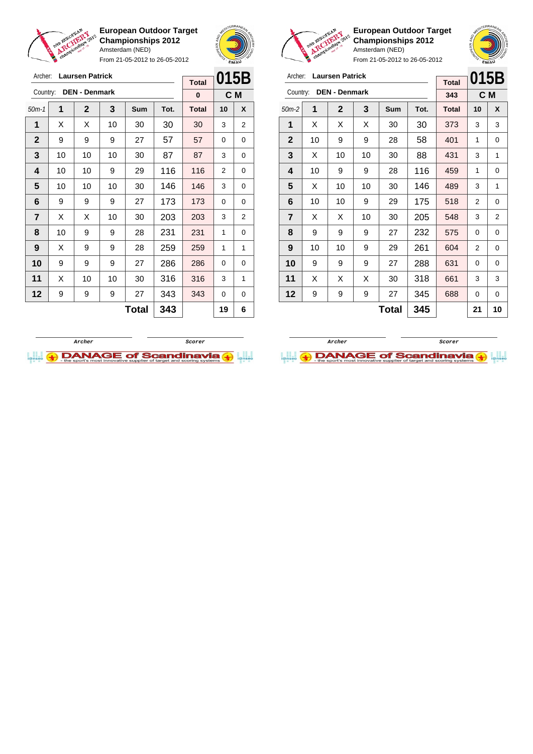

From 21-05-2012 to 26-05-2012





**European Outdoor Target Championships 2012** Amsterdam (NED)

| Archer:        |    | <b>Laursen Patrick</b> |     |     | <b>Total</b> | 015B         |          |                |
|----------------|----|------------------------|-----|-----|--------------|--------------|----------|----------------|
| Country:       |    | <b>DEN - Denmark</b>   |     |     |              | 343          |          | C M            |
| $50m-2$        | 1  | $\mathbf{2}$           | 3   | Sum | Tot.         | <b>Total</b> | 10       | X              |
| 1              | X  | X                      | X   | 30  | 30           | 373          | 3        | 3              |
| $\mathbf{2}$   | 10 | 9                      | 9   | 28  | 58           | 401          | 1        | 0              |
| 3              | X  | 10                     | 10  | 30  | 88           | 431          | 3        | 1              |
| 4              | 10 | 9                      | 9   | 28  | 116          | 459          | 1        | 0              |
| 5              | X  | 10                     | 10  | 30  | 146          | 489          | 3        | 1              |
| 6              | 10 | 10                     | 9   | 29  | 175          | 518          | 2        | 0              |
| $\overline{7}$ | X  | X                      | 10  | 30  | 205          | 548          | 3        | $\overline{2}$ |
| 8              | 9  | 9                      | 9   | 27  | 232          | 575          | $\Omega$ | 0              |
| 9              | 10 | 10                     | 9   | 29  | 261          | 604          | 2        | 0              |
| 10             | 9  | 9                      | 9   | 27  | 288          | 631          | 0        | 0              |
| 11             | X  | Х                      | X   | 30  | 318          | 661          | 3        | 3              |
| 12             | 9  | 9                      | 9   | 27  | 345          | 688          | 0        | 0              |
|                |    |                        | 345 |     | 21           | 10           |          |                |

| Archer:      |    | <b>Laursen Patrick</b> |    |     |      | <b>Total</b> | 015B           |                |
|--------------|----|------------------------|----|-----|------|--------------|----------------|----------------|
| Country:     |    | <b>DEN - Denmark</b>   |    |     |      | $\bf{0}$     |                | C <sub>M</sub> |
| $50m-1$      | 1  | $\mathbf{2}$           | 3  | Sum | Tot. | <b>Total</b> | 10             | X              |
| 1            | X  | Х                      | 10 | 30  | 30   | 30           | 3              | 2              |
| $\mathbf{2}$ | 9  | 9                      | 9  | 27  | 57   | 57           | 0              | 0              |
| 3            | 10 | 10                     | 10 | 30  | 87   | 87           | 3              | 0              |
| 4            | 10 | 10                     | 9  | 29  | 116  | 116          | $\overline{2}$ | 0              |
| 5            | 10 | 10                     | 10 | 30  | 146  | 146          | 3              | 0              |
| 6            | 9  | 9                      | 9  | 27  | 173  | 173          | 0              | 0              |
| 7            | X  | X                      | 10 | 30  | 203  | 203          | 3              | $\overline{2}$ |
| 8            | 10 | 9                      | 9  | 28  | 231  | 231          | 1              | 0              |
| 9            | X  | 9                      | 9  | 28  | 259  | 259          | 1              | 1              |
| 10           | 9  | 9                      | 9  | 27  | 286  | 286          | 0              | 0              |
| 11           | X  | 10                     | 10 | 30  | 316  | 316          | 3              | 1              |
| 12           | 9  | 9                      | 9  | 27  | 343  | 343          | 0              | 0              |
|              |    |                        |    | 19  | 6    |              |                |                |



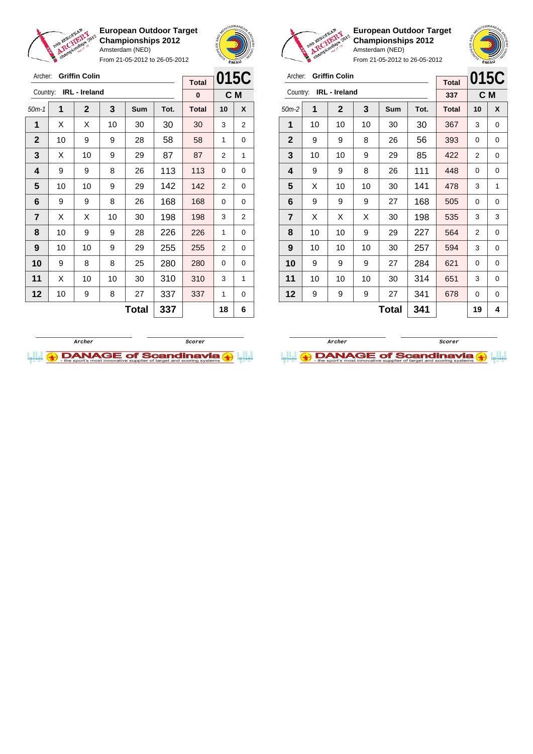

From 21-05-2012 to 26-05-2012



**European Outdoor Target Championships 2012** Amsterdam (NED)

From 21-05-2012 to 26-05-2012

| <b>Griffin Colin</b><br>Archer:<br><b>Total</b> |    |               |    |     |      |              | 015C           |   |
|-------------------------------------------------|----|---------------|----|-----|------|--------------|----------------|---|
| Country:                                        |    | IRL - Ireland |    |     |      | 337          | C M            |   |
| $50m-2$                                         | 1  | $\mathbf{2}$  | 3  | Sum | Tot. | <b>Total</b> | 10             | X |
| 1                                               | 10 | 10            | 10 | 30  | 30   | 367          | 3              | 0 |
| $\mathbf{2}$                                    | 9  | 9             | 8  | 26  | 56   | 393          | 0              | 0 |
| 3                                               | 10 | 10            | 9  | 29  | 85   | 422          | 2              | 0 |
| 4                                               | 9  | 9             | 8  | 26  | 111  | 448          | 0              | 0 |
| 5                                               | X  | 10            | 10 | 30  | 141  | 478          | 3              | 1 |
| 6                                               | 9  | 9             | 9  | 27  | 168  | 505          | 0              | 0 |
| $\overline{\mathbf{r}}$                         | X  | X             | X  | 30  | 198  | 535          | 3              | 3 |
| 8                                               | 10 | 10            | 9  | 29  | 227  | 564          | $\overline{2}$ | 0 |
| 9                                               | 10 | 10            | 10 | 30  | 257  | 594          | 3              | 0 |
| 10                                              | 9  | 9             | 9  | 27  | 284  | 621          | 0              | 0 |
| 11                                              | 10 | 10            | 10 | 30  | 314  | 651          | 3              | 0 |
| 12                                              | 9  | 9             | 9  | 27  | 341  | 678          | 0              | 0 |
|                                                 |    |               |    | 19  | 4    |              |                |   |



Archer: **Griffin Colin** Country: **IRL - Ireland 015C C M Total 0** 50m-1 **1 2 3 Sum Tot. Total 10 X 1**  $\mid$  X  $\mid$  X  $\mid$  10  $\mid$  30  $\mid$  30  $\mid$  30  $\mid$  3  $\mid$  2 **2** | 10 | 9 | 9 | 28 | 58 | 58 | 1 | 0 **3**  $\mid$  X  $\mid$  10  $\mid$  9  $\mid$  29  $\mid$  87  $\mid$  87  $\mid$  2  $\mid$  1 **4** | 9 | 9 | 8 | 26 | 113 | 113 | 0 | 0 **5** | 10 | 10 | 9 | 29 | 142 | 142 | 2 | 0 **6** | 9 | 9 | 8 | 26 | 168 | 168 | 0 | 0 **7**  $\mid$  X  $\mid$  X  $\mid$  10  $\mid$  30  $\mid$  198  $\mid$  198  $\mid$  3  $\mid$  2 **8** | 10 | 9 | 9 | 28 | 226 | 226 | 1 | 0 **9** | 10 | 10 | 9 | 29 | 255 | 255 | 2 | 0 **10** 9 8 8 25 280 280 0 0 **11** | X | 10 | 10 | 30 | 310 | 310 | 3 | 1 **12** | 10 | 9 | 8 | 27 | 337 | 337 | 1 | 0 **Total 337 18 6**

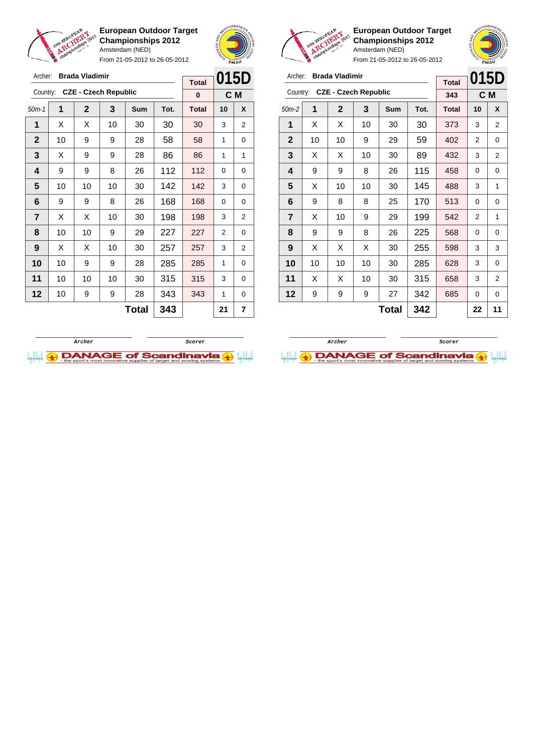

From 21-05-2012 to 26-05-2012





**European Outdoor Target Championships 2012** Amsterdam (NED)

|                | <b>Brada Vladimir</b><br>Archer: |              |                             |     |      |              | 015D |                |
|----------------|----------------------------------|--------------|-----------------------------|-----|------|--------------|------|----------------|
| Country:       |                                  |              | <b>CZE - Czech Republic</b> |     |      | 343          |      | C M            |
| $50m-2$        | 1                                | $\mathbf{2}$ | 3                           | Sum | Tot. | <b>Total</b> | 10   | X              |
| 1              | X                                | Х            | 10                          | 30  | 30   | 373          | 3    | 2              |
| $\mathbf{2}$   | 10                               | 10           | 9                           | 29  | 59   | 402          | 2    | 0              |
| 3              | X                                | Х            | 10                          | 30  | 89   | 432          | 3    | $\overline{2}$ |
| 4              | 9                                | 9            | 8                           | 26  | 115  | 458          | 0    | 0              |
| 5              | X                                | 10           | 10                          | 30  | 145  | 488          | 3    | 1              |
| 6              | 9                                | 8            | 8                           | 25  | 170  | 513          | 0    | 0              |
| $\overline{7}$ | X                                | 10           | 9                           | 29  | 199  | 542          | 2    | 1              |
| 8              | 9                                | 9            | 8                           | 26  | 225  | 568          | 0    | 0              |
| 9              | X                                | Х            | X                           | 30  | 255  | 598          | 3    | 3              |
| 10             | 10                               | 10           | 10                          | 30  | 285  | 628          | 3    | 0              |
| 11             | X                                | Х            | 10                          | 30  | 315  | 658          | 3    | $\overline{2}$ |
| 12             | 9                                | 9            | 9                           | 27  | 342  | 685          | 0    | 0              |
|                |                                  |              |                             | 22  | 11   |              |      |                |

| Archer:        |    | <b>Brada Vladimir</b> |                             |            | 015D |              |          |                |
|----------------|----|-----------------------|-----------------------------|------------|------|--------------|----------|----------------|
|                |    |                       |                             |            |      | <b>Total</b> |          |                |
| Country:       |    |                       | <b>CZE - Czech Republic</b> |            |      | $\bf{0}$     |          | C M            |
| $50m-1$        | 1  | $\mathbf{2}$          | 3                           | <b>Sum</b> | Tot. | <b>Total</b> | 10       | X              |
| 1              | X  | X                     | 10                          | 30         | 30   | 30           | 3        | $\overline{2}$ |
| $\mathbf{2}$   | 10 | 9                     | 9                           | 28         | 58   | 58           | 1        | 0              |
| 3              | X  | 9                     | 9                           | 28         | 86   | 86           | 1        | 1              |
| 4              | 9  | 9                     | 8                           | 26         | 112  | 112          | $\Omega$ | 0              |
| 5              | 10 | 10                    | 10                          | 30         | 142  | 142          | 3        | 0              |
| 6              | 9  | 9                     | 8                           | 26         | 168  | 168          | 0        | 0              |
| $\overline{7}$ | X  | Х                     | 10                          | 30         | 198  | 198          | 3        | $\overline{2}$ |
| 8              | 10 | 10                    | 9                           | 29         | 227  | 227          | 2        | 0              |
| 9              | X  | X                     | 10                          | 30         | 257  | 257          | 3        | 2              |
| 10             | 10 | 9                     | 9                           | 28         | 285  | 285          | 1        | 0              |
| 11             | 10 | 10                    | 10                          | 30         | 315  | 315          | 3        | 0              |
| 12             | 10 | 9                     | 9                           | 28         | 343  | 343          | 1        | 0              |
|                |    |                       |                             | Total      | 343  |              | 21       | 7              |



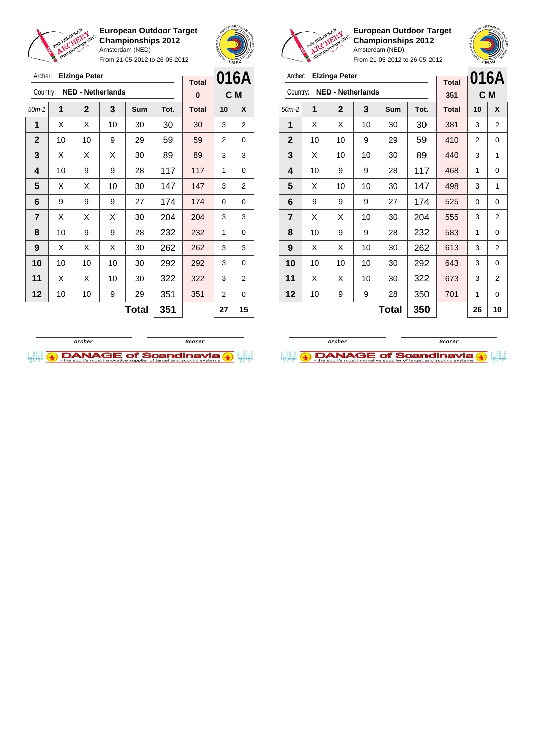

Archer: **Elzinga Peter**

**European Outdoor Target Championships 2012** Amsterdam (NED) From 21-05-2012 to 26-05-2012



**Total**

**European Outdoor Target Championships 2012** Amsterdam (NED)



| Archer:        |    | <b>Elzinga Peter</b>     |    | <b>Total</b> |      | 016A         |     |                |
|----------------|----|--------------------------|----|--------------|------|--------------|-----|----------------|
| Country:       |    | <b>NED - Netherlands</b> |    |              |      | 351          | C M |                |
| $50m-2$        | 1  | $\mathbf{2}$             | 3  | Sum          | Tot. | <b>Total</b> | 10  | X              |
| 1              | X  | Х                        | 10 | 30           | 30   | 381          | 3   | 2              |
| $\mathbf{2}$   | 10 | 10                       | 9  | 29           | 59   | 410          | 2   | 0              |
| 3              | X  | 10                       | 10 | 30           | 89   | 440          | 3   | 1              |
| 4              | 10 | 9                        | 9  | 28           | 117  | 468          | 1   | 0              |
| 5              | X  | 10                       | 10 | 30           | 147  | 498          | 3   | 1              |
| 6              | 9  | 9                        | 9  | 27           | 174  | 525          | 0   | 0              |
| $\overline{7}$ | X  | X                        | 10 | 30           | 204  | 555          | 3   | 2              |
| 8              | 10 | 9                        | 9  | 28           | 232  | 583          | 1   | 0              |
| 9              | X  | Х                        | 10 | 30           | 262  | 613          | 3   | 2              |
| 10             | 10 | 10                       | 10 | 30           | 292  | 643          | 3   | 0              |
| 11             | X  | Х                        | 10 | 30           | 322  | 673          | 3   | $\overline{2}$ |
| 12             | 10 | 9                        | 9  | 28           | 350  | 701          | 1   | 0              |
|                |    |                          |    | 26           | 10   |              |     |                |





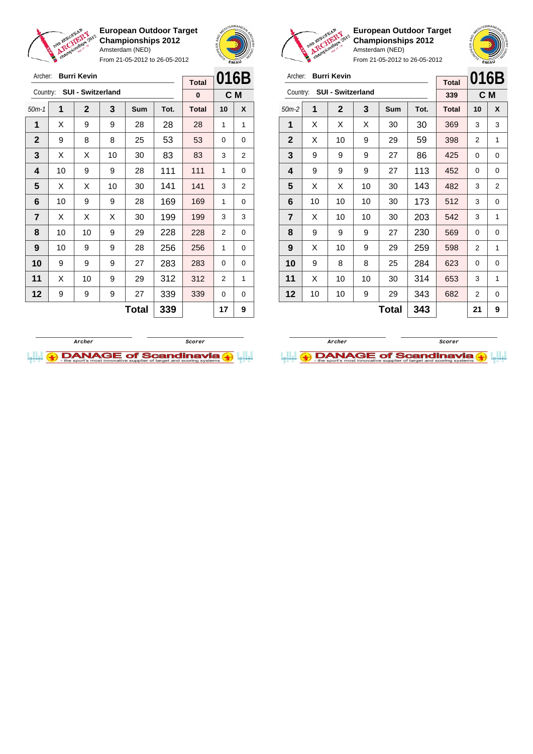

Archer: **Burri Kevin**

Country: **SUI - Switzerland**

**European Outdoor Target Championships 2012** Amsterdam (NED)

From 21-05-2012 to 26-05-2012

50m-1 **1 2 3 Sum Tot. Total 10 X 1**  $\mid$  X  $\mid$  9  $\mid$  9  $\mid$  28  $\mid$  28  $\mid$  28  $\mid$  1  $\mid$  1



**C M**

**Total 0**

**European Outdoor Target Championships 2012** Amsterdam (NED)

 $\overline{a}$ 

**016B**

From 21-05-2012 to 26-05-2012

| Archer: Burri Kevin |  |  |
|---------------------|--|--|
|                     |  |  |

|              |    |                   |    | <b>Total</b> | U I U D |              |                |   |
|--------------|----|-------------------|----|--------------|---------|--------------|----------------|---|
| Country:     |    | SUI - Switzerland |    |              |         | 339          | C <sub>M</sub> |   |
| $50m-2$      | 1  | $\mathbf{2}$      | 3  | Sum          | Tot.    | <b>Total</b> | 10             | X |
| 1            | X  | X                 | X  | 30           | 30      | 369          | 3              | 3 |
| $\mathbf{2}$ | X  | 10                | 9  | 29           | 59      | 398          | 2              | 1 |
| 3            | 9  | 9                 | 9  | 27           | 86      | 425          | 0              | 0 |
| 4            | 9  | 9                 | 9  | 27           | 113     | 452          | 0              | 0 |
| 5            | X  | х                 | 10 | 30           | 143     | 482          | 3              | 2 |
| 6            | 10 | 10                | 10 | 30           | 173     | 512          | 3              | 0 |
| 7            | X  | 10                | 10 | 30           | 203     | 542          | 3              | 1 |
| 8            | 9  | 9                 | 9  | 27           | 230     | 569          | 0              | 0 |
| 9            | X  | 10                | 9  | 29           | 259     | 598          | 2              | 1 |
| 10           | 9  | 8                 | 8  | 25           | 284     | 623          | 0              | 0 |
| 11           | X  | 10                | 10 | 30           | 314     | 653          | 3              | 1 |
| 12           | 10 | 10                | 9  | 29           | 343     | 682          | 2              | 0 |
|              |    |                   |    | <b>Total</b> | 343     |              | 21             | 9 |

**Archer Scorer**



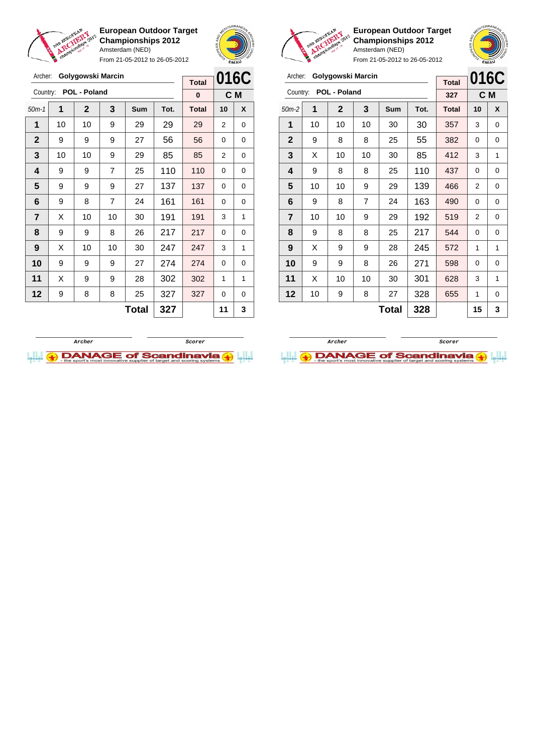

Archer: **Golygowski Marcin**

Country: **POL - Poland**

**European Outdoor Target Championships 2012** Amsterdam (NED)

From 21-05-2012 to 26-05-2012

50m-1 **1 2 3 Sum Tot. Total 10 X** | 10 | 10 | 9 | 29 | 29 | 29 | 2 | 0 | 9 | 9 | 9 | 27 | 56 | 56 | 0 | 0 | 10 | 10 | 9 | 29 | 85 | 85 | 2 | 0 | 9 | 9 | 7 | 25 | 110 | 110 | 0 | 0 9 9 9 27 137 137 0 0 | 9 | 8 | 7 | 24 | 161 | 161 | 0 | 0  $\begin{array}{|c|c|c|c|c|c|}\n\hline\n\textbf{7} & \textbf{X} & \textbf{10} & \textbf{10} & \textbf{30} & \textbf{191} & \textbf{191} & \textbf{3} & \textbf{1} & \textbf{1} \\
\hline\n\end{array}$  | 9 | 9 | 8 | 26 | 217 | 217 | 0 | 0 | X | 10 | 10 | 30 | **247** | **247** | 3 | 1 9 9 9 27 274 274 0 0 | X | 9 | 9 | 28 | 302 | 302 | 1 | 1 9 8 8 25 327 327 0 0



**C M**

**Total 0**



**European Outdoor Target Championships 2012** Amsterdam (NED)

|                         | chair |                   |                | From 21-05-2012 to 26-05-2012 | ans.<br><b>EMAU</b> |              |    |      |
|-------------------------|-------|-------------------|----------------|-------------------------------|---------------------|--------------|----|------|
| Archer:                 |       | Golygowski Marcin |                |                               |                     | <b>Total</b> |    | 016C |
| Country:                |       | POL - Poland      |                |                               |                     | 327          |    | C M  |
| $50m-2$                 | 1     | $\mathbf{2}$      | 3              | <b>Sum</b>                    | Tot.                | <b>Total</b> | 10 | X    |
| 1                       | 10    | 10                | 10             | 30                            | 30                  | 357          | 3  | 0    |
| $\mathbf{2}$            | 9     | 8                 | 8              | 25                            | 55                  | 382          | 0  | 0    |
| 3                       | X     | 10                | 10             | 30                            | 85                  | 412          | 3  | 1    |
| 4                       | 9     | 8                 | 8              | 25                            | 110                 | 437          | 0  | 0    |
| 5                       | 10    | 10                | 9              | 29                            | 139                 | 466          | 2  | 0    |
| 6                       | 9     | 8                 | $\overline{7}$ | 24                            | 163                 | 490          | 0  | 0    |
| $\overline{\mathbf{r}}$ | 10    | 10                | 9              | 29                            | 192                 | 519          | 2  | 0    |
| 8                       | 9     | 8                 | 8              | 25                            | 217                 | 544          | 0  | 0    |
| 9                       | X     | 9                 | 9              | 28                            | 245                 | 572          | 1  | 1    |
| 10                      | 9     | 9                 | 8              | 26                            | 271                 | 598          | 0  | 0    |
| 11                      | X     | 10                | 10             | 30                            | 301                 | 628          | 3  | 1    |
| 12                      | 10    | 9                 | 8              | 27                            | 328                 | 655          | 1  | 0    |

 $Total | 328 | 15 | 3$ 

**Archer Scorer**

**DANAGE of Scandinavia (+)** 



 $Total | 327 | 11 | 3$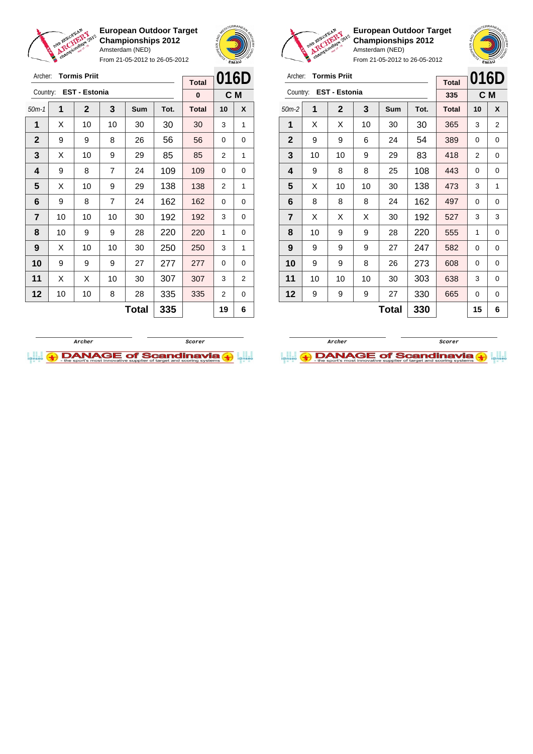

From 21-05-2012 to 26-05-2012





**European Outdoor Target Championships 2012** Amsterdam (NED)



| Archer: Tormis Priit            |  |
|---------------------------------|--|
| $Countu \in \text{CCT}$ Ectonia |  |

| Archer:        |    | <b>Tormis Priit</b>  |    | <b>Total</b> | 016D |              |     |   |  |
|----------------|----|----------------------|----|--------------|------|--------------|-----|---|--|
| Country:       |    | <b>EST - Estonia</b> |    |              |      | 335          | C M |   |  |
| $50m-2$        | 1  | $\mathbf 2$          | 3  | Sum          | Tot. | <b>Total</b> | 10  | X |  |
| 1              | X  | X                    | 10 | 30           | 30   | 365          | 3   | 2 |  |
| $\mathbf{2}$   | 9  | 9                    | 6  | 24           | 54   | 389          | 0   | 0 |  |
| 3              | 10 | 10                   | 9  | 29           | 83   | 418          | 2   | 0 |  |
| 4              | 9  | 8                    | 8  | 25           | 108  | 443          | 0   | 0 |  |
| 5              | X  | 10                   | 10 | 30           | 138  | 473          | 3   | 1 |  |
| 6              | 8  | 8                    | 8  | 24           | 162  | 497          | 0   | 0 |  |
| $\overline{7}$ | X  | X                    | X  | 30           | 192  | 527          | 3   | 3 |  |
| 8              | 10 | 9                    | 9  | 28           | 220  | 555          | 1   | 0 |  |
| 9              | 9  | 9                    | 9  | 27           | 247  | 582          | 0   | 0 |  |
| 10             | 9  | 9                    | 8  | 26           | 273  | 608          | 0   | 0 |  |
| 11             | 10 | 10                   | 10 | 30           | 303  | 638          | 3   | 0 |  |
| 12             | 9  | 9                    | 9  | 27           | 330  | 665          | 0   | 0 |  |
|                |    |                      |    | <b>Total</b> | 330  |              | 15  | 6 |  |



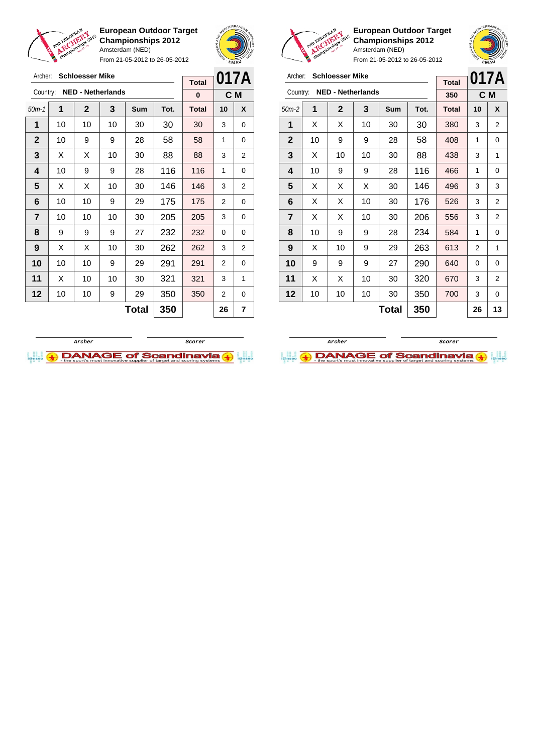

**European Outdoor Target Championships 2012** Amsterdam (NED) From 21-05-2012 to 26-05-2012





**European Outdoor Target Championships 2012** Amsterdam (NED)

**017A**

|                |    |                          |    |              |      |              |                | <b>EMAV</b>    |
|----------------|----|--------------------------|----|--------------|------|--------------|----------------|----------------|
| Archer:        |    | <b>Schloesser Mike</b>   |    |              |      | <b>Total</b> | 017A           |                |
| Country:       |    | <b>NED - Netherlands</b> |    |              |      | 350          | C M            |                |
| $50m-2$        | 1  | $\mathbf 2$              | 3  | Sum          | Tot. | <b>Total</b> | 10             | X              |
| 1              | X  | х                        | 10 | 30           | 30   | 380          | 3              | 2              |
| $\mathbf{2}$   | 10 | 9                        | 9  | 28           | 58   | 408          | 1              | 0              |
| 3              | X  | 10                       | 10 | 30           | 88   | 438          | 3              | 1              |
| 4              | 10 | 9                        | 9  | 28           | 116  | 466          | 1              | 0              |
| 5              | X  | х                        | Χ  | 30           | 146  | 496          | 3              | 3              |
| 6              | X  | х                        | 10 | 30           | 176  | 526          | 3              | 2              |
| $\overline{7}$ | X  | X                        | 10 | 30           | 206  | 556          | 3              | $\overline{c}$ |
| 8              | 10 | 9                        | 9  | 28           | 234  | 584          | 1              | 0              |
| 9              | X  | 10                       | 9  | 29           | 263  | 613          | $\overline{2}$ | 1              |
| 10             | 9  | 9                        | 9  | 27           | 290  | 640          | 0              | 0              |
| 11             | X  | х                        | 10 | 30           | 320  | 670          | 3              | 2              |
| 12             | 10 | 10                       | 10 | 30           | 350  | 700          | 3              | 0              |
|                |    |                          |    | <b>Total</b> | 350  |              | 26             | 13             |

| Archer:        |    | <b>Schloesser Mike</b>   |    |       |      | 017A         |    |                |
|----------------|----|--------------------------|----|-------|------|--------------|----|----------------|
|                |    |                          |    |       |      | <b>Total</b> |    |                |
| Country:       |    | <b>NED - Netherlands</b> |    |       |      | 0            |    | C M            |
| $50m-1$        | 1  | $\mathbf{2}$             | 3  | Sum   | Tot. | <b>Total</b> | 10 | X              |
| 1              | 10 | 10                       | 10 | 30    | 30   | 30           | 3  | 0              |
| $\mathbf{2}$   | 10 | 9                        | 9  | 28    | 58   | 58           | 1  | 0              |
| 3              | X  | X                        | 10 | 30    | 88   | 88           | 3  | $\overline{2}$ |
| 4              | 10 | 9                        | 9  | 28    | 116  | 116          | 1  | 0              |
| 5              | X  | X                        | 10 | 30    | 146  | 146          | 3  | 2              |
| 6              | 10 | 10                       | 9  | 29    | 175  | 175          | 2  | 0              |
| $\overline{7}$ | 10 | 10                       | 10 | 30    | 205  | 205          | 3  | 0              |
| 8              | 9  | 9                        | 9  | 27    | 232  | 232          | 0  | 0              |
| 9              | Х  | Х                        | 10 | 30    | 262  | 262          | 3  | $\overline{2}$ |
| 10             | 10 | 10                       | 9  | 29    | 291  | 291          | 2  | 0              |
| 11             | Х  | 10                       | 10 | 30    | 321  | 321          | 3  | 1              |
| 12             | 10 | 10                       | 9  | 29    | 350  | 350          | 2  | 0              |
|                |    |                          |    | Total | 350  |              | 26 | 7              |



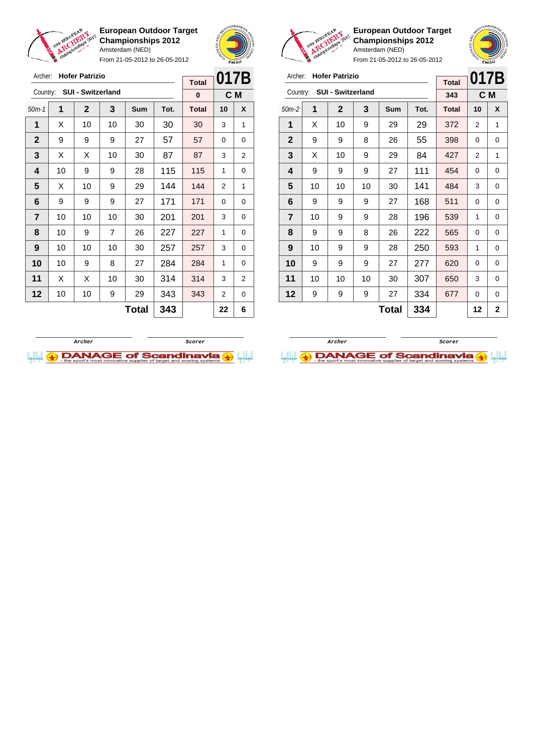

From 21-05-2012 to 26-05-2012





**European Outdoor Target Championships 2012** Amsterdam (NED)

 $\overline{a}$ 

**017B**

| Archer: Hofer Patrizio |  |
|------------------------|--|
|                        |  |

|                |    |                   |    | <b>Total</b> | 0 I I D |              |          |                |
|----------------|----|-------------------|----|--------------|---------|--------------|----------|----------------|
| Country:       |    | SUI - Switzerland |    |              |         | 343          |          | C M            |
| $50m-2$        | 1  | $\mathbf{2}$      | 3  | Sum          | Tot.    | <b>Total</b> | 10       | X              |
| 1              | X  | 10                | 9  | 29           | 29      | 372          | 2        | 1              |
| $\mathbf{2}$   | 9  | 9                 | 8  | 26           | 55      | 398          | $\Omega$ | 0              |
| 3              | X  | 10                | 9  | 29           | 84      | 427          | 2        | 1              |
| 4              | 9  | 9                 | 9  | 27           | 111     | 454          | 0        | 0              |
| 5              | 10 | 10                | 10 | 30           | 141     | 484          | 3        | 0              |
| 6              | 9  | 9                 | 9  | 27           | 168     | 511          | 0        | 0              |
| $\overline{7}$ | 10 | 9                 | 9  | 28           | 196     | 539          | 1        | 0              |
| 8              | 9  | 9                 | 8  | 26           | 222     | 565          | 0        | 0              |
| 9              | 10 | 9                 | 9  | 28           | 250     | 593          | 1        | 0              |
| 10             | 9  | 9                 | 9  | 27           | 277     | 620          | 0        | 0              |
| 11             | 10 | 10                | 10 | 30           | 307     | 650          | 3        | 0              |
| 12             | 9  | 9                 | 9  | 27           | 334     | 677          | 0        | 0              |
|                |    |                   |    | <b>Total</b> | 334     |              | 12       | $\overline{2}$ |





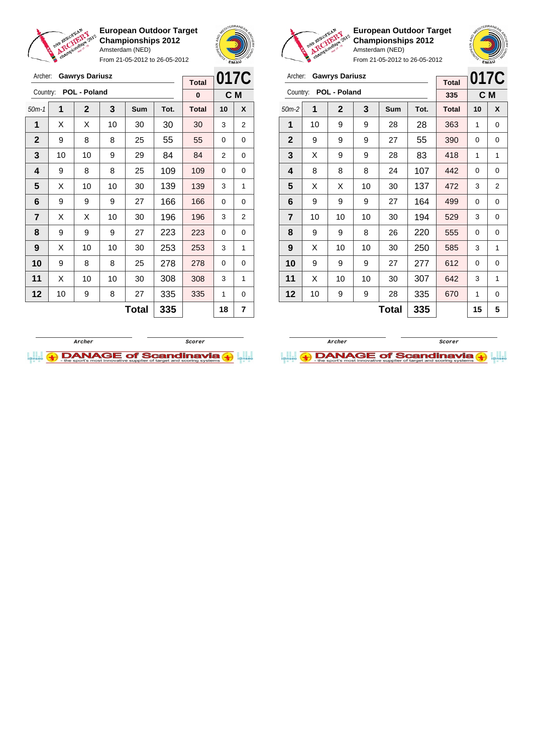

Archer: **Gawrys Dariusz**

**European Outdoor Target Championships 2012** Amsterdam (NED)

From 21-05-2012 to 26-05-2012





**European Outdoor Target Championships 2012** Amsterdam (NED)



| Archer:        |    | <b>Gawrys Dariusz</b> |    |              |      | <b>Total</b> | 017C |                |
|----------------|----|-----------------------|----|--------------|------|--------------|------|----------------|
| Country:       |    | POL - Poland          |    |              |      | 335          | C M  |                |
| $50m-2$        | 1  | $\mathbf 2$           | 3  | Sum          | Tot. | <b>Total</b> | 10   | X              |
| 1              | 10 | 9                     | 9  | 28           | 28   | 363          | 1    | 0              |
| $\mathbf{2}$   | 9  | 9                     | 9  | 27           | 55   | 390          | 0    | 0              |
| 3              | X  | 9                     | 9  | 28           | 83   | 418          | 1    | 1              |
| 4              | 8  | 8                     | 8  | 24           | 107  | 442          | 0    | 0              |
| 5              | X  | X                     | 10 | 30           | 137  | 472          | 3    | $\overline{2}$ |
| 6              | 9  | 9                     | 9  | 27           | 164  | 499          | 0    | 0              |
| $\overline{7}$ | 10 | 10                    | 10 | 30           | 194  | 529          | 3    | $\mathbf 0$    |
| 8              | 9  | 9                     | 8  | 26           | 220  | 555          | 0    | $\mathbf 0$    |
| 9              | X  | 10                    | 10 | 30           | 250  | 585          | 3    | 1              |
| 10             | 9  | 9                     | 9  | 27           | 277  | 612          | 0    | $\mathbf 0$    |
| 11             | X  | 10                    | 10 | 30           | 307  | 642          | 3    | 1              |
| 12             | 10 | 9                     | 9  | 28           | 335  | 670          | 1    | $\mathbf 0$    |
|                |    |                       |    | <b>Total</b> | 335  |              | 15   | 5              |





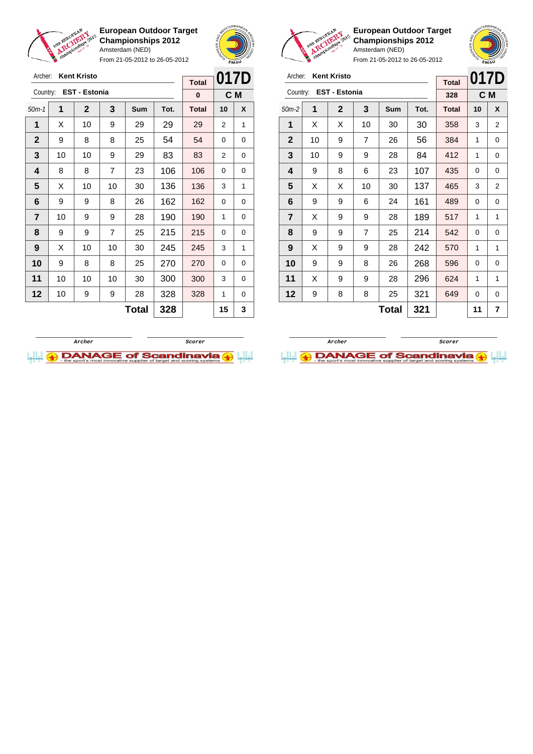

Archer: **Kent Kristo**

**European Outdoor Target Championships 2012** Amsterdam (NED)

From 21-05-2012 to 26-05-2012



**European Outdoor Target Championships 2012** Amsterdam (NED)

| Archer: Kent Kristo    |
|------------------------|
| Country: EST - Estonia |

|                | Archer:<br><b>Kent Kristo</b><br><b>Total</b> |                      |                |       |      |              | 017D |   |
|----------------|-----------------------------------------------|----------------------|----------------|-------|------|--------------|------|---|
| Country:       |                                               | <b>EST - Estonia</b> |                | 328   |      | C M          |      |   |
| $50m-2$        | 1                                             | $\mathbf{2}$         | 3              | Sum   | Tot. | <b>Total</b> | 10   | X |
| 1              | X                                             | X                    | 10             | 30    | 30   | 358          | 3    | 2 |
| $\mathbf{2}$   | 10                                            | 9                    | $\overline{7}$ | 26    | 56   | 384          | 1    | 0 |
| 3              | 10                                            | 9                    | 9              | 28    | 84   | 412          | 1    | 0 |
| 4              | 9                                             | 8                    | 6              | 23    | 107  | 435          | 0    | 0 |
| 5              | X                                             | X                    | 10             | 30    | 137  | 465          | 3    | 2 |
| 6              | 9                                             | 9                    | 6              | 24    | 161  | 489          | 0    | 0 |
| $\overline{7}$ | X                                             | 9                    | 9              | 28    | 189  | 517          | 1    | 1 |
| 8              | 9                                             | 9                    | 7              | 25    | 214  | 542          | 0    | 0 |
| 9              | X                                             | 9                    | 9              | 28    | 242  | 570          | 1    | 1 |
| 10             | 9                                             | 9                    | 8              | 26    | 268  | 596          | 0    | 0 |
| 11             | X                                             | 9                    | 9              | 28    | 296  | 624          | 1    | 1 |
| 12             | 9                                             | 8                    | 8              | 25    | 321  | 649          | 0    | 0 |
|                |                                               |                      |                | Total | 321  |              | 11   | 7 |

| Archer:      |                      | <b>Kent Kristo</b> | <b>Total</b>   | 017D         |      |              |    |   |
|--------------|----------------------|--------------------|----------------|--------------|------|--------------|----|---|
| Country:     | <b>EST - Estonia</b> | $\bf{0}$           |                | C M          |      |              |    |   |
| $50m-1$      | 1                    | $\mathbf 2$        | 3              | Sum          | Tot. | <b>Total</b> | 10 | X |
| 1            | X                    | 10                 | 9              | 29           | 29   | 29           | 2  | 1 |
| $\mathbf{2}$ | 9                    | 8                  | 8              | 25           | 54   | 54           | 0  | 0 |
| 3            | 10                   | 10                 | 9              | 29           | 83   | 83           | 2  | 0 |
| 4            | 8                    | 8                  | 7              | 23           | 106  | 106          | 0  | 0 |
| 5            | X                    | 10                 | 10             | 30           | 136  | 136          | 3  | 1 |
| 6            | 9                    | 9                  | 8              | 26           | 162  | 162          | 0  | 0 |
| 7            | 10                   | 9                  | 9              | 28           | 190  | 190          | 1  | 0 |
| 8            | 9                    | 9                  | $\overline{7}$ | 25           | 215  | 215          | 0  | 0 |
| 9            | X                    | 10                 | 10             | 30           | 245  | 245          | 3  | 1 |
| 10           | 9                    | 8                  | 8              | 25           | 270  | 270          | 0  | 0 |
| 11           | 10                   | 10                 | 10             | 30           | 300  | 300          | 3  | 0 |
| 12           | 10                   | 9                  | 9              | 28           | 328  | 328          | 1  | 0 |
|              |                      |                    |                | <b>Total</b> | 328  |              | 15 | 3 |



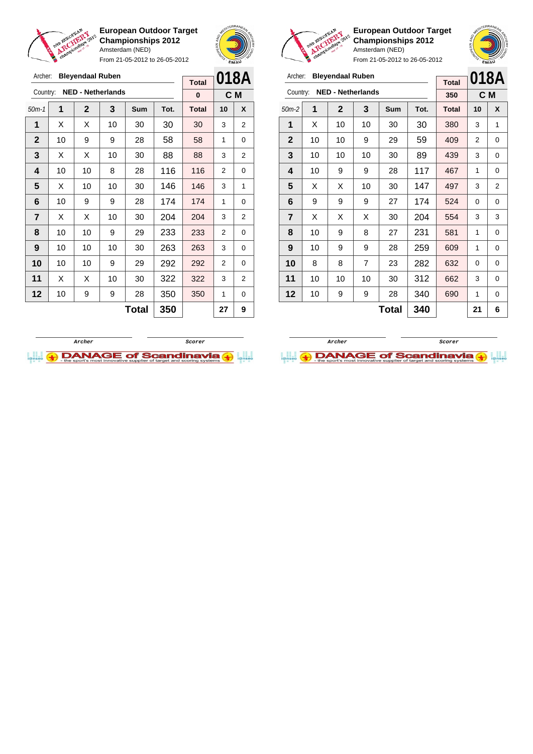

Archer: **Bleyendaal Ruben** Country: **NED - Netherlands**

**European Outdoor Target Championships 2012** Amsterdam (NED) From 21-05-2012 to 26-05-2012

50m-1 **1 2 3 Sum Tot. Total 10 X**  $\mid$  X  $\mid$  X  $\mid$  10  $\mid$  30  $\mid$  30  $\mid$  30  $\mid$  3  $\mid$  2 | 10 | 9 | 9 | 28 | 58 | 58 | 1 | 0  $\mid$  X  $\mid$  X  $\mid$  10  $\mid$  30  $\mid$  88  $\mid$  88  $\mid$  3  $\mid$  2 | 10 | 10 | 8 | 28 | 116 | 116 | 2 | 0  $\mid$  X  $\mid$  10  $\mid$  10  $\mid$  30  $\mid$  146  $\mid$  146  $\mid$  3  $\mid$  1 | 10 | 9 | 9 | 28 | 174 | 174 | 1 | 0  $\mid$  X  $\mid$  X  $\mid$  10  $\mid$  30  $\mid$  204  $\mid$  204  $\mid$  3  $\mid$  2 | 10 | 10 | 9 | 29 | 233 | 233 | 2 | 0 | 10 | 10 | 10 | 30 | **263 | 263 |** 3 | 0 | 10 | 10 | 9 | 29 | 292 | 292 | 2 | 0



**C M**

**Total 0**



**European Outdoor Target Championships 2012** Amsterdam (NED)

From 21-05-2012 to 26-05-2012

| Archer:        | <b>Total</b>             |              | 018A           |              |      |              |    |   |
|----------------|--------------------------|--------------|----------------|--------------|------|--------------|----|---|
| Country:       | <b>NED - Netherlands</b> | 350          | C M            |              |      |              |    |   |
| $50m-2$        | 1                        | $\mathbf{2}$ | 3              | Sum          | Tot. | <b>Total</b> | 10 | X |
| 1              | X                        | 10           | 10             | 30           | 30   | 380          | 3  | 1 |
| $\mathbf{2}$   | 10                       | 10           | 9              | 29           | 59   | 409          | 2  | 0 |
| 3              | 10                       | 10           | 10             | 30           | 89   | 439          | 3  | 0 |
| 4              | 10                       | 9            | 9              | 28           | 117  | 467          | 1  | 0 |
| 5              | X                        | X            | 10             | 30           | 147  | 497          | 3  | 2 |
| 6              | 9                        | 9            | 9              | 27           | 174  | 524          | 0  | 0 |
| $\overline{7}$ | X                        | X            | X              | 30           | 204  | 554          | 3  | 3 |
| 8              | 10                       | 9            | 8              | 27           | 231  | 581          | 1  | 0 |
| 9              | 10                       | 9            | 9              | 28           | 259  | 609          | 1  | 0 |
| 10             | 8                        | 8            | $\overline{7}$ | 23           | 282  | 632          | 0  | 0 |
| 11             | 10                       | 10           | 10             | 30           | 312  | 662          | 3  | 0 |
| 12             | 10                       | 9            | 9              | 28           | 340  | 690          | 1  | 0 |
|                |                          |              |                | <b>Total</b> | 340  |              | 21 | 6 |

**11** | X | X | 10 | 30 | 322 | 322 | 3 | 2 **12** | 10 | 9 | 9 | 28 | 350 | 350 | 1 | 0 **Total 350 27 9**



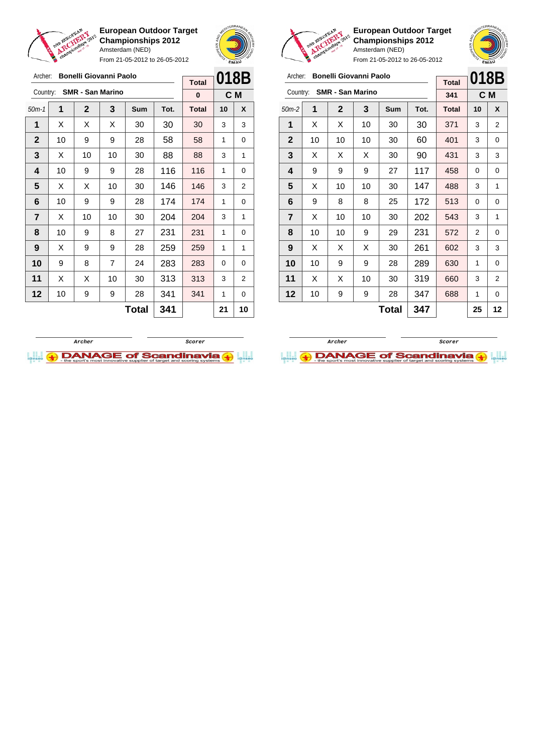

From 21-05-2012 to 26-05-2012





**European Outdoor Target Championships 2012** Amsterdam (NED)

**018B C M**

From 21-05-2012 to 26-05-2012 **Bonelli Giovanni Paolo** 

| Archer:        |                 |                | <b>Bonelli Giovanni Paolo</b> |       |      |              |          |                  | Bonelli Giovanni Paolo<br>Archer:   |    |                |    |              |      |                |      |                |
|----------------|-----------------|----------------|-------------------------------|-------|------|--------------|----------|------------------|-------------------------------------|----|----------------|----|--------------|------|----------------|------|----------------|
|                |                 |                |                               |       |      | <b>Total</b> |          | 018B             |                                     |    |                |    |              |      | <b>Total</b>   | 018E |                |
| Country:       |                 |                | <b>SMR - San Marino</b>       |       |      | $\bf{0}$     |          | C M              | <b>SMR - San Marino</b><br>Country: |    |                |    |              | 341  | C <sub>M</sub> |      |                |
| $50m-1$        | 1               | $\overline{2}$ | 3                             | Sum   | Tot. | <b>Total</b> | 10       | $\boldsymbol{x}$ | $50m-2$                             | 1  | $\overline{2}$ | 3  | <b>Sum</b>   | Tot. | <b>Total</b>   | 10   | X              |
| 1              | X               | X              | X                             | 30    | 30   | 30           | 3        | 3                | 1                                   | X  | X              | 10 | 30           | 30   | 371            | 3    | $\overline{2}$ |
| $\mathbf{2}$   | 10              | 9              | 9                             | 28    | 58   | 58           | 1        | 0                | $\mathbf{2}$                        | 10 | 10             | 10 | 30           | 60   | 401            | 3    | 0              |
| $\mathbf{3}$   | X               | 10             | 10                            | 30    | 88   | 88           | 3        | 1                | 3                                   | X  | X              | X  | 30           | 90   | 431            | 3    | 3              |
| 4              | 10              | 9              | 9                             | 28    | 116  | 116          | 1        | 0                | 4                                   | 9  | 9              | 9  | 27           | 117  | 458            | 0    | 0              |
| 5              | X               | X              | 10                            | 30    | 146  | 146          | 3        | 2                | 5                                   | X  | 10             | 10 | 30           | 147  | 488            | 3    | 1              |
| 6              | 10              | 9              | 9                             | 28    | 174  | 174          | 1        | 0                | 6                                   | 9  | 8              | 8  | 25           | 172  | 513            | 0    | 0              |
| $\overline{7}$ | X               | 10             | 10                            | 30    | 204  | 204          | 3        | 1                | $\overline{7}$                      | X  | 10             | 10 | 30           | 202  | 543            | 3    |                |
| 8              | 10 <sup>1</sup> | 9              | 8                             | 27    | 231  | 231          | 1        | 0                | 8                                   | 10 | 10             | 9  | 29           | 231  | 572            | 2    | 0              |
| 9              | X               | 9              | 9                             | 28    | 259  | 259          | 1        | 1                | 9                                   | X  | X              | X  | 30           | 261  | 602            | 3    | 3              |
| 10             | 9               | 8              | $\overline{7}$                | 24    | 283  | 283          | $\Omega$ | 0                | 10                                  | 10 | 9              | 9  | 28           | 289  | 630            | 1    | 0              |
| 11             | X               | X              | 10                            | 30    | 313  | 313          | 3        | 2                | 11                                  | X  | X              | 10 | 30           | 319  | 660            | 3    | 2              |
| $12 \,$        | 10              | 9              | 9                             | 28    | 341  | 341          | 1        | 0                | 12                                  | 10 | 9              | 9  | 28           | 347  | 688            | 1    | 0              |
|                |                 |                |                               | Total | 341  |              | 21       | 10               |                                     |    |                |    | <b>Total</b> | 347  |                | 25   | 12             |



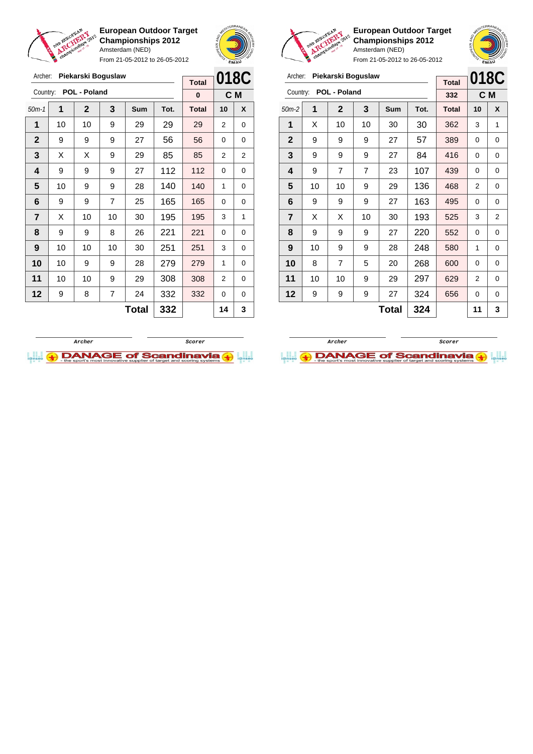

Archer: **Piekarski Boguslaw**

Country: **POL - Poland**

**European Outdoor Target Championships 2012** Amsterdam (NED)

From 21-05-2012 to 26-05-2012

50m-1 **1 2 3 Sum Tot. Total 10 X** | 10 | 10 | 9 | 29 | 29 | 29 | 2 | 0 | 9 | 9 | 9 | 27 | 56 | 56 | 0 | 0  $\mid$  X  $\mid$  X  $\mid$  9  $\mid$  29  $\mid$  85  $\mid$  85  $\mid$  2  $\mid$  2 | 9 | 9 | 9 | 27 | 112 | 112 | 0 | 0 | 10 | 9 | 9 | 28 | 140 | 140 | 1 | 0 | 9 | 9 | 7 | 25 | 165 | 165 | 0 | 0 | X | 10 | 10 | 30 | 195 | 195 | 3 | 1 | 9 | 9 | 8 | 26 | 221 | 221 | 0 | 0 | 10 | 10 | 10 | 30 | 251 | 251 | 3 | 0 | 10 | 9 | 9 | 28 | 279 | 279 | 1 | 0 | 10 | 10 | 9 | 29 | 308 | 308 | 2 | 0 | 9 | 8 | 7 | 24 | 332 | 332 | 0 | 0



**C M**

**Total 0**



**European Outdoor Target Championships 2012** Amsterdam (NED)

From 21-05-2012 to 26-05-2012

| Archer:        |              | Piekarski Boguslaw |      |              |      |       |                |                |
|----------------|--------------|--------------------|------|--------------|------|-------|----------------|----------------|
|                |              | <b>Total</b>       | 018C |              |      |       |                |                |
| Country:       | POL - Poland | 332                | C M  |              |      |       |                |                |
| $50m-2$        | 1            | $\mathbf{2}$       | 3    | <b>Sum</b>   | Tot. | Total | 10             | X              |
| 1              | X            | 10                 | 10   | 30           | 30   | 362   | 3              | 1              |
| $\mathbf{2}$   | 9            | 9                  | 9    | 27           | 57   | 389   | 0              | 0              |
| 3              | 9            | 9                  | 9    | 27           | 84   | 416   | $\Omega$       | 0              |
| 4              | 9            | 7                  | 7    | 23           | 107  | 439   | 0              | 0              |
| 5              | 10           | 10                 | 9    | 29           | 136  | 468   | 2              | 0              |
| 6              | 9            | 9                  | 9    | 27           | 163  | 495   | 0              | 0              |
| $\overline{7}$ | X            | X                  | 10   | 30           | 193  | 525   | 3              | $\overline{2}$ |
| 8              | 9            | 9                  | 9    | 27           | 220  | 552   | 0              | 0              |
| 9              | 10           | 9                  | 9    | 28           | 248  | 580   | 1              | 0              |
| 10             | 8            | 7                  | 5    | 20           | 268  | 600   | 0              | 0              |
| 11             | 10           | 10                 | 9    | 29           | 297  | 629   | $\overline{2}$ | 0              |
| 12             | 9            | 9                  | 9    | 27           | 324  | 656   | 0              | 0              |
|                |              |                    |      | <b>Total</b> | 324  |       | 11             | 3              |



 $Total | 332 | 14 | 3$ 

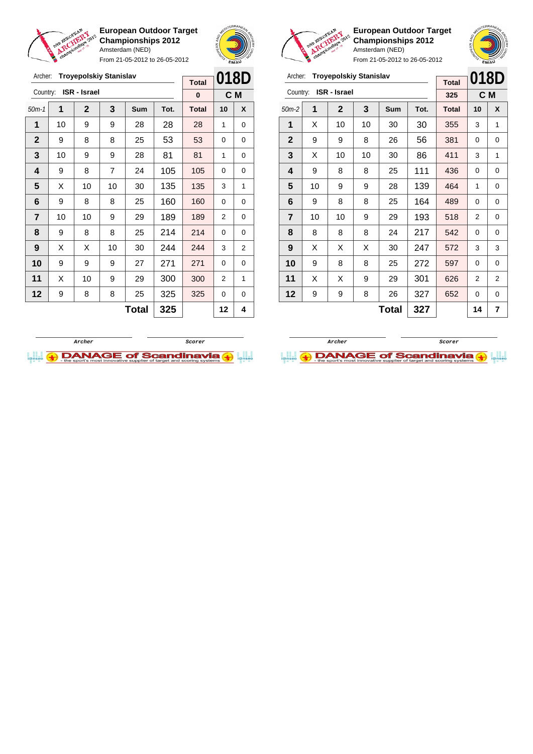

Archer: **Troyepolskiy Stanislav**

**European Outdoor Target Championships 2012** Amsterdam (NED)

From 21-05-2012 to 26-05-2012





**European Outdoor Target Championships 2012** Amsterdam (NED) From 21-05-2012 to 26-05-2012

 $\overline{a}$ 

**018D**

## Archer: **Troyepolskiy Stanislav**

|                         |                     | <b>Total</b> | U I U D |              |      |              |    |   |
|-------------------------|---------------------|--------------|---------|--------------|------|--------------|----|---|
| Country:                | <b>ISR - Israel</b> | 325          |         | C M          |      |              |    |   |
| $50m-2$                 | 1                   | 2            | 3       | Sum          | Tot. | <b>Total</b> | 10 | X |
| 1                       | X                   | 10           | 10      | 30           | 30   | 355          | 3  | 1 |
| $\mathbf{2}$            | 9                   | 9            | 8       | 26           | 56   | 381          | 0  | 0 |
| 3                       | X                   | 10           | 10      | 30           | 86   | 411          | 3  | 1 |
| $\overline{\mathbf{4}}$ | 9                   | 8            | 8       | 25           | 111  | 436          | 0  | 0 |
| 5                       | 10                  | 9            | 9       | 28           | 139  | 464          | 1  | 0 |
| 6                       | 9                   | 8            | 8       | 25           | 164  | 489          | 0  | 0 |
| $\overline{7}$          | 10                  | 10           | 9       | 29           | 193  | 518          | 2  | 0 |
| 8                       | 8                   | 8            | 8       | 24           | 217  | 542          | 0  | 0 |
| 9                       | X                   | х            | X       | 30           | 247  | 572          | 3  | 3 |
| 10                      | 9                   | 8            | 8       | 25           | 272  | 597          | 0  | 0 |
| 11                      | X                   | х            | 9       | 29           | 301  | 626          | 2  | 2 |
| 12                      | 9                   | 9            | 8       | 26           | 327  | 652          | 0  | 0 |
|                         |                     |              |         | <b>Total</b> | 327  |              | 14 | 7 |





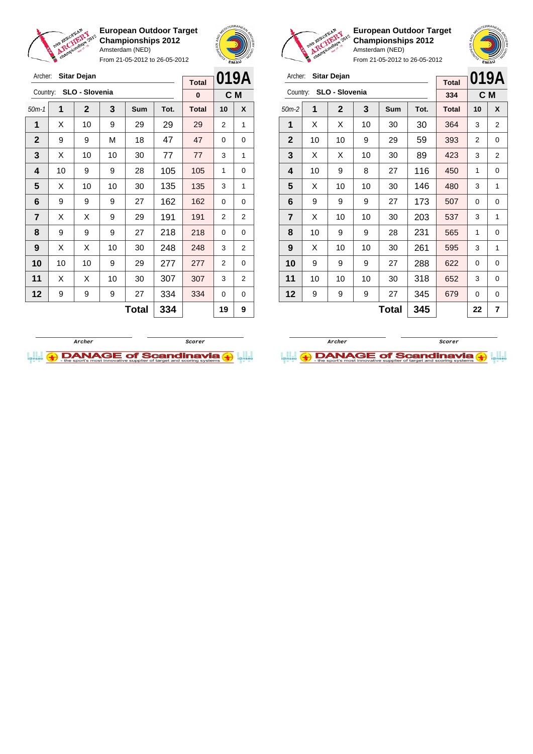

Archer: **Sitar Dejan**

Country: **SLO - Slovenia**

**European Outdoor Target Championships 2012** Amsterdam (NED)

From 21-05-2012 to 26-05-2012

50m-1 **1 2 3 Sum Tot. Total 10 X** | X | 10 | 9 | 29 | 29 | 29 | 2 | 1 | 9 | 9 | M | 18 | 47 | 47 | 0 | 0  $\mid$  X  $\mid$  10  $\mid$  10  $\mid$  30  $\mid$  77  $\mid$  77  $\mid$  3  $\mid$  1 | 10 | 9 | 9 | 28 | 105 | 105 | 1 | 0  $\mid$  X  $\mid$  10  $\mid$  10  $\mid$  30  $\mid$  135  $\mid$  135  $\mid$  3  $\mid$  1 | 9 | 9 | 9 | 27 | 162 | 162 | 0 | 0  $\mid$  X  $\mid$  X  $\mid$  9  $\mid$  29  $\mid$  191  $\mid$  191  $\mid$  2  $\mid$  2 | 9 | 9 | 9 | 27 | 218 | 218 | 0 | 0 | X | X | 10 | 30 | **248 | 248 |** 3 | 2 | 10 | 10 | 9 | 29 | 277 | 277 | 2 | 0 | X | X | 10 | 30 | 307 | 307 | 3 | 2



**C M**

**Total 0**



**European Outdoor Target Championships 2012** Amsterdam (NED)

| Archer: Sitar Dejan |  |
|---------------------|--|
|                     |  |

| Archer:        |    | <b>Sitar Dejan</b> |    |       |      | <b>Total</b> |    | 019A |  |
|----------------|----|--------------------|----|-------|------|--------------|----|------|--|
| Country:       |    | SLO - Slovenia     |    |       |      | 334          |    | C M  |  |
| $50m-2$        | 1  | $\mathbf 2$        | 3  | Sum   | Tot. | <b>Total</b> | 10 | X    |  |
| 1              | X  | Х                  | 10 | 30    | 30   | 364          | 3  | 2    |  |
| $\mathbf{2}$   | 10 | 10                 | 9  | 29    | 59   | 393          | 2  | 0    |  |
| 3              | X  | X                  | 10 | 30    | 89   | 423          | 3  | 2    |  |
| 4              | 10 | 9                  | 8  | 27    | 116  | 450          | 1  | 0    |  |
| 5              | X  | 10                 | 10 | 30    | 146  | 480          | 3  | 1    |  |
| 6              | 9  | 9                  | 9  | 27    | 173  | 507          | 0  | 0    |  |
| $\overline{7}$ | X  | 10                 | 10 | 30    | 203  | 537          | 3  | 1    |  |
| 8              | 10 | 9                  | 9  | 28    | 231  | 565          | 1  | 0    |  |
| 9              | X  | 10                 | 10 | 30    | 261  | 595          | 3  | 1    |  |
| 10             | 9  | 9                  | 9  | 27    | 288  | 622          | 0  | 0    |  |
| 11             | 10 | 10                 | 10 | 30    | 318  | 652          | 3  | 0    |  |
| 12             | 9  | 9                  | 9  | 27    | 345  | 679          | 0  | 0    |  |
|                |    |                    |    | Total | 345  |              | 22 | 7    |  |



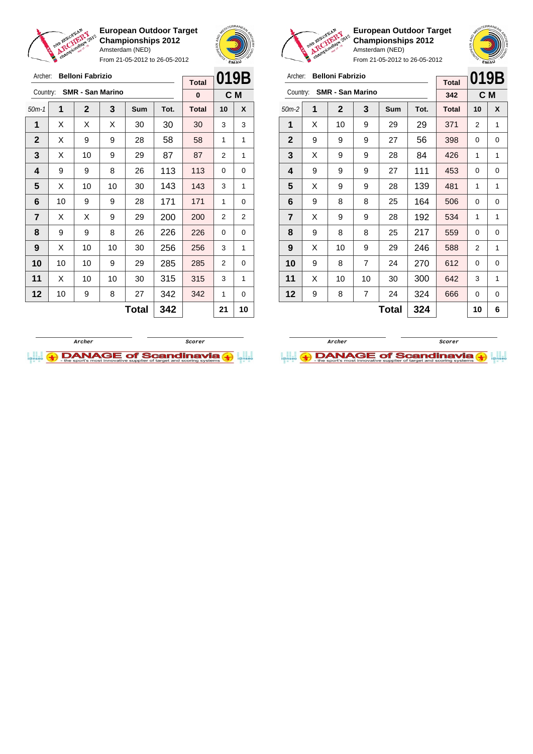

Archer: **Belloni Fabrizio** Country: **SMR - San Marino**

**European Outdoor Target Championships 2012** Amsterdam (NED)

From 21-05-2012 to 26-05-2012

50m-1 **1 2 3 Sum Tot. Total 10 X**  $\vert$  X  $\vert$  X  $\vert$  X  $\vert$  30  $\vert$  30  $\vert$  30  $\vert$  3  $\vert$  3 | X | 9 | 9 | 28 | 58 | 58 | 1 | 1  $\mid$  X  $\mid$  10  $\mid$  9  $\mid$  29  $\mid$  87  $\mid$  87  $\mid$  2  $\mid$  1 | 9 | 9 | 8 | 26 | 113 | 113 | 0 | 0  $\mid$  X  $\mid$  10  $\mid$  10  $\mid$  30  $\mid$  143  $\mid$  143  $\mid$  3  $\mid$  1 | 10 | 9 | 9 | 28 | 171 | 171 | 1 | 0  $\mid$  X  $\mid$  X  $\mid$  9  $\mid$  29  $\mid$  200  $\mid$  200  $\mid$  2  $\mid$  2 | 9 | 9 | 8 | 26 | 226 | 226 | 0 | 0 | X | 10 | 10 | 30 | **256 | 256 |** 3 | 1 | 10 | 10 | 9 | 29 | 285 | 285 | 2 | 0 | X | 10 | 10 | 30 | 315 | 315 | 3 | 1 | 10 | 9 | 8 | 27 | 342 | 342 | 1 | 0



**C M**

**Total 0**



**European Outdoor Target Championships 2012** Amsterdam (NED)

**019B C M**

From 21-05-2012 to 26-05-2012

| Archer:    |   | <b>Belloni Fabrizio</b><br><b>Total</b><br>Country: SMR - San Marino<br>342<br>3<br>2<br><b>Total</b><br><b>Sum</b><br>Tot. |   | IJГ |            |     |        |        |
|------------|---|-----------------------------------------------------------------------------------------------------------------------------|---|-----|------------|-----|--------|--------|
|            |   |                                                                                                                             |   |     |            |     |        |        |
|            |   |                                                                                                                             |   |     |            |     |        | C M    |
| $50m-2$    |   |                                                                                                                             |   |     |            |     | 10     |        |
|            |   | 10                                                                                                                          | 9 | 29  | 29         | 371 | 2      |        |
| $\sqrt{2}$ | ⌒ |                                                                                                                             | ⌒ | ~~  | $\sqrt{2}$ | 000 | $\sim$ | $\sim$ |

| $\mathbf{2}$            | 9 | 9  | 9  | 27 | 56  | 398 | 0 | 0 |
|-------------------------|---|----|----|----|-----|-----|---|---|
| $\mathbf{3}$            | X | 9  | 9  | 28 | 84  | 426 | 1 | 1 |
| 4                       | 9 | 9  | 9  | 27 | 111 | 453 | 0 | 0 |
| 5                       | Χ | 9  | 9  | 28 | 139 | 481 | 1 | 1 |
| 6                       | 9 | 8  | 8  | 25 | 164 | 506 | 0 | 0 |
| $\overline{\mathbf{r}}$ | X | 9  | 9  | 28 | 192 | 534 | 1 | 1 |
| 8                       | 9 | 8  | 8  | 25 | 217 | 559 | 0 | 0 |
| $\boldsymbol{9}$        | X | 10 | 9  | 29 | 246 | 588 | 2 | 1 |
| 10                      | 9 | 8  | 7  | 24 | 270 | 612 | 0 | 0 |
| 11                      | X | 10 | 10 | 30 | 300 | 642 | 3 | 1 |
| 12                      | 9 | 8  | 7  | 24 | 324 | 666 | 0 | 0 |
|                         |   |    |    |    |     |     |   |   |

**Total 324 10 6**

**Archer ScorerI.I. DANAGE of Scandinavia (3)** 



**Total 342 21 10**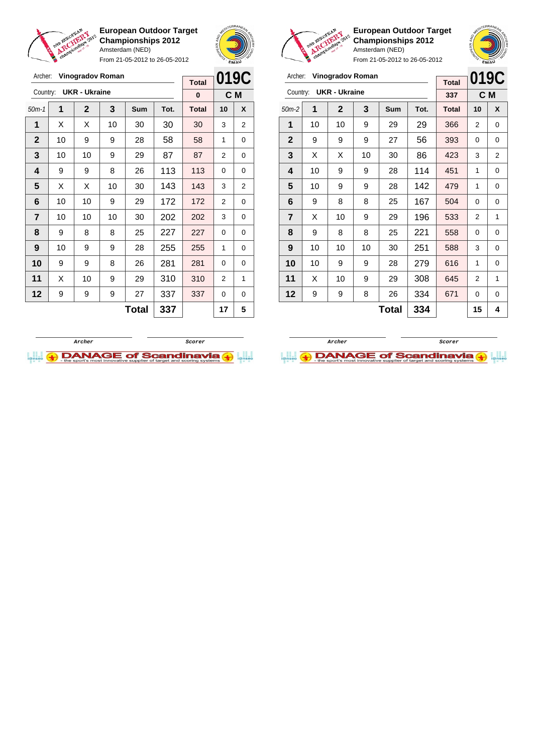

From 21-05-2012 to 26-05-2012



**European Outdoor Target Championships 2012** Amsterdam (NED)

| Archer:        |    | Vinogradov Roman     |    |              |      | <b>Total</b> | 019C |     |
|----------------|----|----------------------|----|--------------|------|--------------|------|-----|
| Country:       |    | <b>UKR - Ukraine</b> |    |              |      | 337          |      | C M |
| $50m-2$        | 1  | $\mathbf{2}$         | 3  | Sum          | Tot. | <b>Total</b> | 10   | X   |
| 1              | 10 | 10                   | 9  | 29           | 29   | 366          | 2    | 0   |
| $\mathbf{2}$   | 9  | 9                    | 9  | 27           | 56   | 393          | 0    | 0   |
| 3              | X  | X                    | 10 | 30           | 86   | 423          | 3    | 2   |
| 4              | 10 | 9                    | 9  | 28           | 114  | 451          | 1    | 0   |
| 5              | 10 | 9                    | 9  | 28           | 142  | 479          | 1    | 0   |
| 6              | 9  | 8                    | 8  | 25           | 167  | 504          | 0    | 0   |
| $\overline{7}$ | X  | 10                   | 9  | 29           | 196  | 533          | 2    | 1   |
| 8              | 9  | 8                    | 8  | 25           | 221  | 558          | 0    | 0   |
| 9              | 10 | 10                   | 10 | 30           | 251  | 588          | 3    | 0   |
| 10             | 10 | 9                    | 9  | 28           | 279  | 616          | 1    | 0   |
| 11             | X  | 10                   | 9  | 29           | 308  | 645          | 2    | 1   |
| 12             | 9  | 9                    | 8  | 26           | 334  | 671          | 0    | 0   |
|                |    |                      |    | <b>Total</b> | 334  |              | 15   | 4   |

| Archer:        |    | <b>Vinogradov Roman</b> |    |       |      | <b>Total</b> | 019C           |                |
|----------------|----|-------------------------|----|-------|------|--------------|----------------|----------------|
| Country:       |    | <b>UKR - Ukraine</b>    |    |       |      | 0            | C M            |                |
| $50m-1$        | 1  | $\mathbf{2}$            | 3  | Sum   | Tot. | <b>Total</b> | 10             | X              |
| 1              | X  | Х                       | 10 | 30    | 30   | 30           | 3              | 2              |
| $\mathbf{2}$   | 10 | 9                       | 9  | 28    | 58   | 58           | 1              | 0              |
| 3              | 10 | 10                      | 9  | 29    | 87   | 87           | $\overline{2}$ | 0              |
| 4              | 9  | 9                       | 8  | 26    | 113  | 113          | $\Omega$       | 0              |
| 5              | X  | X                       | 10 | 30    | 143  | 143          | 3              | $\overline{2}$ |
| 6              | 10 | 10                      | 9  | 29    | 172  | 172          | $\overline{2}$ | 0              |
| $\overline{7}$ | 10 | 10                      | 10 | 30    | 202  | 202          | 3              | 0              |
| 8              | 9  | 8                       | 8  | 25    | 227  | 227          | 0              | 0              |
| 9              | 10 | 9                       | 9  | 28    | 255  | 255          | 1              | 0              |
| 10             | 9  | 9                       | 8  | 26    | 281  | 281          | $\Omega$       | 0              |
| 11             | X  | 10                      | 9  | 29    | 310  | 310          | 2              | 1              |
| 12             | 9  | 9                       | 9  | 27    | 337  | 337          | 0              | 0              |
|                |    |                         |    | Total | 337  |              | 17             | 5              |



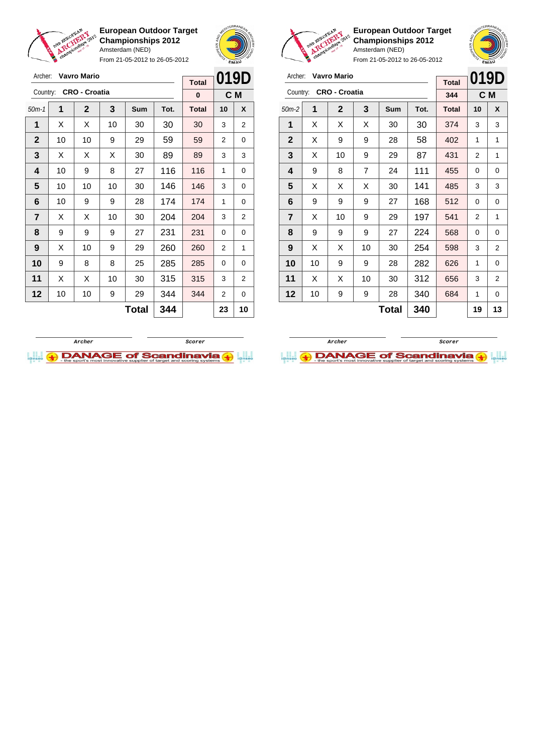

From 21-05-2012 to 26-05-2012





**European Outdoor Target Championships 2012** Amsterdam (NED)



| Archer:                 |    | Vavro Mario          |                |              |      | <b>Total</b> | 019D |                |
|-------------------------|----|----------------------|----------------|--------------|------|--------------|------|----------------|
| Country:                |    | <b>CRO - Croatia</b> |                |              |      | 344          | C M  |                |
| $50m-2$                 | 1  | $\mathbf 2$          | 3              | Sum          | Tot. | <b>Total</b> | 10   | X              |
| 1                       | X  | X                    | X              | 30           | 30   | 374          | 3    | 3              |
| $\mathbf{2}$            | X  | 9                    | 9              | 28           | 58   | 402          | 1    | 1              |
| 3                       | X  | 10                   | 9              | 29           | 87   | 431          | 2    | 1              |
| 4                       | 9  | 8                    | $\overline{7}$ | 24           | 111  | 455          | 0    | 0              |
| 5                       | X  | Х                    | X              | 30           | 141  | 485          | 3    | 3              |
| 6                       | 9  | 9                    | 9              | 27           | 168  | 512          | 0    | 0              |
| $\overline{\mathbf{r}}$ | X  | 10                   | 9              | 29           | 197  | 541          | 2    | 1              |
| 8                       | 9  | 9                    | 9              | 27           | 224  | 568          | 0    | 0              |
| 9                       | X  | X                    | 10             | 30           | 254  | 598          | 3    | 2              |
| 10                      | 10 | 9                    | 9              | 28           | 282  | 626          | 1    | 0              |
| 11                      | X  | X                    | 10             | 30           | 312  | 656          | 3    | $\overline{2}$ |
| 12                      | 10 | 9                    | 9              | 28           | 340  | 684          | 1    | 0              |
|                         |    |                      |                | <b>Total</b> | 340  |              | 19   | 13             |

| Archer:      |    | <b>Vavro Mario</b>   |    |       |      | <b>Total</b> | 019D |                |
|--------------|----|----------------------|----|-------|------|--------------|------|----------------|
| Country:     |    | <b>CRO - Croatia</b> |    |       |      | $\bf{0}$     |      | C M            |
| $50m-1$      | 1  | $\mathbf 2$          | 3  | Sum   | Tot. | <b>Total</b> | 10   | X              |
| 1            | Χ  | Х                    | 10 | 30    | 30   | 30           | 3    | 2              |
| $\mathbf{2}$ | 10 | 10                   | 9  | 29    | 59   | 59           | 2    | 0              |
| 3            | X  | Χ                    | X  | 30    | 89   | 89           | 3    | 3              |
| 4            | 10 | 9                    | 8  | 27    | 116  | 116          | 1    | 0              |
| 5            | 10 | 10                   | 10 | 30    | 146  | 146          | 3    | 0              |
| 6            | 10 | 9                    | 9  | 28    | 174  | 174          | 1    | 0              |
| 7            | X  | X                    | 10 | 30    | 204  | 204          | 3    | 2              |
| 8            | 9  | 9                    | 9  | 27    | 231  | 231          | 0    | 0              |
| 9            | х  | 10                   | 9  | 29    | 260  | 260          | 2    | 1              |
| 10           | 9  | 8                    | 8  | 25    | 285  | 285          | 0    | 0              |
| 11           | X  | X                    | 10 | 30    | 315  | 315          | 3    | $\overline{2}$ |
| 12           | 10 | 10                   | 9  | 29    | 344  | 344          | 2    | 0              |
|              |    |                      |    | Total | 344  |              | 23   | 10             |



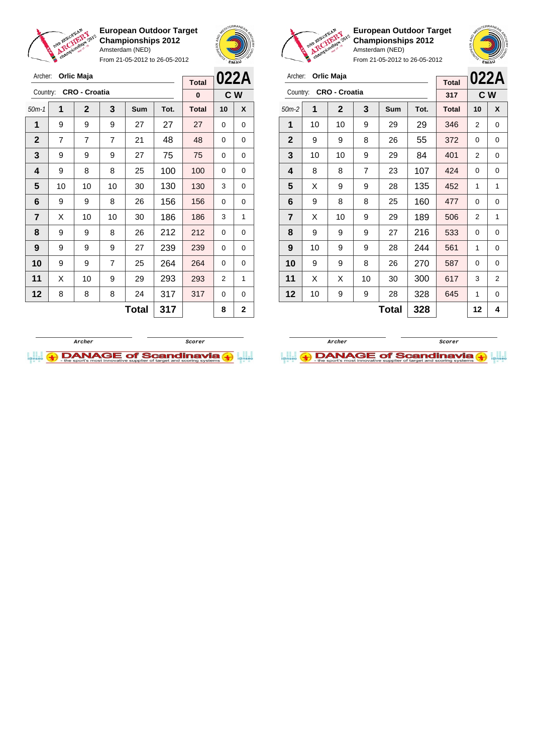

**European Outdoor Target Championships 2012** Amsterdam (NED) From 21-05-2012 to 26-05-2012





**European Outdoor Target Championships 2012** Amsterdam (NED)

| Country:       |    | <b>CRO - Croatia</b> |    |              |      | <b>Total</b> | 022A     |     |
|----------------|----|----------------------|----|--------------|------|--------------|----------|-----|
|                |    |                      |    |              |      | 317          |          | C W |
| $50m-2$        | 1  | $\mathbf{2}$         | 3  | <b>Sum</b>   | Tot. | <b>Total</b> | 10       | X   |
| 1              | 10 | 10                   | 9  | 29           | 29   | 346          | 2        | 0   |
| $\mathbf{2}$   | 9  | 9                    | 8  | 26           | 55   | 372          | $\Omega$ | 0   |
| 3              | 10 | 10                   | 9  | 29           | 84   | 401          | 2        | 0   |
| 4              | 8  | 8                    | 7  | 23           | 107  | 424          | 0        | 0   |
| 5              | X  | 9                    | 9  | 28           | 135  | 452          | 1        | 1   |
| 6              | 9  | 8                    | 8  | 25           | 160  | 477          | 0        | 0   |
| $\overline{7}$ | X  | 10                   | 9  | 29           | 189  | 506          | 2        | 1   |
| 8              | 9  | 9                    | 9  | 27           | 216  | 533          | 0        | 0   |
| 9              | 10 | 9                    | 9  | 28           | 244  | 561          | 1        | 0   |
| 10             | 9  | 9                    | 8  | 26           | 270  | 587          | 0        | 0   |
| 11             | X  | X                    | 10 | 30           | 300  | 617          | 3        | 2   |
| 12             | 10 | 9                    | 9  | 28           | 328  | 645          | 1        | 0   |
|                |    |                      |    | <b>Total</b> | 328  |              | 12       | 4   |

| Archer:      |                | Orlic Maja           |                |       | <b>Total</b> |              |                                                                                                                                                     |              |
|--------------|----------------|----------------------|----------------|-------|--------------|--------------|-----------------------------------------------------------------------------------------------------------------------------------------------------|--------------|
| Country:     |                | <b>CRO - Croatia</b> |                |       |              | 0            | 022A<br>C <sub>W</sub><br>10<br>X<br>0<br>0<br>$\Omega$<br>0<br>0<br>0<br>0<br>0<br>3<br>0<br>$\Omega$<br>0<br>3<br>1<br>0<br>0<br>0<br>0<br>0<br>0 |              |
| $50m-1$      | 1              | $\mathbf{2}$         | 3              | Sum   | Tot.         | <b>Total</b> |                                                                                                                                                     |              |
| 1            | 9              | 9                    | 9              | 27    | 27           | 27           |                                                                                                                                                     |              |
| $\mathbf{2}$ | $\overline{7}$ | 7                    | $\overline{7}$ | 21    | 48           | 48           |                                                                                                                                                     |              |
| 3            | 9              | 9                    | 9              | 27    | 75           | 75           |                                                                                                                                                     |              |
| 4            | 9              | 8                    | 8              | 25    | 100          | 100          |                                                                                                                                                     |              |
| 5            | 10             | 10                   | 10             | 30    | 130          | 130          |                                                                                                                                                     |              |
| 6            | 9              | 9                    | 8              | 26    | 156          | 156          |                                                                                                                                                     |              |
| 7            | Х              | 10                   | 10             | 30    | 186          | 186          |                                                                                                                                                     |              |
| 8            | 9              | 9                    | 8              | 26    | 212          | 212          |                                                                                                                                                     |              |
| 9            | 9              | 9                    | 9              | 27    | 239          | 239          |                                                                                                                                                     |              |
| 10           | 9              | 9                    | 7              | 25    | 264          | 264          |                                                                                                                                                     |              |
| 11           | X              | 10                   | 9              | 29    | 293          | 293          | 2                                                                                                                                                   | 1            |
| 12           | 8              | 8                    | 8              | 24    | 317          | 317          | 0                                                                                                                                                   | 0            |
|              |                |                      |                | Total | 317          |              | 8                                                                                                                                                   | $\mathbf{2}$ |



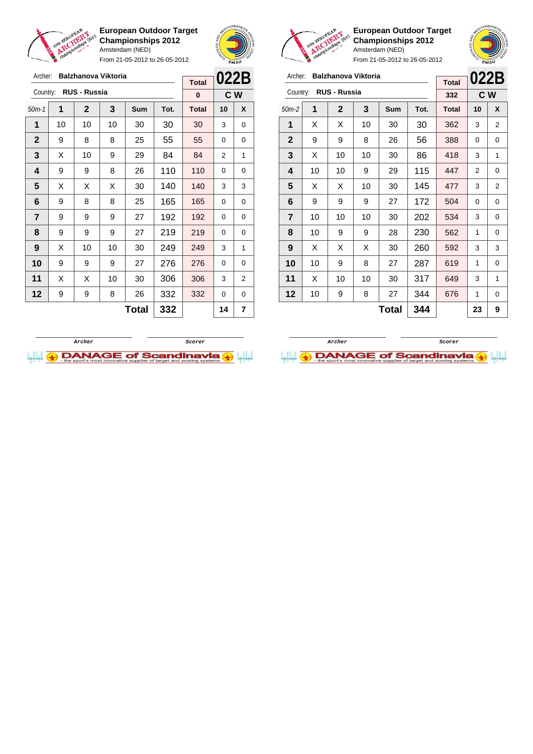

Archer: **Balzhanova Viktoria**

Country: **RUS - Russia**

**European Outdoor Target Championships 2012** Amsterdam (NED)

From 21-05-2012 to 26-05-2012

50m-1 **1 2 3 Sum Tot. Total 10 X** | 10 | 10 | 10 | 30 | 30 | 30 | 3 | 0 9 8 8 25 55 55 0 0  $\mid$  X  $\mid$  10  $\mid$  9  $\mid$  29  $\mid$  84  $\mid$  84  $\mid$  2  $\mid$  1 | 9 | 9 | 8 | 26 | 110 | 110 | 0 | 0  $\mid$  X  $\mid$  X  $\mid$  X  $\mid$  30  $\mid$  140  $\mid$  140  $\mid$  3  $\mid$  3 | 9 | 8 | 8 | 25 | 165 | 165 | 0 | 0 | 9 | 9 | 9 | 27 | 192 | 192 | 0 | 0 | 9 | 9 | 9 | 27 | 219 | 219 | 0 | 0 | X | 10 | 10 | 30 | **249 | 249 |** 3 | 1 9 9 9 27 276 276 0 0 | X | X | 10 | 30 | 306 | 306 | 3 | 2 | 9 | 9 | 8 | 26 | 332 | 332 | 0 | 0



**C W**

**Total 0**



**European Outdoor Target Championships 2012** Amsterdam (NED)



From 21-05-2012 to 26-05-2012

| Archer:        |    | Balzhanova Viktoria |    |       |      | <b>Total</b> | 022B |                |
|----------------|----|---------------------|----|-------|------|--------------|------|----------------|
| Country:       |    | <b>RUS - Russia</b> |    |       |      | 332          | C W  |                |
| $50m-2$        | 1  | $\mathbf 2$         | 3  | Sum   | Tot. | <b>Total</b> | 10   | X              |
| 1              | X  | X                   | 10 | 30    | 30   | 362          | 3    | 2              |
| $\mathbf{2}$   | 9  | 9                   | 8  | 26    | 56   | 388          | 0    | 0              |
| 3              | X  | 10                  | 10 | 30    | 86   | 418          | 3    | 1              |
| 4              | 10 | 10                  | 9  | 29    | 115  | 447          | 2    | 0              |
| 5              | X  | X                   | 10 | 30    | 145  | 477          | 3    | $\overline{2}$ |
| 6              | 9  | 9                   | 9  | 27    | 172  | 504          | 0    | 0              |
| $\overline{7}$ | 10 | 10                  | 10 | 30    | 202  | 534          | 3    | 0              |
| 8              | 10 | 9                   | 9  | 28    | 230  | 562          | 1    | 0              |
| 9              | X  | Х                   | X  | 30    | 260  | 592          | 3    | 3              |
| 10             | 10 | 9                   | 8  | 27    | 287  | 619          | 1    | 0              |
| 11             | X  | 10                  | 10 | 30    | 317  | 649          | 3    | 1              |
| 12             | 10 | 9                   | 8  | 27    | 344  | 676          | 1    | 0              |
|                |    |                     |    | Total | 344  |              | 23   | 9              |



**Total 332 14 7**

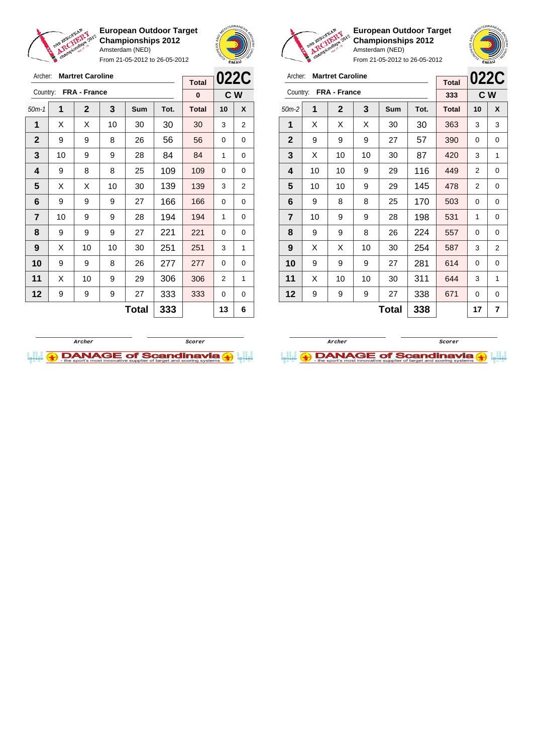









**European Outdoor Target Championships 2012** Amsterdam (NED)



| Archer:        |                                                                                                                                                          | <b>Martret Caroline</b> |    |              |      | <b>Total</b> | <b>022C</b>    |   |
|----------------|----------------------------------------------------------------------------------------------------------------------------------------------------------|-------------------------|----|--------------|------|--------------|----------------|---|
| Country:       | <b>FRA - France</b><br>1<br>2<br>3<br>Sum<br>X<br>Х<br>X<br>30<br>9<br>9<br>9<br>27<br>х<br>10<br>10<br>30<br>10<br>10<br>9<br>29<br>10<br>10<br>9<br>29 |                         |    |              |      | 333          | C W            |   |
| $50m-2$        |                                                                                                                                                          |                         |    |              | Tot. | <b>Total</b> | 10             | X |
| 1              |                                                                                                                                                          |                         |    |              | 30   | 363          | 3              | 3 |
| $\mathbf{2}$   |                                                                                                                                                          |                         |    |              | 57   | 390          | 0              | 0 |
| 3              |                                                                                                                                                          |                         |    |              | 87   | 420          | 3              | 1 |
| 4              |                                                                                                                                                          |                         |    |              | 116  | 449          | $\overline{2}$ | 0 |
| 5              |                                                                                                                                                          |                         |    |              | 145  | 478          | 2              | 0 |
| 6              | 9                                                                                                                                                        | 8                       | 8  | 25           | 170  | 503          | 0              | 0 |
| $\overline{7}$ | 10                                                                                                                                                       | 9                       | 9  | 28           | 198  | 531          | 1              | 0 |
| 8              | 9                                                                                                                                                        | 9                       | 8  | 26           | 224  | 557          | 0              | 0 |
| 9              | X                                                                                                                                                        | Х                       | 10 | 30           | 254  | 587          | 3              | 2 |
| 10             | 9                                                                                                                                                        | 9                       | 9  | 27           | 281  | 614          | 0              | 0 |
| 11             | X                                                                                                                                                        | 10                      | 10 | 30           | 311  | 644          | 3              | 1 |
| 12             | 9                                                                                                                                                        | 9                       | 9  | 27           | 338  | 671          | 0              | 0 |
|                |                                                                                                                                                          |                         |    | <b>Total</b> | 338  |              | 17             | 7 |



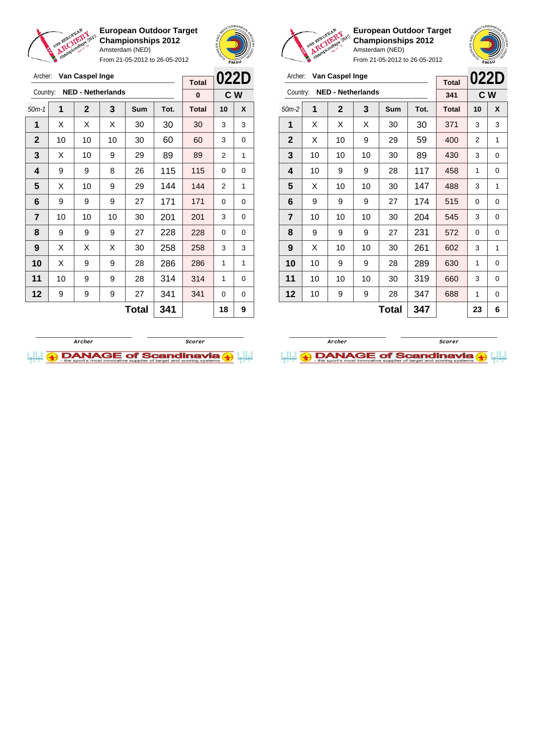

From 21-05-2012 to 26-05-2012





**European Outdoor Target Championships 2012** Amsterdam (NED)

**022D C W**

| Archer:        | Van Caspel Inge |              |                          |       |      | 022D<br>Van Caspel Inge<br>Archer: |                |             |              |    |                          |    |              |      |              |                |     |
|----------------|-----------------|--------------|--------------------------|-------|------|------------------------------------|----------------|-------------|--------------|----|--------------------------|----|--------------|------|--------------|----------------|-----|
|                |                 |              |                          |       |      | <b>Total</b>                       |                |             |              |    |                          |    |              |      | <b>Total</b> | 022            |     |
| Country:       |                 |              | <b>NED - Netherlands</b> |       |      | $\bf{0}$                           |                | C W         | Country:     |    | <b>NED - Netherlands</b> |    |              |      | 341          |                | C W |
| $50m-1$        | 1               | $\mathbf{2}$ | $\overline{3}$           | Sum   | Tot. | <b>Total</b>                       | 10             | X           | $50m-2$      | 1  | $\mathbf{2}$             | 3  | Sum          | Tot. | <b>Total</b> | 10             | X   |
| 1              | X               | X            | X                        | 30    | 30   | 30                                 | 3              | 3           | 1            | X  | X                        | X  | 30           | 30   | 371          | 3              | 3   |
| $\mathbf{2}$   | 10 <sup>1</sup> | 10           | 10                       | 30    | 60   | 60                                 | 3              | 0           | $\mathbf{2}$ | X  | 10                       | 9  | 29           | 59   | 400          | $\overline{2}$ | 1   |
| 3              | X               | 10           | 9                        | 29    | 89   | 89                                 | $\overline{2}$ | 1           | 3            | 10 | 10                       | 10 | 30           | 89   | 430          | 3              | 0   |
| 4              | 9               | 9            | 8                        | 26    | 115  | 115                                | $\mathbf 0$    | $\mathbf 0$ | 4            | 10 | 9                        | 9  | 28           | 117  | 458          | 1              | 0   |
| 5              | X               | 10           | 9                        | 29    | 144  | 144                                | 2              | 1           | 5            | X  | 10                       | 10 | 30           | 147  | 488          | 3              | 1   |
| 6              | 9               | 9            | 9                        | 27    | 171  | 171                                | $\Omega$       | $\mathbf 0$ | 6            | 9  | 9                        | 9  | 27           | 174  | 515          | 0              | 0   |
| $\overline{7}$ | 10              | 10           | 10                       | 30    | 201  | 201                                | 3              | 0           | 7            | 10 | 10                       | 10 | 30           | 204  | 545          | 3              | 0   |
| 8              | 9               | 9            | 9                        | 27    | 228  | 228                                | $\Omega$       | 0           | 8            | 9  | 9                        | 9  | 27           | 231  | 572          | $\Omega$       | 0   |
| 9              | X               | X            | X                        | 30    | 258  | 258                                | 3              | 3           | 9            | X  | 10                       | 10 | 30           | 261  | 602          | 3              | 1   |
| 10             | X               | 9            | 9                        | 28    | 286  | 286                                | 1              | 1           | 10           | 10 | 9                        | 9  | 28           | 289  | 630          | 1              | 0   |
| 11             | 10 <sup>1</sup> | 9            | 9                        | 28    | 314  | 314                                | 1              | 0           | 11           | 10 | 10                       | 10 | 30           | 319  | 660          | 3              | 0   |
| 12             | 9               | 9            | 9                        | 27    | 341  | 341                                | $\Omega$       | 0           | 12           | 10 | 9                        | 9  | 28           | 347  | 688          | 1              | 0   |
|                |                 |              |                          | Total | 341  |                                    | 18             | 9           |              |    |                          |    | <b>Total</b> | 347  |              | 23             | 6   |



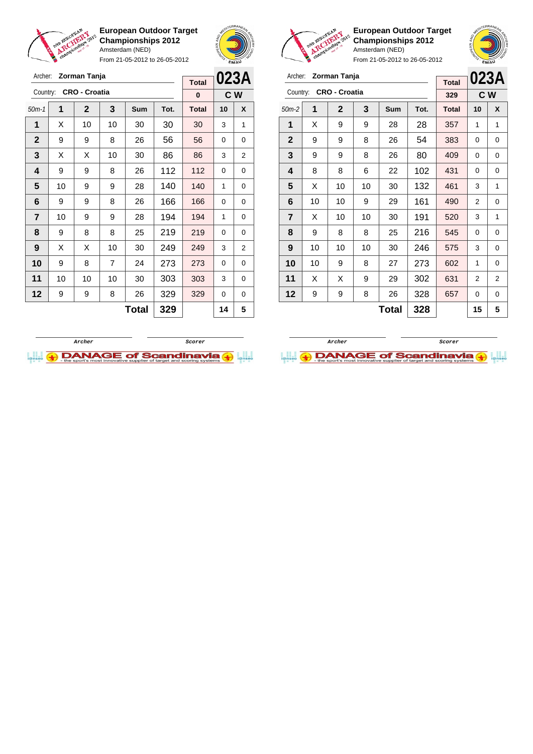

Archer: **Zorman Tanja** Country: **CRO - Croatia**

**European Outdoor Target Championships 2012** Amsterdam (NED)

From 21-05-2012 to 26-05-2012

50m-1 **1 2 3 Sum Tot. Total 10 X**



**C W**

**Total 0**



**European Outdoor Target Championships 2012** Amsterdam (NED)

From 21-05-2012 to 26-05-2012

| Archer:        |    | Zorman Tanja         | <b>Total</b> |       | 023A |              |     |   |
|----------------|----|----------------------|--------------|-------|------|--------------|-----|---|
| Country:       |    | <b>CRO - Croatia</b> |              |       |      | 329          | C W |   |
| $50m-2$        | 1  | $\overline{2}$       | 3            | Sum   | Tot. | <b>Total</b> | 10  | X |
| 1              | X  | 9                    | 9            | 28    | 28   | 357          | 1   | 1 |
| $\overline{2}$ | 9  | 9                    | 8            | 26    | 54   | 383          | 0   | 0 |
| 3              | 9  | 9                    | 8            | 26    | 80   | 409          | 0   | 0 |
| 4              | 8  | 8                    | 6            | 22    | 102  | 431          | 0   | 0 |
| 5              | X  | 10                   | 10           | 30    | 132  | 461          | 3   | 1 |
| 6              | 10 | 10                   | 9            | 29    | 161  | 490          | 2   | 0 |
| $\overline{7}$ | X  | 10                   | 10           | 30    | 191  | 520          | 3   | 1 |
| 8              | 9  | 8                    | 8            | 25    | 216  | 545          | 0   | 0 |
| 9              | 10 | 10                   | 10           | 30    | 246  | 575          | 3   | 0 |
| 10             | 10 | 9                    | 8            | 27    | 273  | 602          | 1   | 0 |
| 11             | X  | X                    | 9            | 29    | 302  | 631          | 2   | 2 |
| 12             | 9  | 9                    | 8            | 26    | 328  | 657          | 0   | 0 |
|                |    |                      |              | Total | 328  |              | 15  | 5 |

 | X | 10 | 10 | 30 | 30 | 30 | 3 | 1 9 9 8 26 56 56 0 0  $\mid$  X  $\mid$  X  $\mid$  10  $\mid$  30  $\mid$  86  $\mid$  86  $\mid$  3  $\mid$  2 | 9 | 9 | 8 | 26 | 112 | 112 | 0 | 0 | 10 | 9 | 9 | 28 | 140 | 140 | 1 | 0 | 9 | 9 | 8 | 26 | 166 | 166 | 0 | 0 | 10 | 9 | 9 | 28 | 194 | 194 | 1 | 0 | 9 | 8 | 8 | 25 | 219 | 219 | 0 | 0 | X | X | 10 | 30 | **249 | 249 |** 3 | 2 9 8 7 24 273 273 0 0 | 10 | 10 | 10 | 30 | 303 | 303 | 3 | 0 | 9 | 9 | 8 | 26 | 329 | 329 | 0 | 0 **Total 329 14 5**



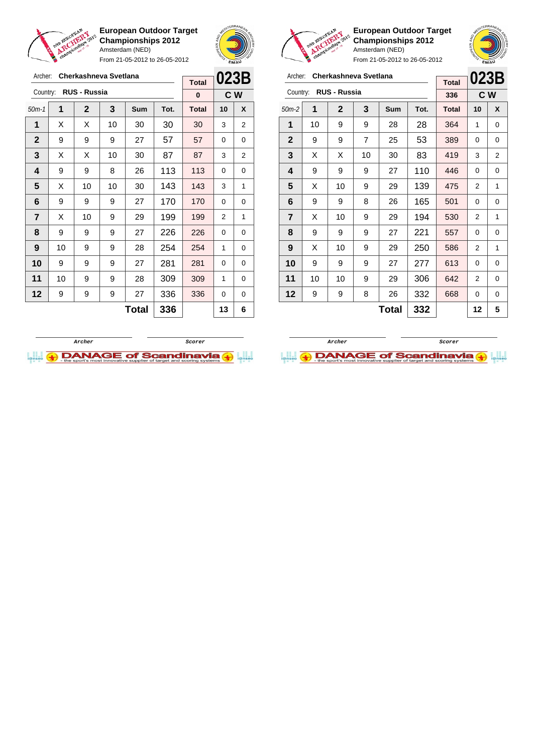

From 21-05-2012 to 26-05-2012



**European Outdoor Target Championships 2012** Amsterdam (NED) From 21-05-2012 to 26-05-2012

| Archer:                 |    | Cherkashneva Svetlana | <b>Total</b>   | 023B |      |              |    |     |  |
|-------------------------|----|-----------------------|----------------|------|------|--------------|----|-----|--|
| Country:                |    | <b>RUS - Russia</b>   |                |      |      | 336          |    | C W |  |
| $50m-2$                 | 1  | $\mathbf 2$           | 3              | Sum  | Tot. | <b>Total</b> | 10 | X   |  |
| 1                       | 10 | 9                     | 9              | 28   | 28   | 364          | 1  | 0   |  |
| $\mathbf{2}$            | 9  | 9                     | $\overline{7}$ | 25   | 53   | 389          | 0  | 0   |  |
| 3                       | Х  | х                     | 10             | 30   | 83   | 419          | 3  | 2   |  |
| 4                       | 9  | 9                     | 9              | 27   | 110  | 446          | 0  | 0   |  |
| 5                       | X  | 10                    | 9              | 29   | 139  | 475          | 2  | 1   |  |
| 6                       | 9  | 9                     | 8              | 26   | 165  | 501          | 0  | 0   |  |
| $\overline{\mathbf{r}}$ | X  | 10                    | 9              | 29   | 194  | 530          | 2  | 1   |  |
| 8                       | 9  | 9                     | 9              | 27   | 221  | 557          | 0  | 0   |  |
| 9                       | X  | 10                    | 9              | 29   | 250  | 586          | 2  | 1   |  |
| 10                      | 9  | 9                     | 9              | 27   | 277  | 613          | 0  | 0   |  |
| 11                      | 10 | 10                    | 9              | 29   | 306  | 642          | 2  | 0   |  |
| 12                      | 9  | 9                     | 8              | 26   | 332  | 668          | 0  | 0   |  |
|                         |    |                       | 12             | 5    |      |              |    |     |  |

**Archer Scorer**

**DANAGE of Scandinavia** 



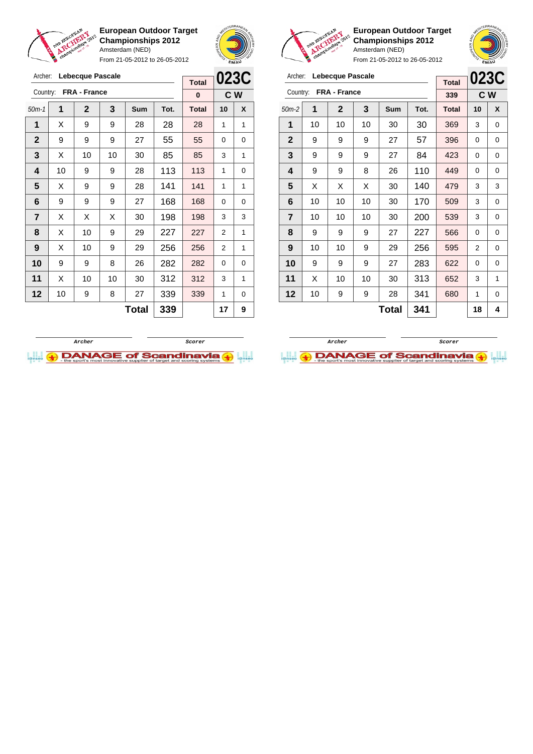





Country: **FRA - France**

**European Outdoor Target Championships 2012** Amsterdam (NED)

50m-2 **1 2 3 Sum Tot. Total 10 X** | 10 | 10 | 10 | 30 | 30 | 369 | 3 | 0 | 9 | 9 | 9 | 27 | 57 | 396 | 0 | 0 | 9 | 9 | 9 | 27 | 84 | 423 | 0 | 0 | 9 | 9 | 8 | 26 | 110 <mark>| 449</mark> | 0 | 0  $\mid$  X  $\mid$  X  $\mid$  X  $\mid$  30  $\mid$  **140**  $\mid$  **479**  $\mid$  3  $\mid$  3 | 10 | 10 | 10 | 30 | 170 | 509 | 3 | 0 | 10 | 10 | 10 | 30 | 200 | 539 | 3 | 0 | 9 | 9 | 9 | 27 | 227 | 566 | 0 | 0 | 10 | 10 | 9 | 29 | 256 | 595 | 2 | 0 9 9 9 27 283 622 0 0 | X | 10 | 10 | 30 | 313 | 652 | 3 | 1 | 10 | 9 | 9 | 28 | 341 | 680 | 1 | 0

Archer: **Lebecque Pascale**

| 5118111810113111832212<br>Amsterdam (NED)<br>From 21-05-2012 to 26-05-2012 |              | Bango<br>EMAU |
|----------------------------------------------------------------------------|--------------|---------------|
| 'ascale                                                                    | <b>Total</b> | 123C          |
| ıce                                                                        | 339          | C.W           |

| l              | champion                | From 21-05-2012 to 26-05-2012 | <b>EMAY</b> |              |     |              |    |                |
|----------------|-------------------------|-------------------------------|-------------|--------------|-----|--------------|----|----------------|
| Archer:        | <b>Lebecque Pascale</b> | <b>Total</b>                  | 023C        |              |     |              |    |                |
| Country:       |                         | <b>FRA - France</b>           |             |              |     | $\bf{0}$     |    | C <sub>W</sub> |
| $50m-1$        | 1                       | $\mathbf{2}$                  | 3           | Sum<br>Tot.  |     | <b>Total</b> | 10 | X              |
| 1              | Х                       | 9                             | 9           | 28           | 28  | 28           | 1  | 1              |
| $\mathbf{2}$   | 9                       | 9                             | 9           | 27           | 55  | 55           | 0  | 0              |
| 3              | X                       | 10                            | 10          | 30           | 85  | 85           | 3  | 1              |
| 4              | 10                      | 9                             | 9           | 28           | 113 | 113          | 1  | 0              |
| 5              | X                       | 9                             | 9           | 28           | 141 | 141          | 1  | 1              |
| 6              | 9                       | 9                             | 9           | 27           | 168 | 168          | 0  | 0              |
| $\overline{7}$ | X                       | X                             | X           | 30           | 198 | 198          | 3  | 3              |
| 8              | X                       | 10                            | 9           | 29           | 227 | 227          | 2  | 1              |
| 9              | X                       | 10                            | 9           | 29           | 256 | 256          | 2  | 1              |
| 10             | 9                       | 9                             | 8           | 26           | 282 | 282          | 0  | 0              |
| 11             | X                       | 10                            | 10          | 30           | 312 | 312          | 3  | 1              |
| 12             | 10                      | 9                             | 8           | 27           | 339 | 339          | 1  | 0              |
|                |                         |                               |             | <b>Total</b> | 339 |              | 17 | 9              |



**Total 341 18 4**

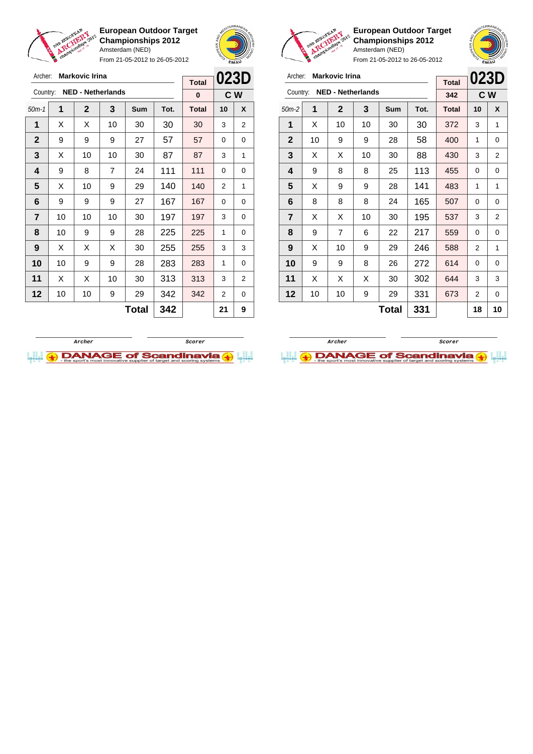

Archer: **Markovic Irina**

**European Outdoor Target Championships 2012** Amsterdam (NED)

From 21-05-2012 to 26-05-2012



**European Outdoor Target Championships 2012** Amsterdam (NED)

| Archer:        | <b>Markovic Irina</b> | <b>Total</b>             | 023D |     |      |              |     |   |
|----------------|-----------------------|--------------------------|------|-----|------|--------------|-----|---|
| Country:       |                       | <b>NED - Netherlands</b> |      |     |      | 342          | C W |   |
| $50m-2$        | 1                     | $\mathbf 2$              | 3    | Sum | Tot. | <b>Total</b> | 10  | X |
| 1              | X                     | 10                       | 10   | 30  | 30   | 372          | 3   | 1 |
| $\mathbf{2}$   | 10                    | 9                        | 9    | 28  | 58   | 400          | 1   | 0 |
| 3              | X                     | X                        | 10   | 30  | 88   | 430          | 3   | 2 |
| 4              | 9                     | 8                        | 8    | 25  | 113  | 455          | 0   | 0 |
| 5              | X                     | 9                        | 9    | 28  | 141  | 483          | 1   | 1 |
| 6              | 8                     | 8                        | 8    | 24  | 165  | 507          | 0   | 0 |
| $\overline{7}$ | X                     | X                        | 10   | 30  | 195  | 537          | 3   | 2 |
| 8              | 9                     | $\overline{7}$           | 6    | 22  | 217  | 559          | 0   | 0 |
| 9              | X                     | 10                       | 9    | 29  | 246  | 588          | 2   | 1 |
| 10             | 9                     | 9                        | 8    | 26  | 272  | 614          | 0   | 0 |
| 11             | X                     | X                        | X    | 30  | 302  | 644          | 3   | 3 |
| 12             | 10                    | 10                       | 9    | 29  | 331  | 673          | 2   | 0 |
|                |                       |                          | 18   | 10  |      |              |     |   |

| Archer:        |    | <b>Markovic Irina</b>    |    | <b>Total</b> | 023D |              |    |     |
|----------------|----|--------------------------|----|--------------|------|--------------|----|-----|
| Country:       |    | <b>NED - Netherlands</b> |    |              |      | 0            |    | C W |
| $50m-1$        | 1  | $\mathbf 2$              | 3  | <b>Sum</b>   | Tot. | <b>Total</b> | 10 | X   |
| 1              | X  | x                        | 10 | 30           | 30   | 30           | 3  | 2   |
| $\mathbf{2}$   | 9  | 9                        | 9  | 27           | 57   | 57           | 0  | 0   |
| 3              | X  | 10                       | 10 | 30           | 87   | 87           | 3  | 1   |
| 4              | 9  | 8                        | 7  | 24           | 111  | 111          | 0  | 0   |
| 5              | X  | 10                       | 9  | 29           | 140  | 140          | 2  | 1   |
| 6              | 9  | 9                        | 9  | 27           | 167  | 167          | 0  | 0   |
| $\overline{7}$ | 10 | 10                       | 10 | 30           | 197  | 197          | 3  | 0   |
| 8              | 10 | 9                        | 9  | 28           | 225  | 225          | 1  | 0   |
| 9              | X  | X                        | X  | 30           | 255  | 255          | 3  | 3   |
| 10             | 10 | 9                        | 9  | 28           | 283  | 283          | 1  | 0   |
| 11             | X  | X                        | 10 | 30           | 313  | 313          | 3  | 2   |
| 12             | 10 | 10                       | 9  | 29           | 342  | 342          | 2  | 0   |
|                |    |                          |    | <b>Total</b> | 342  |              | 21 | 9   |



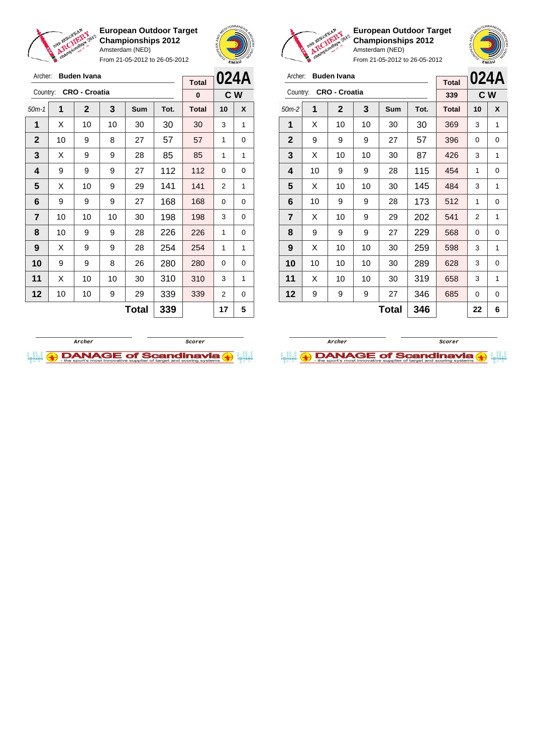

**European Outdoor Target Championships 2012** Amsterdam (NED) From 21-05-2012 to 26-05-2012





**European Outdoor Target Championships 2012** Amsterdam (NED)

| Archer:        |    | <b>Buden Ivana</b>   |    | <b>Total</b> |      | 024A         |    |     |
|----------------|----|----------------------|----|--------------|------|--------------|----|-----|
| Country:       |    | <b>CRO - Croatia</b> |    |              |      | 339          |    | C W |
| $50m-2$        | 1  | $\mathbf{2}$         | 3  | Sum          | Tot. | <b>Total</b> | 10 | X   |
| 1              | X  | 10                   | 10 | 30           | 30   | 369          | 3  | 1   |
| $\mathbf{2}$   | 9  | 9                    | 9  | 27           | 57   | 396          | 0  | 0   |
| 3              | X  | 10                   | 10 | 30           | 87   | 426          | 3  | 1   |
| 4              | 10 | 9                    | 9  | 28           | 115  | 454          | 1  | 0   |
| 5              | X  | 10                   | 10 | 30           | 145  | 484          | 3  | 1   |
| 6              | 10 | 9                    | 9  | 28           | 173  | 512          | 1  | 0   |
| $\overline{7}$ | X  | 10                   | 9  | 29           | 202  | 541          | 2  | 1   |
| 8              | 9  | 9                    | 9  | 27           | 229  | 568          | 0  | 0   |
| 9              | X  | 10                   | 10 | 30           | 259  | 598          | 3  | 1   |
| 10             | 10 | 10                   | 10 | 30           | 289  | 628          | 3  | 0   |
| 11             | X  | 10                   | 10 | 30           | 319  | 658          | 3  | 1   |
| $12 \,$        | 9  | 9                    | 9  | 27           | 346  | 685          | 0  | 0   |
|                |    |                      |    | <b>Total</b> | 346  |              | 22 | 6   |

| Archer:          |    | <b>Buden Ivana</b>   |    | <b>Total</b> | 024A |              |          |   |
|------------------|----|----------------------|----|--------------|------|--------------|----------|---|
| Country:         |    | <b>CRO - Croatia</b> |    |              |      | $\bf{0}$     | C W      |   |
| $50m-1$          | 1  | $\mathbf 2$          | 3  | <b>Sum</b>   | Tot. | <b>Total</b> | 10       | X |
| 1                | X  | 10                   | 10 | 30           | 30   | 30           | 3        | 1 |
| $\mathbf{2}$     | 10 | 9                    | 8  | 27           | 57   | 57           | 1        | 0 |
| 3                | X  | 9                    | 9  | 28           | 85   | 85           | 1        | 1 |
| 4                | 9  | 9                    | 9  | 27           | 112  | 112          | 0        | 0 |
| 5                | X  | 10                   | 9  | 29           | 141  | 141          | 2        | 1 |
| 6                | 9  | 9                    | 9  | 27           | 168  | 168          | $\Omega$ | 0 |
| $\overline{7}$   | 10 | 10                   | 10 | 30           | 198  | 198          | 3        | 0 |
| 8                | 10 | 9                    | 9  | 28           | 226  | 226          | 1        | 0 |
| $\boldsymbol{9}$ | X  | 9                    | 9  | 28           | 254  | 254          | 1        | 1 |
| 10               | 9  | 9                    | 8  | 26           | 280  | 280          | 0        | 0 |
| 11               | х  | 10                   | 10 | 30           | 310  | 310          | 3        | 1 |
| 12               | 10 | 10                   | 9  | 29           | 339  | 339          | 2        | 0 |
|                  |    |                      |    | Total        | 339  |              | 17       | 5 |
|                  |    |                      |    |              |      |              |          |   |



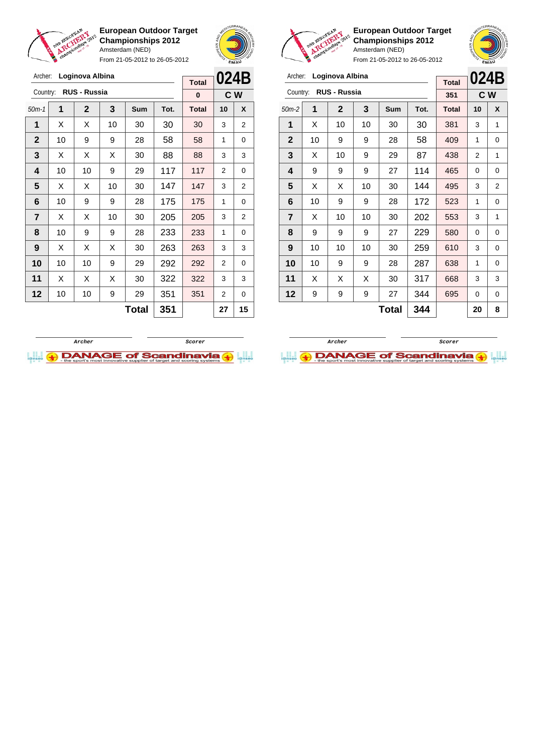

Archer: **Loginova Albina** Country: **RUS - Russia**

**European Outdoor Target Championships 2012** Amsterdam (NED)

From 21-05-2012 to 26-05-2012

50m-1 **1 2 3 Sum Tot. Total 10 X**  $\mid$  X  $\mid$  X  $\mid$  10  $\mid$  30  $\mid$  30  $\mid$  30  $\mid$  3  $\mid$  2 | 10 | 9 | 9 | 28 | 58 | 58 | 1 | 0  $\mid$  X  $\mid$  X  $\mid$  X  $\mid$  30  $\mid$  88  $\mid$  88  $\mid$  3  $\mid$  3 | 10 | 10 | 9 | 29 | 117 | 117 | 2 | 0  $\mid$  X  $\mid$  X  $\mid$  10  $\mid$  30  $\mid$  147  $\mid$  147  $\mid$  3  $\mid$  2 | 10 | 9 | 9 | 28 | 175 | 175 | 1 | 0  $\mid$  X  $\mid$  X  $\mid$  10  $\mid$  30  $\mid$  205  $\mid$  205  $\mid$  3  $\mid$  2 | 10 | 9 | 9 | 28 | 233 | 233 | 1 | 0 | X | X | X | 30 | **263 | 263 |** 3 | 3 | 10 | 10 | 9 | 29 | 292 | 292 | 2 | 0 | X | X | X | 30 | **322 | 322 |** 3 | 3 | 10 | 10 | 9 | 29 | 351 | 351 | 2 | 0



**C W**

**Total 0**



**European Outdoor Target Championships 2012** Amsterdam (NED)



From 21-05-2012 to 26-05-2012

| Archer:        |    | Loginova Albina |    | 024B  |      |              |     |   |
|----------------|----|-----------------|----|-------|------|--------------|-----|---|
|                |    |                 |    |       |      | <b>Total</b> |     |   |
| Country:       |    | RUS - Russia    |    |       |      | 351          | C W |   |
| $50m-2$        | 1  | $\mathbf{2}$    | 3  | Sum   | Tot. | <b>Total</b> | 10  | X |
| 1              | X  | 10              | 10 | 30    | 30   | 381          | 3   | 1 |
| $\mathbf{2}$   | 10 | 9               | 9  | 28    | 58   | 409          | 1   | 0 |
| 3              | X  | 10              | 9  | 29    | 87   | 438          | 2   | 1 |
| 4              | 9  | 9               | 9  | 27    | 114  | 465          | 0   | 0 |
| 5              | X  | X               | 10 | 30    | 144  | 495          | 3   | 2 |
| 6              | 10 | 9               | 9  | 28    | 172  | 523          | 1   | 0 |
| $\overline{7}$ | X  | 10              | 10 | 30    | 202  | 553          | 3   | 1 |
| 8              | 9  | 9               | 9  | 27    | 229  | 580          | 0   | 0 |
| 9              | 10 | 10              | 10 | 30    | 259  | 610          | 3   | 0 |
| 10             | 10 | 9               | 9  | 28    | 287  | 638          | 1   | 0 |
| 11             | X  | X               | X  | 30    | 317  | 668          | 3   | 3 |
| 12             | 9  | 9               | 9  | 27    | 344  | 695          | 0   | 0 |
|                |    |                 |    | Total | 344  |              | 20  | 8 |

**Total 351 27 15**



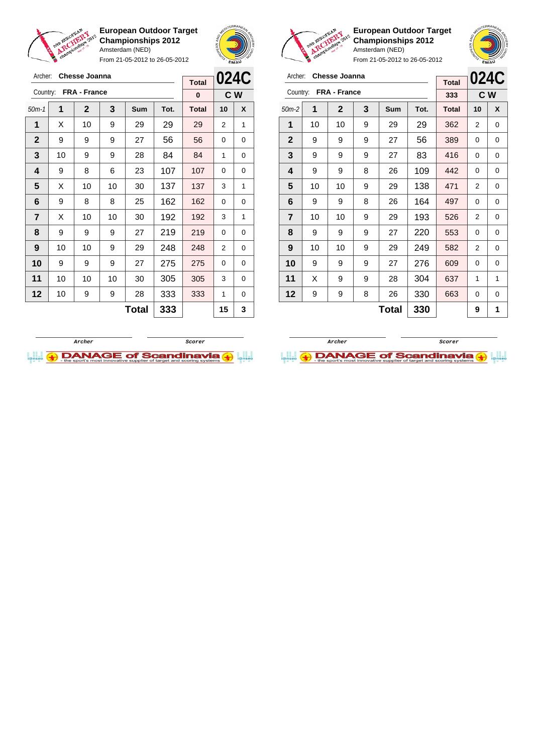

Archer: **Chesse Joanna** Country: **FRA - France**

**European Outdoor Target Championships 2012** Amsterdam (NED)

From 21-05-2012 to 26-05-2012

50m-1 **1 2 3 Sum Tot. Total 10 X** | X | 10 | 9 | 29 | 29 | 29 | 2 | 1 | 9 | 9 | 9 | 27 | 56 | 56 | 0 | 0 | 10 | 9 | 9 | 28 | 84 | 84 | 1 | 0 | 9 | 8 | 6 | 23 | 107 | 107 | 0 | 0  $\mid$  X  $\mid$  10  $\mid$  10  $\mid$  30  $\mid$  137  $\mid$  137  $\mid$  3  $\mid$  1



**C W**

**Total 0**



**European Outdoor Target Championships 2012** Amsterdam (NED)

| Archer:                 |    | <b>Chesse Joanna</b> | <b>Total</b> |       | 024C |              |                |   |
|-------------------------|----|----------------------|--------------|-------|------|--------------|----------------|---|
| Country:                |    | FRA - France         |              |       |      | 333          | C <sub>W</sub> |   |
| $50m-2$                 | 1  | $\mathbf 2$          | 3            | Sum   | Tot. | <b>Total</b> | 10             | X |
| 1                       | 10 | 10                   | 9            | 29    | 29   | 362          | 2              | 0 |
| $\mathbf{2}$            | 9  | 9                    | 9            | 27    | 56   | 389          | 0              | 0 |
| 3                       | 9  | 9                    | 9            | 27    | 83   | 416          | 0              | 0 |
| 4                       | 9  | 9                    | 8            | 26    | 109  | 442          | 0              | 0 |
| 5                       | 10 | 10                   | 9            | 29    | 138  | 471          | 2              | 0 |
| 6                       | 9  | 9                    | 8            | 26    | 164  | 497          | 0              | 0 |
| $\overline{\mathbf{r}}$ | 10 | 10                   | 9            | 29    | 193  | 526          | 2              | 0 |
| 8                       | 9  | 9                    | 9            | 27    | 220  | 553          | 0              | 0 |
| 9                       | 10 | 10                   | 9            | 29    | 249  | 582          | 2              | 0 |
| 10                      | 9  | 9                    | 9            | 27    | 276  | 609          | 0              | 0 |
| 11                      | X  | 9                    | 9            | 28    | 304  | 637          | 1              | 1 |
| 12                      | 9  | 9                    | 8            | 26    | 330  | 663          | 0              | 0 |
|                         |    |                      |              | Total | 330  |              | 9              | 1 |





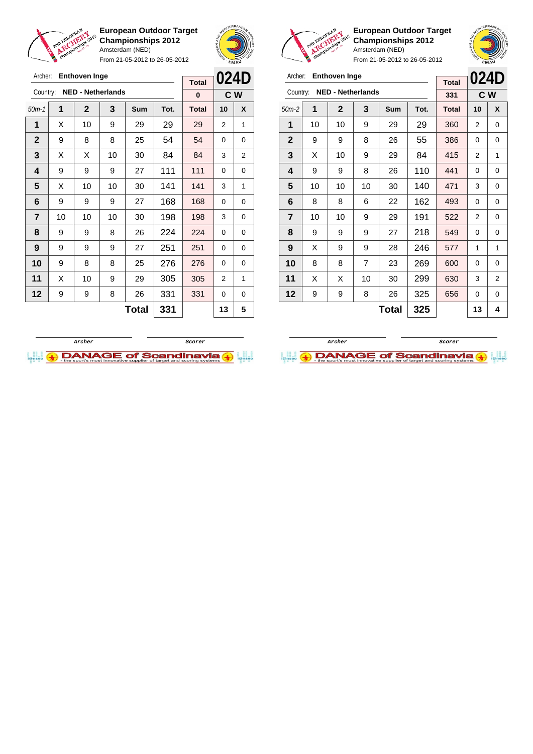

Archer: **Enthoven Inge**

Country: **NED - Netherlands**

**European Outdoor Target Championships 2012** Amsterdam (NED)

From 21-05-2012 to 26-05-2012

50m-1 **1 2 3 Sum Tot. Total 10 X** | X | 10 | 9 | 29 | 29 | 29 | 2 | 1 9 8 8 25 54 54 0 0 | X | X | 10 | 30 | 84 | 84 | 3 | 2 | 9 | 9 | 9 | 27 | 111 | 111 | 0 | 0  $\mid$  X  $\mid$  10  $\mid$  10  $\mid$  30  $\mid$  141  $\mid$  141  $\mid$  3  $\mid$  1 | 9 | 9 | 9 | 27 | 168 | 168 | 0 | 0 | 10 | 10 | 10 | 30 | 198 | 198 | 3 | 0 | 9 | 9 | 8 | 26 | 224 | 224 | 0 | 0 | 9 | 9 | 9 | 27 | 251 | 251 | 0 | 0 9 8 8 25 276 276 0 0 | X | 10 | 9 | 29 | 305 | 305 | 2 | 1 | 9 | 9 | 8 | 26 | 331 | 331 | 0 | 0



**C W**

**Total 0**

**European Outdoor Target Championships 2012** Amsterdam (NED)



**024D**

From 21-05-2012 to 26-05-2012

|                |    |                      |                          | <b>EMAY</b> |      |              |                |                |  |
|----------------|----|----------------------|--------------------------|-------------|------|--------------|----------------|----------------|--|
| Archer:        |    | <b>Enthoven Inge</b> |                          |             |      | <b>Total</b> | 024            |                |  |
| Country:       |    |                      | <b>NED - Netherlands</b> |             |      | 331          |                | C W            |  |
| $50m-2$        | 1  | $\overline{2}$       | 3                        | Sum         | Tot. | <b>Total</b> | 10             | X              |  |
| 1              | 10 | 10                   | 9                        | 29          | 29   | 360          | $\overline{2}$ | 0              |  |
| $\mathbf{2}$   | 9  | 9                    | 8                        | 26          | 55   | 386          | 0              | 0              |  |
| 3              | X  | 10                   | 9                        | 29          | 84   | 415          | 2              | 1              |  |
| 4              | 9  | 9                    | 8                        | 26          | 110  | 441          | 0              | 0              |  |
| 5              | 10 | 10                   | 10                       | 30          | 140  | 471          | 3              | 0              |  |
| 6              | 8  | 8                    | 6                        | 22          | 162  | 493          | 0              | 0              |  |
| $\overline{7}$ | 10 | 10                   | 9                        | 29          | 191  | 522          | 2              | 0              |  |
| 8              | 9  | 9                    | 9                        | 27          | 218  | 549          | 0              | 0              |  |
| 9              | X  | 9                    | 9                        | 28          | 246  | 577          | 1              | 1              |  |
| 10             | 8  | 8                    | 7                        | 23          | 269  | 600          | 0              | 0              |  |
| 11             | X  | X                    | 10                       | 30          | 299  | 630          | 3              | $\overline{2}$ |  |
| 12             | 9  | 9                    | 8                        | 26          | 325  | 656          | 0              | 0              |  |
|                |    |                      |                          |             |      |              |                |                |  |

**Total 325 13 4**

**Archer Scorer**



**Total 331 13 5**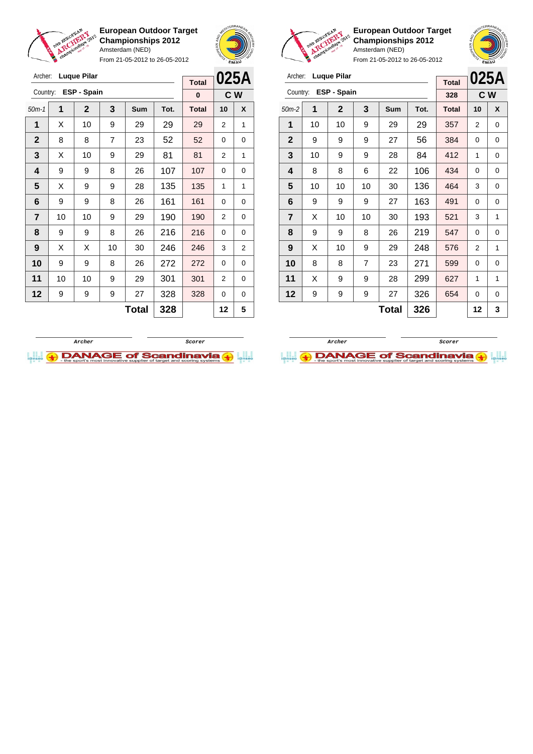

Archer: **Luque Pilar** Country: **ESP - Spain**

**European Outdoor Target Championships 2012** Amsterdam (NED)

From 21-05-2012 to 26-05-2012

50m-1 **1 2 3 Sum Tot. Total 10 X** | X | 10 | 9 | 29 | 29 | 29 | 2 | 1 8 8 7 23 52 52 0 0  $\mid$  X  $\mid$  10  $\mid$  9  $\mid$  29  $\mid$  81  $\mid$  81  $\mid$  2  $\mid$  1 | 9 | 9 | 8 | 26 | 107 | 107 | 0 | 0  $\mid$  X  $\mid$  9  $\mid$  9  $\mid$  28  $\mid$  135  $\mid$  135  $\mid$  1  $\mid$  1 | 9 | 9 | 8 | 26 | 161 | 161 | 0 | 0 | 10 | 10 | 9 | 29 | 190 | 190 | 2 | 0 | 9 | 9 | 8 | 26 | 216 | 216 | 0 | 0 | X | X | 10 | 30 | **246 | 246 |** 3 | 2 9 9 8 26 272 272 0 0 | 10 | 10 | 9 | 29 | 301 | 301 | 2 | 0 | 9 | 9 | 9 | 27 | 328 | 328 | 0 | 0



**C W**

**Total 0**



**European Outdoor Target Championships 2012** Amsterdam (NED)

From 21-05-2012 to 26-05-2012

| Archer:        |    | <b>Luque Pilar</b> |                |     | <b>Total</b> |              | 025A     |     |
|----------------|----|--------------------|----------------|-----|--------------|--------------|----------|-----|
| Country:       |    | ESP - Spain        |                |     |              | 328          |          | C W |
| $50m-2$        | 1  | $\overline{2}$     | 3              | Sum | Tot.         | <b>Total</b> | 10       | X   |
| 1              | 10 | 10                 | 9              | 29  | 29           | 357          | 2        | 0   |
| $\mathbf{2}$   | 9  | 9                  | 9              | 27  | 56           | 384          | 0        | 0   |
| 3              | 10 | 9                  | 9              | 28  | 84           | 412          | 1        | 0   |
| 4              | 8  | 8                  | 6              | 22  | 106          | 434          | $\Omega$ | 0   |
| 5              | 10 | 10                 | 10             | 30  | 136          | 464          | 3        | 0   |
| 6              | 9  | 9                  | 9              | 27  | 163          | 491          | 0        | 0   |
| $\overline{7}$ | X  | 10                 | 10             | 30  | 193          | 521          | 3        | 1   |
| 8              | 9  | 9                  | 8              | 26  | 219          | 547          | 0        | 0   |
| 9              | X  | 10                 | 9              | 29  | 248          | 576          | 2        | 1   |
| 10             | 8  | 8                  | $\overline{7}$ | 23  | 271          | 599          | $\Omega$ | 0   |
| 11             | X  | 9                  | 9              | 28  | 299          | 627          | 1        | 1   |
| 12             | 9  | 9                  | 9              | 27  | 326          | 654          | 0        | 0   |
|                |    |                    |                | 12  | 3            |              |          |     |





**Total 328 12 5**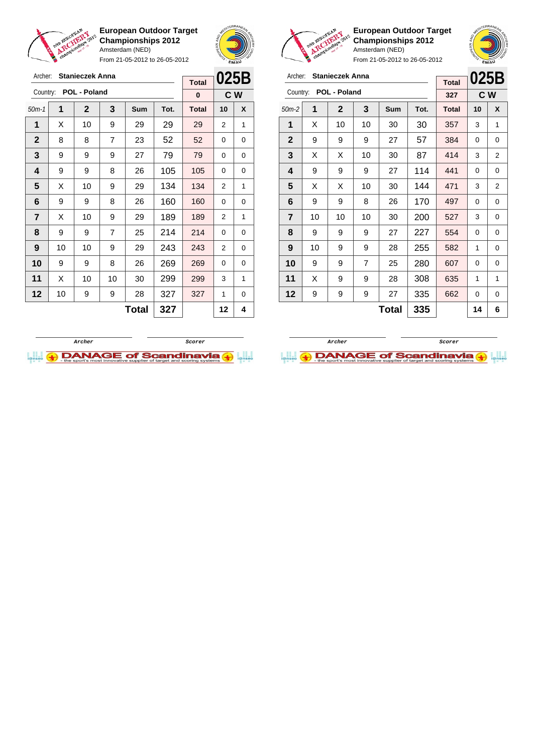

Archer: **Stanieczek Anna** Country: **POL - Poland**

**European Outdoor Target Championships 2012** Amsterdam (NED)

From 21-05-2012 to 26-05-2012



**C W**

**Total 0**

**European Outdoor Target Championships 2012** Amsterdam (NED)



| Archer:        |    | <b>Stanieczek Anna</b> |                |              |      |              |                                                                                                                                                |   |
|----------------|----|------------------------|----------------|--------------|------|--------------|------------------------------------------------------------------------------------------------------------------------------------------------|---|
|                |    |                        |                |              |      | <b>Total</b> |                                                                                                                                                |   |
| Country:       |    | POL - Poland           |                |              |      | 327          | 025B<br>C W<br>10<br>X<br>3<br>1<br>0<br>0<br>3<br>2<br>0<br>0<br>3<br>2<br>0<br>0<br>3<br>0<br>0<br>0<br>1<br>0<br>0<br>0<br>1<br>1<br>0<br>0 |   |
| $50m-2$        | 1  | $\mathbf{2}$           | 3              | Sum          | Tot. | <b>Total</b> |                                                                                                                                                |   |
| 1              | X  | 10                     | 10             | 30           | 30   | 357          |                                                                                                                                                |   |
| $\mathbf{2}$   | 9  | 9                      | 9              | 27           | 57   | 384          |                                                                                                                                                |   |
| 3              | X  | X                      | 10             | 30           | 87   | 414          |                                                                                                                                                |   |
| 4              | 9  | 9                      | 9              | 27           | 114  | 441          |                                                                                                                                                |   |
| 5              | X  | X                      | 10             | 30           | 144  | 471          |                                                                                                                                                |   |
| 6              | 9  | 9                      | 8              | 26           | 170  | 497          |                                                                                                                                                |   |
| $\overline{7}$ | 10 | 10                     | 10             | 30           | 200  | 527          |                                                                                                                                                |   |
| 8              | 9  | 9                      | 9              | 27           | 227  | 554          |                                                                                                                                                |   |
| 9              | 10 | 9                      | 9              | 28           | 255  | 582          |                                                                                                                                                |   |
| 10             | 9  | 9                      | $\overline{7}$ | 25           | 280  | 607          |                                                                                                                                                |   |
| 11             | X  | 9                      | 9              | 28           | 308  | 635          |                                                                                                                                                |   |
| 12             | 9  | 9                      | 9              | 27           | 335  | 662          |                                                                                                                                                |   |
|                |    |                        |                | <b>Total</b> | 335  |              | 14                                                                                                                                             | 6 |





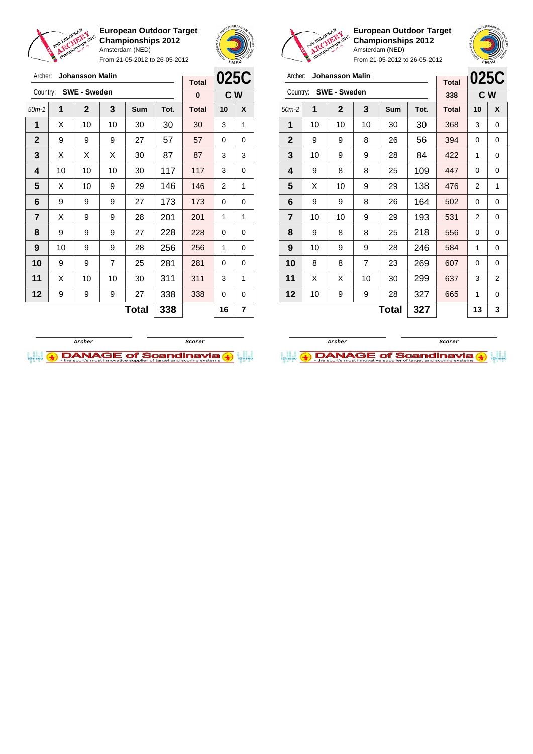

From 21-05-2012 to 26-05-2012



 $\overline{a}$ 

**European Outdoor Target Championships 2012** Amsterdam (NED)

| Archer:        |    | <b>Johansson Malin</b> |     |     | 025C |                     |    |     |
|----------------|----|------------------------|-----|-----|------|---------------------|----|-----|
|                |    | Country: SWE - Sweden  |     |     |      | <b>Total</b><br>338 |    | C W |
|                |    |                        |     |     |      |                     |    |     |
| $50m-2$        | 1  | $\mathbf{2}$           | 3   | Sum | Tot. | <b>Total</b>        | 10 | X   |
| 1              | 10 | 10                     | 10  | 30  | 30   | 368                 | 3  | 0   |
| $\mathbf{2}$   | 9  | 9                      | 8   | 26  | 56   | 394                 | 0  | 0   |
| 3              | 10 | 9                      | 9   | 28  | 84   | 422                 | 1  | 0   |
| 4              | 9  | 8                      | 8   | 25  | 109  | 447                 | 0  | 0   |
| 5              | X  | 10                     | 9   | 29  | 138  | 476                 | 2  | 1   |
| 6              | 9  | 9                      | 8   | 26  | 164  | 502                 | 0  | 0   |
| $\overline{7}$ | 10 | 10                     | 9   | 29  | 193  | 531                 | 2  | 0   |
| 8              | 9  | 8                      | 8   | 25  | 218  | 556                 | 0  | 0   |
| 9              | 10 | 9                      | 9   | 28  | 246  | 584                 | 1  | 0   |
| 10             | 8  | 8                      | 7   | 23  | 269  | 607                 | 0  | 0   |
| 11             | X  | x                      | 10  | 30  | 299  | 637                 | 3  | 2   |
| 12             | 10 | 9                      | 9   | 28  | 327  | 665                 | 1  | 0   |
|                |    |                        | 327 |     | 13   | 3                   |    |     |





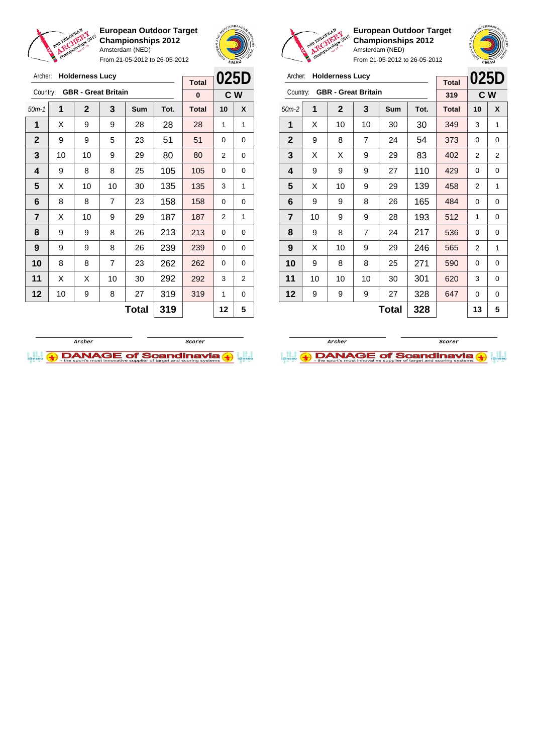

From 21-05-2012 to 26-05-2012





**European Outdoor Target Championships 2012** Amsterdam (NED)

| Archer:                 |    | <b>Holderness Lucy</b>     |    |     | <b>Total</b> | 025D         |                |                |
|-------------------------|----|----------------------------|----|-----|--------------|--------------|----------------|----------------|
| Country:                |    | <b>GBR</b> - Great Britain |    |     |              | 319          |                | c <sub>w</sub> |
| $50m-2$                 | 1  | $\mathbf{2}$               | 3  | Sum | Tot.         | <b>Total</b> | 10             | X              |
| 1                       | X  | 10                         | 10 | 30  | 30           | 349          | 3              | 1              |
| $\overline{2}$          | 9  | 8                          | 7  | 24  | 54           | 373          | 0              | 0              |
| 3                       | X  | X                          | 9  | 29  | 83           | 402          | 2              | $\overline{2}$ |
| 4                       | 9  | 9                          | 9  | 27  | 110          | 429          | $\Omega$       | 0              |
| 5                       | X  | 10                         | 9  | 29  | 139          | 458          | $\overline{2}$ | 1              |
| 6                       | 9  | 9                          | 8  | 26  | 165          | 484          | 0              | 0              |
| $\overline{\mathbf{r}}$ | 10 | 9                          | 9  | 28  | 193          | 512          | 1              | 0              |
| 8                       | 9  | 8                          | 7  | 24  | 217          | 536          | $\Omega$       | 0              |
| 9                       | X  | 10                         | 9  | 29  | 246          | 565          | 2              | 1              |
| 10                      | 9  | 8                          | 8  | 25  | 271          | 590          | $\Omega$       | 0              |
| 11                      | 10 | 10                         | 10 | 30  | 301          | 620          | 3              | 0              |
| 12                      | 9  | 9                          | 9  | 27  | 328          | 647          | 0              | 0              |
|                         |    |                            |    | 13  | 5            |              |                |                |

| Archer:      |    | <b>Holderness Lucy</b>     |     | <b>Total</b> | 025D |              |                |                |
|--------------|----|----------------------------|-----|--------------|------|--------------|----------------|----------------|
| Country:     |    | <b>GBR - Great Britain</b> |     |              |      | $\bf{0}$     |                | C W            |
| $50m-1$      | 1  | $\mathbf{2}$               | 3   | <b>Sum</b>   | Tot. | <b>Total</b> | 10             | X              |
| 1            | X  | 9                          | 9   | 28           | 28   | 28           | 1              | 1              |
| $\mathbf{2}$ | 9  | 9                          | 5   | 23           | 51   | 51           | 0              | 0              |
| 3            | 10 | 10                         | 9   | 29           | 80   | 80           | 2              | 0              |
| 4            | 9  | 8                          | 8   | 25           | 105  | 105          | 0              | 0              |
| 5            | X  | 10                         | 10  | 30           | 135  | 135          | 3              | 1              |
| 6            | 8  | 8                          | 7   | 23           | 158  | 158          | 0              | 0              |
| 7            | X  | 10                         | 9   | 29           | 187  | 187          | $\overline{2}$ | 1              |
| 8            | 9  | 9                          | 8   | 26           | 213  | 213          | 0              | 0              |
| 9            | 9  | 9                          | 8   | 26           | 239  | 239          | 0              | 0              |
| 10           | 8  | 8                          | 7   | 23           | 262  | 262          | 0              | 0              |
| 11           | X  | X                          | 10  | 30           | 292  | 292          | 3              | $\overline{2}$ |
| 12           | 10 | 9                          | 8   | 27           | 319  | 319          | 1              | 0              |
|              |    |                            | 319 |              | 12   | 5            |                |                |



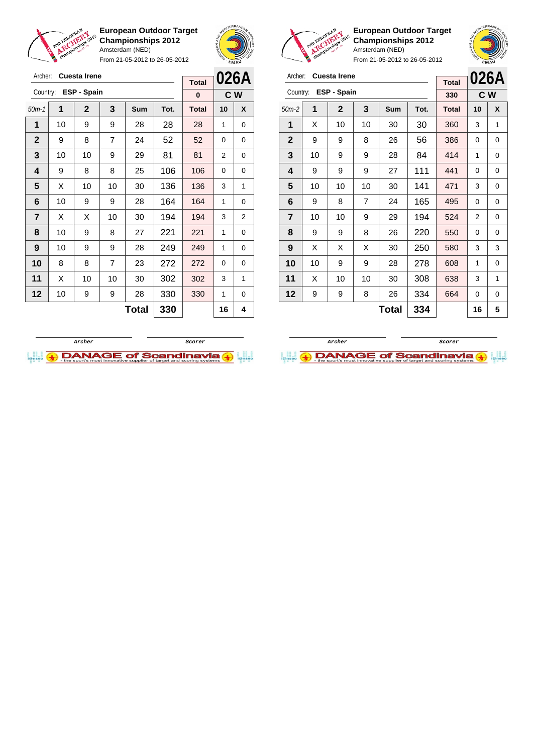

Archer: **Cuesta Irene** Country: **ESP - Spain**

**European Outdoor Target Championships 2012** Amsterdam (NED)

From 21-05-2012 to 26-05-2012

50m-1 **1 2 3 Sum Tot. Total 10 X** | 10 | 9 | 9 | 28 | 28 | 28 | 1 | 0 | 9 | 8 | 7 | 24 | 52 | 52 | 0 | 0 | 10 | 10 | 9 | 29 | 81 | 81 | 2 | 0 | 9 | 8 | 8 | 25 | 106 | 106 | 0 | 0  $\mid$  X  $\mid$  10  $\mid$  10  $\mid$  30  $\mid$  136  $\mid$  136  $\mid$  3  $\mid$  1 | 10 | 9 | 9 | 28 | 164 | 164 | 1 | 0  $\mid$  X  $\mid$  X  $\mid$  10  $\mid$  30  $\mid$  194  $\mid$  194  $\mid$  3  $\mid$  2 | 10 | 9 | 8 | 27 | 221 | 221 | 1 | 0 | 10 | 9 | 9 | 28 | 249 | 249 | 1 | 0 8 8 7 23 272 272 0 0 | X | 10 | 10 | 30 | 302 | 302 | 3 | 1 | 10 | 9 | 9 | 28 | 330 | 330 | 1 | 0



**C W**

**Total 0**



**European Outdoor Target Championships 2012** Amsterdam (NED)



| Archer:                 |    | <b>Cuesta Irene</b> |    |     | <b>Total</b> |              | 026A |     |
|-------------------------|----|---------------------|----|-----|--------------|--------------|------|-----|
| Country:                |    | ESP - Spain         |    |     |              | 330          |      | C W |
| $50m-2$                 | 1  | $\mathbf{2}$        | 3  | Sum | Tot.         | <b>Total</b> | 10   | X   |
| 1                       | Χ  | 10                  | 10 | 30  | 30           | 360          | 3    | 1   |
| $\mathbf{2}$            | 9  | 9                   | 8  | 26  | 56           | 386          | 0    | 0   |
| 3                       | 10 | 9                   | 9  | 28  | 84           | 414          | 1    | 0   |
| 4                       | 9  | 9                   | 9  | 27  | 111          | 441          | 0    | 0   |
| 5                       | 10 | 10                  | 10 | 30  | 141          | 471          | 3    | 0   |
| 6                       | 9  | 8                   | 7  | 24  | 165          | 495          | 0    | 0   |
| $\overline{\mathbf{r}}$ | 10 | 10                  | 9  | 29  | 194          | 524          | 2    | 0   |
| 8                       | 9  | 9                   | 8  | 26  | 220          | 550          | 0    | 0   |
| 9                       | X  | Х                   | X  | 30  | 250          | 580          | 3    | 3   |
| 10                      | 10 | 9                   | 9  | 28  | 278          | 608          | 1    | 0   |
| 11                      | X  | 10                  | 10 | 30  | 308          | 638          | 3    | 1   |
| 12                      | 9  | 9                   | 8  | 26  | 334          | 664          | 0    | 0   |
|                         |    |                     |    | 16  | 5            |              |      |     |



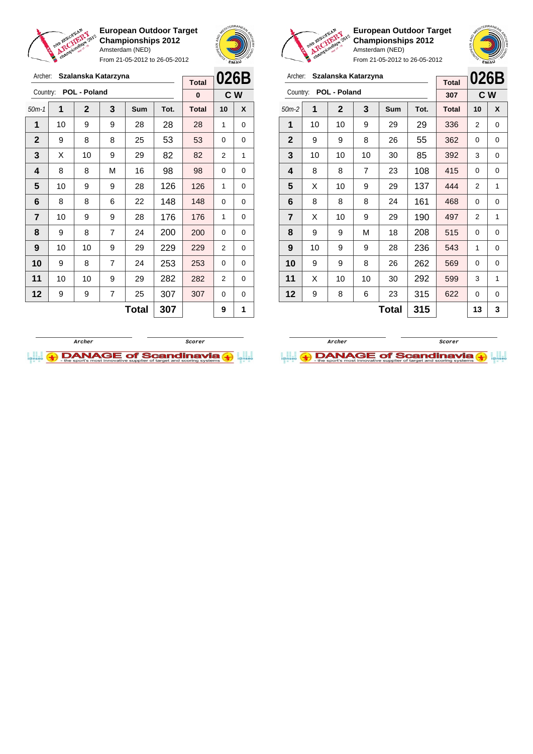

Archer: **Szalanska Katarzyna**

**European Outdoor Target Championships 2012** Amsterdam (NED)

From 21-05-2012 to 26-05-2012





**European Outdoor Target Championships 2012** Amsterdam (NED) From 21-05-2012 to 26-05-2012



| Archer:        |    | Szalanska Katarzyna |                |       |      | <b>Total</b> | 026B           |     |
|----------------|----|---------------------|----------------|-------|------|--------------|----------------|-----|
| Country:       |    | POL - Poland        |                |       |      | 307          |                | C W |
| $50m-2$        | 1  | $\mathbf{2}$        | 3              | Sum   | Tot. | <b>Total</b> | 10             | X   |
| 1              | 10 | 10                  | 9              | 29    | 29   | 336          | 2              | 0   |
| $\mathbf{2}$   | 9  | 9                   | 8              | 26    | 55   | 362          | $\Omega$       | 0   |
| 3              | 10 | 10                  | 10             | 30    | 85   | 392          | 3              | 0   |
| 4              | 8  | 8                   | $\overline{7}$ | 23    | 108  | 415          | $\Omega$       | 0   |
| 5              | X  | 10                  | 9              | 29    | 137  | 444          | $\overline{2}$ | 1   |
| 6              | 8  | 8                   | 8              | 24    | 161  | 468          | 0              | 0   |
| $\overline{7}$ | X  | 10                  | 9              | 29    | 190  | 497          | $\overline{2}$ | 1   |
| 8              | 9  | 9                   | М              | 18    | 208  | 515          | 0              | 0   |
| 9              | 10 | 9                   | 9              | 28    | 236  | 543          | 1              | 0   |
| 10             | 9  | 9                   | 8              | 26    | 262  | 569          | 0              | 0   |
| 11             | X  | 10                  | 10             | 30    | 292  | 599          | 3              | 1   |
| 12             | 9  | 8                   | 6              | 23    | 315  | 622          | 0              | 0   |
|                |    |                     |                | Total | 315  |              | 13             | 3   |

| Archer:      |    |                | Szalanska Katarzyna |            | <b>Total</b> | 026B         |                |     |
|--------------|----|----------------|---------------------|------------|--------------|--------------|----------------|-----|
| Country:     |    | POL - Poland   |                     |            |              | $\bf{0}$     |                | C W |
| $50m-1$      | 1  | $\overline{2}$ | 3                   | <b>Sum</b> | Tot.         | <b>Total</b> | 10             | X   |
| 1            | 10 | 9              | 9                   | 28         | 28           | 28           | 1              | 0   |
| $\mathbf{2}$ | 9  | 8              | 8                   | 25         | 53           | 53           | 0              | 0   |
| 3            | Х  | 10             | 9                   | 29         | 82           | 82           | 2              | 1   |
| 4            | 8  | 8              | M                   | 16         | 98           | 98           | 0              | 0   |
| 5            | 10 | 9              | 9                   | 28         | 126          | 126          | 1              | 0   |
| 6            | 8  | 8              | 6                   | 22         | 148          | 148          | 0              | 0   |
| 7            | 10 | 9              | 9                   | 28         | 176          | 176          | 1              | 0   |
| 8            | 9  | 8              | $\overline{7}$      | 24         | 200          | 200          | 0              | 0   |
| 9            | 10 | 10             | 9                   | 29         | 229          | 229          | $\overline{2}$ | 0   |
| 10           | 9  | 8              | $\overline{7}$      | 24         | 253          | 253          | 0              | 0   |
| 11           | 10 | 10             | 9                   | 29         | 282          | 282          | 2              | 0   |
| 12           | 9  | 9              | 7                   | 25         | 307          | 307          | 0              | 0   |
|              |    |                | 307                 |            | 9            | 1            |                |     |



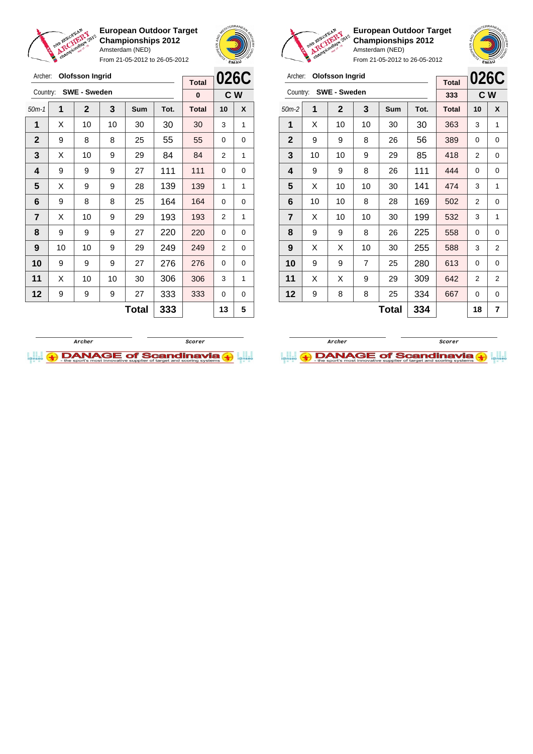

Archer: **Olofsson Ingrid**

**European Outdoor Target Championships 2012** Amsterdam (NED)

From 21-05-2012 to 26-05-2012



**026C Total**



**European Outdoor Target Championships 2012** Amsterdam (NED)

| Archer:        |    | <b>Olofsson Ingrid</b> |                |              |      | <b>Total</b> | 026C           |                |  |
|----------------|----|------------------------|----------------|--------------|------|--------------|----------------|----------------|--|
| Country:       |    | <b>SWE - Sweden</b>    |                |              |      | 333          |                | C W            |  |
| $50m-2$        | 1  | $\mathbf{2}$           | 3              | Sum          | Tot. | <b>Total</b> | 10             | X              |  |
| 1              | X  | 10                     | 10             | 30           | 30   | 363          | 3              | 1              |  |
| $\mathbf{2}$   | 9  | 9                      | 8              | 26           | 56   | 389          | 0              | 0              |  |
| 3              | 10 | 10                     | 9              | 29           | 85   | 418          | $\overline{2}$ | 0              |  |
| 4              | 9  | 9                      | 8              | 26           | 111  | 444          | 0              | 0              |  |
| 5              | X  | 10                     | 10             | 30           | 141  | 474          | 3              | 1              |  |
| 6              | 10 | 10                     | 8              | 28           | 169  | 502          | 2              | 0              |  |
| $\overline{7}$ | X  | 10                     | 10             | 30           | 199  | 532          | 3              | 1              |  |
| 8              | 9  | 9                      | 8              | 26           | 225  | 558          | 0              | 0              |  |
| 9              | X  | X                      | 10             | 30           | 255  | 588          | 3              | $\overline{2}$ |  |
| 10             | 9  | 9                      | $\overline{7}$ | 25           | 280  | 613          | 0              | 0              |  |
| 11             | X  | X                      | 9              | 29           | 309  | 642          | $\overline{2}$ | $\overline{2}$ |  |
| 12             | 9  | 8                      | 8              | 25           | 334  | 667          | 0              | 0              |  |
|                |    |                        |                | <b>Total</b> | 334  |              | 18             | 7              |  |

|                  | <b>SWE - Sweden</b><br>Country:<br>$\mathbf 2$<br>3<br>1<br>Sum<br>10<br>10<br>30<br>X<br>9<br>8<br>8<br>25<br>X<br>10<br>9<br>29<br>9<br>9<br>27<br>9<br>X<br>9<br>9<br>28<br>9<br>8<br>8<br>25<br>X<br>10<br>9<br>29<br>9<br>9<br>9<br>27<br>10<br>10<br>9<br>29 |    |    |       |      | C W<br>0     |                |   |  |
|------------------|--------------------------------------------------------------------------------------------------------------------------------------------------------------------------------------------------------------------------------------------------------------------|----|----|-------|------|--------------|----------------|---|--|
| $50m-1$          |                                                                                                                                                                                                                                                                    |    |    |       | Tot. | <b>Total</b> | 10             | X |  |
| 1                |                                                                                                                                                                                                                                                                    |    |    |       | 30   | 30           | 3              | 1 |  |
| $\mathbf{2}$     |                                                                                                                                                                                                                                                                    |    |    |       | 55   | 55           | 0              | 0 |  |
| 3                |                                                                                                                                                                                                                                                                    |    |    |       | 84   | 84           | $\overline{2}$ | 1 |  |
| 4                |                                                                                                                                                                                                                                                                    |    |    |       | 111  | 111          | 0              | 0 |  |
| 5                |                                                                                                                                                                                                                                                                    |    |    |       | 139  | 139          | 1              | 1 |  |
| 6                |                                                                                                                                                                                                                                                                    |    |    |       | 164  | 164          | $\Omega$       | 0 |  |
| 7                |                                                                                                                                                                                                                                                                    |    |    |       | 193  | 193          | 2              | 1 |  |
| 8                |                                                                                                                                                                                                                                                                    |    |    |       | 220  | 220          | 0              | 0 |  |
| $\boldsymbol{9}$ |                                                                                                                                                                                                                                                                    |    |    |       | 249  | 249          | $\overline{2}$ | 0 |  |
| 10               | 9                                                                                                                                                                                                                                                                  | 9  | 9  | 27    | 276  | 276          | 0              | 0 |  |
| 11               | X                                                                                                                                                                                                                                                                  | 10 | 10 | 30    | 306  | 306          | 3              | 1 |  |
| 12               | 9                                                                                                                                                                                                                                                                  | 9  | 9  | 27    | 333  | 333          | 0              | 0 |  |
|                  |                                                                                                                                                                                                                                                                    |    |    | Total | 333  |              | 13             | 5 |  |



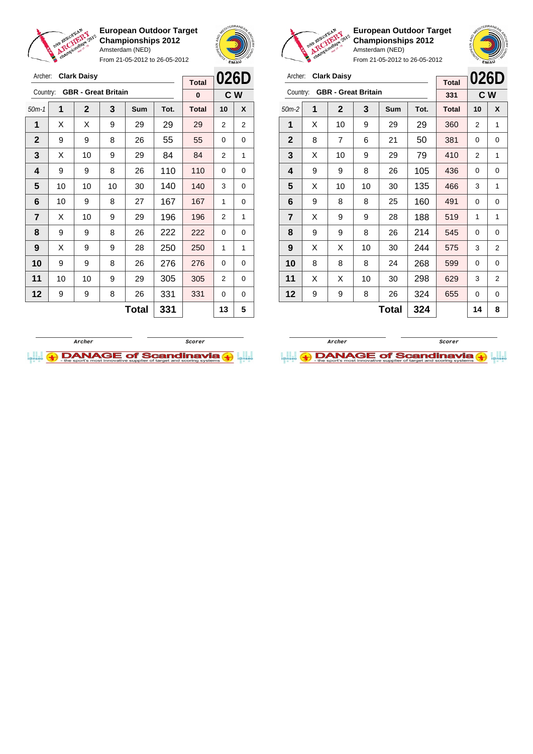

Archer: **Clark Daisy**

**European Outdoor Target Championships 2012** Amsterdam (NED)

From 21-05-2012 to 26-05-2012





**European Outdoor Target Championships 2012** Amsterdam (NED)

| Archer:        |   | <b>Clark Daisy</b>         |    | <b>Total</b> | 026D |              |    |                |
|----------------|---|----------------------------|----|--------------|------|--------------|----|----------------|
| Country:       |   | <b>GBR</b> - Great Britain |    |              |      | 331          |    | C W            |
| $50m-2$        | 1 | $\mathbf{2}$               | 3  | Sum          | Tot. | <b>Total</b> | 10 | X              |
| 1              | X | 10                         | 9  | 29           | 29   | 360          | 2  | 1              |
| $\mathbf{2}$   | 8 | $\overline{7}$             | 6  | 21           | 50   | 381          | 0  | 0              |
| 3              | X | 10                         | 9  | 29           | 79   | 410          | 2  | 1              |
| 4              | 9 | 9                          | 8  | 26           | 105  | 436          | 0  | 0              |
| 5              | X | 10                         | 10 | 30           | 135  | 466          | 3  | 1              |
| 6              | 9 | 8                          | 8  | 25           | 160  | 491          | 0  | 0              |
| $\overline{7}$ | X | 9                          | 9  | 28           | 188  | 519          | 1  | 1              |
| 8              | 9 | 9                          | 8  | 26           | 214  | 545          | 0  | 0              |
| 9              | X | X                          | 10 | 30           | 244  | 575          | 3  | 2              |
| 10             | 8 | 8                          | 8  | 24           | 268  | 599          | 0  | $\mathbf 0$    |
| 11             | X | Х                          | 10 | 30           | 298  | 629          | 3  | $\overline{2}$ |
| 12             | 9 | 9                          | 8  | 26           | 324  | 655          | 0  | 0              |
|                |   |                            |    | 14           | 8    |              |    |                |





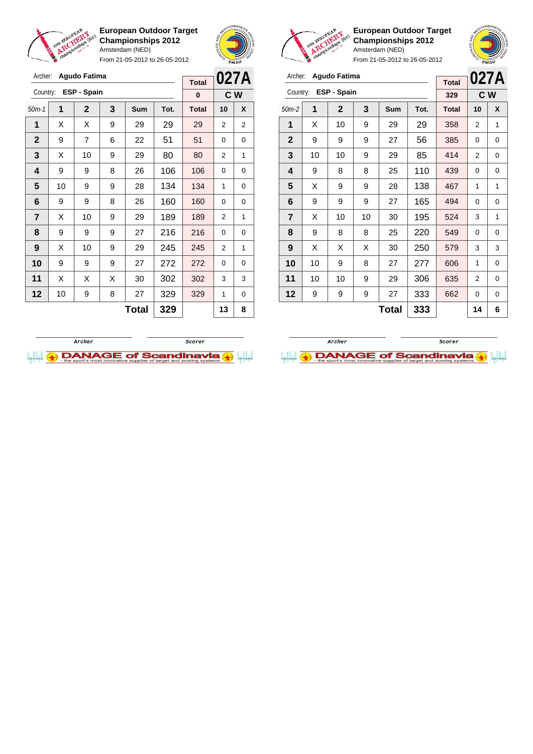

**European Outdoor Target Championships 2012** Amsterdam (NED) From 21-05-2012 to 26-05-2012





**European Outdoor Target Championships 2012** Amsterdam (NED)

From 21-05-2012 to 26-05-2012

| Archer:        |    | <b>Agudo Fatima</b> |    |     | <b>Total</b> |              | 027A |     |
|----------------|----|---------------------|----|-----|--------------|--------------|------|-----|
| Country:       |    | ESP - Spain         |    |     |              | 329          |      | C W |
| $50m-2$        | 1  | 2                   | 3  | Sum | Tot.         | <b>Total</b> | 10   | X   |
| 1              | X  | 10                  | 9  | 29  | 29           | 358          | 2    | 1   |
| $\mathbf{2}$   | 9  | 9                   | 9  | 27  | 56           | 385          | 0    | 0   |
| 3              | 10 | 10                  | 9  | 29  | 85           | 414          | 2    | 0   |
| 4              | 9  | 8                   | 8  | 25  | 110          | 439          | 0    | 0   |
| 5              | X  | 9                   | 9  | 28  | 138          | 467          | 1    | 1   |
| 6              | 9  | 9                   | 9  | 27  | 165          | 494          | 0    | 0   |
| $\overline{7}$ | X  | 10                  | 10 | 30  | 195          | 524          | 3    | 1   |
| 8              | 9  | 8                   | 8  | 25  | 220          | 549          | 0    | 0   |
| 9              | X  | X                   | X  | 30  | 250          | 579          | 3    | 3   |
| 10             | 10 | 9                   | 8  | 27  | 277          | 606          | 1    | 0   |
| 11             | 10 | 10                  | 9  | 29  | 306          | 635          | 2    | 0   |
| 12             | 9  | 9                   | 9  | 27  | 333          | 662          | 0    | 0   |
|                |    |                     |    | 14  | 6            |              |      |     |

**Archer Scorer**

 $\bigoplus$  DANAGE of Scandinavia

| Archer:                 |    | <b>Agudo Fatima</b> |   |              |      | 027A         |          |                |
|-------------------------|----|---------------------|---|--------------|------|--------------|----------|----------------|
| Country:                |    | ESP - Spain         |   |              |      | <b>Total</b> |          |                |
|                         |    |                     |   |              |      | $\bf{0}$     |          | C W            |
| $50m-1$                 | 1  | $\mathbf{2}$        | 3 | <b>Sum</b>   | Tot. | <b>Total</b> | 10       | X              |
| 1                       | Х  | X                   | 9 | 29           | 29   | 29           | 2        | $\overline{2}$ |
| $\overline{2}$          | 9  | 7                   | 6 | 22           | 51   | 51           | 0        | 0              |
| 3                       | X  | 10                  | 9 | 29           | 80   | 80           | 2        | 1              |
| 4                       | 9  | 9                   | 8 | 26           | 106  | 106          | 0        | 0              |
| 5                       | 10 | 9                   | 9 | 28           | 134  | 134          | 1        | 0              |
| 6                       | 9  | 9                   | 8 | 26           | 160  | 160          | 0        | 0              |
| $\overline{\mathbf{r}}$ | X  | 10                  | 9 | 29           | 189  | 189          | 2        | 1              |
| 8                       | 9  | 9                   | 9 | 27           | 216  | 216          | 0        | 0              |
| 9                       | X  | 10                  | 9 | 29           | 245  | 245          | 2        | 1              |
| 10                      | 9  | 9                   | 9 | 27           | 272  | 272          | $\Omega$ | 0              |
| 11                      | X  | X                   | X | 30           | 302  | 302          | 3        | 3              |
| 12                      | 10 | 9                   | 8 | 27           | 329  | 329          | 1        | 0              |
|                         |    |                     |   | <b>Total</b> | 329  |              | 13       | 8              |
|                         |    |                     |   |              |      |              |          |                |

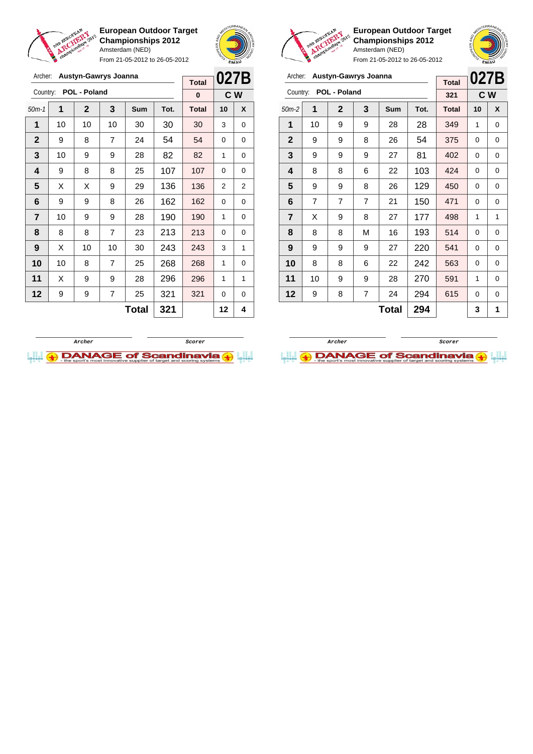

Archer: **Austyn-Gawrys Joanna**

**European Outdoor Target Championships 2012** Amsterdam (NED)

From 21-05-2012 to 26-05-2012





**European Outdoor Target Championships 2012** Amsterdam (NED)

| Archer:        |                | Austyn-Gawrys Joanna |                |       |      | <b>Total</b> | 027B     |   |
|----------------|----------------|----------------------|----------------|-------|------|--------------|----------|---|
| Country:       |                | POL - Poland         |                |       |      | 321          | C W      |   |
| $50m-2$        | 1              | $\mathbf 2$          | 3              | Sum   | Tot. | <b>Total</b> | 10       | X |
| 1              | 10             | 9                    | 9              | 28    | 28   | 349          | 1        | 0 |
| $\mathbf{2}$   | 9              | 9                    | 8              | 26    | 54   | 375          | 0        | 0 |
| 3              | 9              | 9                    | 9              | 27    | 81   | 402          | 0        | 0 |
| 4              | 8              | 8                    | 6              | 22    | 103  | 424          | 0        | 0 |
| 5              | 9              | 9                    | 8              | 26    | 129  | 450          | 0        | 0 |
| 6              | $\overline{7}$ | $\overline{7}$       | $\overline{7}$ | 21    | 150  | 471          | 0        | 0 |
| $\overline{7}$ | X              | 9                    | 8              | 27    | 177  | 498          | 1        | 1 |
| 8              | 8              | 8                    | M              | 16    | 193  | 514          | 0        | 0 |
| 9              | 9              | 9                    | 9              | 27    | 220  | 541          | 0        | 0 |
| 10             | 8              | 8                    | 6              | 22    | 242  | 563          | $\Omega$ | 0 |
| 11             | 10             | 9                    | 9              | 28    | 270  | 591          | 1        | 0 |
| 12             | 9              | 8                    | 7              | 24    | 294  | 615          | 0        | 0 |
|                |                |                      |                | Total | 294  |              | 3        | 1 |

| Archer:        |    | Austyn-Gawrys Joanna |                | <b>Total</b> | 027B |              |    |     |
|----------------|----|----------------------|----------------|--------------|------|--------------|----|-----|
| Country:       |    | POL - Poland         |                |              |      | $\bf{0}$     |    | C W |
| $50m-1$        | 1  | $\mathbf{2}$         | 3              | Sum          | Tot. | <b>Total</b> | 10 | X   |
| 1              | 10 | 10                   | 10             | 30           | 30   | 30           | 3  | 0   |
| $\mathbf{2}$   | 9  | 8                    | 7              | 24           | 54   | 54           | 0  | 0   |
| 3              | 10 | 9                    | 9              | 28           | 82   | 82           | 1  | 0   |
| 4              | 9  | 8                    | 8              | 25           | 107  | 107          | 0  | 0   |
| 5              | X  | X                    | 9              | 29           | 136  | 136          | 2  | 2   |
| 6              | 9  | 9                    | 8              | 26           | 162  | 162          | 0  | 0   |
| $\overline{7}$ | 10 | 9                    | 9              | 28           | 190  | 190          | 1  | 0   |
| 8              | 8  | 8                    | $\overline{7}$ | 23           | 213  | 213          | 0  | 0   |
| 9              | X  | 10                   | 10             | 30           | 243  | 243          | 3  | 1   |
| 10             | 10 | 8                    | $\overline{7}$ | 25           | 268  | 268          | 1  | 0   |
| 11             | X  | 9                    | 9              | 28           | 296  | 296          | 1  | 1   |
| 12             | 9  | 9                    | 7              | 25           | 321  | 321          | 0  | 0   |
|                |    |                      |                | 12           | 4    |              |    |     |



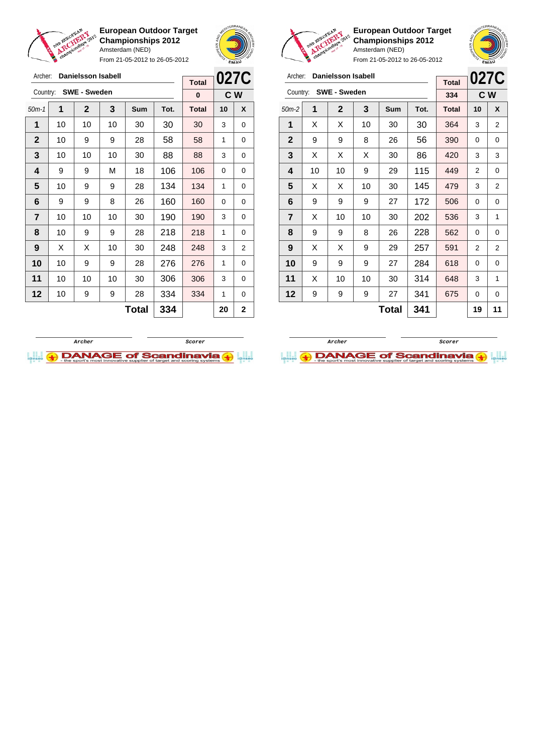

**European Outdoor Target Championships 2012** Amsterdam (NED)

From 21-05-2012 to 26-05-2012





**European Outdoor Target Championships 2012** Amsterdam (NED)

**027C C W**

From 21-05-2012 to 26-05-2012

| Archer:        |                 | <b>Danielsson Isabell</b> |    |            |      |              |          | 027C           | Archer:      |    | <b>Danielsson Isabell</b> |                 |              |      |              | 0270           |                |
|----------------|-----------------|---------------------------|----|------------|------|--------------|----------|----------------|--------------|----|---------------------------|-----------------|--------------|------|--------------|----------------|----------------|
|                |                 |                           |    |            |      | <b>Total</b> |          |                |              |    |                           |                 |              |      | <b>Total</b> |                |                |
| Country:       |                 | <b>SWE - Sweden</b>       |    |            |      | $\mathbf{0}$ |          | C W            |              |    | Country: SWE - Sweden     |                 |              |      | 334          |                | C W            |
| $50m-1$        | 1               | $\overline{2}$            | 3  | <b>Sum</b> | Tot. | <b>Total</b> | 10       | X              | $50m-2$      | 1  | $\overline{2}$            | 3               | Sum          | Tot. | <b>Total</b> | 10             | X              |
| 1              | 10              | 10                        | 10 | 30         | 30   | 30           | 3        | 0              | 1            | X  | X                         | 10              | 30           | 30   | 364          | 3              | 2              |
| $\overline{2}$ | 10 <sup>1</sup> | 9                         | 9  | 28         | 58   | 58           | 1        | 0              | $\mathbf{2}$ | 9  | 9                         | 8               | 26           | 56   | 390          | $\Omega$       | $\mathbf 0$    |
| 3              | 10              | 10                        | 10 | 30         | 88   | 88           | 3        | 0              | 3            | X  | X                         | X               | 30           | 86   | 420          | 3              | 3              |
| 4              | 9               | 9                         | M  | 18         | 106  | 106          | $\Omega$ | $\Omega$       | 4            | 10 | 10                        | 9               | 29           | 115  | 449          | $\overline{2}$ | 0              |
| 5              | 10              | 9                         | 9  | 28         | 134  | 134          | 1        | 0              | 5            | X  | X                         | 10              | 30           | 145  | 479          | 3              | $\overline{2}$ |
| 6              | 9               | 9                         | 8  | 26         | 160  | 160          | $\Omega$ | 0              | 6            | 9  | 9                         | 9               | 27           | 172  | 506          | $\Omega$       | 0              |
| $\overline{7}$ | 10 <sup>1</sup> | 10                        | 10 | 30         | 190  | 190          | 3        | $\mathbf 0$    | 7            | X  | 10 <sup>°</sup>           | 10 <sup>1</sup> | 30           | 202  | 536          | 3              | 1              |
| 8              | 10              | 9                         | 9  | 28         | 218  | 218          | 1        | 0              | 8            | 9  | 9                         | 8               | 26           | 228  | 562          | $\Omega$       | $\mathbf 0$    |
| 9              | X               | X                         | 10 | 30         | 248  | 248          | 3        | $\overline{2}$ | 9            | X  | X                         | 9               | 29           | 257  | 591          | $\overline{2}$ | 2              |
| 10             | 10 <sup>1</sup> | 9                         | 9  | 28         | 276  | 276          | 1        | 0              | 10           | 9  | 9                         | 9               | 27           | 284  | 618          | $\Omega$       | 0              |
| 11             | 10              | 10                        | 10 | 30         | 306  | 306          | 3        | 0              | 11           | X  | 10                        | 10 <sup>1</sup> | 30           | 314  | 648          | 3              | 1              |
| 12             | 10              | 9                         | 9  | 28         | 334  | 334          | 1        | 0              | 12           | 9  | 9                         | 9               | 27           | 341  | 675          | $\Omega$       | $\mathbf 0$    |
|                |                 |                           |    | Total      | 334  |              | 20       | $\mathbf{2}$   |              |    |                           |                 | <b>Total</b> | 341  |              | 19             | 11             |



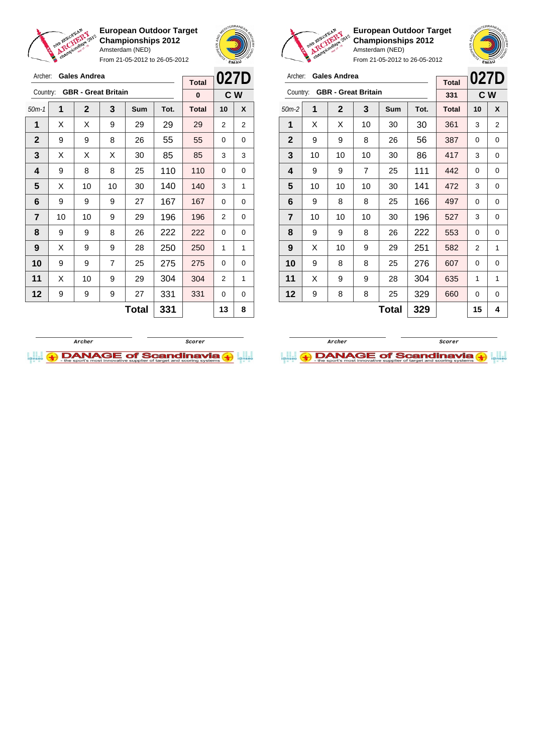

Archer: **Gales Andrea**

**European Outdoor Target Championships 2012** Amsterdam (NED)

From 21-05-2012 to 26-05-2012



**Total**



**European Outdoor Target Championships 2012** Amsterdam (NED)

| Archer:        |                          | <b>Gales Andrea</b>        |    | <b>Total</b> | 027D |              |     |   |
|----------------|--------------------------|----------------------------|----|--------------|------|--------------|-----|---|
| Country:       |                          | <b>GBR</b> - Great Britain |    |              |      | 331          | C W |   |
| $50m-2$        | 1                        | $\mathbf{2}$               | 3  | <b>Sum</b>   | Tot. | <b>Total</b> | 10  | X |
| 1              | X                        | X                          | 10 | 30           | 30   | 361          | 3   | 2 |
| $\mathbf{2}$   | 9                        | 9                          | 8  | 26           | 56   | 387          | 0   | 0 |
| 3              | 10                       | 10                         | 10 | 30           | 86   | 417          | 3   | 0 |
| 4              | 9                        | 9                          | 7  | 25           | 111  | 442          | 0   | 0 |
| 5              | 10                       | 10                         | 10 | 30           | 141  | 472          | 3   | 0 |
| 6              | 9                        | 8                          | 8  | 25           | 166  | 497          | 0   | 0 |
| $\overline{7}$ | 10                       | 10                         | 10 | 30           | 196  | 527          | 3   | 0 |
| 8              | 9                        | 9                          | 8  | 26           | 222  | 553          | 0   | 0 |
| 9              | X                        | 10                         | 9  | 29           | 251  | 582          | 2   | 1 |
| 10             | 9                        | 8                          | 8  | 25           | 276  | 607          | 0   | 0 |
| 11             | X                        | 9                          | 9  | 28           | 304  | 635          | 1   | 1 |
| 12             | 329<br>9<br>8<br>8<br>25 |                            |    |              |      | 660          | 0   | 0 |
|                |                          |                            |    | 15           | 4    |              |     |   |





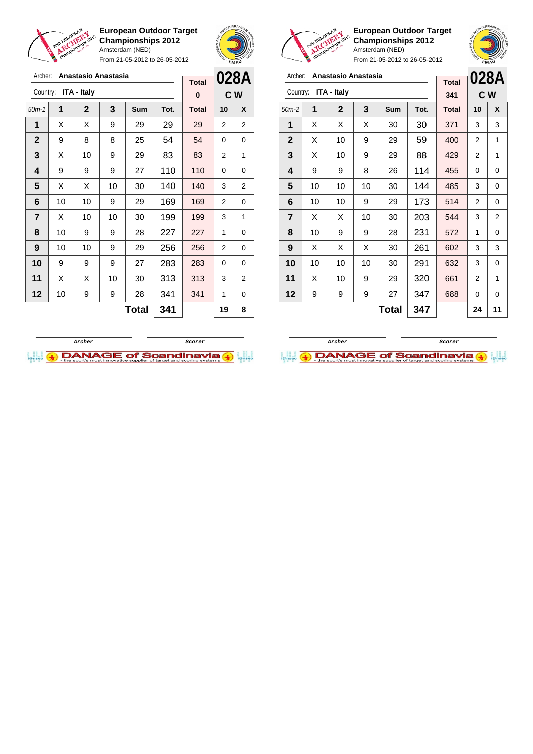

**European Outdoor Target Championships 2012** Amsterdam (NED) From 21-05-2012 to 26-05-2012





**European Outdoor Target Championships 2012** Amsterdam (NED) From 21-05-2012 to 26-05-2012

**028A**

## Archer: **Anastasio Anastasia**

|                |    |                    |    | <b>Total</b> |      | <b>UZOA</b>  |                |              |
|----------------|----|--------------------|----|--------------|------|--------------|----------------|--------------|
| Country:       |    | <b>ITA - Italy</b> |    |              |      | 341          | C W            |              |
| $50m-2$        | 1  | $\mathbf 2$        | 3  | Sum          | Tot. | <b>Total</b> | 10             | X            |
| 1              | X  | X                  | X  | 30           | 30   | 371          | 3              | 3            |
| $\mathbf{2}$   | X  | 10                 | 9  | 29           | 59   | 400          | 2              | 1            |
| 3              | X  | 10                 | 9  | 29           | 88   | 429          | 2              | 1            |
| 4              | 9  | 9                  | 8  | 26           | 114  | 455          | 0              | 0            |
| 5              | 10 | 10                 | 10 | 30           | 144  | 485          | 3              | 0            |
| 6              | 10 | 10                 | 9  | 29           | 173  | 514          | $\overline{2}$ | $\mathbf{0}$ |
| $\overline{7}$ | X  | х                  | 10 | 30           | 203  | 544          | 3              | 2            |
| 8              | 10 | 9                  | 9  | 28           | 231  | 572          | 1              | 0            |
| 9              | X  | X                  | X  | 30           | 261  | 602          | 3              | 3            |
| 10             | 10 | 10                 | 10 | 30           | 291  | 632          | 3              | 0            |
| 11             | X  | 10                 | 9  | 29           | 320  | 661          | 2              | 1            |
| 12             | 9  | 9                  | 9  | 27           | 347  | 688          | 0              | 0            |
|                |    |                    |    | <b>Total</b> | 347  |              | 24             | 11           |

| Archer:        |    | Anastasio Anastasia |     |            |      | 028A         |    |                |
|----------------|----|---------------------|-----|------------|------|--------------|----|----------------|
| Country:       |    | <b>ITA - Italy</b>  |     |            |      | <b>Total</b> |    |                |
|                |    |                     |     |            |      | 0            |    | C W            |
| $50m-1$        | 1  | $\mathbf{2}$        | 3   | <b>Sum</b> | Tot. | <b>Total</b> | 10 | X              |
| 1              | Х  | Х                   | 9   | 29         | 29   | 29           | 2  | $\overline{2}$ |
| $\mathbf{2}$   | 9  | 8                   | 8   | 25         | 54   | 54           | 0  | 0              |
| 3              | X  | 10                  | 9   | 29         | 83   | 83           | 2  | 1              |
| 4              | 9  | 9                   | 9   | 27         | 110  | 110          | 0  | 0              |
| 5              | Х  | Х                   | 10  | 30         | 140  | 140          | 3  | $\overline{2}$ |
| 6              | 10 | 10                  | 9   | 29         | 169  | 169          | 2  | 0              |
| $\overline{7}$ | Х  | 10                  | 10  | 30         | 199  | 199          | 3  | 1              |
| 8              | 10 | 9                   | 9   | 28         | 227  | 227          | 1  | 0              |
| 9              | 10 | 10                  | 9   | 29         | 256  | 256          | 2  | 0              |
| 10             | 9  | 9                   | 9   | 27         | 283  | 283          | 0  | 0              |
| 11             | Х  | Х                   | 10  | 30         | 313  | 313          | 3  | 2              |
| 12             | 10 | 9                   | 9   | 28         | 341  | 341          | 1  | 0              |
|                |    |                     | 341 |            | 19   | 8            |    |                |



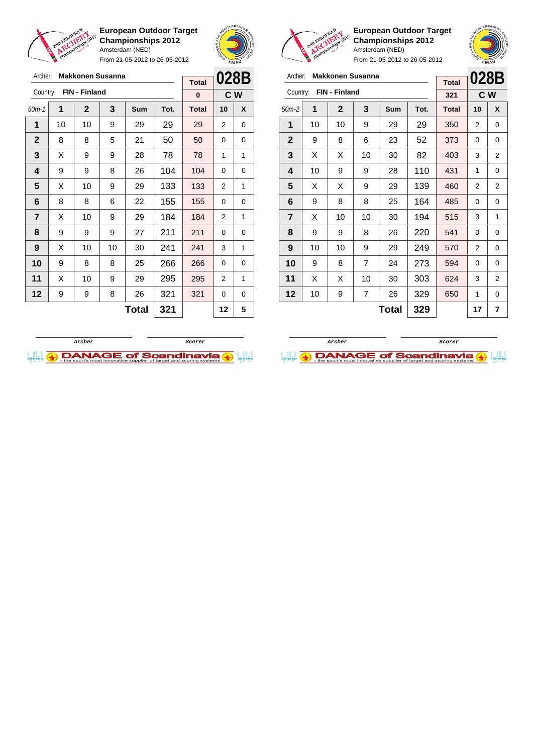

From 21-05-2012 to 26-05-2012





**European Outdoor Target Championships 2012** Amsterdam (NED)



| Archer:        |    | <b>Makkonen Susanna</b> |    |              | 028B |              |               |     |
|----------------|----|-------------------------|----|--------------|------|--------------|---------------|-----|
| Country:       |    | FIN - Finland           |    |              |      | <b>Total</b> |               |     |
|                |    |                         |    |              |      | 321          |               | C W |
| $50m-2$        | 1  | $\mathbf{2}$            | 3  | Sum          | Tot. | <b>Total</b> | 10            | X   |
| 1              | 10 | 10                      | 9  | 29           | 29   | 350          | 2             | 0   |
| $\mathbf{2}$   | 9  | 8                       | 6  | 23           | 52   | 373          | 0             | 0   |
| 3              | X  | X                       | 10 | 30           | 82   | 403          | 3             | 2   |
| 4              | 10 | 9                       | 9  | 28           | 110  | 431          | 1             | 0   |
| 5              | X  | x                       | 9  | 29           | 139  | 460          | 2             | 2   |
| 6              | 9  | 8                       | 8  | 25           | 164  | 485          | 0             | 0   |
| $\overline{7}$ | X  | 10                      | 10 | 30           | 194  | 515          | 3             | 1   |
| 8              | 9  | 9                       | 8  | 26           | 220  | 541          | 0             | 0   |
| 9              | 10 | 10                      | 9  | 29           | 249  | 570          | $\mathcal{P}$ | 0   |
| 10             | 9  | 8                       | 7  | 24           | 273  | 594          | 0             | 0   |
| 11             | X  | X                       | 10 | 30           | 303  | 624          | 3             | 2   |
| $12 \,$        | 10 | 9                       | 7  | 26           | 329  | 650          | 1             | 0   |
|                |    |                         |    | <b>Total</b> | 329  |              | 17            | 7   |

| 028B<br>C W<br>10<br>2<br>0<br>1 | X<br>0<br>0<br>1 |
|----------------------------------|------------------|
|                                  |                  |
|                                  |                  |
|                                  |                  |
|                                  |                  |
|                                  |                  |
| 0                                | 0                |
| 2                                | 1                |
| 0                                | 0                |
| 2                                | 1                |
| 0                                | 0                |
| 3                                | 1                |
| $\Omega$                         | 0                |
| 2                                | 1                |
| 0                                | 0                |
| 12                               | 5                |
|                                  |                  |



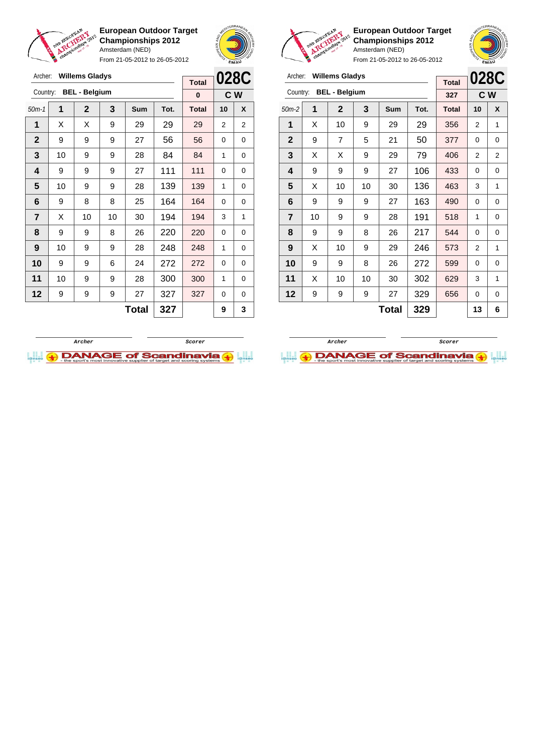

From 21-05-2012 to 26-05-2012





**European Outdoor Target Championships 2012** Amsterdam (NED)

**028C C W**

| Archer:        |                 | <b>Willems Gladys</b> |                |              |      |              |                |             | Archer:                 |    | <b>Willems Gladys</b> |    |              |      |              |                |     |
|----------------|-----------------|-----------------------|----------------|--------------|------|--------------|----------------|-------------|-------------------------|----|-----------------------|----|--------------|------|--------------|----------------|-----|
|                |                 |                       |                |              |      | <b>Total</b> |                | 028C        |                         |    |                       |    |              |      | <b>Total</b> | 0280           |     |
| Country:       |                 | <b>BEL - Belgium</b>  |                |              |      | $\bf{0}$     |                | C W         | Country:                |    | <b>BEL - Belgium</b>  |    |              |      | 327          |                | C W |
| $50m-1$        | 1               | $\mathbf{2}$          | $\overline{3}$ | Sum          | Tot. | <b>Total</b> | 10             | X           | $50m-2$                 | 1  | $\mathbf{2}$          | 3  | Sum          | Tot. | <b>Total</b> | 10             | X   |
| 1              | X               | X                     | 9              | 29           | 29   | 29           | $\overline{2}$ | 2           | 1                       | X  | 10                    | 9  | 29           | 29   | 356          | $\overline{2}$ | 1   |
| $\overline{2}$ | 9               | 9                     | 9              | 27           | 56   | 56           | $\Omega$       | $\mathbf 0$ | $\overline{2}$          | 9  | $\overline{7}$        | 5  | 21           | 50   | 377          | 0              | 0   |
| 3              | 10              | 9                     | 9              | 28           | 84   | 84           | 1              | 0           | 3                       | X  | X                     | 9  | 29           | 79   | 406          | $\overline{2}$ | 2   |
| 4              | 9               | 9                     | 9              | 27           | 111  | 111          | $\Omega$       | 0           | $\overline{\mathbf{4}}$ | 9  | 9                     | 9  | 27           | 106  | 433          | 0              | 0   |
| $5\phantom{1}$ | 10              | 9                     | 9              | 28           | 139  | 139          | 1              | $\Omega$    | 5                       | X  | 10                    | 10 | 30           | 136  | 463          | 3              |     |
| 6              | 9               | 8                     | 8              | 25           | 164  | 164          | $\Omega$       | 0           | 6                       | 9  | 9                     | 9  | 27           | 163  | 490          | 0              | 0   |
| $\overline{7}$ | X               | 10                    | 10             | 30           | 194  | 194          | 3              | 1           | $\overline{7}$          | 10 | 9                     | 9  | 28           | 191  | 518          | 1              | 0   |
| 8              | 9               | 9                     | 8              | 26           | 220  | 220          | $\Omega$       | 0           | 8                       | 9  | 9                     | 8  | 26           | 217  | 544          | 0              | 0   |
| 9              | 10              | 9                     | 9              | 28           | 248  | 248          | 1              | 0           | 9                       | X  | 10                    | 9  | 29           | 246  | 573          | $\overline{2}$ |     |
| 10             | 9               | 9                     | 6              | 24           | 272  | 272          | $\Omega$       | 0           | 10                      | 9  | 9                     | 8  | 26           | 272  | 599          | $\Omega$       | 0   |
| 11             | 10 <sup>1</sup> | 9                     | 9              | 28           | 300  | 300          | 1              | 0           | 11                      | X  | 10                    | 10 | 30           | 302  | 629          | 3              |     |
| 12             | 9               | 9                     | 9              | 27           | 327  | 327          | 0              | 0           | 12                      | 9  | 9                     | 9  | 27           | 329  | 656          | 0              | 0   |
|                |                 |                       |                | <b>Total</b> | 327  |              | 9              | 3           |                         |    |                       |    | <b>Total</b> | 329  |              | 13             | 6   |



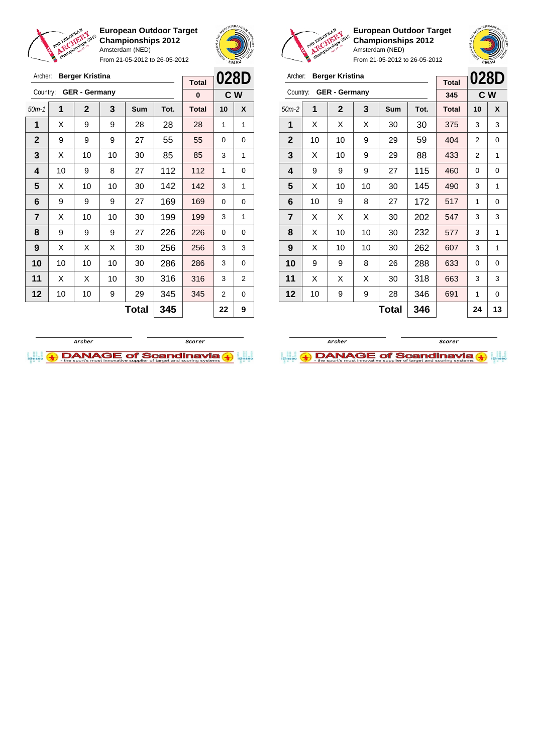

Archer: **Berger Kristina**

**European Outdoor Target Championships 2012** Amsterdam (NED)

From 21-05-2012 to 26-05-2012





**European Outdoor Target Championships 2012** Amsterdam (NED)

**028D C W**

**Total 346 24 13**

From 21-05-2012 to 26-05-2012

|              |          |          | Archer:      |    | <b>Berger Kristina</b> |    |            |      |              |     |     |
|--------------|----------|----------|--------------|----|------------------------|----|------------|------|--------------|-----|-----|
| <b>Total</b> | 028D     |          |              |    |                        |    |            |      | <b>Total</b> |     | 28D |
| $\bf{0}$     |          | C W      | Country:     |    | <b>GER - Germany</b>   |    |            |      | 345          | C W |     |
| Total        | 10       | X        | $50m-2$      | 1  | $\mathbf{2}$           | 3  | <b>Sum</b> | Tot. | <b>Total</b> | 10  | X   |
| 28           | 1        | 1        | 1            | X  | X                      | X  | 30         | 30   | 375          | 3   | 3   |
| 55           | $\Omega$ | $\Omega$ | $\mathbf{2}$ | 10 | 10                     | 9  | 29         | 59   | 404          | 2   | 0   |
| 85           | 3        | 1        | 3            | X  | 10                     | 9  | 29         | 88   | 433          | 2   | 1   |
| 112          | 1        | $\Omega$ | 4            | 9  | 9                      | 9  | 27         | 115  | 460          | 0   | 0   |
| 142          | 3        | 1        | 5            | Χ  | 10                     | 10 | 30         | 145  | 490          | 3   | 1   |

|             |    |                      |    | ו טנטו       |      |              |          |     |
|-------------|----|----------------------|----|--------------|------|--------------|----------|-----|
| Country:    |    | <b>GER</b> - Germany |    |              |      | 0            |          | C W |
| $50m-1$     | 1  | $\mathbf{2}$         | 3  | Sum          | Tot. | <b>Total</b> | 10       | X   |
| 1           | Х  | 9                    | 9  | 28           | 28   | 28           | 1        | 1   |
| $\mathbf 2$ | 9  | 9                    | 9  | 27           | 55   | 55           | 0        | 0   |
| 3           | X  | 10                   | 10 | 30           | 85   | 85           | 3        | 1   |
| 4           | 10 | 9                    | 8  | 27           | 112  | 112          | 1        | 0   |
| 5           | X  | 10                   | 10 | 30           | 142  | 142          | 3        | 1   |
| 6           | 9  | 9                    | 9  | 27           | 169  | 169          | $\Omega$ | 0   |
| 7           | X  | 10                   | 10 | 30           | 199  | 199          | 3        | 1   |
| 8           | 9  | 9                    | 9  | 27           | 226  | 226          | 0        | 0   |
| 9           | X  | X                    | X  | 30           | 256  | 256          | 3        | 3   |
| 10          | 10 | 10                   | 10 | 30           | 286  | 286          | 3        | 0   |
| 11          | X  | X                    | 10 | 30           | 316  | 316          | 3        | 2   |
| 12          | 10 | 10                   | 9  | 29           | 345  | 345          | 2        | 0   |
|             |    |                      |    | <b>Total</b> | 345  |              | 22       | 9   |



 | 10 | 9 | 8 | 27 | 172 | 517 | 1 | 0 | X | X | X | 30 | **202 | 547 |** 3 | 3 | X | 10 | 10 | 30 | 232 | 577 | 3 | 1 | X | 10 | 10 | 30 | **262 | 607 |** 3 | 1 | 9 | 9 | 8 | 26 | 288 | 633 | 0 | 0 | X | X | X | 30 | 318 | 663 | 3 | 3 | 10 | 9 | 9 | 28 | 346 | 691 | 1 | 0

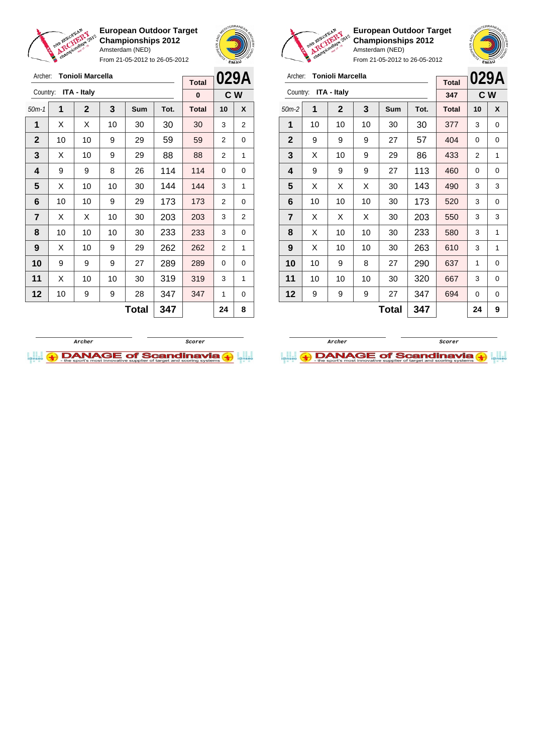

From 21-05-2012 to 26-05-2012





| <b>Tonioli Marcella</b><br>Archer: |    |              |    |              |      | <b>Total</b> |    | 029A |
|------------------------------------|----|--------------|----|--------------|------|--------------|----|------|
| ITA - Italy<br>Country:            |    |              |    |              |      | 347          |    | C W  |
| $50m-2$                            | 1  | $\mathbf{2}$ | 3  | <b>Sum</b>   | Tot. | <b>Total</b> | 10 | X    |
| 1                                  | 10 | 10           | 10 | 30           | 30   | 377          | 3  | 0    |
| $\mathbf{2}$                       | 9  | 9            | 9  | 27           | 57   | 404          | 0  | 0    |
| 3                                  | X  | 10           | 9  | 29           | 86   | 433          | 2  | 1    |
| 4                                  | 9  | 9            | 9  | 27           | 113  | 460          | 0  | 0    |
| 5                                  | X  | X            | X  | 30           | 143  | 490          | 3  | 3    |
| 6                                  | 10 | 10           | 10 | 30           | 173  | 520          | 3  | 0    |
| $\overline{7}$                     | X  | X            | X  | 30           | 203  | 550          | 3  | 3    |
| 8                                  | X  | 10           | 10 | 30           | 233  | 580          | 3  | 1    |
| 9                                  | X  | 10           | 10 | 30           | 263  | 610          | 3  | 1    |
| 10                                 | 10 | 9            | 8  | 27           | 290  | 637          | 1  | 0    |
| 11                                 | 10 | 10           | 10 | 30           | 320  | 667          | 3  | 0    |
| 12                                 | 9  | 9            | 9  | 27           | 347  | 694          | 0  | 0    |
|                                    |    |              |    | <b>Total</b> | 347  |              | 24 | 9    |

**European Outdoor Target Championships 2012** Amsterdam (NED)

| <b>Tonioli Marcella</b><br>Archer: |              |             |     |       |              |                   |             |
|------------------------------------|--------------|-------------|-----|-------|--------------|-------------------|-------------|
| Country:                           |              |             |     |       |              |                   |             |
|                                    |              |             |     |       |              |                   |             |
| 1                                  | $\mathbf{2}$ | 3           | Sum | Tot.  | <b>Total</b> | 10                | X           |
| X                                  | X            | 10          | 30  | 30    | 30           | 3                 | 2           |
| 10                                 | 10           | 9           | 29  | 59    | 59           | $\overline{2}$    | 0           |
| X                                  | 10           | 9           | 29  | 88    | 88           | 2                 | 1           |
| 9                                  | 9            | 8           | 26  | 114   | 114          | $\Omega$          | 0           |
| Х                                  | 10           | 10          | 30  | 144   | 144          | 3                 | 1           |
| 10                                 | 10           | 9           | 29  | 173   | 173          | $\overline{2}$    | 0           |
| Х                                  | X            | 10          | 30  | 203   | 203          | 3                 | 2           |
| 10                                 | 10           | 10          | 30  | 233   | 233          | 3                 | 0           |
| X                                  | 10           | 9           | 29  | 262   | 262          | 2                 | 1           |
| 9                                  | 9            | 9           | 27  | 289   | 289          | $\Omega$          | 0           |
| X                                  | 10           | 10          | 30  | 319   | 319          | 3                 | 1           |
| 10                                 | 9            | 9           | 28  | 347   | 347          | 1                 | 0           |
|                                    |              |             |     | 347   |              | 24                | 8           |
|                                    |              | ITA - Italy |     | Total |              | <b>Total</b><br>0 | 029A<br>C W |



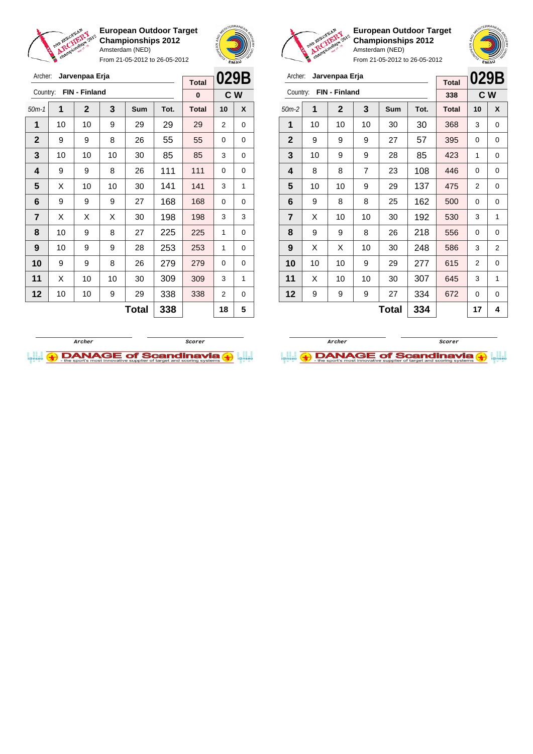

From 21-05-2012 to 26-05-2012





**European Outdoor Target Championships 2012** Amsterdam (NED)

From 21-05-2012 to 26-05-2012

|                | Archer:<br>Jarvenpaa Erja |              |                |              |      |              | 029B           |     |  |
|----------------|---------------------------|--------------|----------------|--------------|------|--------------|----------------|-----|--|
|                | FIN - Finland<br>Country: |              |                |              |      |              |                | C W |  |
| $50m-2$        | 1                         | $\mathbf{2}$ | 3              | Sum          | Tot. | <b>Total</b> | 10             | X   |  |
| 1              | 10                        | 10           | 10             | 30           | 30   | 368          | 3              | 0   |  |
| $\mathbf 2$    | 9                         | 9            | 9              | 27           | 57   | 395          | 0              | 0   |  |
| 3              | 10                        | 9            | 9              | 28           | 85   | 423          | 1              | 0   |  |
| 4              | 8                         | 8            | $\overline{7}$ | 23           | 108  | 446          | 0              | 0   |  |
| 5              | 10                        | 10           | 9              | 29           | 137  | 475          | 2              | 0   |  |
| 6              | 9                         | 8            | 8              | 25           | 162  | 500          | 0              | 0   |  |
| $\overline{7}$ | X                         | 10           | 10             | 30           | 192  | 530          | 3              | 1   |  |
| 8              | 9                         | 9            | 8              | 26           | 218  | 556          | 0              | 0   |  |
| 9              | X                         | X            | 10             | 30           | 248  | 586          | 3              | 2   |  |
| 10             | 10                        | 10           | 9              | 29           | 277  | 615          | $\overline{2}$ | 0   |  |
| 11             | X                         | 10           | 10             | 30           | 307  | 645          | 3              | 1   |  |
| 12             | 9                         | 9            | 9              | 27           | 334  | 672          | 0              | 0   |  |
|                |                           |              |                | <b>Total</b> | 334  |              | 17             | 4   |  |

**Archer Scorer**

**DANAGE of Scandinavia** 

| Archer:                   | Jarvenpaa Erja |              | 029B |              |      |              |          |   |
|---------------------------|----------------|--------------|------|--------------|------|--------------|----------|---|
|                           | <b>Total</b>   |              |      |              |      |              |          |   |
| FIN - Finland<br>Country: |                |              |      |              |      | $\bf{0}$     | C W      |   |
| $50m-1$                   | 1              | $\mathbf{2}$ | 3    | <b>Sum</b>   | Tot. | <b>Total</b> | 10       | X |
| 1                         | 10             | 10           | 9    | 29           | 29   | 29           | 2        | 0 |
| $\mathbf{2}$              | 9              | 9            | 8    | 26           | 55   | 55           | $\Omega$ | 0 |
| 3                         | 10             | 10           | 10   | 30           | 85   | 85           | 3        | 0 |
| 4                         | 9              | 9            | 8    | 26           | 111  | 111          | $\Omega$ | 0 |
| 5                         | X              | 10           | 10   | 30           | 141  | 141          | 3        | 1 |
| 6                         | 9              | 9            | 9    | 27           | 168  | 168          | 0        | 0 |
| 7                         | X              | Х            | x    | 30           | 198  | 198          | 3        | 3 |
| 8                         | 10             | 9            | 8    | 27           | 225  | 225          | 1        | 0 |
| 9                         | 10             | 9            | 9    | 28           | 253  | 253          | 1        | 0 |
| 10                        | 9              | 9            | 8    | 26           | 279  | 279          | 0        | 0 |
| 11                        | X              | 10           | 10   | 30           | 309  | 309          | 3        | 1 |
| 12                        | 10             | 10           | 9    | 29           | 338  | 338          | 2        | 0 |
|                           |                |              |      | <b>Total</b> | 338  |              | 18       | 5 |

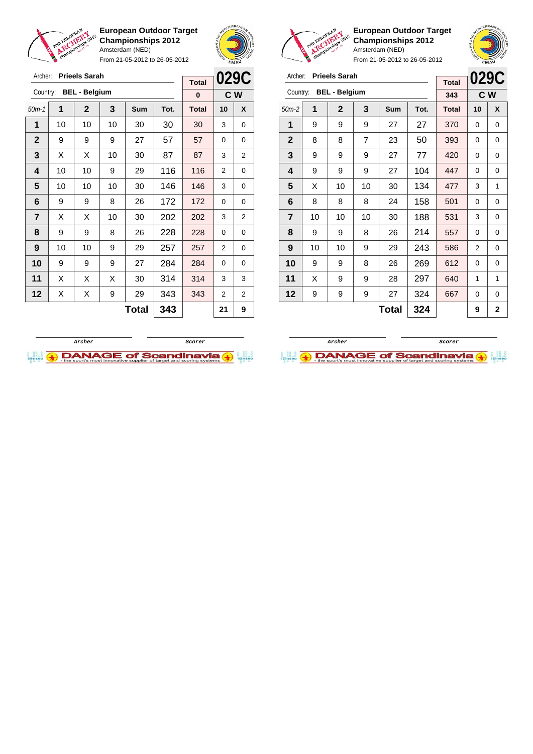

Archer: **Prieels Sarah** Country: **BEL - Belgium**

**European Outdoor Target Championships 2012** Amsterdam (NED)

From 21-05-2012 to 26-05-2012

50m-1 **1 2 3 Sum Tot. Total 10 X** | 10 | 10 | 10 | 30 | 30 | 30 | 3 | 0 | 9 | 9 | 9 | 27 | 57 | 57 | 0 | 0  $\mid$  X  $\mid$  X  $\mid$  10  $\mid$  30  $\mid$  87  $\mid$  87  $\mid$  3  $\mid$  2 | 10 | 10 | 9 | 29 | 116 | 116 | 2 | 0 | 10 | 10 | 10 | 30 | 146 | 146 | 3 | 0 | 9 | 9 | 8 | 26 | 172 | 172 | 0 | 0  $\mid$  X  $\mid$  X  $\mid$  10  $\mid$  30  $\mid$  202  $\mid$  202  $\mid$  3  $\mid$  2 | 9 | 9 | 8 | 26 | 228 | 228 | 0 | 0 | 10 | 10 | 9 | 29 | 257 | 257 | 2 | 0 9 9 9 27 284 284 0 0 | X | X | X | 30 | 314 | 314 | 3 | 3 | X | X | 9 | 29 | 343 | 343 | 2 | 2



**C W**

**Total 0**

**European Outdoor Target Championships 2012** Amsterdam (NED)



From 21-05-2012 to 26-05-2012

|                |    |                      |                     |            |      |              |    | <b>SMA</b>  |
|----------------|----|----------------------|---------------------|------------|------|--------------|----|-------------|
| Archer:        |    | <b>Prieels Sarah</b> |                     |            |      |              |    | 029C        |
| Country:       |    | <b>BEL - Belgium</b> | <b>Total</b><br>343 |            | C W  |              |    |             |
| $50m-2$        | 1  | $\mathbf 2$          | 3                   | <b>Sum</b> | Tot. | <b>Total</b> | 10 | X           |
| 1              | 9  | 9                    | 9                   | 27         | 27   | 370          | 0  | 0           |
| $\mathbf{2}$   | 8  | 8                    | $\overline{7}$      | 23         | 50   | 393          | 0  | 0           |
| 3              | 9  | 9                    | 9                   | 27         | 77   | 420          | 0  | 0           |
| 4              | 9  | 9                    | 9                   | 27         | 104  | 447          | 0  | 0           |
| 5              | X  | 10                   | 10                  | 30         | 134  | 477          | 3  | 1           |
| 6              | 8  | 8                    | 8                   | 24         | 158  | 501          | 0  | 0           |
| $\overline{7}$ | 10 | 10                   | 10                  | 30         | 188  | 531          | 3  | 0           |
| 8              | 9  | 9                    | 8                   | 26         | 214  | 557          | 0  | 0           |
| 9              | 10 | 10                   | 9                   | 29         | 243  | 586          | 2  | 0           |
| 10             | 9  | 9                    | 8                   | 26         | 269  | 612          | 0  | 0           |
| 11             | X  | 9                    | 9                   | 28         | 297  | 640          | 1  | 1           |
| 12             | 9  | 9                    | 9                   | 27         | 324  | 667          | 0  | $\mathbf 0$ |
|                |    |                      |                     |            |      |              |    |             |

 $Total | 324 | 9 | 2$ 

**Archer Scorer**

**DANAGE of Scandinavia (+)** 



 $Total | 343 | 21 | 9$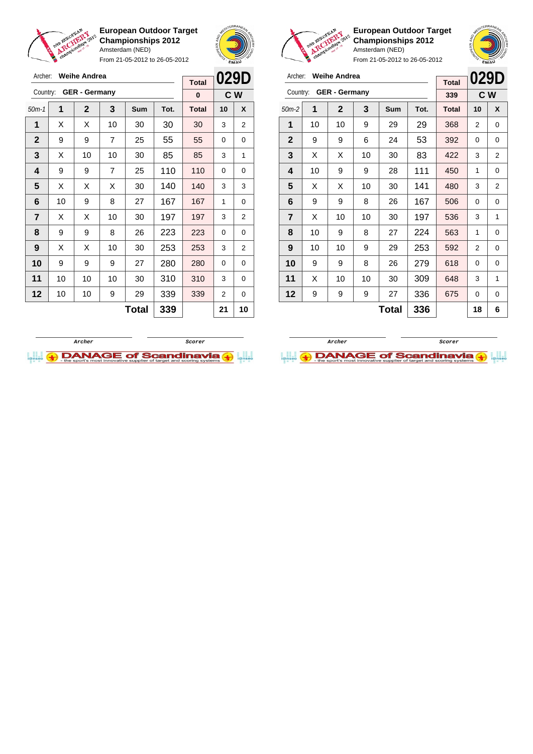

From 21-05-2012 to 26-05-2012



**European Outdoor Target Championships 2012** Amsterdam (NED)

| Archer: Weihe Andrea |
|----------------------|
|                      |

| <b>Weihe Andrea</b><br>Archer:   |    |             |    |       |      | <b>Total</b> | 029D |                |
|----------------------------------|----|-------------|----|-------|------|--------------|------|----------------|
| <b>GER</b> - Germany<br>Country: |    |             |    |       |      | 339          | C W  |                |
| $50m-2$                          | 1  | $\mathbf 2$ | 3  | Sum   | Tot. | <b>Total</b> | 10   | X              |
| 1                                | 10 | 10          | 9  | 29    | 29   | 368          | 2    | 0              |
| $\mathbf 2$                      | 9  | 9           | 6  | 24    | 53   | 392          | 0    | 0              |
| 3                                | X  | Х           | 10 | 30    | 83   | 422          | 3    | 2              |
| 4                                | 10 | 9           | 9  | 28    | 111  | 450          | 1    | 0              |
| 5                                | X  | Х           | 10 | 30    | 141  | 480          | 3    | $\overline{2}$ |
| 6                                | 9  | 9           | 8  | 26    | 167  | 506          | 0    | 0              |
| $\overline{\mathbf{r}}$          | X  | 10          | 10 | 30    | 197  | 536          | 3    | 1              |
| 8                                | 10 | 9           | 8  | 27    | 224  | 563          | 1    | 0              |
| 9                                | 10 | 10          | 9  | 29    | 253  | 592          | 2    | 0              |
| 10                               | 9  | 9           | 8  | 26    | 279  | 618          | 0    | 0              |
| 11                               | X  | 10          | 10 | 30    | 309  | 648          | 3    | 1              |
| 12                               | 9  | 9           | 9  | 27    | 336  | 675          | 0    | 0              |
|                                  |    |             |    | Total | 336  |              | 18   | 6              |





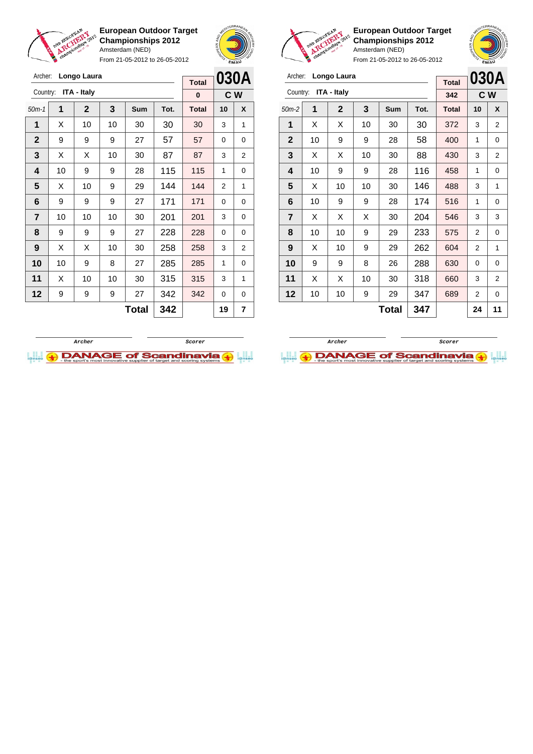

Archer: **Longo Laura** Country: **ITA - Italy**

**European Outdoor Target Championships 2012** Amsterdam (NED)

From 21-05-2012 to 26-05-2012

50m-1 **1 2 3 Sum Tot. Total 10 X** | X | 10 | 10 | 30 | 30 | 30 | 3 | 1 | 9 | 9 | 9 | 27 | 57 | 57 | 0 | 0  $\mid$  X  $\mid$  X  $\mid$  10  $\mid$  30  $\mid$  87  $\mid$  87  $\mid$  3  $\mid$  2 | 10 | 9 | 9 | 28 | 115 | 115 | 1 | 0  $\mid$  X  $\mid$  10  $\mid$  9  $\mid$  29  $\mid$  144  $\mid$  144  $\mid$  2  $\mid$  1 | 9 | 9 | 9 | 27 | 171 | 171 | 0 | 0 | 10 | 10 | 10 | 30 | 201 | 201 | 3 | 0 | 9 | 9 | 9 | 27 | 228 | 228 | 0 | 0 | X | X | 10 | 30 | **258 | 258 |** 3 | 2 | 10 | 9 | 8 | 27 | 285 | 285 | 1 | 0 | X | 10 | 10 | 30 | 315 | 315 | 3 | 1 9 9 9 27 342 342 0 0



**C W**

**Total 0**



**European Outdoor Target Championships 2012** Amsterdam (NED)

From 21-05-2012 to 26-05-2012

| Archer:        |    | Longo Laura  |     | <b>Total</b> |      | 030A         |                |   |
|----------------|----|--------------|-----|--------------|------|--------------|----------------|---|
| Country:       |    | ITA - Italy  |     |              |      | 342          | C W            |   |
| $50m-2$        | 1  | $\mathbf{2}$ | 3   | Sum          | Tot. | <b>Total</b> | 10             | X |
| 1              | X  | X            | 10  | 30           | 30   | 372          | 3              | 2 |
| $\mathbf{2}$   | 10 | 9            | 9   | 28           | 58   | 400          | 1              | 0 |
| 3              | X  | X            | 10  | 30           | 88   | 430          | 3              | 2 |
| 4              | 10 | 9            | 9   | 28           | 116  | 458          | 1              | 0 |
| 5              | X  | 10           | 10  | 30           | 146  | 488          | 3              | 1 |
| 6              | 10 | 9            | 9   | 28           | 174  | 516          | 1              | 0 |
| $\overline{7}$ | X  | X            | X   | 30           | 204  | 546          | 3              | 3 |
| 8              | 10 | 10           | 9   | 29           | 233  | 575          | 2              | 0 |
| 9              | X  | 10           | 9   | 29           | 262  | 604          | 2              | 1 |
| 10             | 9  | 9            | 8   | 26           | 288  | 630          | 0              | 0 |
| 11             | X  | X            | 10  | 30           | 660  | 3            | $\overline{2}$ |   |
| 12             | 10 | 10           | 9   | 29           | 347  | 689          | 2              | 0 |
|                |    |              | 347 |              | 24   | 11           |                |   |

**Total 347 24 11 Archer Scorer**

**DANAGE of Scandinavia** 



**Total** 342 19 7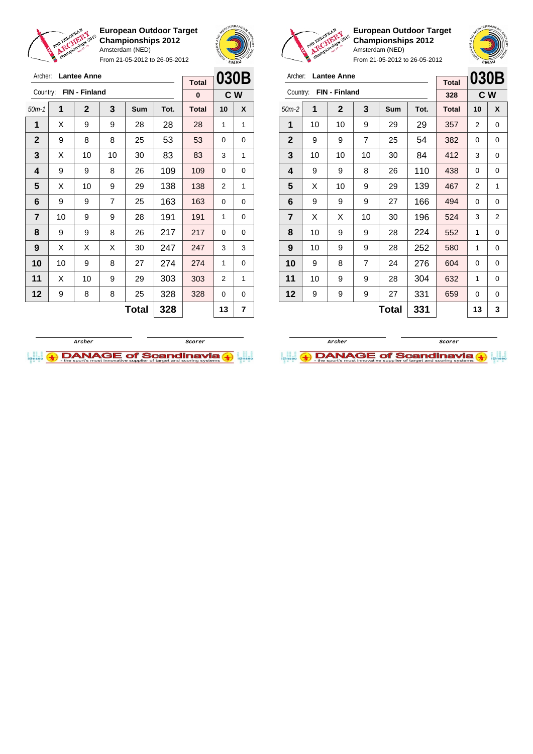



From 21-05-2012 to 26-05-2012

| Archer:      |    | <b>Lantee Anne</b> | <b>Total</b>   | 030B |          |              |           |   |  |
|--------------|----|--------------------|----------------|------|----------|--------------|-----------|---|--|
| Country:     |    | FIN - Finland      |                |      |          | $\bf{0}$     | <b>CW</b> |   |  |
| $50m-1$      | 1  | $\overline{2}$     | 3              | Sum  | Tot.     | <b>Total</b> | 10        | X |  |
| 1            | Х  | 9                  | 9              | 28   | 28       | 28           | 1         | 1 |  |
| $\mathbf{2}$ | 9  | 8                  | 8              | 25   | 53       | 53           | 0         | 0 |  |
| 3            | X  | 10                 | 10             | 30   | 83       | 83           | 3         | 1 |  |
| 4            | 9  | 9                  | 8              | 109  | $\Omega$ | 0            |           |   |  |
| 5            | X  | 10                 | 9              | 29   | 138      | 138          | 2         | 1 |  |
| 6            | 9  | 9                  | $\overline{7}$ | 25   | 163      | 163          | 0         | 0 |  |
| 7            | 10 | 9                  | 9              | 28   | 191      | 191          | 1         | 0 |  |
| 8            | 9  | 9                  | 8              | 26   | 217      | 217          | $\Omega$  | 0 |  |
| 9            | X  | X                  | X              | 30   | 247      | 247          | 3         | 3 |  |
| 10           | 10 | 9                  | 8              | 27   | 274      | 274          | 1         | 0 |  |
| 11           | X  | 10                 | 303<br>9<br>29 |      | 303      | 2            | 1         |   |  |
| 12           | 9  | 8                  | 8              | 25   | 328      | 328          | $\Omega$  | 0 |  |
|              |    |                    | 13             | 7    |          |              |           |   |  |



**European Outdoor Target Championships 2012** Amsterdam (NED)

**B**<br> **i**@nseo

From 21-05-2012 to 26-05-2012

| Archer:                 |    | <b>Lantee Anne</b>  | <b>Total</b>   | 030B      |      |              |                |   |
|-------------------------|----|---------------------|----------------|-----------|------|--------------|----------------|---|
| Country:                |    | FIN - Finland       |                |           |      | 328          | C W            |   |
| $50m-2$                 | 1  | $\mathbf 2$         | 3              | Sum       | Tot. | <b>Total</b> | 10             | X |
| 1                       | 10 | 10                  | 9              | 29        | 29   | 357          | 2              | 0 |
| $\mathbf{2}$            | 9  | 9                   | 7              | 25        | 54   | 382          | 0              | 0 |
| 3                       | 10 | 10                  | 10             | 30        | 84   | 412          | 3              | 0 |
| 4                       | 9  | 9                   | 110            | 438       | 0    | 0            |                |   |
| 5                       | X  | 10                  | 139<br>9<br>29 |           |      |              | $\overline{2}$ | 1 |
| 6                       | 9  | 9                   | 9              | 166<br>27 |      | 494          | 0              | 0 |
| $\overline{\mathbf{r}}$ | X  | X                   | 10             | 30        | 196  | 524          | 3              | 2 |
| 8                       | 10 | 9                   | 9              | 28        | 224  | 552          | 1              | 0 |
| 9                       | 10 | 9                   | 9              | 28        | 252  | 580          | 1              | 0 |
| 10                      | 9  | 7<br>276<br>8<br>24 |                |           |      | 604          | 0              | 0 |
| 11                      | 10 | 9                   | 9              | 28        | 304  | 632          | 1              | 0 |
| 12                      | 9  | 9                   | 331            | 659       | 0    | 0            |                |   |
|                         |    |                     | 13             | 3         |      |              |                |   |

**Archer Scorer**

 $\bigoplus$  DANAGE of Scandinavia

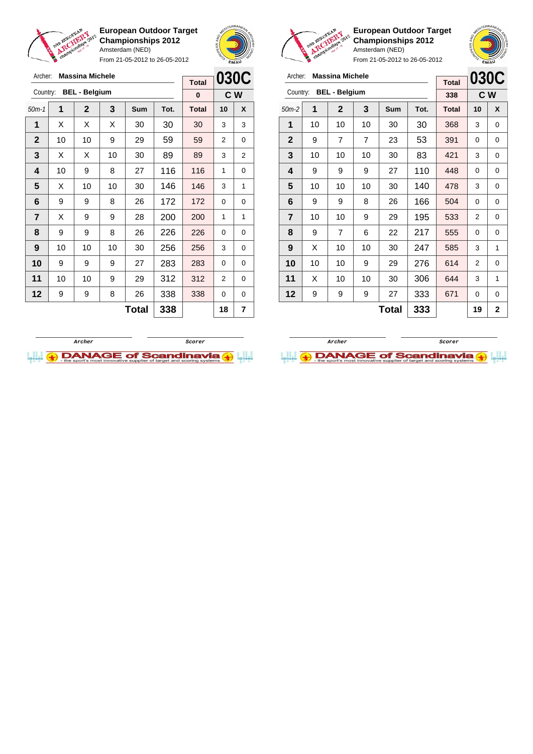

Archer: **Massina Michele**

**European Outdoor Target Championships 2012** Amsterdam (NED) From 21-05-2012 to 26-05-2012

 $\Gamma$ 





 $\overline{\phantom{a}}$ 

**European Outdoor Target Championships 2012** Amsterdam (NED)

| Archer:      |    | <b>Massina Michele</b> |     |                | 030C |              |     |   |
|--------------|----|------------------------|-----|----------------|------|--------------|-----|---|
|              |    | <b>BEL - Belgium</b>   |     |                |      | <b>Total</b> |     |   |
| Country:     |    |                        |     |                |      | 338          | C W |   |
| $50m-2$      | 1  | $\mathbf{2}$           | 3   | <b>Sum</b>     | Tot. | <b>Total</b> | 10  | X |
| 1            | 10 | 10                     | 10  | 30             | 30   | 368          | 3   | 0 |
| $\mathbf{2}$ | 9  | $\overline{7}$         | 7   | 23             | 53   | 391          | 0   | 0 |
| 3            | 10 | 10                     | 10  | 30             | 83   | 421          | 3   | 0 |
| 4            | 9  | 9                      | 110 | 448            | 0    | 0            |     |   |
| 5            | 10 | 10                     | 10  | 30             | 140  | 478          | 3   | 0 |
| 6            | 9  | 9                      | 8   | 26             | 166  | 504          | 0   | 0 |
| 7            | 10 | 10                     | 9   | 29             | 195  | 533          | 2   | 0 |
| 8            | 9  | $\overline{7}$         | 6   | 22             | 217  | 555          | 0   | 0 |
| 9            | X  | 10                     | 10  | 30             | 247  | 585          | 3   | 1 |
| 10           | 10 | 10                     | 9   | 29             | 276  | 614          | 2   | 0 |
| 11           | X  | 10                     | 10  | 30             | 306  | 644          | 3   | 1 |
| 12           | 9  | 9                      | 333 | 671            | 0    | 0            |     |   |
|              |    |                        | 19  | $\overline{2}$ |      |              |     |   |

| <b>BEL - Belgium</b><br>Country:<br>$\mathbf{1}$<br>$\overline{2}$<br>3<br>$50m-1$<br>1<br>Χ<br>X<br>X<br>30<br>$\mathbf{2}$<br>10<br>10<br>9<br>29<br>3<br>X<br>X<br>10<br>30<br>4<br>10<br>9<br>8<br>27<br>5<br>10<br>10<br>X<br>30<br>6<br>9<br>9<br>8<br>26<br>$\overline{7}$<br>X<br>9<br>9<br>28<br>8<br>9<br>9<br>8<br>26<br>9<br>10<br>10<br>10<br>30<br>10 |    |                |     |              | $\bf{0}$     |    | C W |
|---------------------------------------------------------------------------------------------------------------------------------------------------------------------------------------------------------------------------------------------------------------------------------------------------------------------------------------------------------------------|----|----------------|-----|--------------|--------------|----|-----|
|                                                                                                                                                                                                                                                                                                                                                                     |    |                | Sum | Tot.         | <b>Total</b> | 10 | X   |
|                                                                                                                                                                                                                                                                                                                                                                     |    |                |     | 30           | 30           | 3  | 3   |
|                                                                                                                                                                                                                                                                                                                                                                     |    |                |     | 59           | 59           | 2  | 0   |
|                                                                                                                                                                                                                                                                                                                                                                     |    |                |     | 89           | 89           | 3  | 2   |
|                                                                                                                                                                                                                                                                                                                                                                     |    |                |     | 116          | 116          | 1  | 0   |
|                                                                                                                                                                                                                                                                                                                                                                     |    |                |     | 146          | 146          | 3  | 1   |
|                                                                                                                                                                                                                                                                                                                                                                     |    |                |     | 172          | 172          | 0  | 0   |
|                                                                                                                                                                                                                                                                                                                                                                     |    |                |     | 200          | 200          | 1  | 1   |
|                                                                                                                                                                                                                                                                                                                                                                     |    |                |     | 226          | 226          | 0  | 0   |
|                                                                                                                                                                                                                                                                                                                                                                     |    |                |     | 256          | 256          | 3  | 0   |
| 9                                                                                                                                                                                                                                                                                                                                                                   | 9  | 9              | 27  | 283          | 283          | 0  | 0   |
| 10                                                                                                                                                                                                                                                                                                                                                                  | 10 | 9              | 29  | 312          | 312          | 2  | 0   |
| 9                                                                                                                                                                                                                                                                                                                                                                   | 9  | 338<br>8<br>26 |     |              | 338          | 0  | 0   |
|                                                                                                                                                                                                                                                                                                                                                                     |    | 338            |     | 18           | 7            |    |     |
|                                                                                                                                                                                                                                                                                                                                                                     |    |                |     | <b>Total</b> |              |    |     |



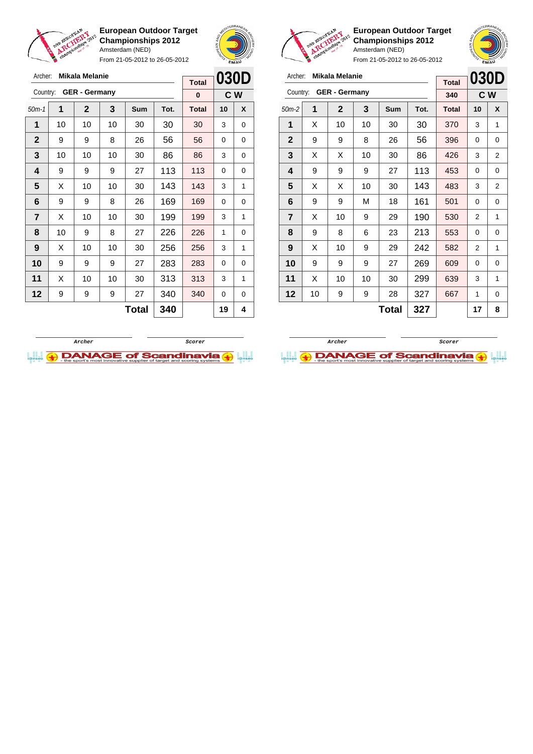

From 21-05-2012 to 26-05-2012





**European Outdoor Target Championships 2012** Amsterdam (NED)

| Archer:        |    | <b>Mikala Melanie</b> |    | <b>Total</b> | 030D |              |    |                |
|----------------|----|-----------------------|----|--------------|------|--------------|----|----------------|
| Country:       |    | <b>GER</b> - Germany  |    |              |      | 340          |    | C W            |
| $50m-2$        | 1  | $\mathbf 2$           | 3  | Sum          | Tot. | <b>Total</b> | 10 | X              |
| 1              | X  | 10                    | 10 | 30           | 30   | 370          | 3  | 1              |
| $\mathbf 2$    | 9  | 9                     | 8  | 26           | 56   | 396          | 0  | 0              |
| 3              | X  | X                     | 86 | 426          | 3    | 2            |    |                |
| 4              | 9  | 9                     | 9  | 27           | 113  | 453          | 0  | 0              |
| 5              | X  | X<br>10               |    | 30           | 143  | 483          | 3  | $\overline{2}$ |
| 6              | 9  | 9                     | М  | 18           | 161  | 501          | 0  | 0              |
| $\overline{7}$ | X  | 10                    | 9  | 29           | 190  | 530          | 2  | 1              |
| 8              | 9  | 8                     | 6  | 23           | 213  | 553          | 0  | 0              |
| 9              | X  | 10                    | 9  | 29           | 242  | 582          | 2  | 1              |
| 10             | 9  | 9                     | 9  | 27           | 269  | 609          | 0  | 0              |
| 11             | X  | 10                    | 10 | 30           | 299  | 639          | 3  | 1              |
| 12             | 10 | 9                     | 9  | 28           | 327  | 667          | 1  | 0              |
|                |    |                       |    | Total        | 327  |              | 17 | 8              |

| Archer:      |                          | <b>Mikala Melanie</b> |     | <b>Total</b> | 030D |              |          |     |
|--------------|--------------------------|-----------------------|-----|--------------|------|--------------|----------|-----|
| Country:     |                          | <b>GER - Germany</b>  |     |              |      | 0            |          | C W |
| $50m-1$      | 1                        | $\overline{2}$        | 3   | <b>Sum</b>   | Tot. | <b>Total</b> | 10       | X   |
| 1            | 10                       | 10                    | 10  | 30           | 30   | 30           | 3        | 0   |
| $\mathbf{2}$ | 9                        | 9                     | 8   | 26           | 56   | 56           | 0        | 0   |
| 3            | 10                       | 10                    | 10  | 30           | 86   | 3            | 0        |     |
| 4            | 9                        | 9                     | 9   | 27           | 113  | 0            | 0        |     |
| 5            | Х                        | 10                    | 10  | 30           | 143  | 143          | 3        | 1   |
| 6            | 9                        | 9                     | 8   | 26           | 169  | 169          | 0        | 0   |
| 7            | X                        | 10                    | 10  | 30           | 199  | 199          | 3        | 1   |
| 8            | 10                       | 9                     | 8   | 27           | 226  | 226          | 1        | 0   |
| 9            | X                        | 10                    | 10  | 30           | 256  | 256          | 3        | 1   |
| 10           | 9                        | 9                     | 9   | 27           | 283  | 283          | $\Omega$ | 0   |
| 11           | Х                        | 10                    | 10  | 30           | 313  | 313          | 3        | 1   |
| 12           | 9<br>9<br>340<br>9<br>27 |                       |     |              |      | 340          | 0        | 0   |
|              |                          |                       | 340 |              | 19   | 4            |          |     |



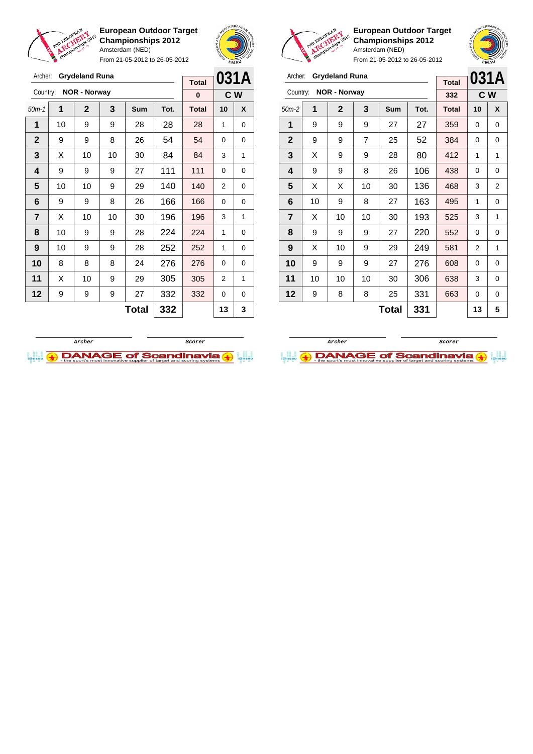

From 21-05-2012 to 26-05-2012





**European Outdoor Target Championships 2012** Amsterdam (NED)

**031A C W**

From 21-05-2012 to 26-05-2012

|                | <b>Grydeland Runa</b><br>Archer: |                       |    |       |      | 031A<br><b>Grydeland Runa</b><br>Archer: |          |                  |                         |    |                     |                |              | 031/ |              |                |     |
|----------------|----------------------------------|-----------------------|----|-------|------|------------------------------------------|----------|------------------|-------------------------|----|---------------------|----------------|--------------|------|--------------|----------------|-----|
|                |                                  |                       |    |       |      | <b>Total</b>                             |          |                  |                         |    |                     |                |              |      | <b>Total</b> |                |     |
|                |                                  | Country: NOR - Norway |    |       |      | $\bf{0}$                                 |          | C W              | Country:                |    | <b>NOR - Norway</b> |                |              |      | 332          |                | C W |
| $50m-1$        | 1                                | $\overline{2}$        | 3  | Sum   | Tot. | <b>Total</b>                             | 10       | $\boldsymbol{x}$ | $50m-2$                 | 1  | $\mathbf{2}$        | 3              | Sum          | Tot. | <b>Total</b> | 10             | X   |
| 1              | 10                               | 9                     | 9  | 28    | 28   | 28                                       | 1        | 0                | 1                       | 9  | 9                   | 9              | 27           | 27   | 359          | 0              | 0   |
| $\mathbf{2}$   | 9                                | 9                     | 8  | 26    | 54   | 54                                       | $\Omega$ | $\mathbf 0$      | $\mathbf{2}$            | 9  | 9                   | $\overline{7}$ | 25           | 52   | 384          | 0              | 0   |
| 3              | X                                | 10                    | 10 | 30    | 84   | 84                                       | 3        | 1                | 3                       | X  | 9                   | 9              | 28           | 80   | 412          | 1              | 1   |
| 4              | 9                                | 9                     | 9  | 27    | 111  | 111                                      | $\Omega$ | 0                | $\overline{\mathbf{4}}$ | 9  | 9                   | 8              | 26           | 106  | 438          | $\Omega$       | 0   |
| 5              | 10                               | 10                    | 9  | 29    | 140  | 140                                      | 2        | $\mathbf 0$      | 5                       | X  | X                   | 10             | 30           | 136  | 468          | 3              | 2   |
| 6              | 9                                | 9                     | 8  | 26    | 166  | 166                                      | $\Omega$ | 0                | 6                       | 10 | 9                   | 8              | 27           | 163  | 495          | 1              | 0   |
| $\overline{7}$ | X                                | 10                    | 10 | 30    | 196  | 196                                      | 3        | 1                | $\overline{7}$          | X  | 10                  | 10             | 30           | 193  | 525          | 3              | 1   |
| 8              | 10                               | 9                     | 9  | 28    | 224  | 224                                      | 1        | 0                | 8                       | 9  | 9                   | 9              | 27           | 220  | 552          | 0              | 0   |
| 9              | 10 <sup>1</sup>                  | 9                     | 9  | 28    | 252  | 252                                      | 1        | $\mathbf 0$      | 9                       | X  | 10                  | 9              | 29           | 249  | 581          | $\overline{2}$ | 1   |
| 10             | 8                                | 8                     | 8  | 24    | 276  | 276                                      | $\Omega$ | $\mathbf 0$      | 10                      | 9  | 9                   | 9              | 27           | 276  | 608          | 0              | 0   |
| 11             | X                                | 10                    | 9  | 29    | 305  | 305                                      | 2        | 1                | 11                      | 10 | 10                  | 10             | 30           | 306  | 638          | 3              | 0   |
| 12             | 9                                | 9                     | 9  | 27    | 332  | 332                                      | $\Omega$ | 0                | 12                      | 9  | 8                   | 8              | 25           | 331  | 663          | $\Omega$       | 0   |
|                |                                  |                       |    | Total | 332  |                                          | 13       | 3                |                         |    |                     |                | <b>Total</b> | 331  |              | 13             | 5   |



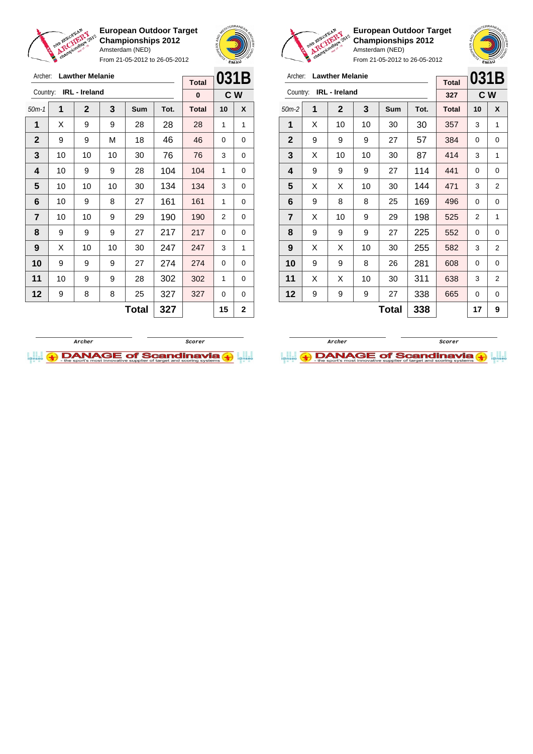



From 21-05-2012 to 26-05-2012

| Archer:        |    | <b>Lawther Melanie</b> |     |            | 031B |              |    |     |
|----------------|----|------------------------|-----|------------|------|--------------|----|-----|
| Country:       |    | <b>IRL</b> - Ireland   |     |            |      | <b>Total</b> |    |     |
|                |    |                        |     |            |      | 0            |    | C W |
| $50m-1$        | 1  | $\mathbf{2}$           | 3   | <b>Sum</b> | Tot. | <b>Total</b> | 10 | X   |
| 1              | X  | 9                      | 9   | 28         | 28   | 28           | 1  | 1   |
| $\mathbf{2}$   | 9  | 9                      | М   | 18         | 46   | 46           | 0  | 0   |
| 3              | 10 | 10                     | 10  | 30         | 76   | 76           | 3  | 0   |
| 4              | 10 | 9                      | 9   | 28         | 104  | 1            | 0  |     |
| 5              | 10 | 10                     | 10  | 30         | 134  | 134          | 3  | 0   |
| 6              | 10 | 9                      | 8   | 27         | 161  | 161          | 1  | 0   |
| $\overline{7}$ | 10 | 10                     | 9   | 29         | 190  | 190          | 2  | 0   |
| 8              | 9  | 9                      | 9   | 27         | 217  | 217          | 0  | 0   |
| 9              | Х  | 10                     | 10  | 30         | 247  | 247          | 3  | 1   |
| 10             | 9  | 9                      | 9   | 27         | 274  | 274          | 0  | 0   |
| 11             | 10 | 9                      | 9   | 28         | 302  | 302          | 1  | 0   |
| 12             | 9  | 8                      | 8   | 25         | 327  | 327          | 0  | 0   |
|                |    |                        | 327 |            | 15   | $\mathbf{2}$ |    |     |



**European Outdoor Target Championships 2012** Amsterdam (NED)



From 21-05-2012 to 26-05-2012

| Archer:        |   | <b>Lawther Melanie</b> | <b>Total</b> | 031B       |      |              |    |     |
|----------------|---|------------------------|--------------|------------|------|--------------|----|-----|
| Country:       |   | <b>IRL</b> - Ireland   |              |            |      | 327          |    | C W |
| $50m-2$        | 1 | $\mathbf 2$            | 3            | <b>Sum</b> | Tot. | <b>Total</b> | 10 | X   |
| 1              | X | 10                     | 10           | 30         | 30   | 357          | 3  | 1   |
| $\mathbf{2}$   | 9 | 9                      | 9            | 27         | 57   | 384          | 0  | 0   |
| 3              | X | 10                     | 10           | 30         | 87   | 414          | 3  | 1   |
| 4              | 9 | 9                      | 114          | 441        | 0    | 0            |    |     |
| 5              | X | X<br>10<br>30<br>144   |              | 471        | 3    | 2            |    |     |
| 6              | 9 | 8<br>169<br>8<br>25    |              | 496        | 0    | 0            |    |     |
| $\overline{7}$ | X | 10                     | 9            | 29         | 198  | 525          | 2  | 1   |
| 8              | 9 | 9                      | 9            | 27         | 225  | 552          | 0  | 0   |
| 9              | X | X                      | 10           | 30         | 255  | 582          | 3  | 2   |
| 10             | 9 | 9                      | 8            | 26         | 281  | 608          | 0  | 0   |
| 11             | X | 311<br>X<br>10<br>30   |              |            |      | 638          | 3  | 2   |
| 12             | 9 | 665                    | 0            | 0          |      |              |    |     |
|                |   |                        | 17           | 9          |      |              |    |     |



**Archer Scorer DANAGE of Scandinavia**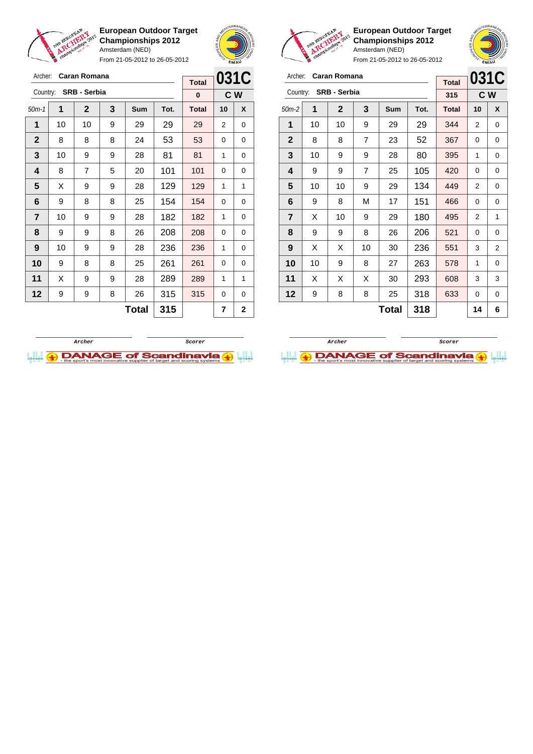

Archer: **Caran Romana** Country: **SRB - Serbia**

**European Outdoor Target Championships 2012** Amsterdam (NED)

From 21-05-2012 to 26-05-2012

50m-1 **1 2 3 Sum Tot. Total 10 X** | 10 | 10 | 9 | 29 | 29 | 29 | 2 | 0 8 8 8 24 53 53 0 0 | 10 | 9 | 9 | 28 | 81 | 81 | 1 | 0 | 8 | 7 | 5 | 20 | 101 | 101 | 0 | 0  $\mid$  X  $\mid$  9  $\mid$  9  $\mid$  28  $\mid$  129  $\mid$  129  $\mid$  1  $\mid$  1 | 9 | 8 | 8 | 25 | 154 | 154 | 0 | 0 | 10 | 9 | 9 | 28 | 182 | 182 | 1 | 0 | 9 | 9 | 8 | 26 | 208 | 208 | 0 | 0 | 10 | 9 | 9 | 28 | 236 | 236 | 1 | 0 9 8 8 25 261 261 0 0 | X | 9 | 9 | 28 | **289 | 289 |** 1 | 1 | 9 | 9 | 8 | 26 | 315 | 315 | 0 | 0



**C W**

**Total 0**



**European Outdoor Target Championships 2012** Amsterdam (NED)

From 21-05-2012 to 26-05-2012

| Archer:        |    | Caran Romana        |                | <b>Total</b> | 031C |              |     |   |
|----------------|----|---------------------|----------------|--------------|------|--------------|-----|---|
| Country:       |    | <b>SRB - Serbia</b> |                |              |      | 315          | C W |   |
| $50m-2$        | 1  | $\mathbf 2$         | 3              | Sum          | Tot. | <b>Total</b> | 10  | X |
| 1              | 10 | 10                  | 9              | 29           | 29   | 344          | 2   | 0 |
| $\mathbf{2}$   | 8  | 8                   | 7              | 23           | 52   | 367          | 0   | 0 |
| 3              | 10 | 9                   | 9              | 28           | 80   | 395          | 1   | 0 |
| 4              | 9  | 9                   | $\overline{7}$ | 25           | 420  | 0            | 0   |   |
| 5              | 10 | 10                  | 9              | 29           | 134  | 449          | 2   | 0 |
| 6              | 9  | 8                   | М              | 17           | 151  | 466          | 0   | 0 |
| $\overline{7}$ | X  | 10                  | 9              | 29           | 180  | 495          | 2   | 1 |
| 8              | 9  | 9                   | 8              | 26           | 206  | 521          | 0   | 0 |
| 9              | х  | X                   | 10             | 30           | 236  | 551          | 3   | 2 |
| 10             | 10 | 9                   | 8              | 27           | 263  | 578          | 1   | 0 |
| 11             | X  | х                   | X              | 30           | 293  | 608          | 3   | 3 |
| 12             | 9  | 318                 | 633            | 0            | 0    |              |     |   |
|                |    |                     |                | <b>Total</b> | 318  |              | 14  | 6 |



**Total** 315  $\vert$  7  $\vert$  2

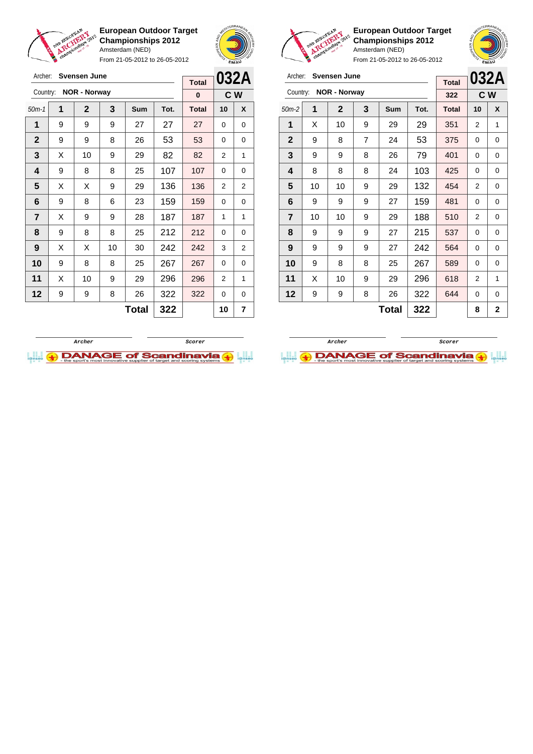

From 21-05-2012 to 26-05-2012



**European Outdoor Target Championships 2012** Amsterdam (NED)

**032A C W**

|                 | Svensen June<br>Archer: |                       |                |       |      | 032A<br>Archer: Svensen June |                |                |                |    |                     |                |              |      | 032/         |                |     |
|-----------------|-------------------------|-----------------------|----------------|-------|------|------------------------------|----------------|----------------|----------------|----|---------------------|----------------|--------------|------|--------------|----------------|-----|
|                 |                         |                       |                |       |      | <b>Total</b>                 |                |                |                |    |                     |                |              |      | <b>Total</b> |                |     |
|                 |                         | Country: NOR - Norway |                |       |      | $\bf{0}$                     |                | C W            | Country:       |    | <b>NOR - Norway</b> |                |              |      | 322          |                | C W |
| $50m-1$         | 1                       | $\mathbf{2}$          | $\overline{3}$ | Sum   | Tot. | Total                        | 10             | X              | $50m-2$        | 1  | $\overline{2}$      | 3              | Sum          | Tot. | <b>Total</b> | 10             | X   |
| $\mathbf{1}$    | 9                       | 9                     | 9              | 27    | 27   | 27                           | 0              | 0              | 1              | X  | 10                  | 9              | 29           | 29   | 351          | 2              | 1   |
| $\mathbf{2}$    | 9                       | 9                     | 8              | 26    | 53   | 53                           | $\mathbf 0$    | 0              | $\mathbf{2}$   | 9  | 8                   | $\overline{7}$ | 24           | 53   | 375          | 0              | 0   |
| 3               | X                       | 10                    | 9              | 29    | 82   | 82                           | $\overline{2}$ | 1              | 3              | 9  | 9                   | 8              | 26           | 79   | 401          | 0              | 0   |
| 4               | 9                       | 8                     | 8              | 25    | 107  | 107                          | $\Omega$       | 0              | 4              | 8  | 8                   | 8              | 24           | 103  | 425          | 0              | 0   |
| $5\phantom{.0}$ | X                       | X                     | 9              | 29    | 136  | 136                          | 2              | $\overline{2}$ | 5              | 10 | 10                  | 9              | 29           | 132  | 454          | 2              | 0   |
| 6               | 9                       | 8                     | 6              | 23    | 159  | 159                          | $\Omega$       | 0              | 6              | 9  | 9                   | 9              | 27           | 159  | 481          | 0              | 0   |
| $\overline{7}$  | X                       | 9                     | 9              | 28    | 187  | 187                          | $\mathbf{1}$   | 1              | $\overline{7}$ | 10 | 10                  | 9              | 29           | 188  | 510          | 2              | 0   |
| 8               | 9                       | 8                     | 8              | 25    | 212  | 212                          | $\Omega$       | 0              | 8              | 9  | 9                   | 9              | 27           | 215  | 537          | 0              | 0   |
| 9               | X                       | X                     | 10             | 30    | 242  | 242                          | 3              | $\overline{2}$ | 9              | 9  | 9                   | 9              | 27           | 242  | 564          | 0              | 0   |
| 10              | 9                       | 8                     | 8              | 25    | 267  | 267                          | $\Omega$       | 0              | 10             | 9  | 8                   | 8              | 25           | 267  | 589          | 0              | 0   |
| 11              | X                       | 10                    | 9              | 29    | 296  | 296                          | 2              | 1              | 11             | X  | 10                  | 9              | 29           | 296  | 618          | $\overline{2}$ | 1   |
| 12              | 9                       | 9                     | 8              | 26    | 322  | 322                          | $\Omega$       | 0              | 12             | 9  | 9                   | 8              | 26           | 322  | 644          | 0              | 0   |
|                 |                         |                       |                | Total | 322  |                              | 10             | 7              |                |    |                     |                | <b>Total</b> | 322  |              | 8              | 2   |



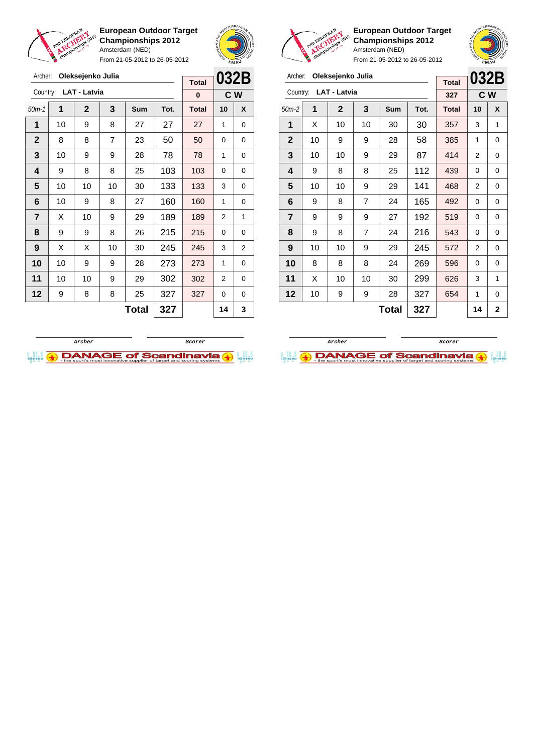

Archer: **Oleksejenko Julia**

**European Outdoor Target Championships 2012** Amsterdam (NED)

From 21-05-2012 to 26-05-2012





**European Outdoor Target Championships 2012** Amsterdam (NED)

| Archer:      |                     | Oleksejenko Julia |                |              |      | <b>Total</b> |                | 032B        |
|--------------|---------------------|-------------------|----------------|--------------|------|--------------|----------------|-------------|
| Country:     | <b>LAT - Latvia</b> | 327               | C <sub>W</sub> |              |      |              |                |             |
| $50m-2$      | 1                   | $\mathbf{2}$      | 3              | Sum          | Tot. | <b>Total</b> | 10             | X           |
| 1            | X                   | 10                | 10             | 30           | 30   | 357          | 3              | 1           |
| $\mathbf{2}$ | 10                  | 9                 | 9              | 28           | 58   | 385          | 1              | 0           |
| 3            | 10                  | 10                | 9              | 29           | 87   | 414          | 2              | 0           |
| 4            | 9                   | 8                 | 8              | 25           | 112  | 439          | 0              | 0           |
| 5            | 10                  | 10                | 9              | 29           | 141  | 468          | 2              | 0           |
| 6            | 9                   | 8                 | 7              | 24           | 165  | 492          | 0              | 0           |
| 7            | 9                   | 9                 | 9              | 27           | 192  | 519          | 0              | 0           |
| 8            | 9                   | 8                 | $\overline{7}$ | 24           | 216  | 543          | 0              | 0           |
| 9            | 10                  | 10                | 9              | 29           | 245  | 572          | $\overline{2}$ | 0           |
| 10           | 8                   | 8                 | 8              | 24           | 269  | 596          | 0              | 0           |
| 11           | X                   | 10                | 10             | 30           | 299  | 626          | 3              | 1           |
| 12           | 10                  | 9                 | 9              | 28           | 327  | 654          | 1              | 0           |
|              |                     |                   |                | <b>Total</b> | 327  |              | 14             | $\mathbf 2$ |





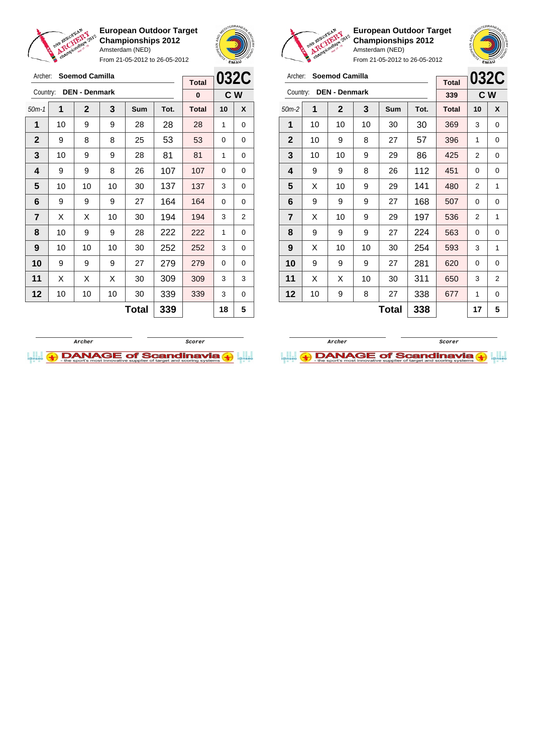

Archer: **Soemod Camilla** Country: **DEN - Denmark**

**European Outdoor Target Championships 2012** Amsterdam (NED)

From 21-05-2012 to 26-05-2012



**C W**

**Total 0**



**European Outdoor Target Championships 2012** Amsterdam (NED)

| Archer:        |     | <b>Soemod Camilla</b> |    |              |      | <b>Total</b> | <b>032C</b> |                |
|----------------|-----|-----------------------|----|--------------|------|--------------|-------------|----------------|
| Country:       | 339 | C W                   |    |              |      |              |             |                |
| $50m-2$        | 1   | $\mathbf 2$           | 3  | Sum          | Tot. | <b>Total</b> | 10          | X              |
| 1              | 10  | 10                    | 10 | 30           | 30   | 369          | 3           | 0              |
| $\mathbf{2}$   | 10  | 9                     | 8  | 27           | 57   | 396          | 1           | 0              |
| 3              | 10  | 10                    | 9  | 29           | 86   | 425          | 2           | 0              |
| 4              | 9   | 9                     | 8  | 26           | 112  | 451          | 0           | 0              |
| 5              | X   | 10                    | 9  | 29           | 141  | 480          | 2           | 1              |
| 6              | 9   | 9                     | 9  | 27           | 168  | 507          | 0           | 0              |
| $\overline{7}$ | X   | 10                    | 9  | 29           | 197  | 536          | 2           | 1              |
| 8              | 9   | 9                     | 9  | 27           | 224  | 563          | 0           | 0              |
| 9              | X   | 10                    | 10 | 30           | 254  | 593          | 3           | 1              |
| 10             | 9   | 9                     | 9  | 27           | 281  | 620          | 0           | 0              |
| 11             | X   | X                     | 10 | 30           | 311  | 650          | 3           | $\overline{2}$ |
| 12             | 10  | 9                     | 8  | 27           | 338  | 677          | 1           | 0              |
|                |     |                       |    | <b>Total</b> | 338  |              | 17          | 5              |





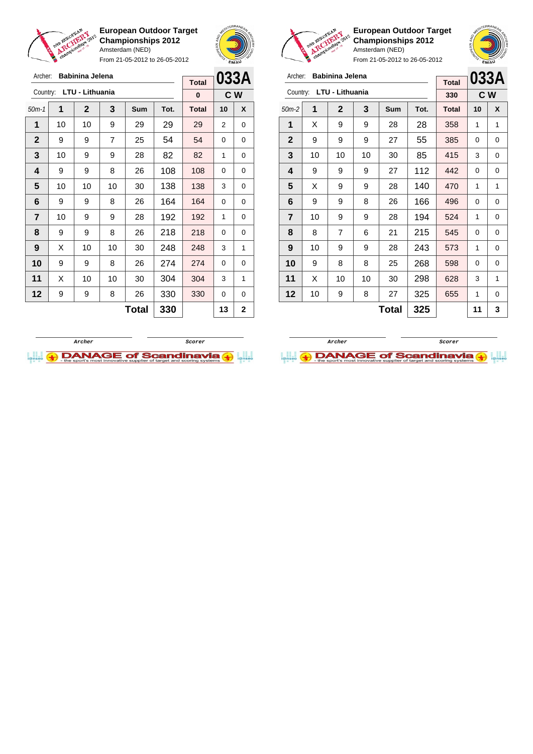

From 21-05-2012 to 26-05-2012



**European Outdoor Target Championships 2012** Amsterdam (NED)

| Archer:        | Babinina Jelena | <b>Total</b>   |                | 033A         |      |              |    |   |
|----------------|-----------------|----------------|----------------|--------------|------|--------------|----|---|
| Country:       | LTU - Lithuania | 330            | C <sub>W</sub> |              |      |              |    |   |
| $50m-2$        | 1               | $\mathbf 2$    | 3              | Sum          | Tot. | <b>Total</b> | 10 | X |
| 1              | X               | 9              | 9              | 28           | 28   | 358          | 1  | 1 |
| $\overline{2}$ | 9               | 9              | 9              | 27           | 55   | 385          | 0  | 0 |
| 3              | 10              | 10             | 10             | 30           | 85   | 415          | 3  | 0 |
| 4              | 9               | 9              | 9              | 27           | 112  | 442          | 0  | 0 |
| 5              | X               | 9              | 9              | 28           | 140  | 470          | 1  | 1 |
| 6              | 9               | 9              | 8              | 26           | 166  | 496          | 0  | 0 |
| $\overline{7}$ | 10              | 9              | 9              | 28           | 194  | 524          | 1  | 0 |
| 8              | 8               | $\overline{7}$ | 6              | 21           | 215  | 545          | 0  | 0 |
| 9              | 10              | 9              | 9              | 28           | 243  | 573          | 1  | 0 |
| 10             | 9               | 8              | 8              | 25           | 268  | 598          | 0  | 0 |
| 11             | X               | 10             | 10             | 30           | 298  | 628          | 3  | 1 |
| 12             | 10              | 9              | 8              | 27           | 325  | 655          | 1  | 0 |
|                |                 |                |                | <b>Total</b> | 325  |              | 11 | 3 |





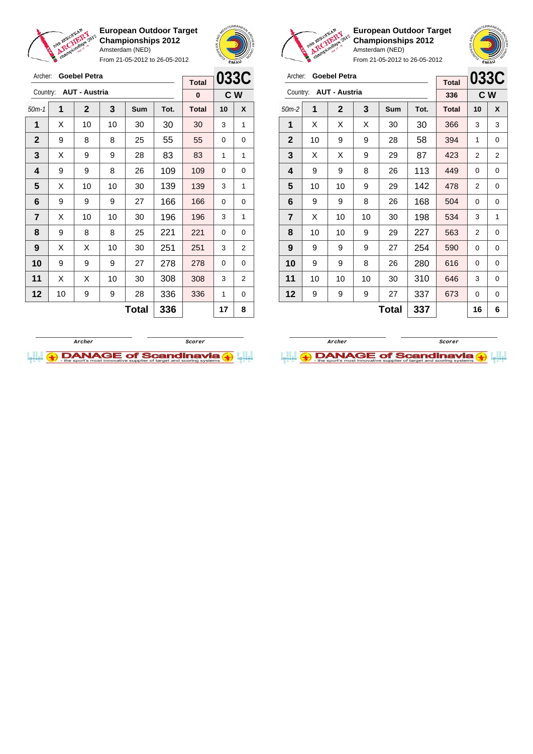

Archer: **Goebel Petra**

**European Outdoor Target Championships 2012** Amsterdam (NED)

From 21-05-2012 to 26-05-2012



**Total**

**European Outdoor Target Championships 2012** Amsterdam (NED)

| Archer:                          |    | <b>Goebel Petra</b> |    |       |      | <b>Total</b> | 033C |   |
|----------------------------------|----|---------------------|----|-------|------|--------------|------|---|
| <b>AUT - Austria</b><br>Country: |    |                     |    |       |      | 336          | C W  |   |
| $50m-2$                          | 1  | $\mathbf 2$         | 3  | Sum   | Tot. | <b>Total</b> | 10   | X |
| 1                                | X  | X                   | X  | 30    | 30   | 366          | 3    | 3 |
| $\overline{2}$                   | 10 | 9                   | 9  | 28    | 58   | 394          | 1    | 0 |
| 3                                | X  | X                   | 9  | 29    | 87   | 423          | 2    | 2 |
| 4                                | 9  | 9                   | 8  | 26    | 113  | 449          | 0    | 0 |
| 5                                | 10 | 10                  | 9  | 29    | 142  | 478          | 2    | 0 |
| 6                                | 9  | 9                   | 8  | 26    | 168  | 504          | 0    | 0 |
| $\overline{\mathbf{r}}$          | X  | 10                  | 10 | 30    | 198  | 534          | 3    | 1 |
| 8                                | 10 | 10                  | 9  | 29    | 227  | 563          | 2    | 0 |
| 9                                | 9  | 9                   | 9  | 27    | 254  | 590          | 0    | 0 |
| 10                               | 9  | 9                   | 8  | 26    | 280  | 616          | 0    | 0 |
| 11                               | 10 | 10                  | 10 | 30    | 310  | 646          | 3    | 0 |
| 12                               | 9  | 9                   | 9  | 27    | 337  | 673          | 0    | 0 |
|                                  |    |                     |    | Total | 337  |              | 16   | 6 |